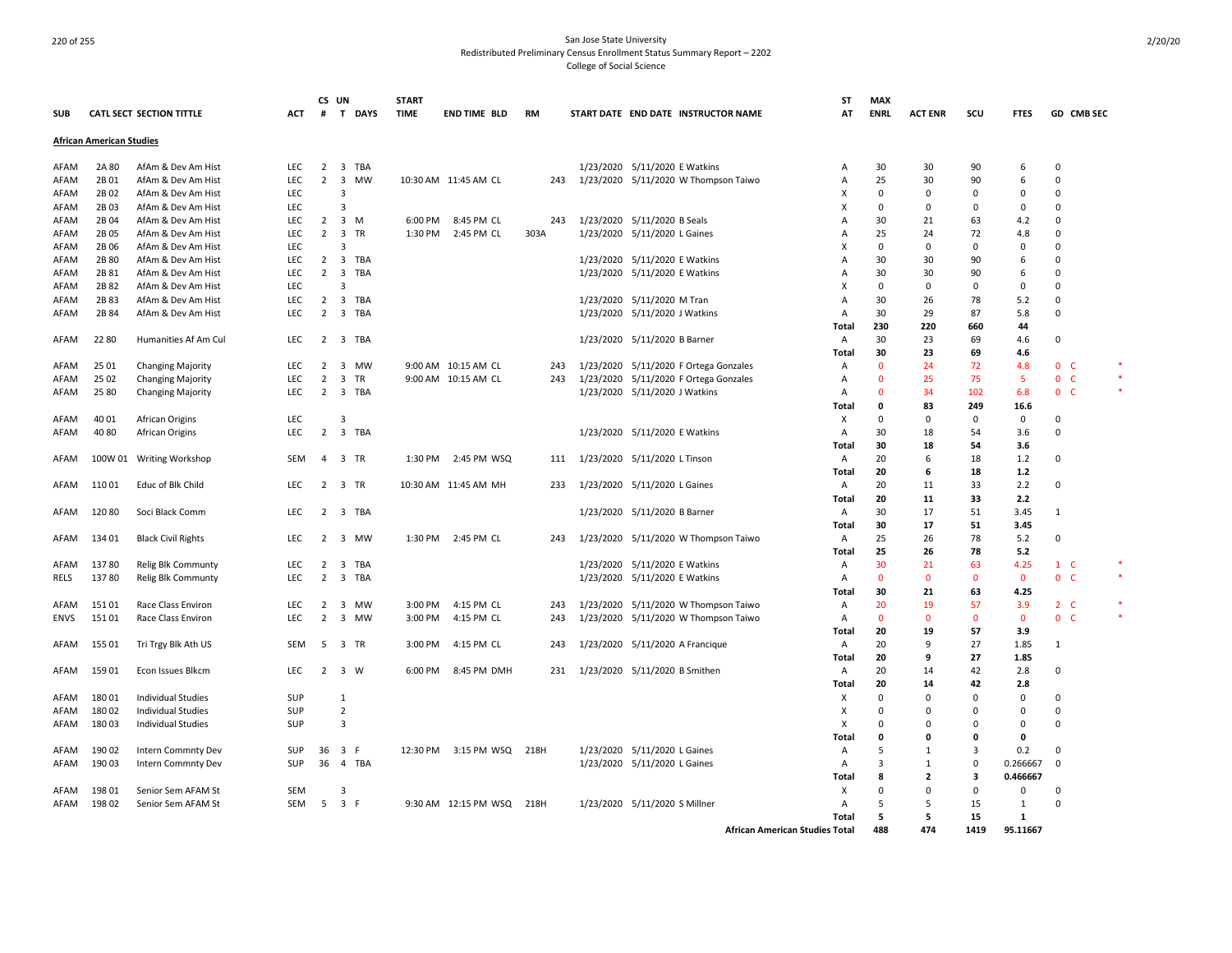|             |                                 | <b>CATL SECT SECTION TITTLE</b> | <b>ACT</b> | CS UN          |                | # T DAYS | <b>START</b><br><b>TIME</b> | <b>END TIME BLD</b>       | <b>RM</b> |           |                               | START DATE END DATE INSTRUCTOR NAME   | <b>ST</b><br>AT                         | <b>MAX</b><br>ENRL | <b>ACT ENR</b> | scu          | <b>FTES</b>          | GD CMB SEC     |  |
|-------------|---------------------------------|---------------------------------|------------|----------------|----------------|----------|-----------------------------|---------------------------|-----------|-----------|-------------------------------|---------------------------------------|-----------------------------------------|--------------------|----------------|--------------|----------------------|----------------|--|
| <b>SUB</b>  |                                 |                                 |            |                |                |          |                             |                           |           |           |                               |                                       |                                         |                    |                |              |                      |                |  |
|             | <b>African American Studies</b> |                                 |            |                |                |          |                             |                           |           |           |                               |                                       |                                         |                    |                |              |                      |                |  |
| AFAM        | 2A 80                           | AfAm & Dev Am Hist              | LEC        | $\overline{2}$ | 3 TBA          |          |                             |                           |           |           | 1/23/2020 5/11/2020 E Watkins |                                       | A                                       | 30                 | 30             | 90           | 6                    | $\Omega$       |  |
| AFAM        | 2B01                            | AfAm & Dev Am Hist              | <b>LEC</b> | $\overline{2}$ | 3              | MW       |                             | 10:30 AM 11:45 AM CL      | 243       |           |                               | 1/23/2020 5/11/2020 W Thompson Taiwo  | Α                                       | 25                 | 30             | 90           | 6                    | $\Omega$       |  |
| AFAM        | 2B02                            | AfAm & Dev Am Hist              | <b>LEC</b> |                | $\mathbf{3}$   |          |                             |                           |           |           |                               |                                       |                                         | $\Omega$           | $\Omega$       | $\mathbf 0$  | 0                    | $\Omega$       |  |
| AFAM        | 2B03                            | AfAm & Dev Am Hist              | LEC        |                |                |          |                             |                           |           |           |                               |                                       |                                         | 0                  | 0              | 0            | $\Omega$             | 0              |  |
| AFAM        | 2B04                            | AfAm & Dev Am Hist              | <b>LEC</b> | $\overline{2}$ | 3 M            |          | 6:00 PM                     | 8:45 PM CL                | 243       |           | 1/23/2020 5/11/2020 B Seals   |                                       | A                                       | 30                 | 21             | 63           | 4.2                  | $\Omega$       |  |
| AFAM        | 2B 05                           | AfAm & Dev Am Hist              | <b>LEC</b> | $\overline{2}$ | 3              | TR       | 1:30 PM                     | 2:45 PM CL                | 303A      |           | 1/23/2020 5/11/2020 L Gaines  |                                       | А                                       | 25                 | 24             | 72           | 4.8                  | $\Omega$       |  |
| AFAM        | 2B 06                           | AfAm & Dev Am Hist              | <b>LEC</b> |                |                |          |                             |                           |           |           |                               |                                       | x                                       | $\mathbf 0$        | $\Omega$       | $\mathbf 0$  | $\Omega$             | 0              |  |
| AFAM        | 2B 80                           | AfAm & Dev Am Hist              | LEC        | $\overline{2}$ | 3 TBA          |          |                             |                           |           |           | 1/23/2020 5/11/2020 E Watkins |                                       | A                                       | 30                 | 30             | 90           | 6                    | $\Omega$       |  |
| AFAM        | 2B 81                           | AfAm & Dev Am Hist              | <b>LEC</b> | $\overline{2}$ | 3              | TBA      |                             |                           |           |           | 1/23/2020 5/11/2020 E Watkins |                                       | A                                       | 30                 | 30             | 90           | 6                    | $\Omega$       |  |
| AFAM        | 2B 82                           | AfAm & Dev Am Hist              | <b>LEC</b> |                | 3              |          |                             |                           |           |           |                               |                                       | X                                       | $\Omega$           | $\Omega$       | 0            | $\mathbf 0$          | $\Omega$       |  |
| AFAM        | 2B 83                           | AfAm & Dev Am Hist              | LEC        | $\overline{2}$ | 3 TBA          |          |                             |                           |           |           | 1/23/2020 5/11/2020 M Tran    |                                       | Α                                       | 30                 | 26             | 78           | 5.2                  | $\Omega$       |  |
| AFAM        | 2B 84                           | AfAm & Dev Am Hist              | <b>LEC</b> | $\overline{2}$ | 3 TBA          |          |                             |                           |           |           | 1/23/2020 5/11/2020 J Watkins |                                       | $\overline{A}$                          | 30                 | 29             | 87           | 5.8                  | $\Omega$       |  |
|             |                                 |                                 |            |                |                |          |                             |                           |           |           |                               |                                       | Total                                   | 230                | 220            | 660          | 44                   |                |  |
| AFAM        | 22 80                           | Humanities Af Am Cul            | <b>LEC</b> |                | 2 3 TBA        |          |                             |                           |           |           | 1/23/2020 5/11/2020 B Barner  |                                       | A                                       | 30                 | 23             | 69           | 4.6                  | $\Omega$       |  |
|             |                                 |                                 |            |                |                |          |                             |                           |           |           |                               |                                       | Total                                   | 30                 | 23             | 69           | 4.6                  |                |  |
| AFAM        | 25 01                           | <b>Changing Majority</b>        | LEC        | $\overline{2}$ | 3              | MW       |                             | 9:00 AM 10:15 AM CL       | 243       |           |                               | 1/23/2020 5/11/2020 F Ortega Gonzales | Α                                       | $\mathbf 0$        | 24             | 72           | 4.8                  | 0 <sub>c</sub> |  |
| AFAM        | 25 02                           | <b>Changing Majority</b>        | <b>LEC</b> | $\overline{2}$ | 3              | TR       |                             | 9:00 AM 10:15 AM CL       | 243       |           |                               | 1/23/2020 5/11/2020 F Ortega Gonzales | Α                                       | $\Omega$           | 25             | 75           | -5                   | 0 <sup>o</sup> |  |
| AFAM        | 25 80                           | <b>Changing Majority</b>        | <b>LEC</b> | $\overline{2}$ | 3 TBA          |          |                             |                           |           |           | 1/23/2020 5/11/2020 J Watkins |                                       | A                                       | $\Omega$           | 34             | 102          | 6.8                  | 0 <sub>c</sub> |  |
|             |                                 |                                 |            |                |                |          |                             |                           |           |           |                               |                                       | Total                                   | 0                  | 83             | 249          | 16.6                 |                |  |
| AFAM        | 40 01                           | African Origins                 | <b>LEC</b> |                | 3              |          |                             |                           |           |           |                               |                                       | х                                       | $\Omega$           | $\Omega$       | 0            | 0                    | $\Omega$       |  |
| AFAM        | 40 80                           | African Origins                 | <b>LEC</b> |                | 2 3 TBA        |          |                             |                           |           |           | 1/23/2020 5/11/2020 E Watkins |                                       | Α                                       | 30                 | 18             | 54           | 3.6                  | $\Omega$       |  |
|             |                                 |                                 |            |                |                |          |                             |                           |           |           |                               |                                       | Total                                   | 30                 | 18             | 54           | 3.6                  |                |  |
| AFAM        |                                 | 100W 01 Writing Workshop        | SEM        | 4              | 3 TR           |          | 1:30 PM                     | 2:45 PM WSQ               | 111       |           | 1/23/2020 5/11/2020 L Tinson  |                                       | A                                       | 20                 | 6              | 18           | 1.2                  | 0              |  |
|             |                                 |                                 |            |                |                |          |                             |                           |           |           |                               |                                       | Total                                   | 20                 | 6              | 18           | 1.2                  |                |  |
| AFAM        | 11001                           | Educ of Blk Child               | <b>LEC</b> | $\overline{2}$ | 3 TR           |          |                             | 10:30 AM 11:45 AM MH      | 233       |           | 1/23/2020 5/11/2020 L Gaines  |                                       | Α                                       | 20                 | 11             | 33           | 2.2                  | 0              |  |
|             |                                 |                                 |            |                |                |          |                             |                           |           |           |                               |                                       | Total                                   | 20                 | 11             | 33           | 2.2                  |                |  |
| AFAM        | 120 80                          | Soci Black Comm                 | <b>LEC</b> |                | 2 3 TBA        |          |                             |                           |           |           | 1/23/2020 5/11/2020 B Barner  |                                       | A                                       | 30                 | 17             | 51           | 3.45                 | 1              |  |
|             |                                 |                                 |            |                |                |          |                             |                           |           |           |                               |                                       | Total                                   | 30                 | 17             | 51           | 3.45                 |                |  |
| AFAM        | 134 01                          | <b>Black Civil Rights</b>       | <b>LEC</b> | 2              | 3 MW           |          | 1:30 PM                     | 2:45 PM CL                | 243       |           |                               | 1/23/2020 5/11/2020 W Thompson Taiwo  | A                                       | 25                 | 26             | 78           | 5.2                  | $\Omega$       |  |
|             |                                 |                                 |            |                |                |          |                             |                           |           |           |                               |                                       | Total                                   | 25                 | 26             | 78           | 5.2                  |                |  |
| AFAM        | 13780                           | Relig Blk Communty              | LEC        | $\overline{2}$ | 3              | TBA      |                             |                           |           | 1/23/2020 |                               | 5/11/2020 E Watkins                   | Α                                       | 30                 | 21             | 63           | 4.25                 | $1 \quad C$    |  |
| RELS        | 13780                           | <b>Relig Blk Communty</b>       | <b>LEC</b> | $\overline{2}$ | 3 TBA          |          |                             |                           |           |           | 1/23/2020 5/11/2020 E Watkins |                                       | A                                       | $\mathbf{0}$       | $\mathbf{0}$   | $\mathbf{0}$ | $\mathbf{0}$         | 0 <sup>o</sup> |  |
|             |                                 |                                 |            |                |                |          |                             |                           |           |           |                               |                                       | Total                                   | 30                 | 21             | 63           | 4.25                 |                |  |
| AFAM        | 15101                           | Race Class Environ              | <b>LEC</b> | 2              | 3              | MW       | 3:00 PM                     | 4:15 PM CL                | 243       |           |                               | 1/23/2020 5/11/2020 W Thompson Taiwo  | Α                                       | 20                 | 19             | 57           | 3.9                  | 2 <sub>c</sub> |  |
| <b>ENVS</b> | 15101                           | Race Class Environ              | <b>LEC</b> | $\overline{2}$ | 3 MW           |          | 3:00 PM                     | 4:15 PM CL                | 243       |           |                               | 1/23/2020 5/11/2020 W Thompson Taiwo  | A                                       | $\mathbf 0$        | 0              | $\mathbf 0$  | $\mathbf 0$          | 0 <sub>c</sub> |  |
|             |                                 |                                 |            |                |                |          |                             |                           |           |           |                               |                                       | Total                                   | 20                 | 19             | 57           | 3.9                  |                |  |
| AFAM        | 15501                           | Tri Trgy Blk Ath US             | SEM        | 5              | 3 TR           |          | 3:00 PM                     | 4:15 PM CL                | 243       |           |                               | 1/23/2020 5/11/2020 A Francique       | A                                       | 20                 | 9              | 27           | 1.85                 | $\mathbf{1}$   |  |
|             |                                 |                                 |            |                |                |          |                             |                           |           |           |                               |                                       | Total                                   | 20                 | 9              | 27           | 1.85                 |                |  |
| AFAM        | 15901                           | Econ Issues Blkcm               | <b>LEC</b> |                | 2 3 W          |          | 6:00 PM                     | 8:45 PM DMH               | 231       |           | 1/23/2020 5/11/2020 B Smithen |                                       | A                                       | 20                 | 14             | 42           | 2.8                  | $\Omega$       |  |
|             |                                 |                                 |            |                |                |          |                             |                           |           |           |                               |                                       | Total                                   | 20                 | 14             | 42           | 2.8                  |                |  |
| AFAM        | 180 01                          | <b>Individual Studies</b>       | SUP        |                | 1              |          |                             |                           |           |           |                               |                                       | х                                       | $\Omega$           | <sup>0</sup>   | $\Omega$     | $\Omega$             | $\Omega$       |  |
| AFAM        | 18002                           | Individual Studies              | <b>SUP</b> |                | $\overline{2}$ |          |                             |                           |           |           |                               |                                       | X                                       | 0                  | O              | 0            | $\Omega$             | $\Omega$       |  |
| AFAM        | 18003                           | <b>Individual Studies</b>       | SUP        |                | $\overline{3}$ |          |                             |                           |           |           |                               |                                       | Х                                       | $\Omega$           | $\Omega$       | $\Omega$     | $\Omega$             | $\Omega$       |  |
|             |                                 |                                 |            |                |                |          |                             |                           |           |           |                               |                                       | Total                                   | $\Omega$           | n              | $\Omega$     | 0                    |                |  |
| AFAM        | 190 02                          | Intern Commnty Dev              | SUP        | 36             | 3              | -F       |                             | 12:30 PM 3:15 PM WSQ 218H |           |           | 1/23/2020 5/11/2020 L Gaines  |                                       | Α                                       | 5                  | $\mathbf{1}$   | 3            | 0.2                  | $\Omega$       |  |
|             | 19003                           |                                 | SUP        | 36             | 4 TBA          |          |                             |                           |           |           |                               |                                       |                                         | $\overline{3}$     |                | $\mathbf 0$  | 0.266667             | $\mathbf 0$    |  |
| AFAM        |                                 | Intern Commnty Dev              |            |                |                |          |                             |                           |           |           | 1/23/2020 5/11/2020 L Gaines  |                                       | A                                       | 8                  | 1              | 3            |                      |                |  |
| AFAM        | 19801                           | Senior Sem AFAM St              | SEM        |                | 3              |          |                             |                           |           |           |                               |                                       | Total<br>X                              | $\Omega$           | 2<br>$\Omega$  | 0            | 0.466667<br>$\Omega$ | $\Omega$       |  |
|             |                                 |                                 |            |                |                |          |                             | 9:30 AM 12:15 PM WSQ      |           |           |                               |                                       | $\Delta$                                | 5                  | 5              |              | -1                   | $\Omega$       |  |
| AFAM        | 19802                           | Senior Sem AFAM St              | SEM        | 5              | 3 F            |          |                             |                           | 218H      |           | 1/23/2020 5/11/2020 S Millner |                                       |                                         | 5                  | 5              | 15<br>15     | 1                    |                |  |
|             |                                 |                                 |            |                |                |          |                             |                           |           |           |                               |                                       | Total<br>African American Studies Total | 488                | 474            | 1419         | 95.11667             |                |  |
|             |                                 |                                 |            |                |                |          |                             |                           |           |           |                               |                                       |                                         |                    |                |              |                      |                |  |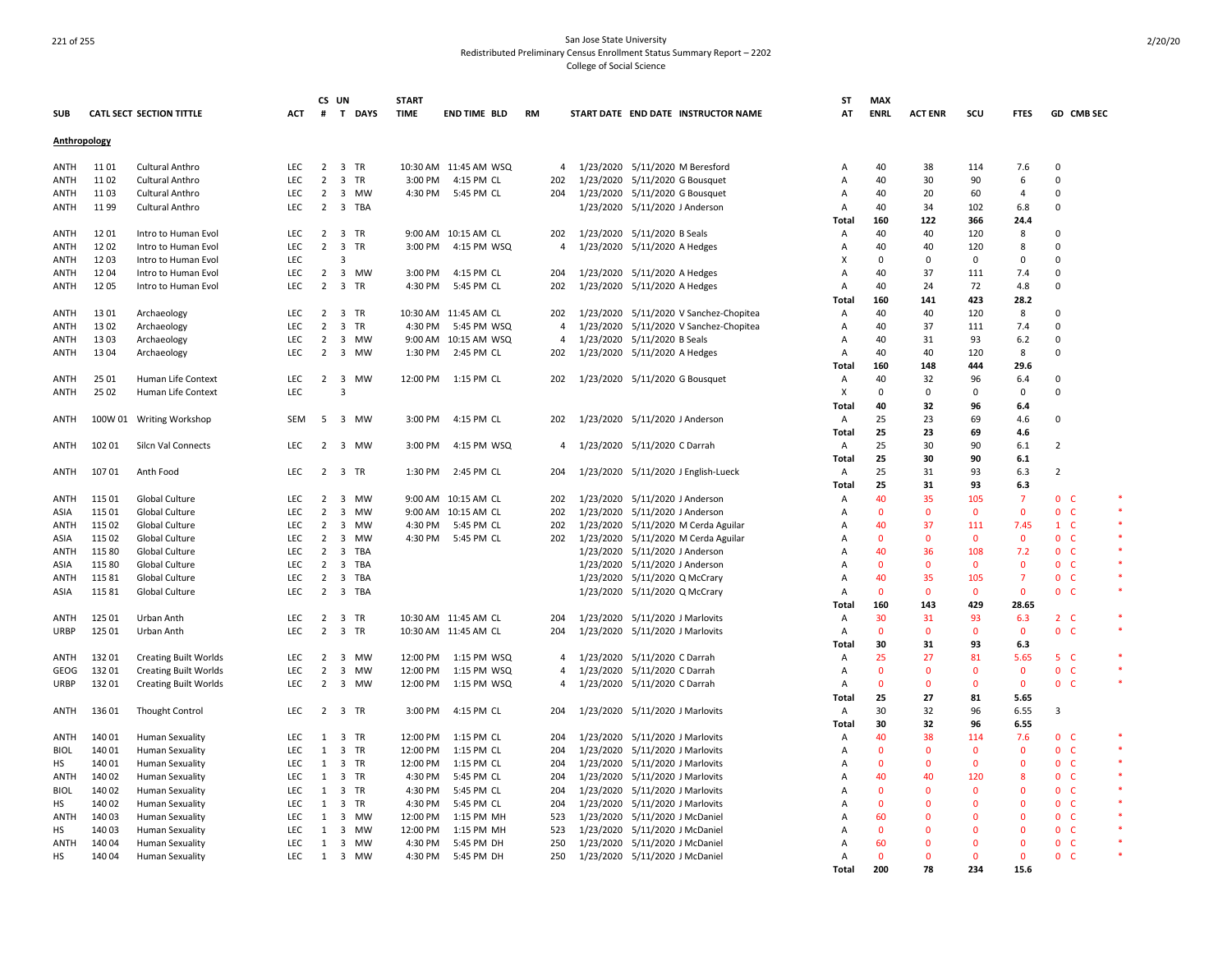|              |        |                                 |            | CS UN          |                         |           | <b>START</b> |                       |                |           |                                     |                                     | SΤ             | <b>MAX</b>  |                |              |                |                          |        |
|--------------|--------|---------------------------------|------------|----------------|-------------------------|-----------|--------------|-----------------------|----------------|-----------|-------------------------------------|-------------------------------------|----------------|-------------|----------------|--------------|----------------|--------------------------|--------|
| <b>SUB</b>   |        | <b>CATL SECT SECTION TITTLE</b> | ACT        | #              |                         | T DAYS    | <b>TIME</b>  | <b>END TIME BLD</b>   | <b>RM</b>      |           |                                     | START DATE END DATE INSTRUCTOR NAME | AT             | <b>ENRL</b> | <b>ACT ENR</b> | scu          | <b>FTES</b>    | GD CMB SEC               |        |
| Anthropology |        |                                 |            |                |                         |           |              |                       |                |           |                                     |                                     |                |             |                |              |                |                          |        |
| ANTH         | 11 01  | Cultural Anthro                 | <b>LEC</b> | $\overline{2}$ |                         | 3 TR      |              | 10:30 AM 11:45 AM WSQ | $\overline{4}$ |           | 1/23/2020 5/11/2020 M Beresford     |                                     | A              | 40          | 38             | 114          | 7.6            | $\Omega$                 |        |
| <b>ANTH</b>  | 1102   | Cultural Anthro                 | LEC        | $\overline{2}$ | $\overline{3}$          | TR        | 3:00 PM      | 4:15 PM CL            | 202            | 1/23/2020 | 5/11/2020 G Bousquet                |                                     | A              | 40          | 30             | 90           | 6              | $\overline{0}$           |        |
| ANTH         | 1103   | Cultural Anthro                 | <b>LEC</b> | $\overline{2}$ | $\overline{3}$          | MW        | 4:30 PM      | 5:45 PM CL            | 204            | 1/23/2020 | 5/11/2020 G Bousquet                |                                     | A              | 40          | 20             | 60           | $\overline{a}$ | $\Omega$                 |        |
| <b>ANTH</b>  | 1199   | Cultural Anthro                 | LEC        | $\overline{2}$ |                         | 3 TBA     |              |                       |                | 1/23/2020 | 5/11/2020 J Anderson                |                                     | Α              | 40          | 34             | 102          | 6.8            | $\overline{0}$           |        |
|              |        |                                 |            |                |                         |           |              |                       |                |           |                                     |                                     | Total          | 160         | 122            | 366          | 24.4           |                          |        |
| ANTH         | 12 01  | Intro to Human Evol             | <b>LEC</b> | $\overline{2}$ |                         | 3 TR      |              | 9:00 AM 10:15 AM CL   | 202            | 1/23/2020 | 5/11/2020 B Seals                   |                                     | Α              | 40          | 40             | 120          | 8              | $\overline{0}$           |        |
| ANTH         | 1202   | Intro to Human Evol             | <b>LEC</b> | $\overline{2}$ | $\overline{\mathbf{3}}$ | TR        | 3:00 PM      | 4:15 PM WSQ           | $\overline{4}$ |           | 1/23/2020 5/11/2020 A Hedges        |                                     | A              | 40          | 40             | 120          | 8              | $\Omega$                 |        |
| ANTH         | 1203   | Intro to Human Evol             | LEC        |                | 3                       |           |              |                       |                |           |                                     |                                     | X              | $\mathbf 0$ | 0              | 0            | 0              | $\overline{0}$           |        |
| ANTH         | 1204   | Intro to Human Evol             | LEC        | $\overline{2}$ |                         | 3 MW      | 3:00 PM      | 4:15 PM CL            | 204            |           | 1/23/2020 5/11/2020 A Hedges        |                                     | A              | 40          | 37             | 111          | 7.4            | $\Omega$                 |        |
| ANTH         | 1205   | Intro to Human Evol             | LEC        | $\overline{2}$ | $\overline{\mathbf{3}}$ | TR        | 4:30 PM      | 5:45 PM CL            | 202            | 1/23/2020 | 5/11/2020 A Hedges                  |                                     | A              | 40          | 24             | 72           | 4.8            | $\overline{0}$           |        |
|              |        |                                 |            |                |                         |           |              |                       |                |           |                                     |                                     | Total          | 160         | 141            | 423          | 28.2           |                          |        |
| <b>ANTH</b>  | 13 01  | Archaeology                     | LEC        | $\overline{2}$ |                         | 3 TR      |              | 10:30 AM 11:45 AM CL  | 202            | 1/23/2020 |                                     | 5/11/2020 V Sanchez-Chopitea        | A              | 40          | 40             | 120          | 8              | $\overline{0}$           |        |
| ANTH         | 13 02  | Archaeology                     | LEC        | $\overline{2}$ |                         | 3 TR      | 4:30 PM      | 5:45 PM WSQ           | $\overline{4}$ | 1/23/2020 |                                     | 5/11/2020 V Sanchez-Chopitea        | Α              | 40          | 37             | 111          | 7.4            | $\Omega$                 |        |
| ANTH         | 1303   | Archaeology                     | LEC        | $\overline{2}$ | $\overline{\mathbf{3}}$ | МW        | 9:00 AM      | 10:15 AM WSQ          | 4              | 1/23/2020 | 5/11/2020 B Seals                   |                                     | A              | 40          | 31             | 93           | 6.2            | $\mathbf 0$              |        |
| ANTH         | 1304   | Archaeology                     | LEC        | 2              |                         | 3 MW      | 1:30 PM      | 2:45 PM CL            | 202            |           | 1/23/2020 5/11/2020 A Hedges        |                                     | Α              | 40          | 40             | 120          | 8              | $\Omega$                 |        |
|              |        |                                 |            |                |                         |           |              |                       |                |           |                                     |                                     | Total          | 160         | 148            | 444          | 29.6           |                          |        |
| <b>ANTH</b>  | 25 01  | Human Life Context              | LEC        | $\overline{2}$ | $\overline{\mathbf{3}}$ | <b>MW</b> | 12:00 PM     | 1:15 PM CL            | 202            |           |                                     |                                     | Α              | 40          | 32             | 96           | 6.4            | $\Omega$                 |        |
|              | 25 02  | Human Life Context              | LEC        |                | $\overline{3}$          |           |              |                       |                |           | 1/23/2020 5/11/2020 G Bousquet      |                                     | X              | $\Omega$    | $\mathbf 0$    | $\mathbf 0$  | $\Omega$       | $\Omega$                 |        |
| ANTH         |        |                                 |            |                |                         |           |              |                       |                |           |                                     |                                     | Total          | 40          | 32             | 96           | 6.4            |                          |        |
|              |        |                                 |            |                |                         |           |              |                       |                |           |                                     |                                     |                |             |                |              |                |                          |        |
| ANTH         |        | 100W 01 Writing Workshop        | SEM        | 5              |                         | 3 MW      | 3:00 PM      | 4:15 PM CL            | 202            |           | 1/23/2020 5/11/2020 J Anderson      |                                     | Α              | 25          | 23             | 69           | 4.6            | $\overline{0}$           |        |
|              |        |                                 |            |                |                         |           |              |                       |                |           |                                     |                                     | Total          | 25          | 23             | 69           | 4.6            |                          |        |
| ANTH         | 102 01 | Silcn Val Connects              | LEC.       | 2              | $\overline{3}$          | MW        | 3:00 PM      | 4:15 PM WSQ           | 4              |           | 1/23/2020 5/11/2020 C Darrah        |                                     | Α              | 25          | 30             | 90           | 6.1            | $\overline{2}$           |        |
|              |        |                                 |            |                |                         |           |              |                       |                |           |                                     |                                     | Total          | 25          | 30             | 90           | 6.1            |                          |        |
| ANTH         | 107 01 | Anth Food                       | <b>LEC</b> |                |                         | 2 3 TR    | 1:30 PM      | 2:45 PM CL            | 204            |           | 1/23/2020 5/11/2020 J English-Lueck |                                     | Α              | 25          | 31             | 93           | 6.3            | $\overline{2}$           |        |
|              |        |                                 |            |                |                         |           |              |                       |                |           |                                     |                                     | Total          | 25          | 31             | 93           | 6.3            |                          |        |
| ANTH         | 115 01 | Global Culture                  | <b>LEC</b> | 2              | $\overline{\mathbf{3}}$ | MW        |              | 9:00 AM 10:15 AM CL   | 202            | 1/23/2020 | 5/11/2020 J Anderson                |                                     | A              | 40          | 35             | 105          | $\overline{7}$ | 0 <sub>c</sub>           |        |
| ASIA         | 115 01 | Global Culture                  | LEC        | $\overline{2}$ | $\overline{\mathbf{3}}$ | MW        | $9:00$ AM    | 10:15 AM CL           | 202            | 1/23/2020 | 5/11/2020 J Anderson                |                                     | A              | $\Omega$    | $\overline{0}$ | $\mathbf 0$  | $\mathbf{0}$   | $\mathbf{0}$<br>- C      |        |
| ANTH         | 115 02 | Global Culture                  | LEC.       | 2              | $\overline{3}$          | MW        | 4:30 PM      | 5:45 PM CL            | 202            | 1/23/2020 |                                     | 5/11/2020 M Cerda Aguilar           | A              | 40          | 37             | 111          | 7.45           | $1\quad C$               |        |
| ASIA         | 115 02 | Global Culture                  | LEC        | 2              | 3                       | MW        | 4:30 PM      | 5:45 PM CL            | 202            | 1/23/2020 |                                     | 5/11/2020 M Cerda Aguilar           | A              | $\Omega$    | $\mathbf 0$    | $\mathbf 0$  | $\mathbf 0$    | $\mathbf 0$<br>C         |        |
| ANTH         | 115 80 | Global Culture                  | LEC        | 2              | 3                       | TBA       |              |                       |                | 1/23/2020 | 5/11/2020 J Anderson                |                                     | A              | 40          | 36             | 108          | 7.2            | $\mathbf{0}$<br>- C      |        |
| ASIA         | 115 80 | Global Culture                  | LEC        | $\overline{2}$ | 3                       | TBA       |              |                       |                | 1/23/2020 | 5/11/2020 J Anderson                |                                     | A              | $\Omega$    | $\mathbf 0$    | $\mathbf 0$  | $\Omega$       | $\mathbf{0}$<br>- C      |        |
| ANTH         | 11581  | Global Culture                  | LEC        | 2              |                         | 3 TBA     |              |                       |                | 1/23/2020 | 5/11/2020 Q McCrary                 |                                     | A              | 40          | 35             | 105          | -7             | 0 <sub>c</sub>           |        |
| ASIA         | 11581  | Global Culture                  | LEC        | 2              | 3                       | TBA       |              |                       |                | 1/23/2020 | 5/11/2020 Q McCrary                 |                                     | A              | $\Omega$    | $\mathbf{0}$   | $\mathbf{0}$ | $\mathbf{0}$   | $\mathbf{0}$<br>- C      | $\ast$ |
|              |        |                                 |            |                |                         |           |              |                       |                |           |                                     |                                     | Total          | 160         | 143            | 429          | 28.65          |                          |        |
| <b>ANTH</b>  | 125 01 | Urban Anth                      | <b>LEC</b> | $\overline{2}$ |                         | 3 TR      |              | 10:30 AM 11:45 AM CL  | 204            | 1/23/2020 | 5/11/2020 J Marlovits               |                                     | $\overline{A}$ | 30          | 31             | 93           | 6.3            | $2\degree$ C             |        |
| <b>URBP</b>  | 125 01 | Urban Anth                      | LEC        | $\overline{2}$ |                         | 3 TR      |              | 10:30 AM 11:45 AM CL  | 204            | 1/23/2020 | 5/11/2020 J Marlovits               |                                     | A              | $\Omega$    | $\mathbf{0}$   | $\mathbf{0}$ | $\mathbf{0}$   | 0 <sup>o</sup>           | $\ast$ |
|              |        |                                 |            |                |                         |           |              |                       |                |           |                                     |                                     | Total          | 30          | 31             | 93           | 6.3            |                          |        |
| ANTH         | 13201  | <b>Creating Built Worlds</b>    | LEC        | 2              |                         | 3 MW      | 12:00 PM     | 1:15 PM WSQ           | $\overline{4}$ | 1/23/2020 | 5/11/2020 C Darrah                  |                                     | Α              | 25          | 27             | 81           | 5.65           | 5 <sub>C</sub>           |        |
| GEOG         | 13201  | <b>Creating Built Worlds</b>    | LEC        | $\overline{2}$ | $\overline{3}$          | <b>MW</b> | 12:00 PM     | 1:15 PM WSQ           | $\overline{4}$ |           | 1/23/2020 5/11/2020 C Darrah        |                                     | A              | $\Omega$    | $\mathbf 0$    | $\mathbf 0$  | $\mathbf 0$    | 0 <sub>c</sub>           |        |
| <b>URBP</b>  | 13201  | <b>Creating Built Worlds</b>    | <b>LEC</b> | $\overline{2}$ |                         | 3 MW      | 12:00 PM     | 1:15 PM WSQ           | $\overline{4}$ | 1/23/2020 | 5/11/2020 C Darrah                  |                                     | A              | $\Omega$    | $\mathbf{0}$   | $\mathbf{0}$ | $\mathbf{0}$   | 0 <sup>o</sup>           | $\ast$ |
|              |        |                                 |            |                |                         |           |              |                       |                |           |                                     |                                     | Total          | 25          | 27             | 81           | 5.65           |                          |        |
| ANTH         | 13601  | <b>Thought Control</b>          | LEC        | $\overline{2}$ |                         | 3 TR      | 3:00 PM      | 4:15 PM CL            | 204            |           | 1/23/2020 5/11/2020 J Marlovits     |                                     | Α              | 30          | 32             | 96           | 6.55           | 3                        |        |
|              |        |                                 |            |                |                         |           |              |                       |                |           |                                     |                                     | Total          | 30          | 32             | 96           | 6.55           |                          |        |
| ANTH         | 140 01 | <b>Human Sexuality</b>          | <b>LEC</b> | 1              |                         | 3 TR      | 12:00 PM     | 1:15 PM CL            | 204            | 1/23/2020 | 5/11/2020 J Marlovits               |                                     | Α              | 40          | 38             | 114          | 7.6            | 0 <sup>o</sup>           | *      |
| <b>BIOL</b>  | 140 01 | <b>Human Sexuality</b>          | LEC        | $\mathbf{1}$   |                         | 3 TR      | 12:00 PM     | 1:15 PM CL            | 204            | 1/23/2020 | 5/11/2020 J Marlovits               |                                     | Α              | $\Omega$    | $\overline{0}$ | $\mathbf 0$  | $\mathbf{0}$   | 0 <sub>c</sub>           |        |
| HS           | 14001  | <b>Human Sexuality</b>          | LEC        | 1              |                         | 3 TR      | 12:00 PM     | 1:15 PM CL            | 204            | 1/23/2020 | 5/11/2020 J Marlovits               |                                     | A              | $\Omega$    | $\Omega$       | $\mathbf 0$  | $\mathbf 0$    | $\mathbf{0}$<br>- C      |        |
| ANTH         | 140 02 | <b>Human Sexuality</b>          | LEC        | $\mathbf{1}$   |                         | 3 TR      | 4:30 PM      | 5:45 PM CL            | 204            | 1/23/2020 | 5/11/2020 J Marlovits               |                                     | A              | 40          | 40             | 120          | 8              | $\mathbf{0}$<br>- C      |        |
| <b>BIOL</b>  | 140 02 | <b>Human Sexuality</b>          | <b>LEC</b> | 1              |                         | 3 TR      | 4:30 PM      | 5:45 PM CL            | 204            | 1/23/2020 | 5/11/2020 J Marlovits               |                                     | A              | $\Omega$    | -0             | $\mathbf 0$  | $\Omega$       | $\mathbf{0}$<br>- C      |        |
| HS           | 140 02 | <b>Human Sexuality</b>          | LEC        | $\mathbf{1}$   |                         | 3 TR      | 4:30 PM      | 5:45 PM CL            | 204            | 1/23/2020 | 5/11/2020 J Marlovits               |                                     | A              | $\Omega$    | $\mathbf 0$    | 0            | O              | $\mathbf{0}$<br>- C      |        |
|              | 14003  | <b>Human Sexuality</b>          | LEC        | 1              | $\overline{3}$          | MW        | 12:00 PM     | 1:15 PM MH            | 523            | 1/23/2020 | 5/11/2020 J McDaniel                |                                     | A              | 60          | $\Omega$       | $\Omega$     | 0              | $\mathbf{0}$<br>- C      |        |
| ANTH         |        |                                 |            |                |                         |           |              |                       |                |           |                                     |                                     |                | $\Omega$    | $\Omega$       | $\mathbf 0$  |                |                          |        |
| HS           | 14003  | <b>Human Sexuality</b>          | LEC        | $\mathbf{1}$   | $\overline{3}$          | MW        | 12:00 PM     | 1:15 PM MH            | 523            | 1/23/2020 | 5/11/2020 J McDaniel                |                                     | A              |             |                |              | 0              | $\mathbf{0}$<br>- C      |        |
| ANTH         | 14004  | <b>Human Sexuality</b>          | LEC        | 1              | 3                       | MW        | 4:30 PM      | 5:45 PM DH            | 250            | 1/23/2020 | 5/11/2020 J McDaniel                |                                     | A              | 60          | $\Omega$       | $\Omega$     | 0              | $\mathbf{0}$<br>C        |        |
| HS           | 14004  | <b>Human Sexuality</b>          | LEC        | 1              |                         | 3 MW      | 4:30 PM      | 5:45 PM DH            | 250            |           | 1/23/2020 5/11/2020 J McDaniel      |                                     | A              | $\Omega$    | $\Omega$       | $\Omega$     | $\Omega$       | $\mathbf{0}$<br><b>C</b> |        |
|              |        |                                 |            |                |                         |           |              |                       |                |           |                                     |                                     | Total          | 200         | 78             | 234          | 15.6           |                          |        |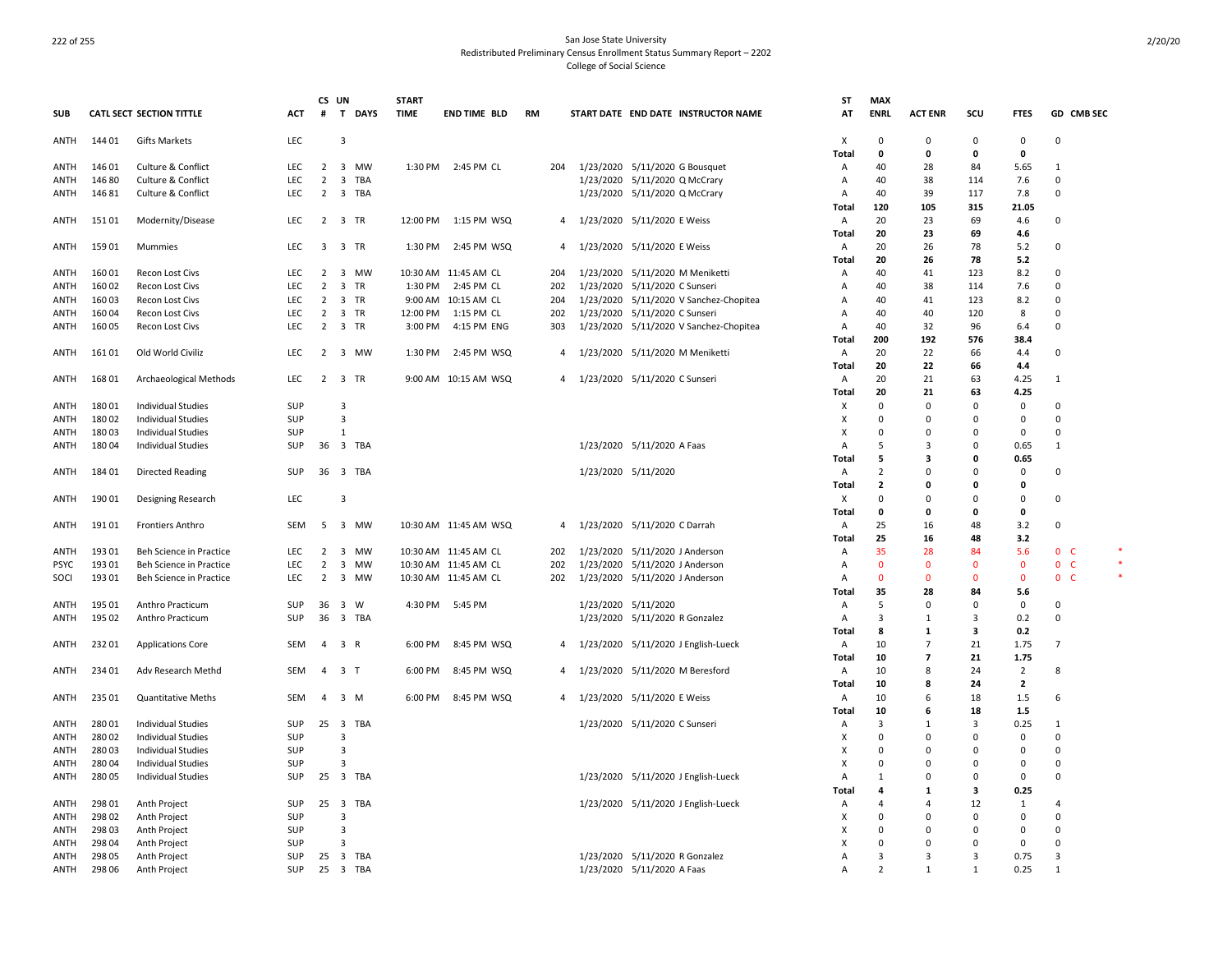|              |                  |                                                     |            | CS UN                            |                                        | <b>START</b> |                       |           |                     |                                                                | ST             | <b>MAX</b>     |                          |              |                |                |  |
|--------------|------------------|-----------------------------------------------------|------------|----------------------------------|----------------------------------------|--------------|-----------------------|-----------|---------------------|----------------------------------------------------------------|----------------|----------------|--------------------------|--------------|----------------|----------------|--|
| <b>SUB</b>   |                  | <b>CATL SECT SECTION TITTLE</b>                     | ACT        | #                                | <b>DAYS</b><br>T.                      | <b>TIME</b>  | <b>END TIME BLD</b>   | <b>RM</b> |                     | START DATE END DATE INSTRUCTOR NAME                            | AT             | <b>ENRL</b>    | <b>ACT ENR</b>           | scu          | <b>FTES</b>    | GD CMB SEC     |  |
| ANTH         | 144 01           | <b>Gifts Markets</b>                                | LEC        |                                  | $\overline{3}$                         |              |                       |           |                     |                                                                | х              | 0              | 0                        | 0            | 0              | 0              |  |
|              |                  |                                                     |            |                                  |                                        |              |                       |           |                     |                                                                | Total          | $\mathbf 0$    | 0                        | 0            | 0              | 1              |  |
| ANTH         | 146 01<br>146 80 | Culture & Conflict<br><b>Culture &amp; Conflict</b> | LEC<br>LEC | $\overline{2}$<br>$\overline{2}$ | 3 MW<br>$\overline{\mathbf{3}}$<br>TBA |              | 1:30 PM 2:45 PM CL    | 204       |                     | 1/23/2020 5/11/2020 G Bousquet                                 | A              | 40<br>40       | 28<br>38                 | 84<br>114    | 5.65<br>7.6    | $\Omega$       |  |
| ANTH<br>ANTH | 14681            | Culture & Conflict                                  | LEC        | $\overline{2}$                   | 3 TBA                                  |              |                       |           |                     | 1/23/2020 5/11/2020 Q McCrary<br>1/23/2020 5/11/2020 Q McCrary | A<br>A         | 40             | 39                       | 117          | 7.8            | $\Omega$       |  |
|              |                  |                                                     |            |                                  |                                        |              |                       |           |                     |                                                                | <b>Total</b>   | 120            | 105                      | 315          | 21.05          |                |  |
| ANTH         | 15101            | Modernity/Disease                                   | LEC        | $\overline{2}$                   | 3 TR                                   | 12:00 PM     | 1:15 PM WSQ           | 4         |                     | 1/23/2020 5/11/2020 E Weiss                                    | A              | 20             | 23                       | 69           | 4.6            | 0              |  |
|              |                  |                                                     |            |                                  |                                        |              |                       |           |                     |                                                                | <b>Total</b>   | 20             | 23                       | 69           | 4.6            |                |  |
| ANTH         | 15901            | Mummies                                             | <b>LEC</b> |                                  | 3 3 TR                                 | 1:30 PM      | 2:45 PM WSQ           | 4         |                     | 1/23/2020 5/11/2020 E Weiss                                    | $\overline{A}$ | 20             | 26                       | 78           | 5.2            | $\Omega$       |  |
|              |                  |                                                     |            |                                  |                                        |              |                       |           |                     |                                                                | <b>Total</b>   | 20             | 26                       | 78           | 5.2            |                |  |
| ANTH         | 16001            | Recon Lost Civs                                     | <b>LEC</b> | $\overline{2}$                   | 3 MW                                   |              | 10:30 AM 11:45 AM CL  | 204       |                     | 1/23/2020 5/11/2020 M Meniketti                                | $\overline{A}$ | 40             | 41                       | 123          | 8.2            | $\Omega$       |  |
| <b>ANTH</b>  | 16002            | Recon Lost Civs                                     | LEC        | $\overline{2}$                   | $\overline{\mathbf{3}}$<br>TR          |              | 1:30 PM 2:45 PM CL    | 202       |                     | 1/23/2020 5/11/2020 C Sunseri                                  | A              | 40             | 38                       | 114          | 7.6            | $\Omega$       |  |
| ANTH         | 160 03           | Recon Lost Civs                                     | LEC        | $\overline{2}$                   | 3 TR                                   |              | 9:00 AM 10:15 AM CL   | 204       | 1/23/2020           | 5/11/2020 V Sanchez-Chopitea                                   | Α              | 40             | 41                       | 123          | 8.2            | $\Omega$       |  |
| ANTH         | 160 04           | Recon Lost Civs                                     | LEC        | $\overline{2}$                   | 3 TR                                   | 12:00 PM     | 1:15 PM CL            | 202       |                     | 1/23/2020 5/11/2020 C Sunseri                                  | $\Delta$       | 40             | 40                       | 120          | 8              | $\Omega$       |  |
| ANTH         | 160 05           | Recon Lost Civs                                     | <b>LEC</b> | $\overline{2}$                   | 3 TR                                   | 3:00 PM      | 4:15 PM ENG           | 303       |                     | 1/23/2020 5/11/2020 V Sanchez-Chopitea                         | Α              | 40             | 32                       | 96           | 6.4            | $\Omega$       |  |
|              |                  |                                                     |            |                                  |                                        |              |                       |           |                     |                                                                | Total          | 200            | 192                      | 576          | 38.4           |                |  |
| ANTH         | 16101            | Old World Civiliz                                   | <b>LEC</b> | $\overline{2}$                   | 3 MW                                   | 1:30 PM      | 2:45 PM WSQ           | 4         |                     | 1/23/2020 5/11/2020 M Meniketti                                | A              | 20             | 22                       | 66           | 4.4            | 0              |  |
|              |                  |                                                     |            |                                  |                                        |              |                       |           |                     |                                                                | <b>Total</b>   | 20             | 22                       | 66           | 4.4            |                |  |
| ANTH         | 168 01           | Archaeological Methods                              | <b>LEC</b> | $2^{\circ}$                      | 3 TR                                   |              | 9:00 AM 10:15 AM WSQ  | 4         |                     | 1/23/2020 5/11/2020 C Sunseri                                  | A              | 20             | 21                       | 63           | 4.25           | 1              |  |
|              |                  |                                                     |            |                                  |                                        |              |                       |           |                     |                                                                | Total          | 20             | 21                       | 63           | 4.25           |                |  |
| ANTH         | 18001            | <b>Individual Studies</b>                           | SUP        |                                  | $\overline{3}$                         |              |                       |           |                     |                                                                | х              | $\pmb{0}$      | $\Omega$                 | $\Omega$     | 0              | $\Omega$       |  |
| ANTH         | 18002            | <b>Individual Studies</b>                           | SUP        |                                  | $\overline{3}$                         |              |                       |           |                     |                                                                | х              | $\Omega$       | $\Omega$                 | 0            | $\Omega$       | $\Omega$       |  |
| ANTH         | 18003            | <b>Individual Studies</b>                           | SUP        |                                  | $\mathbf{1}$                           |              |                       |           |                     |                                                                | X              | $\Omega$       | $\Omega$                 | $\Omega$     | 0              | $\Omega$       |  |
| ANTH         | 18004            | <b>Individual Studies</b>                           | SUP        | 36                               | 3 TBA                                  |              |                       |           |                     | 1/23/2020 5/11/2020 A Faas                                     | $\overline{A}$ | 5              | 3                        | 0            | 0.65           | 1              |  |
|              |                  |                                                     |            |                                  |                                        |              |                       |           |                     |                                                                | <b>Total</b>   | 5              | 3                        | 0            | 0.65           |                |  |
| ANTH         | 18401            | <b>Directed Reading</b>                             | SUP        | 36                               | 3 TBA                                  |              |                       |           | 1/23/2020 5/11/2020 |                                                                | A              | $\overline{2}$ | 0                        | $\Omega$     | 0              | $\Omega$       |  |
|              |                  |                                                     |            |                                  |                                        |              |                       |           |                     |                                                                | Total          | $\mathbf{z}$   | 0                        | 0            | $\mathbf{0}$   |                |  |
| ANTH         | 190 01           | Designing Research                                  | LEC        |                                  | 3                                      |              |                       |           |                     |                                                                | х              | $\Omega$       | 0                        | $\Omega$     | $\Omega$       | 0              |  |
|              |                  |                                                     |            |                                  |                                        |              |                       |           |                     |                                                                | Total          | 0              | 0                        | 0            | $\mathbf{0}$   |                |  |
| ANTH         | 19101            | <b>Frontiers Anthro</b>                             | <b>SEM</b> | 5                                | 3 MW                                   |              | 10:30 AM 11:45 AM WSQ | 4         |                     | 1/23/2020 5/11/2020 C Darrah                                   | $\overline{A}$ | 25             | 16                       | 48           | 3.2            | $\Omega$       |  |
|              |                  |                                                     |            |                                  |                                        |              |                       |           |                     |                                                                | Total          | 25             | 16                       | 48           | 3.2            |                |  |
| <b>ANTH</b>  | 19301            | Beh Science in Practice                             | LEC.       | 2                                | 3 MW                                   |              | 10:30 AM 11:45 AM CL  | 202       |                     | 1/23/2020 5/11/2020 J Anderson                                 | $\overline{A}$ | 35             | 28                       | 84           | 5.6            | 0 <sup>o</sup> |  |
| <b>PSYC</b>  | 193 01           | Beh Science in Practice                             | LEC        | $\overline{2}$                   | $\overline{\mathbf{3}}$<br>MW          |              | 10:30 AM 11:45 AM CL  | 202       |                     | 1/23/2020 5/11/2020 J Anderson                                 | $\overline{A}$ | $\mathbf{0}$   | $\Omega$                 | $\mathbf{0}$ | $\mathbf{0}$   | 0 <sub>c</sub> |  |
| SOCI         | 193 01           | Beh Science in Practice                             | LEC.       | $\overline{2}$                   | 3 MW                                   |              | 10:30 AM 11:45 AM CL  | 202       |                     | 1/23/2020 5/11/2020 J Anderson                                 | $\Delta$       | $\mathbf{0}$   | $\Omega$                 | $\Omega$     | $\Omega$       | 0 <sub>c</sub> |  |
|              |                  |                                                     |            |                                  |                                        |              |                       |           |                     |                                                                | Total          | 35             | 28                       | 84           | 5.6            |                |  |
| <b>ANTH</b>  | 195 01           | Anthro Practicum                                    | SUP        | 36                               | 3 W                                    |              | 4:30 PM 5:45 PM       |           | 1/23/2020 5/11/2020 |                                                                | Α              | 5              | $\Omega$                 | $\mathbf 0$  | $\mathbf 0$    | $\Omega$       |  |
| ANTH         | 195 02           | Anthro Practicum                                    | SUP        | 36                               | 3 TBA                                  |              |                       |           |                     | 1/23/2020 5/11/2020 R Gonzalez                                 | A              | 3              | $\mathbf{1}$             | 3            | 0.2            | $\Omega$       |  |
|              |                  |                                                     |            |                                  |                                        |              |                       |           |                     |                                                                | Total          | 8              | $\mathbf{1}$             | 3            | 0.2            |                |  |
| ANTH         | 23201            | <b>Applications Core</b>                            | SEM        |                                  | 4 3 R                                  | 6:00 PM      | 8:45 PM WSQ           | 4         |                     | 1/23/2020 5/11/2020 J English-Lueck                            | A              | 10             | $\overline{7}$           | 21           | 1.75           | 7              |  |
|              |                  |                                                     |            |                                  |                                        |              |                       |           |                     |                                                                | Total          | 10             | $\overline{\phantom{a}}$ | 21           | 1.75           |                |  |
| ANTH         | 234 01           | Adv Research Methd                                  | SEM        |                                  | 4 3 T                                  | 6:00 PM      | 8:45 PM WSQ           | 4         |                     | 1/23/2020 5/11/2020 M Beresford                                | A              | 10             | 8                        | 24           | $\overline{2}$ | 8              |  |
|              |                  |                                                     |            |                                  |                                        |              |                       |           |                     |                                                                | Total          | 10             | 8                        | 24           | $\mathbf{2}$   |                |  |
| ANTH         | 235 01           | <b>Quantitative Meths</b>                           | SEM        |                                  | 4 3 M                                  | 6:00 PM      | 8:45 PM WSQ           | 4         |                     | 1/23/2020 5/11/2020 E Weiss                                    | A              | 10             | 6                        | 18           | 1.5            | 6              |  |
|              |                  |                                                     |            |                                  |                                        |              |                       |           |                     |                                                                | Total          | 10             | 6                        | 18           | 1.5            |                |  |
| ANTH         | 280 01           | <b>Individual Studies</b>                           | SUP        | 25                               | 3 TBA                                  |              |                       |           |                     | 1/23/2020 5/11/2020 C Sunseri                                  | $\overline{A}$ | 3              | $\mathbf{1}$             | 3            | 0.25           | $\mathbf{1}$   |  |
| ANTH         | 280 02           | <b>Individual Studies</b>                           | SUP        |                                  | 3                                      |              |                       |           |                     |                                                                | X              | $\mathbf 0$    | $\Omega$                 | $\mathbf 0$  | 0              | 0              |  |
| ANTH         | 28003            | <b>Individual Studies</b>                           | <b>SUP</b> |                                  | 3                                      |              |                       |           |                     |                                                                | x              | $\Omega$       |                          | $\Omega$     | $\Omega$       | $\Omega$       |  |
| ANTH         | 28004            | Individual Studies                                  | SUP        |                                  | 3                                      |              |                       |           |                     |                                                                | x              | $\Omega$       | 0                        | 0            | 0              | $\Omega$       |  |
| ANTH         | 28005            | <b>Individual Studies</b>                           | SUP        | 25                               | 3 TBA                                  |              |                       |           |                     | 1/23/2020 5/11/2020 J English-Lueck                            | $\overline{A}$ | $\mathbf{1}$   | C                        | $\Omega$     | $\mathbf 0$    | $\Omega$       |  |
|              |                  |                                                     |            |                                  |                                        |              |                       |           |                     |                                                                | Total          | 4              | $\mathbf{1}$             | 3            | 0.25           |                |  |
| ANTH         | 298 01           | Anth Project                                        | SUP        | 25                               | 3 TBA                                  |              |                       |           |                     | 1/23/2020 5/11/2020 J English-Lueck                            | Α              | 4              | 4                        | 12           | 1              | $\overline{a}$ |  |
| ANTH         | 298 02           | Anth Project                                        | SUP        |                                  | 3                                      |              |                       |           |                     |                                                                | x              | $\Omega$       | $\Omega$                 | $\Omega$     | 0              | $\Omega$       |  |
| ANTH         | 298 03           | Anth Project                                        | SUP        |                                  | 3                                      |              |                       |           |                     |                                                                | X              | $\Omega$       | C                        | 0            | 0              | $\Omega$       |  |
| ANTH         | 298 04           | Anth Project                                        | SUP        |                                  | 3                                      |              |                       |           |                     |                                                                | x              | $\Omega$       | $\Omega$                 | $\Omega$     | 0              | $\Omega$       |  |
| ANTH         | 298 05           | Anth Project                                        | SUP        | 25                               | 3 TBA                                  |              |                       |           |                     | 1/23/2020 5/11/2020 R Gonzalez                                 | A              | $\overline{3}$ | 3                        | 3            | 0.75           | 3              |  |
| ANTH         | 298 06           | Anth Project                                        | SUP        | 25                               | 3 TBA                                  |              |                       |           |                     | 1/23/2020 5/11/2020 A Faas                                     | $\overline{A}$ | $\overline{2}$ | $\mathbf{1}$             | $\mathbf{1}$ | 0.25           | $\mathbf{1}$   |  |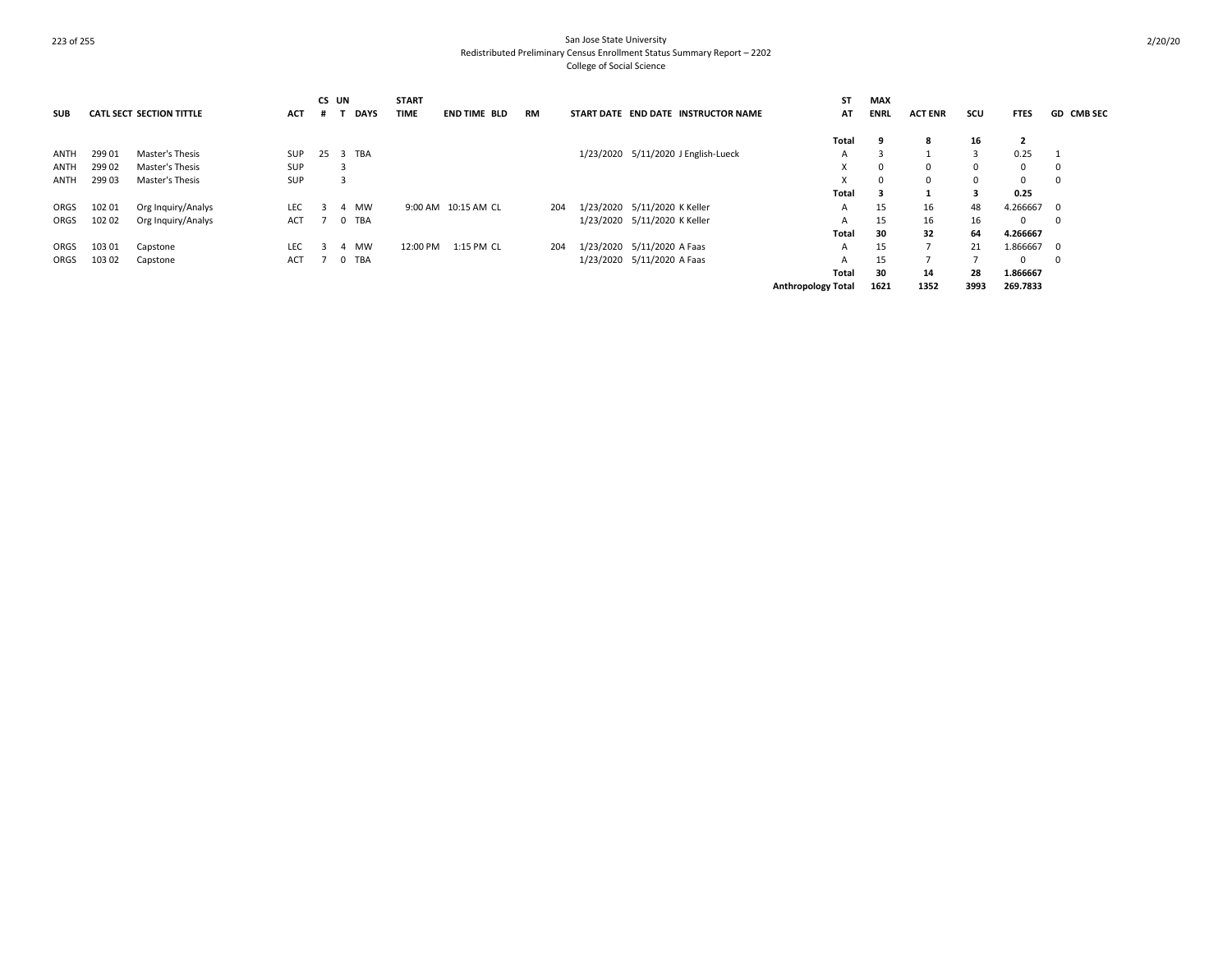| <b>SUB</b> |        | <b>CATL SECT SECTION TITTLE</b> | <b>ACT</b> | CS UN<br>Ħ.  | <b>DAYS</b> | <b>START</b><br><b>TIME</b> | <b>END TIME BLD</b> | <b>RM</b> |                                     | START DATE END DATE INSTRUCTOR NAME | SΤ<br>AT                  | MAX<br><b>ENRL</b> | <b>ACT ENR</b> | scu          | <b>FTES</b>    | <b>GD CMB SEC</b> |
|------------|--------|---------------------------------|------------|--------------|-------------|-----------------------------|---------------------|-----------|-------------------------------------|-------------------------------------|---------------------------|--------------------|----------------|--------------|----------------|-------------------|
|            |        |                                 |            |              |             |                             |                     |           |                                     |                                     | Total                     | 9                  | -8             | 16           | $\overline{2}$ |                   |
| ANTH       | 299 01 | Master's Thesis                 | <b>SUP</b> | 25           | 3 TBA       |                             |                     |           | 1/23/2020 5/11/2020 J English-Lueck |                                     | А                         |                    |                | 3            | 0.25           |                   |
| ANTH       | 299 02 | Master's Thesis                 | <b>SUP</b> |              | ್ರ          |                             |                     |           |                                     |                                     | X                         | 0                  | $\Omega$       | $\mathbf{0}$ | $^{\circ}$     | 0                 |
| ANTH       | 299 03 | Master's Thesis                 | SUP        |              | 3           |                             |                     |           |                                     |                                     |                           | $^{\circ}$         | $\Omega$       | 0            | $^{\circ}$     | 0                 |
|            |        |                                 |            |              |             |                             |                     |           |                                     |                                     | Total                     | 3                  |                | 3            | 0.25           |                   |
| ORGS       | 102 01 | Org Inquiry/Analys              | <b>LEC</b> |              | MW<br>4     |                             | 9:00 AM 10:15 AM CL | 204       | 1/23/2020 5/11/2020 K Keller        |                                     | A                         | 15                 | 16             | 48           | 4.266667       | - 0               |
| ORGS       | 102 02 | Org Inquiry/Analys              | <b>ACT</b> |              | 0 TBA       |                             |                     |           | 1/23/2020 5/11/2020 K Keller        |                                     | A                         | 15                 | 16             | 16           | 0              | 0                 |
|            |        |                                 |            |              |             |                             |                     |           |                                     |                                     | Total                     | 30                 | 32             | 64           | 4.266667       |                   |
| ORGS       | 103 01 | Capstone                        | <b>LEC</b> | $\mathbf{R}$ | MW<br>4     | 12:00 PM                    | 1:15 PM CL          | 204       | 1/23/2020 5/11/2020 A Faas          |                                     | A                         | 15                 |                | 21           | 1.866667 0     |                   |
| ORGS       | 103 02 | Capstone                        | ACT        |              | 0 TBA       |                             |                     |           | 1/23/2020 5/11/2020 A Faas          |                                     | A                         | 15                 |                | -            | $\Omega$       | 0                 |
|            |        |                                 |            |              |             |                             |                     |           |                                     |                                     | Total                     | 30                 | 14             | 28           | 1.866667       |                   |
|            |        |                                 |            |              |             |                             |                     |           |                                     |                                     | <b>Anthropology Total</b> | 1621               | 1352           | 3993         | 269.7833       |                   |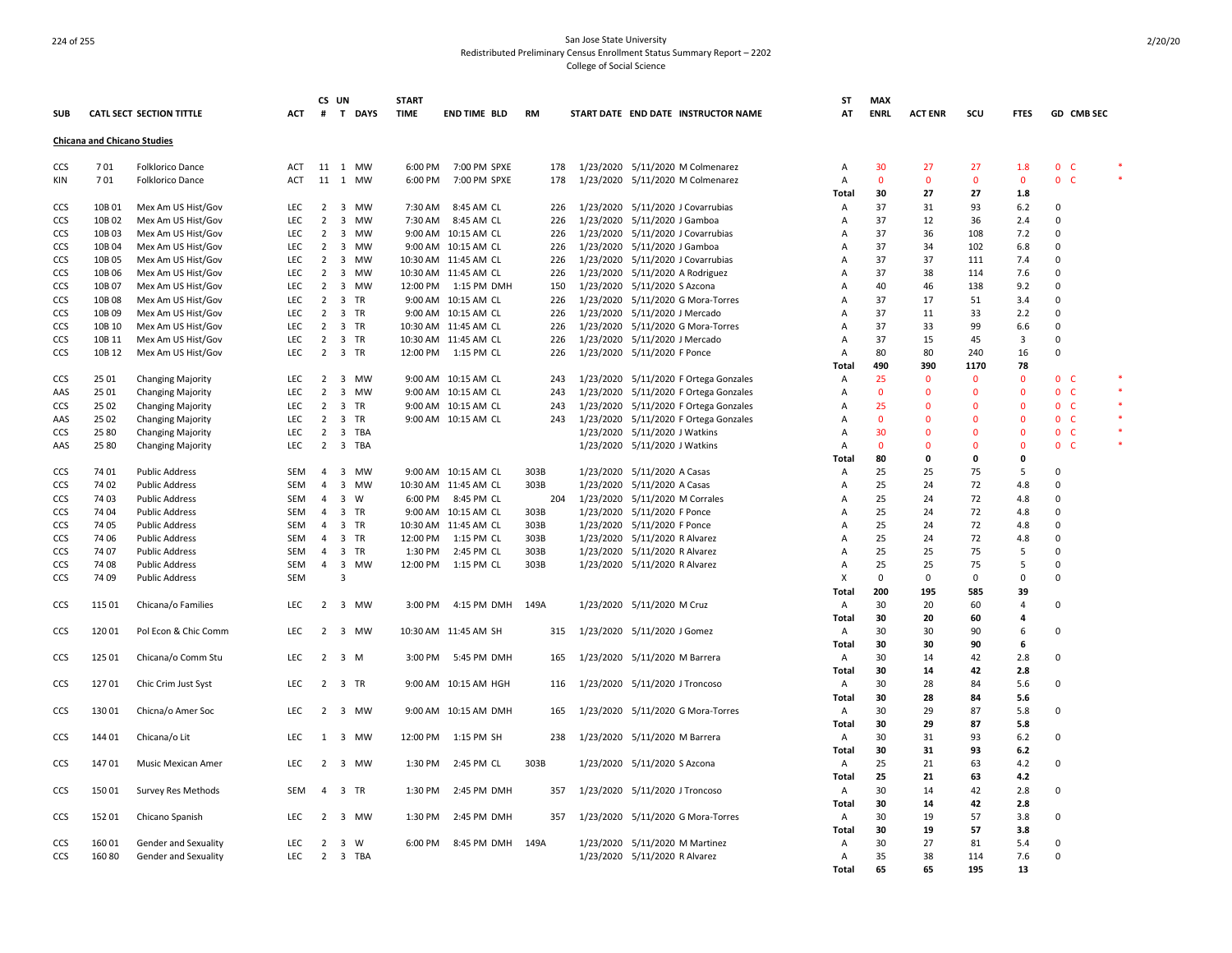|                   |                                    |                                 |            | CS UN          |                               | <b>START</b> |                      |      |           |                                                                 | <b>ST</b>      | <b>MAX</b>  |                |             |                |                     |  |
|-------------------|------------------------------------|---------------------------------|------------|----------------|-------------------------------|--------------|----------------------|------|-----------|-----------------------------------------------------------------|----------------|-------------|----------------|-------------|----------------|---------------------|--|
| <b>SUB</b>        |                                    | <b>CATL SECT SECTION TITTLE</b> | <b>ACT</b> | #              | T DAYS                        | <b>TIME</b>  | <b>END TIME BLD</b>  | RM   |           | START DATE END DATE INSTRUCTOR NAME                             | AT             | <b>ENRL</b> | <b>ACT ENR</b> | scu         | <b>FTES</b>    | GD CMB SEC          |  |
|                   | <b>Chicana and Chicano Studies</b> |                                 |            |                |                               |              |                      |      |           |                                                                 |                |             |                |             |                |                     |  |
| CCS               | 701                                | <b>Folklorico Dance</b>         | ACT        |                | 11 1 MW                       | 6:00 PM      | 7:00 PM SPXE         | 178  |           | 1/23/2020 5/11/2020 M Colmenarez                                | Α              | 30          | 27             | 27          | 1.8            | 0 <sub>c</sub>      |  |
| KIN               | 701                                | Folklorico Dance                | <b>ACT</b> | 11             | 1 MW                          | 6:00 PM      | 7:00 PM SPXE         | 178  |           | 1/23/2020 5/11/2020 M Colmenarez                                | Α              | $\mathbf 0$ | $\mathbf 0$    | $\mathbf 0$ | $\mathbf{0}$   | 0 <sub>c</sub>      |  |
|                   |                                    |                                 |            |                |                               |              |                      |      |           |                                                                 | Total          | 30          | 27             | 27          | 1.8            |                     |  |
| CCS               | 10B 01                             | Mex Am US Hist/Gov              | LEC        | 2              | 3 MW                          | 7:30 AM      | 8:45 AM CL           | 226  |           | 1/23/2020 5/11/2020 J Covarrubias                               | Α              | 37          | 31             | 93          | 6.2            | $\Omega$            |  |
| CCS               | 10B 02                             | Mex Am US Hist/Gov              | LEC        | $\overline{2}$ | $\overline{\mathbf{3}}$<br>MW | 7:30 AM      | 8:45 AM CL           | 226  |           | 1/23/2020 5/11/2020 J Gamboa                                    | A              | 37          | 12             | 36          | 2.4            | $\Omega$            |  |
| CCS               | 10B03                              | Mex Am US Hist/Gov              | LEC        | $\overline{2}$ | 3 MW                          |              | 9:00 AM 10:15 AM CL  | 226  |           | 1/23/2020 5/11/2020 J Covarrubias                               | A              | 37          | 36             | 108         | 7.2            | 0                   |  |
| CCS               | 10B 04                             | Mex Am US Hist/Gov              | <b>LEC</b> | 2              | $\overline{3}$<br>MW          |              | 9:00 AM 10:15 AM CL  | 226  |           | 1/23/2020 5/11/2020 J Gamboa                                    | $\overline{A}$ | 37          | 34             | 102         | 6.8            | $\Omega$            |  |
| CCS               | 10B 05                             | Mex Am US Hist/Gov              | LEC        | $\overline{2}$ | $\overline{\mathbf{3}}$<br>MW |              | 10:30 AM 11:45 AM CL | 226  |           | 1/23/2020 5/11/2020 J Covarrubias                               | A              | 37          | 37             | 111         | 7.4            | 0                   |  |
| CCS               | 10B06                              | Mex Am US Hist/Gov              | <b>LEC</b> | 2              | $\overline{3}$<br>MW          |              | 10:30 AM 11:45 AM CL | 226  |           | 1/23/2020 5/11/2020 A Rodriguez                                 | $\overline{A}$ | 37          | 38             | 114         | 7.6            | $\mathbf 0$         |  |
| CCS               | 10B07                              | Mex Am US Hist/Gov              | LEC        | $\overline{2}$ | 3 MW                          |              | 12:00 PM 1:15 PM DMH | 150  |           | 1/23/2020 5/11/2020 S Azcona                                    | A              | 40          | 46             | 138         | 9.2            | 0                   |  |
| CCS               | 10B08                              | Mex Am US Hist/Gov              | <b>LEC</b> | $\overline{2}$ | 3 TR                          |              | 9:00 AM 10:15 AM CL  | 226  |           | 1/23/2020 5/11/2020 G Mora-Torres                               | $\overline{A}$ | 37          | 17             | 51          | 3.4            | $\mathbf 0$         |  |
| CCS               | 10B09                              | Mex Am US Hist/Gov              | LEC        | $\overline{2}$ | 3 TR                          |              | 9:00 AM 10:15 AM CL  | 226  |           | 1/23/2020 5/11/2020 J Mercado                                   | $\Delta$       | 37          | 11             | 33          | 2.2            | 0                   |  |
| CCS               | 10B 10                             | Mex Am US Hist/Gov              | <b>LEC</b> | $\overline{2}$ | 3 TR                          |              | 10:30 AM 11:45 AM CL | 226  |           | 1/23/2020 5/11/2020 G Mora-Torres                               | A              | 37          | 33             | 99          | 6.6            | $\mathbf 0$         |  |
| CCS               | 10B 11                             | Mex Am US Hist/Gov              | LEC        | $\overline{2}$ | 3 TR                          |              | 10:30 AM 11:45 AM CL | 226  | 1/23/2020 | 5/11/2020 J Mercado                                             | $\overline{A}$ | 37          | 15             | 45          | $\overline{3}$ | 0                   |  |
| CCS               | 10B 12                             | Mex Am US Hist/Gov              | <b>LEC</b> | $\overline{2}$ | 3 TR                          |              | 12:00 PM 1:15 PM CL  | 226  |           | 1/23/2020 5/11/2020 F Ponce                                     | А              | 80          | 80             | 240         | 16             | $\Omega$            |  |
|                   |                                    |                                 |            |                |                               |              |                      |      |           |                                                                 | Total          | 490         | 390            | 1170        | 78             |                     |  |
| CCS               | 25 01                              | <b>Changing Majority</b>        | LEC        |                | 2 3 MW                        |              | 9:00 AM 10:15 AM CL  | 243  |           | 1/23/2020 5/11/2020 F Ortega Gonzales                           | Α              | 25          | $\mathbf 0$    | $\mathbf 0$ | $\Omega$       | 0 <sub>c</sub>      |  |
| AAS               | 25 01                              | Changing Majority               | LEC        | $\overline{2}$ | 3 MW                          |              | 9:00 AM 10:15 AM CL  | 243  |           | 1/23/2020 5/11/2020 F Ortega Gonzales                           | Α              | $\mathbf 0$ | $\Omega$       | $\Omega$    | $\Omega$       | 0<br>$\mathsf{C}$   |  |
| CCS               | 25 02                              | <b>Changing Majority</b>        | LEC        | $\overline{2}$ | 3 TR                          |              | 9:00 AM 10:15 AM CL  | 243  |           | 1/23/2020 5/11/2020 F Ortega Gonzales                           | A              | 25          | $\mathbf{0}$   | $\Omega$    | $\Omega$       | $0-$                |  |
| AAS               | 25 02                              | Changing Majority               | LEC.       | 2              | $\overline{3}$<br>TR          |              | 9:00 AM 10:15 AM CL  | 243  |           | 1/23/2020 5/11/2020 F Ortega Gonzales                           | $\overline{A}$ | $\Omega$    | $\Omega$       | $\Omega$    | $\Omega$       | $\mathbf{0}$<br>-C  |  |
| CCS               | 25 80                              | <b>Changing Majority</b>        | LEC        | $\overline{2}$ | 3 TBA                         |              |                      |      |           | 1/23/2020 5/11/2020 J Watkins                                   | A              | 30          | $\Omega$       | $\Omega$    | $\Omega$       | 0<br>-C             |  |
| AAS               | 25 80                              | Changing Majority               | <b>LEC</b> | $\overline{2}$ | 3 TBA                         |              |                      |      |           | 1/23/2020 5/11/2020 J Watkins                                   | $\overline{A}$ | $\Omega$    | $\Omega$       | $\Omega$    | $\Omega$       | $\mathbf{0}$<br>- C |  |
|                   |                                    |                                 |            |                |                               |              |                      |      |           |                                                                 | Total          | 80          | 0              | 0           | $\mathbf{0}$   |                     |  |
| CCS               | 74 01                              | <b>Public Address</b>           | SEM        | $\overline{4}$ | 3 MW                          |              | 9:00 AM 10:15 AM CL  | 303B |           | 1/23/2020 5/11/2020 A Casas                                     | $\overline{A}$ | 25          | 25             | 75          | .5             | $\Omega$            |  |
| CCS               | 74 02                              | <b>Public Address</b>           | <b>SEM</b> | $\overline{4}$ | 3 MW                          |              | 10:30 AM 11:45 AM CL | 303B |           | 1/23/2020 5/11/2020 A Casas                                     | A              | 25          | 24             | 72          | 4.8            | $\Omega$            |  |
| CCS               | 74 03                              | <b>Public Address</b>           | SEM        | $\overline{4}$ | 3 W                           |              | 6:00 PM 8:45 PM CL   | 204  |           | 1/23/2020 5/11/2020 M Corrales                                  | $\overline{A}$ | 25          | 24             | 72          | 4.8            | 0                   |  |
| CCS               | 74 04                              | <b>Public Address</b>           | SEM        | $\overline{4}$ | 3 TR                          |              | 9:00 AM 10:15 AM CL  | 303B |           | 1/23/2020 5/11/2020 F Ponce                                     | $\overline{A}$ | 25          | 24             | 72          | 4.8            | 0                   |  |
| CCS               | 74 05                              | <b>Public Address</b>           | SEM        | $\overline{4}$ | 3 TR                          |              | 10:30 AM 11:45 AM CL | 303B |           | 1/23/2020 5/11/2020 F Ponce                                     | $\overline{A}$ | 25          | 24             | 72          | 4.8            | $\mathbf 0$         |  |
| CCS               | 74 06                              | <b>Public Address</b>           | SEM        | 4              | 3 TR                          |              | 12:00 PM 1:15 PM CL  | 303B |           | 1/23/2020 5/11/2020 R Alvarez                                   | $\overline{A}$ | 25          | 24             | 72          | 4.8            | 0                   |  |
| CCS               | 74 07                              | <b>Public Address</b>           | SEM        | $\overline{4}$ | 3 TR                          | 1:30 PM      | 2:45 PM CL           | 303B |           | 1/23/2020 5/11/2020 R Alvarez                                   | А              | 25          | 25             | 75          | 5              | $\Omega$            |  |
| CCS               | 74 08                              | <b>Public Address</b>           | SEM        | $\overline{4}$ | 3 MW                          |              | 12:00 PM 1:15 PM CL  | 303B |           | 1/23/2020 5/11/2020 R Alvarez                                   | $\overline{A}$ | 25          | 25             | 75          | .5             | 0                   |  |
| CCS               | 74 09                              | <b>Public Address</b>           | SEM        |                | 3                             |              |                      |      |           |                                                                 | X              | $\mathbf 0$ | 0              | 0           | $\Omega$       | 0                   |  |
|                   |                                    |                                 |            |                |                               |              |                      |      |           |                                                                 | Total          | 200         | 195            | 585         | 39             |                     |  |
| CCS               | 115 01                             | Chicana/o Families              | LEC        |                | 2 3 MW                        | 3:00 PM      | 4:15 PM DMH          | 149A |           | 1/23/2020 5/11/2020 M Cruz                                      | A              | 30          | 20             | 60          | $\overline{4}$ | 0                   |  |
|                   |                                    |                                 |            |                |                               |              |                      |      |           |                                                                 | Total          | 30          | 20             | 60          | 4              |                     |  |
| CCS               | 120 01                             | Pol Econ & Chic Comm            | LEC.       |                | 2 3 MW                        |              | 10:30 AM 11:45 AM SH | 315  |           | 1/23/2020 5/11/2020 J Gomez                                     | A              | 30          | 30             | 90          | 6              | 0                   |  |
|                   |                                    |                                 |            |                |                               |              |                      |      |           |                                                                 | Total          | 30          | 30             | 90          | 6              |                     |  |
| <b>CCS</b>        | 125 01                             | Chicana/o Comm Stu              | LEC        |                | $2 \quad 3 \quad M$           |              | 3:00 PM 5:45 PM DMH  | 165  |           | 1/23/2020 5/11/2020 M Barrera                                   | A              | 30          | 14             | 42          | 2.8            | 0                   |  |
|                   |                                    |                                 |            |                |                               |              |                      |      |           |                                                                 | Total          | 30          | 14             | 42          | 2.8            |                     |  |
| CCS               | 12701                              | Chic Crim Just Syst             | LEC        |                | 2 3 TR                        |              | 9:00 AM 10:15 AM HGH | 116  |           | 1/23/2020 5/11/2020 J Troncoso                                  | A              | 30          | 28             | 84          | 5.6            | 0                   |  |
|                   |                                    |                                 |            |                |                               |              |                      |      |           |                                                                 | Total          | 30          | 28             | 84          | 5.6            |                     |  |
| CCS               | 13001                              | Chicna/o Amer Soc               | I EC       |                | 2 3 MW                        |              | 9:00 AM 10:15 AM DMH | 165  |           | 1/23/2020 5/11/2020 G Mora-Torres                               | A              | 30          | 29             | 87          | 5.8            | 0                   |  |
|                   |                                    |                                 |            |                |                               |              |                      |      |           |                                                                 | Total          | 30          | 29             | 87          | 5.8            |                     |  |
| CCS               | 144 01                             | Chicana/o Lit                   | LEC        | 1              | 3 MW                          | 12:00 PM     | 1:15 PM SH           | 238  |           | 1/23/2020 5/11/2020 M Barrera                                   | Α              | 30          | 31             | 93          | 6.2            | 0                   |  |
|                   |                                    |                                 |            |                |                               |              |                      |      |           |                                                                 | Total          | 30          | 31             | 93          | 6.2            |                     |  |
| CCS               | 14701                              | Music Mexican Amer              | LEC        |                | 2 3 MW                        | 1:30 PM      | 2:45 PM CL           | 303B |           | 1/23/2020 5/11/2020 S Azcona                                    | Α              | 25          | 21             | 63          | 4.2            | $\Omega$            |  |
|                   |                                    |                                 |            |                |                               |              |                      |      |           |                                                                 | Total          | 25          | 21             | 63          | 4.2            |                     |  |
| CCS               | 15001                              | Survey Res Methods              | SEM        | $\overline{a}$ | 3 TR                          | 1:30 PM      | 2:45 PM DMH          | 357  |           | 1/23/2020 5/11/2020 J Troncoso                                  | A              | 30          | 14             | 42          | 2.8            | 0                   |  |
|                   |                                    |                                 |            |                |                               |              |                      |      |           |                                                                 | Total          | 30          | 14             | 42          | 2.8            |                     |  |
| CCS               | 152 01                             | Chicano Spanish                 | LEC        | $2^{\circ}$    | 3 MW                          | 1:30 PM      | 2:45 PM DMH          | 357  |           | 1/23/2020 5/11/2020 G Mora-Torres                               | Α              | 30          | 19             | 57          | 3.8            | $\Omega$            |  |
|                   |                                    |                                 | LEC.       | 2              |                               | 6:00 PM      |                      |      |           |                                                                 | Total          | 30          | 19             | 57          | 3.8            | $\Omega$            |  |
| CCS<br><b>CCS</b> | 16001<br>16080                     | Gender and Sexuality            | LEC        |                | 3<br>W<br>2 3 TBA             |              | 8:45 PM DMH          | 149A |           | 1/23/2020 5/11/2020 M Martinez<br>1/23/2020 5/11/2020 R Alvarez | Α<br>A         | 30<br>35    | 27<br>38       | 81<br>114   | 5.4<br>7.6     | 0                   |  |
|                   |                                    | Gender and Sexuality            |            |                |                               |              |                      |      |           |                                                                 | Total          | 65          | 65             | 195         | 13             |                     |  |
|                   |                                    |                                 |            |                |                               |              |                      |      |           |                                                                 |                |             |                |             |                |                     |  |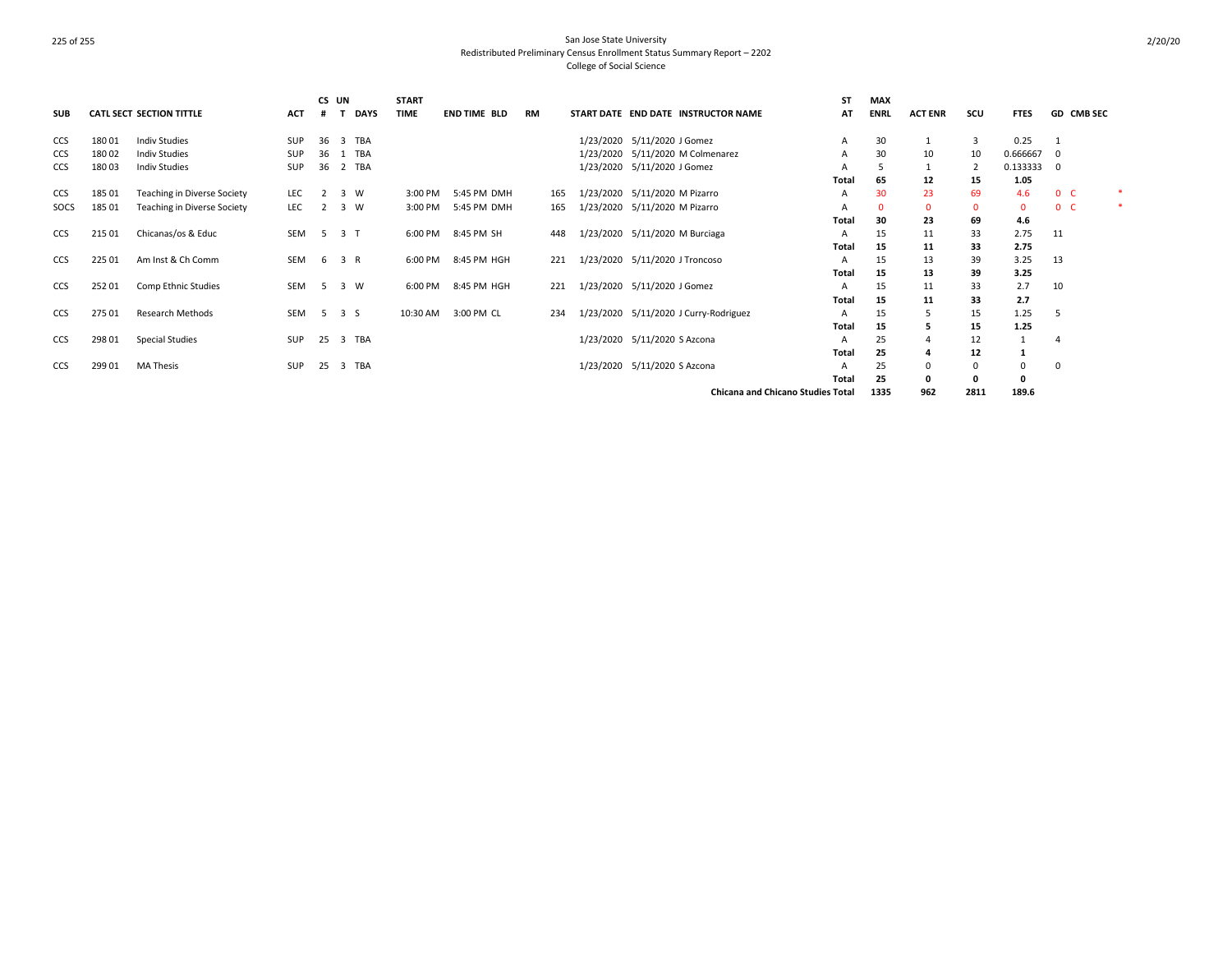| <b>SUB</b> |        | CATL SECT SECTION TITTLE    | <b>ACT</b> | CS UN | <b>DAYS</b>         | <b>START</b><br><b>TIME</b> | <b>END TIME BLD</b> | RM  | START DATE END DATE INSTRUCTOR NAME      | <b>ST</b><br>AT | <b>MAX</b><br><b>ENRL</b> | <b>ACT ENR</b> | scu          | <b>FTES</b> | <b>GD CMB SEC</b> |  |
|------------|--------|-----------------------------|------------|-------|---------------------|-----------------------------|---------------------|-----|------------------------------------------|-----------------|---------------------------|----------------|--------------|-------------|-------------------|--|
| <b>CCS</b> | 18001  | <b>Indiv Studies</b>        | <b>SUP</b> | 36    | 3 TBA               |                             |                     |     | 1/23/2020 5/11/2020 J Gomez              | A               | 30                        |                | 3            | 0.25        |                   |  |
| <b>CCS</b> | 18002  | <b>Indiv Studies</b>        | SUP        | 36    | 1 TBA               |                             |                     |     | 1/23/2020 5/11/2020 M Colmenarez         | A               | 30                        | 10             | 10           | 0.666667    | 0                 |  |
| <b>CCS</b> | 18003  | <b>Indiv Studies</b>        | SUP        | 36    | 2 TBA               |                             |                     |     | 1/23/2020 5/11/2020 J Gomez              | A               |                           |                |              | 0.133333    | 0                 |  |
|            |        |                             |            |       |                     |                             |                     |     |                                          | Total           | 65                        | 12             | 15           | 1.05        |                   |  |
| <b>CCS</b> | 18501  | Teaching in Diverse Society | LEC        |       | 3 W                 | 3:00 PM                     | 5:45 PM DMH         | 165 | 1/23/2020 5/11/2020 M Pizarro            | A               | 30                        | 23             | 69           | 4.6         | 0 <sup>o</sup>    |  |
| SOCS       | 185 01 | Teaching in Diverse Society | <b>LEC</b> | 2     | 3 W                 | 3:00 PM                     | 5:45 PM DMH         | 165 | 1/23/2020 5/11/2020 M Pizarro            | A               | 0                         | 0              | $\mathbf{0}$ | $\Omega$    | 0 <sub>c</sub>    |  |
|            |        |                             |            |       |                     |                             |                     |     |                                          | Total           | 30                        | 23             | 69           | 4.6         |                   |  |
| <b>CCS</b> | 215 01 | Chicanas/os & Educ          | SEM        | -5    | 3 T                 |                             | 6:00 PM 8:45 PM SH  | 448 | 1/23/2020 5/11/2020 M Burciaga           | A               | 15                        | 11             | 33           | 2.75        | 11                |  |
|            |        |                             |            |       |                     |                             |                     |     |                                          | Total           | 15                        | 11             | 33           | 2.75        |                   |  |
| <b>CCS</b> | 225 01 | Am Inst & Ch Comm           | SEM        |       | 6 3 R               | 6:00 PM                     | 8:45 PM HGH         | 221 | 1/23/2020 5/11/2020 J Troncoso           | A               | 15                        | 13             | 39           | 3.25        | 13                |  |
|            |        |                             |            |       |                     |                             |                     |     |                                          | Total           | 15                        | 13             | 39           | 3.25        |                   |  |
| <b>CCS</b> | 25201  | Comp Ethnic Studies         | SEM        | 5     | 3 W                 | 6:00 PM                     | 8:45 PM HGH         | 221 | 1/23/2020 5/11/2020 J Gomez              | A               | 15                        | 11             | 33           | 2.7         | 10                |  |
|            |        |                             |            |       |                     |                             |                     |     |                                          | Total           | 15                        | 11             | 33           | 2.7         |                   |  |
| <b>CCS</b> | 275 01 | <b>Research Methods</b>     | SEM        |       | $5 \quad 3 \quad S$ | 10:30 AM                    | 3:00 PM CL          | 234 | 1/23/2020 5/11/2020 J Curry-Rodriguez    | A               | 15                        |                | 15           | 1.25        | 5                 |  |
|            |        |                             |            |       |                     |                             |                     |     |                                          | Total           | 15                        |                | 15           | 1.25        |                   |  |
| <b>CCS</b> | 298 01 | <b>Special Studies</b>      | SUP        | 25    | 3 TBA               |                             |                     |     | 1/23/2020 5/11/2020 S Azcona             | A               | 25                        |                | 12           |             |                   |  |
|            |        |                             |            |       |                     |                             |                     |     |                                          | Total           | 25                        |                | 12           |             |                   |  |
| CCS        | 299 01 | <b>MA Thesis</b>            | <b>SUP</b> | 25    | 3 TBA               |                             |                     |     | 1/23/2020 5/11/2020 S Azcona             | A               | 25                        |                | 0            | 0           | 0                 |  |
|            |        |                             |            |       |                     |                             |                     |     |                                          | Total           | 25                        |                | 0            | 0           |                   |  |
|            |        |                             |            |       |                     |                             |                     |     | <b>Chicana and Chicano Studies Total</b> |                 | 1335                      | 962            | 2811         | 189.6       |                   |  |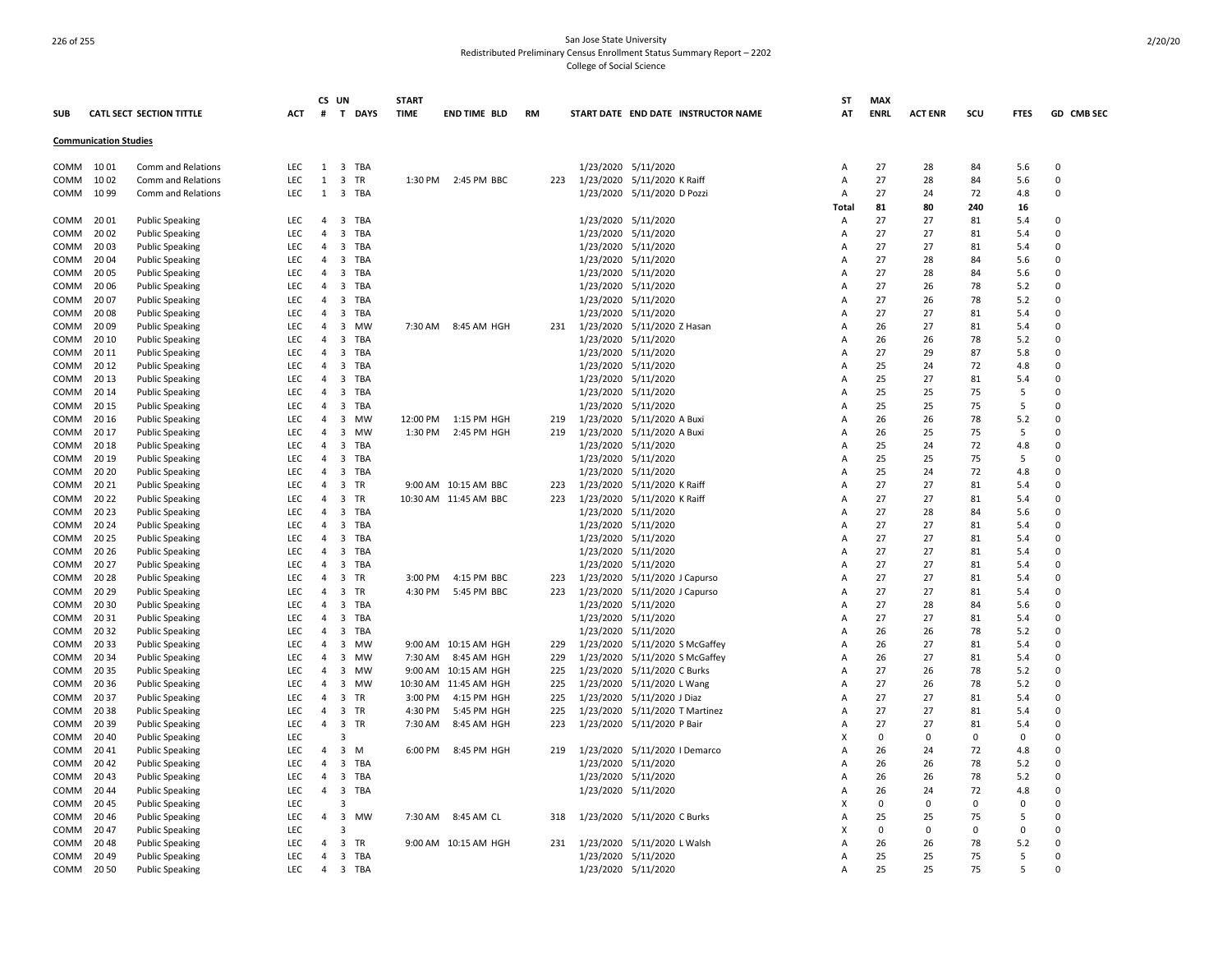| <b>SUB</b>  |                              | <b>CATL SECT SECTION TITTLE</b> | <b>ACT</b> | CS UN<br>#     | T DAYS                         | <b>START</b><br><b>TIME</b> | END TIME BLD          | RM  |           | START DATE END DATE INSTRUCTOR NAME | ST<br>ΑT | <b>MAX</b><br><b>ENRL</b> | <b>ACT ENR</b> | scu      | <b>FTES</b> | GD CMB SEC |
|-------------|------------------------------|---------------------------------|------------|----------------|--------------------------------|-----------------------------|-----------------------|-----|-----------|-------------------------------------|----------|---------------------------|----------------|----------|-------------|------------|
|             | <b>Communication Studies</b> |                                 |            |                |                                |                             |                       |     |           |                                     |          |                           |                |          |             |            |
| COMM        | 10 01                        | Comm and Relations              | <b>LEC</b> | 1              | 3 TBA                          |                             |                       |     |           | 1/23/2020 5/11/2020                 | А        | 27                        | 28             | 84       | 5.6         | 0          |
| COMM        | 1002                         | Comm and Relations              | <b>LEC</b> | 1              | $\overline{3}$<br>TR           | 1:30 PM                     | 2:45 PM BBC           | 223 |           | 1/23/2020 5/11/2020 K Raiff         | A        | 27                        | 28             | 84       | 5.6         | 0          |
| COMM        | 10 99                        | Comm and Relations              | <b>LEC</b> | 1              | 3<br>TBA                       |                             |                       |     |           | 1/23/2020 5/11/2020 D Pozzi         | Α        | 27                        | 24             | 72       | 4.8         | $\Omega$   |
|             |                              |                                 |            |                |                                |                             |                       |     |           |                                     | Total    | 81                        | 80             | 240      | 16          |            |
| COMM        | 20 01                        | <b>Public Speaking</b>          | <b>LEC</b> | 4              | 3<br>TBA                       |                             |                       |     |           | 1/23/2020 5/11/2020                 | Α        | 27                        | 27             | 81       | 5.4         | $\Omega$   |
| COMM        | 20 02                        | <b>Public Speaking</b>          | LEC        | $\overline{4}$ | 3<br>TBA                       |                             |                       |     |           | 1/23/2020 5/11/2020                 | Α        | 27                        | 27             | 81       | 5.4         | 0          |
| COMM        | 2003                         | <b>Public Speaking</b>          | <b>LEC</b> | 4              | 3<br>TBA                       |                             |                       |     |           | 1/23/2020 5/11/2020                 | A        | 27                        | 27             | 81       | 5.4         | $\Omega$   |
| COMM        | 20 04                        | <b>Public Speaking</b>          | <b>LEC</b> | 4              | 3<br>TBA                       |                             |                       |     |           | 1/23/2020 5/11/2020                 | A        | 27                        | 28             | 84       | 5.6         | 0          |
| COMM        | 20 05                        | <b>Public Speaking</b>          | <b>LEC</b> | 4              | 3<br>TBA                       |                             |                       |     |           | 1/23/2020 5/11/2020                 | А        | 27                        | 28             | 84       | 5.6         | $\Omega$   |
| COMM        | 20 06                        | <b>Public Speaking</b>          | <b>LEC</b> | $\overline{4}$ | $\overline{3}$<br>TBA          |                             |                       |     |           | 1/23/2020 5/11/2020                 | А        | 27                        | 26             | 78       | 5.2         | $\Omega$   |
| COMM        | 20 07                        | <b>Public Speaking</b>          | <b>LEC</b> | $\Delta$       | $\overline{3}$<br><b>TBA</b>   |                             |                       |     |           | 1/23/2020 5/11/2020                 | A        | 27                        | 26             | 78       | 5.2         | $\Omega$   |
| COMM        | 2008                         | <b>Public Speaking</b>          | <b>LEC</b> | $\overline{4}$ | 3<br>TBA                       |                             |                       |     |           | 1/23/2020 5/11/2020                 | А        | 27                        | 27             | 81       | 5.4         | $\Omega$   |
| COMM        | 2009                         | <b>Public Speaking</b>          | <b>LEC</b> | $\Delta$       | 3<br><b>MW</b>                 | 7:30 AM                     | 8:45 AM HGH           | 231 |           | 1/23/2020 5/11/2020 Z Hasan         | А        | 26                        | 27             | 81       | 5.4         | $\Omega$   |
| COMM        | 20 10                        | <b>Public Speaking</b>          | LEC        | 4              | 3<br>TBA                       |                             |                       |     | 1/23/2020 | 5/11/2020                           | Α        | 26                        | 26             | 78       | 5.2         | $\Omega$   |
| COMM        | 20 11                        | <b>Public Speaking</b>          | <b>LEC</b> | $\Delta$       | 3<br><b>TBA</b>                |                             |                       |     |           | 1/23/2020 5/11/2020                 | А        | 27                        | 29             | 87       | 5.8         | $\Omega$   |
| COMM        | 20 12                        | <b>Public Speaking</b>          | LEC        | 4              | 3<br>TBA                       |                             |                       |     |           | 1/23/2020 5/11/2020                 | Α        | 25                        | 24             | 72       | 4.8         | 0          |
| COMM        | 20 13                        | <b>Public Speaking</b>          | LEC        | $\overline{4}$ | 3<br>TBA                       |                             |                       |     |           | 1/23/2020 5/11/2020                 | А        | 25                        | 27             | 81       | 5.4         | $\Omega$   |
| COMM        | 20 14                        | <b>Public Speaking</b>          | LEC        | 4              | TBA<br>3                       |                             |                       |     |           | 1/23/2020 5/11/2020                 | А        | 25                        | 25             | 75       | 5           | 0          |
| COMM        | 20 15                        | <b>Public Speaking</b>          | LEC        | $\overline{4}$ | 3<br>TBA                       |                             |                       |     |           | 1/23/2020 5/11/2020                 | А        | 25                        | 25             | 75       | 5           | $\Omega$   |
| COMM        | 20 16                        | <b>Public Speaking</b>          | LEC        | 4              | 3<br>MW                        | 12:00 PM                    | 1:15 PM HGH           | 219 |           | 1/23/2020 5/11/2020 A Buxi          | А        | 26                        | 26             | 78       | 5.2         | 0          |
| COMM        | 20 17                        | <b>Public Speaking</b>          | <b>LEC</b> | $\overline{4}$ | 3<br>MW                        | 1:30 PM                     | 2:45 PM HGH           | 219 |           | 1/23/2020 5/11/2020 A Buxi          | Α        | 26                        | 25             | 75       | 5           | 0          |
| COMM        | 2018                         | <b>Public Speaking</b>          | <b>LEC</b> | $\overline{4}$ | 3<br><b>TBA</b>                |                             |                       |     |           | 1/23/2020 5/11/2020                 | А        | 25                        | 24             | 72       | 4.8         | $\Omega$   |
| COMM        | 20 19                        | <b>Public Speaking</b>          | <b>LEC</b> | $\overline{4}$ | 3<br>TBA                       |                             |                       |     |           | 1/23/2020 5/11/2020                 | А        | 25                        | 25             | 75       | 5           | 0          |
| COMM        | 20 20                        | <b>Public Speaking</b>          | LEC        | 4              | 3<br>TBA                       |                             |                       |     |           | 1/23/2020 5/11/2020                 | А        | 25                        | 24             | 72       | 4.8         | $\Omega$   |
| COMM        | 20 21                        | <b>Public Speaking</b>          | LEC        | $\overline{4}$ | 3<br>TR                        |                             | 9:00 AM 10:15 AM BBC  | 223 |           | 1/23/2020 5/11/2020 K Raiff         | A        | 27                        | 27             | 81       | 5.4         | 0          |
| COMM        | 20 22                        | <b>Public Speaking</b>          | LEC        | 4              | 3<br>TR                        |                             | 10:30 AM 11:45 AM BBC | 223 |           | 1/23/2020 5/11/2020 K Raiff         | А        | 27                        | 27             | 81       | 5.4         | $\Omega$   |
| COMM        | 2023                         | <b>Public Speaking</b>          | <b>LEC</b> | $\overline{4}$ | 3<br>TBA                       |                             |                       |     |           | 1/23/2020 5/11/2020                 | A        | 27                        | 28             | 84       | 5.6         | 0          |
| COMM        | 20 24                        | <b>Public Speaking</b>          | <b>LEC</b> | 4              | 3<br>TBA                       |                             |                       |     |           | 1/23/2020 5/11/2020                 | А        | 27                        | 27             | 81       | 5.4         | $\Omega$   |
| <b>COMM</b> | 2025                         | <b>Public Speaking</b>          | <b>LEC</b> | $\overline{4}$ | 3<br><b>TBA</b>                |                             |                       |     |           | 1/23/2020 5/11/2020                 | А        | 27                        | 27             | 81       | 5.4         | $\Omega$   |
| COMM        | 20 26                        | <b>Public Speaking</b>          | <b>LEC</b> | $\overline{4}$ | 3<br>TBA                       |                             |                       |     |           | 1/23/2020 5/11/2020                 | А        | 27                        | 27             | 81       | 5.4         | $\Omega$   |
| COMM        | 20 27                        | <b>Public Speaking</b>          | <b>LEC</b> | $\overline{4}$ | 3<br>TBA                       |                             |                       |     |           | 1/23/2020 5/11/2020                 | А        | 27                        | 27             | 81       | 5.4         | $\Omega$   |
| COMM        | 20 28                        | <b>Public Speaking</b>          | <b>LEC</b> | $\overline{a}$ | $\overline{3}$<br>TR           | 3:00 PM                     | 4:15 PM BBC           | 223 |           | 1/23/2020 5/11/2020 J Capurso       | A        | 27                        | 27             | 81       | 5.4         | $\Omega$   |
| COMM        | 2029                         | <b>Public Speaking</b>          | <b>LEC</b> | $\overline{4}$ | 3<br><b>TR</b>                 | 4:30 PM                     | 5:45 PM BBC           | 223 |           | 1/23/2020 5/11/2020 J Capurso       | А        | 27                        | 27             | 81       | 5.4         | $\Omega$   |
| COMM        | 20 30                        | <b>Public Speaking</b>          | LEC        | $\Delta$       | $\overline{3}$<br><b>TBA</b>   |                             |                       |     |           | 1/23/2020 5/11/2020                 | А        | 27                        | 28             | 84       | 5.6         | $\Omega$   |
| COMM        | 2031                         | <b>Public Speaking</b>          | <b>LEC</b> | 4              | 3<br>TBA                       |                             |                       |     |           | 1/23/2020 5/11/2020                 | А        | 27                        | 27             | 81       | 5.4         | 0          |
| COMM        | 20 32                        | <b>Public Speaking</b>          | LEC        | $\overline{4}$ | $\overline{\mathbf{3}}$<br>TBA |                             |                       |     |           | 1/23/2020 5/11/2020                 | А        | 26                        | 26             | 78       | 5.2         | $\Omega$   |
| COMM        | 20 33                        | <b>Public Speaking</b>          | <b>LEC</b> | 4              | 3<br>MW                        |                             | 9:00 AM 10:15 AM HGH  | 229 |           | 1/23/2020 5/11/2020 S McGaffey      | А        | 26                        | 27             | 81       | 5.4         | 0          |
| <b>COMM</b> | 20 34                        | <b>Public Speaking</b>          | LEC        | 4              | 3<br>MW                        | 7:30 AM                     | 8:45 AM HGH           | 229 |           | 1/23/2020 5/11/2020 S McGaffey      | А        | 26                        | 27             | 81       | 5.4         | $\Omega$   |
| COMM        | 2035                         | <b>Public Speaking</b>          | <b>LEC</b> | 4              | 3<br>MW                        | 9:00 AM                     | 10:15 AM HGH          | 225 |           | 1/23/2020 5/11/2020 C Burks         | А        | 27                        | 26             | 78       | 5.2         | 0          |
| COMM        | 20 36                        | <b>Public Speaking</b>          | <b>LEC</b> | $\overline{4}$ | 3<br>MW                        |                             | 10:30 AM 11:45 AM HGH | 225 |           | 1/23/2020 5/11/2020 L Wang          | А        | 27                        | 26             | 78       | 5.2         | $\Omega$   |
| COMM        | 2037                         | <b>Public Speaking</b>          | <b>LEC</b> | 4              | 3<br>TR                        | 3:00 PM                     | 4:15 PM HGH           | 225 |           | 1/23/2020 5/11/2020 J Diaz          | А        | 27                        | 27             | 81       | 5.4         | 0          |
| COMM        | 2038                         | <b>Public Speaking</b>          | <b>LEC</b> | 4              | 3 TR                           | 4:30 PM                     | 5:45 PM HGH           | 225 |           | 1/23/2020 5/11/2020 T Martinez      | А        | 27                        | 27             | 81       | 5.4         | 0          |
| COMM        | 20 39                        | <b>Public Speaking</b>          | <b>LEC</b> | 4              | 3<br>TR                        | 7:30 AM                     | 8:45 AM HGH           | 223 |           | 1/23/2020 5/11/2020 P Bair          | А        | 27                        | 27             | 81       | 5.4         | $\Omega$   |
| COMM        | 20 40                        | <b>Public Speaking</b>          | <b>LEC</b> |                | 3                              |                             |                       |     |           |                                     | х        | 0                         | 0              | $\Omega$ | 0           | 0          |
| COMM        | 2041                         | <b>Public Speaking</b>          | <b>LEC</b> | $\overline{4}$ | 3<br>M                         | 6:00 PM                     | 8:45 PM HGH           | 219 |           | 1/23/2020 5/11/2020   Demarco       | А        | 26                        | 24             | 72       | 4.8         | $\Omega$   |
| COMM        | 2042                         | <b>Public Speaking</b>          | <b>LEC</b> | 4              | 3<br>TBA                       |                             |                       |     |           | 1/23/2020 5/11/2020                 | A        | 26                        | 26             | 78       | 5.2         | 0          |
| COMM        | 2043                         | <b>Public Speaking</b>          | <b>LEC</b> | 4              | 3<br>TBA                       |                             |                       |     |           | 1/23/2020 5/11/2020                 | А        | 26                        | 26             | 78       | 5.2         | $\Omega$   |
| COMM        | 2044                         | <b>Public Speaking</b>          | LEC        | 4              | 3<br>TBA                       |                             |                       |     |           | 1/23/2020 5/11/2020                 | A        | 26                        | 24             | 72       | 4.8         | 0          |
| COMM        | 2045                         | <b>Public Speaking</b>          | <b>LEC</b> |                | 3                              |                             |                       |     |           |                                     | X        | 0                         | 0              | $\Omega$ | $\Omega$    | $\Omega$   |
| COMM        | 2046                         | <b>Public Speaking</b>          | <b>LEC</b> | 4              | 3 MW                           | 7:30 AM                     | 8:45 AM CL            | 318 |           | 1/23/2020 5/11/2020 C Burks         | А        | 25                        | 25             | 75       | 5           | $\Omega$   |
| COMM        | 2047                         | <b>Public Speaking</b>          | <b>LEC</b> |                | 3                              |                             |                       |     |           |                                     | X        | 0                         | 0              | $\Omega$ | $\Omega$    | $\Omega$   |
| <b>COMM</b> | 2048                         | <b>Public Speaking</b>          | <b>LEC</b> | $\overline{a}$ | 3<br><b>TR</b>                 |                             | 9:00 AM 10:15 AM HGH  | 231 |           | 1/23/2020 5/11/2020 L Walsh         | А        | 26                        | 26             | 78       | 5.2         | $\Omega$   |
| COMM        | 2049                         | <b>Public Speaking</b>          | <b>LEC</b> | $\overline{a}$ | 3 TBA                          |                             |                       |     |           | 1/23/2020 5/11/2020                 | A        | 25                        | 25             | 75       | 5           | $\Omega$   |
| COMM        | 20 50                        | <b>Public Speaking</b>          | LEC        | $\overline{a}$ | 3 TBA                          |                             |                       |     |           | 1/23/2020 5/11/2020                 | A        | 25                        | 25             | 75       | 5           | $\Omega$   |
|             |                              |                                 |            |                |                                |                             |                       |     |           |                                     |          |                           |                |          |             |            |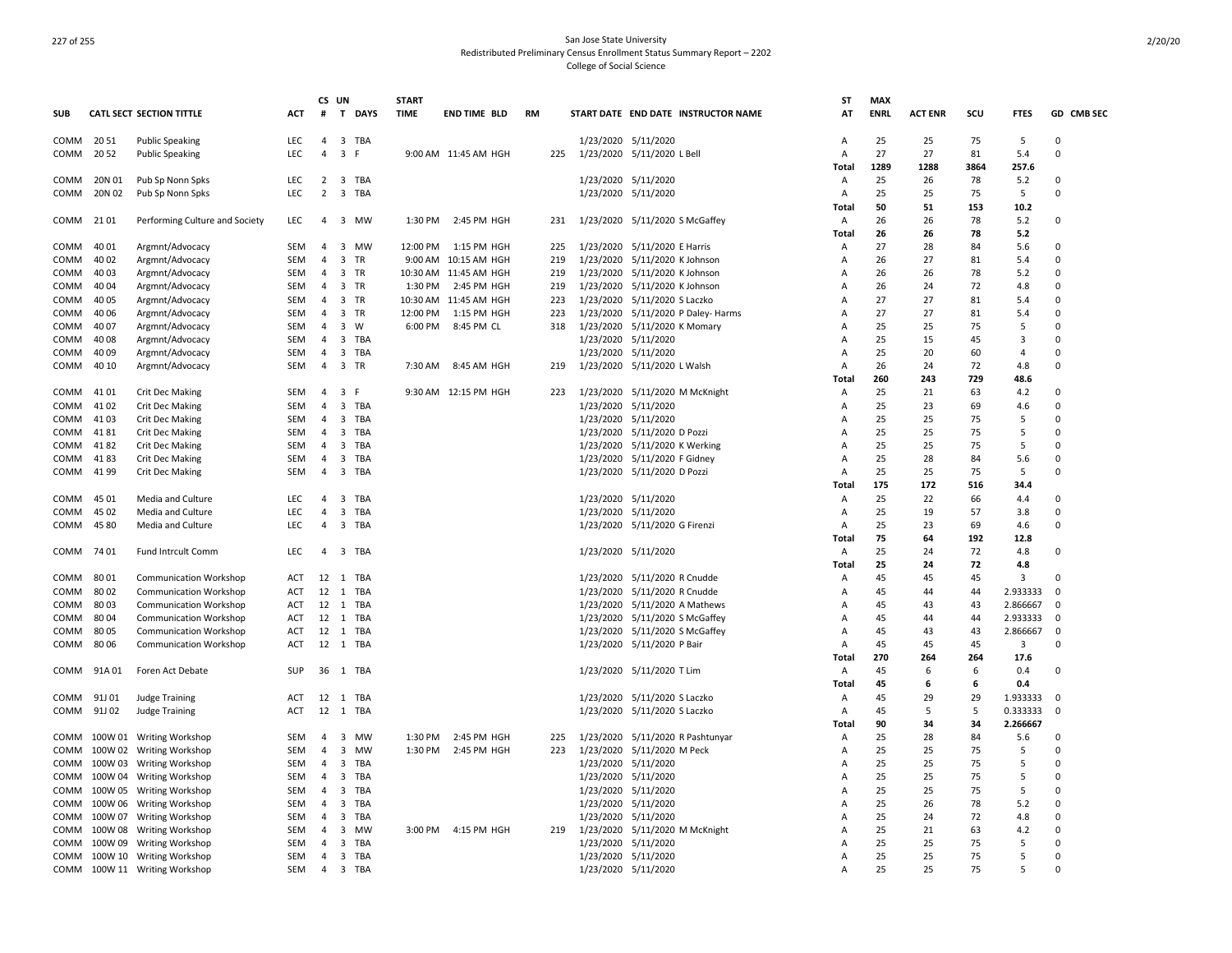|            |         |                                 |            | CS UN                   |                                      | <b>START</b> |                       |     |                                     | SΤ    | <b>MAX</b>  |                |           |                |             |
|------------|---------|---------------------------------|------------|-------------------------|--------------------------------------|--------------|-----------------------|-----|-------------------------------------|-------|-------------|----------------|-----------|----------------|-------------|
| <b>SUB</b> |         | <b>CATL SECT SECTION TITTLE</b> | ACT        | #                       | T DAYS                               | <b>TIME</b>  | <b>END TIME BLD</b>   | RM  | START DATE END DATE INSTRUCTOR NAME | AT    | <b>ENRL</b> | <b>ACT ENR</b> | scu       | <b>FTES</b>    | GD CMB SEC  |
| COMM       | 20 51   | <b>Public Speaking</b>          | <b>LEC</b> | $\overline{4}$          | 3 TBA                                |              |                       |     | 1/23/2020 5/11/2020                 | A     | 25          | 25             | 75        | -5             | $\Omega$    |
| COMM       | 2052    | <b>Public Speaking</b>          | <b>LEC</b> | $\overline{4}$          | $\overline{\mathbf{3}}$<br>F         |              | 9:00 AM 11:45 AM HGH  | 225 | 1/23/2020 5/11/2020 L Bell          | Α     | 27          | 27             | 81        | 5.4            | $\Omega$    |
|            |         |                                 |            |                         |                                      |              |                       |     |                                     | Total | 1289        | 1288           | 3864      | 257.6          |             |
| COMM       | 20N 01  | Pub Sp Nonn Spks                | LEC        | $\overline{2}$          | 3 TBA                                |              |                       |     | 1/23/2020 5/11/2020                 | A     | 25          | 26             | 78        | 5.2            | $\Omega$    |
| COMM       | 20N 02  | Pub Sp Nonn Spks                | <b>LEC</b> | $\overline{2}$          | $\overline{3}$<br>TBA                |              |                       |     | 1/23/2020 5/11/2020                 | Α     | 25          | 25             | 75        | 5              | $\Omega$    |
|            |         |                                 |            |                         |                                      |              |                       |     |                                     | Total | 50          | 51             | 153       | 10.2           |             |
| COMM       | 21 01   | Performing Culture and Society  | <b>LEC</b> | $\overline{a}$          | 3 MW                                 | 1:30 PM      | 2:45 PM HGH           | 231 | 1/23/2020 5/11/2020 S McGaffey      | Α     | 26          | 26             | 78        | 5.2            | $\Omega$    |
|            |         |                                 |            |                         |                                      |              |                       |     |                                     | Total | 26          | 26             | 78        | 5.2            |             |
| COMM       | 40 01   | Argmnt/Advocacy                 | SEM        | $\overline{4}$          | 3 MW                                 | 12:00 PM     | 1:15 PM HGH           | 225 | 1/23/2020 5/11/2020 E Harris        | Α     | 27          | 28             | 84        | 5.6            | $\Omega$    |
| COMM       | 40 02   | Argmnt/Advocacy                 | SEM        | $\overline{4}$          | $\overline{\mathbf{3}}$<br><b>TR</b> |              | 9:00 AM 10:15 AM HGH  | 219 | 1/23/2020 5/11/2020 K Johnson       | Α     | 26          | 27             | 81        | 5.4            | $\Omega$    |
| COMM       | 40 03   | Argmnt/Advocacy                 | SEM        | 4                       | $\overline{3}$<br>TR                 |              | 10:30 AM 11:45 AM HGH | 219 | 1/23/2020 5/11/2020 K Johnson       | Α     | 26          | 26             | 78        | 5.2            | 0           |
| COMM       | 40 04   | Argmnt/Advocacy                 | SEM        | $\overline{a}$          | 3 TR                                 | 1:30 PM      | 2:45 PM HGH           | 219 | 1/23/2020 5/11/2020 K Johnson       | A     | 26          | 24             | 72        | 4.8            | $\Omega$    |
| сомм       | 40 05   | Argmnt/Advocacy                 | SEM        | 4                       | 3 TR                                 |              | 10:30 AM 11:45 AM HGH | 223 | 1/23/2020 5/11/2020 S Laczko        | Α     | 27          | 27             | 81        | 5.4            | 0           |
| COMM       | 40 06   | Argmnt/Advocacy                 | SEM        | $\overline{4}$          | 3 TR                                 | 12:00 PM     | 1:15 PM HGH           | 223 | 1/23/2020 5/11/2020 P Daley- Harms  | Α     | 27          | 27             | 81        | 5.4            | $\Omega$    |
| COMM       | 4007    | Argmnt/Advocacy                 | SEM        | 4                       | $\overline{3}$<br>W                  | 6:00 PM      | 8:45 PM CL            | 318 | 1/23/2020 5/11/2020 K Momary        | Α     | 25          | 25             | 75        | 5              | 0           |
| COMM       | 40 08   | Argmnt/Advocacy                 | SEM        | $\overline{4}$          | $\overline{\mathbf{3}}$<br>TBA       |              |                       |     | 1/23/2020 5/11/2020                 | A     | 25          | 15             | 45        | 3              | $\Omega$    |
| сомм       | 40 09   | Argmnt/Advocacy                 | SEM        | 4                       | 3<br>TBA                             |              |                       |     | 1/23/2020 5/11/2020                 | Α     | 25          | 20             | 60        | 4              | 0           |
| COMM       | 40 10   | Argmnt/Advocacy                 | SEM        | 4                       | $\overline{3}$<br>TR                 | 7:30 AM      | 8:45 AM HGH           | 219 | 1/23/2020 5/11/2020 L Walsh         | Α     | 26          | 24             | 72        | 4.8            | 0           |
|            |         |                                 |            |                         |                                      |              |                       |     |                                     | Total | 260         | 243            | 729       | 48.6           |             |
| COMM       | 41 01   | <b>Crit Dec Making</b>          | SEM        | 4                       | $\overline{3}$<br>F                  |              | 9:30 AM 12:15 PM HGH  | 223 | 1/23/2020 5/11/2020 M McKnight      | Α     | 25          | 21             | 63        | 4.2            | $\Omega$    |
| COMM       | 41 02   | <b>Crit Dec Making</b>          | SEM        | $\overline{4}$          | 3<br>TBA                             |              |                       |     | 1/23/2020 5/11/2020                 | A     | 25          | 23             | 69        | 4.6            | $\Omega$    |
| сомм       | 4103    | <b>Crit Dec Making</b>          | SEM        | $\overline{4}$          | $\overline{\mathbf{3}}$<br>TBA       |              |                       |     | 1/23/2020 5/11/2020                 | Α     | 25          | 25             | 75        | 5              | $\Omega$    |
| COMM       | 4181    | <b>Crit Dec Making</b>          | SEM        | 4                       | $\overline{3}$<br>TBA                |              |                       |     | 1/23/2020 5/11/2020 D Pozzi         | Α     | 25          | 25             | 75        | 5              | $\Omega$    |
| COMM       | 4182    | <b>Crit Dec Making</b>          | <b>SEM</b> | $\overline{4}$          | 3<br>TBA                             |              |                       |     | 1/23/2020 5/11/2020 K Werking       | A     | 25          | 25             | 75        | 5              | $\Omega$    |
| COMM       | 4183    | <b>Crit Dec Making</b>          | SEM        | 4                       | $\overline{\mathbf{3}}$<br>TBA       |              |                       |     | 1/23/2020 5/11/2020 F Gidney        | Α     | 25          | 28             | 84        | 5.6            | 0           |
| COMM       | 4199    | <b>Crit Dec Making</b>          | <b>SEM</b> | $\overline{4}$          | $\overline{3}$<br>TBA                |              |                       |     | 1/23/2020 5/11/2020 D Pozzi         | A     | 25          | 25             | 75        | -5             | $\Omega$    |
|            |         |                                 |            |                         |                                      |              |                       |     |                                     | Total | 175         | 172            | 516       | 34.4           |             |
| COMM       | 45 01   | Media and Culture               | <b>LEC</b> | $\overline{4}$          | $\overline{3}$<br>TBA                |              |                       |     | 1/23/2020 5/11/2020                 | A     | 25          | 22             | 66        | 4.4            | $\Omega$    |
| COMM       | 45 02   | Media and Culture               | <b>LEC</b> | $\overline{4}$          | $\overline{3}$<br>TBA                |              |                       |     | 1/23/2020 5/11/2020                 | A     | 25          | 19             | 57        | 3.8            | $\Omega$    |
|            | 4580    |                                 | LEC.       | $\overline{a}$          |                                      |              |                       |     |                                     |       | 25          | 23             |           |                | $\Omega$    |
| COMM       |         | Media and Culture               |            |                         | 3 TBA                                |              |                       |     | 1/23/2020 5/11/2020 G Firenzi       | Α     |             |                | 69<br>192 | 4.6<br>12.8    |             |
|            |         |                                 |            | $\overline{\mathbf{A}}$ |                                      |              |                       |     |                                     | Total | 75          | 64<br>24       |           |                | 0           |
| COMM       | 74 01   | Fund Intrcult Comm              | LEC        |                         | $\overline{3}$<br>TBA                |              |                       |     | 1/23/2020 5/11/2020                 | Α     | 25          |                | 72        | 4.8            |             |
|            |         |                                 |            |                         |                                      |              |                       |     |                                     | Total | 25          | 24             | 72        | 4.8            |             |
| COMM       | 8001    | <b>Communication Workshop</b>   | ACT        |                         | 12 1 TBA                             |              |                       |     | 1/23/2020 5/11/2020 R Cnudde        | Α     | 45          | 45             | 45        | $\overline{3}$ | 0           |
| COMM       | 80 02   | Communication Workshop          | <b>ACT</b> | 12                      | 1 TBA                                |              |                       |     | 1/23/2020 5/11/2020 R Cnudde        | Α     | 45          | 44             | 44        | 2.933333       | $\Omega$    |
| COMM       | 8003    | <b>Communication Workshop</b>   | ACT        | 12                      | 1 TBA                                |              |                       |     | 1/23/2020 5/11/2020 A Mathews       | Α     | 45          | 43             | 43        | 2.866667       | $\mathbf 0$ |
| COMM       | 80 04   | <b>Communication Workshop</b>   | ACT        |                         | 12 1 TBA                             |              |                       |     | 1/23/2020 5/11/2020 S McGaffey      | Α     | 45          | 44             | 44        | 2.933333       | 0           |
| COMM       | 8005    | <b>Communication Workshop</b>   | ACT        | 12                      | 1 TBA                                |              |                       |     | 1/23/2020 5/11/2020 S McGaffey      | Α     | 45          | 43             | 43        | 2.866667       | 0           |
| COMM       | 8006    | <b>Communication Workshop</b>   | <b>ACT</b> |                         | 12 1 TBA                             |              |                       |     | 1/23/2020 5/11/2020 P Bair          | Α     | 45          | 45             | 45        | 3              | $\Omega$    |
|            |         |                                 |            |                         |                                      |              |                       |     |                                     | Total | 270         | 264            | 264       | 17.6           |             |
| COMM       | 91A 01  | Foren Act Debate                | <b>SUP</b> |                         | 36 1 TBA                             |              |                       |     | 1/23/2020 5/11/2020 T Lim           | Α     | 45          | 6              | 6         | 0.4            | 0           |
|            |         |                                 |            |                         |                                      |              |                       |     |                                     | Total | 45          | 6              | 6         | 0.4            |             |
| COMM       | 91J 01  | <b>Judge Training</b>           | ACT        |                         | 12 1 TBA                             |              |                       |     | 1/23/2020 5/11/2020 S Laczko        | Α     | 45          | 29             | 29        | 1.933333       | $\Omega$    |
| COMM       | 91J 02  | Judge Training                  | <b>ACT</b> | 12                      | 1<br>TBA                             |              |                       |     | 1/23/2020 5/11/2020 S Laczko        | Α     | 45          | .5             | -5        | 0.333333       | 0           |
|            |         |                                 |            |                         |                                      |              |                       |     |                                     | Total | 90          | 34             | 34        | 2.266667       |             |
| COMM       |         | 100W 01 Writing Workshop        | SEM        | 4                       | $\overline{3}$<br>MW                 | 1:30 PM      | 2:45 PM HGH           | 225 | 1/23/2020 5/11/2020 R Pashtunyar    | Α     | 25          | 28             | 84        | 5.6            | $\Omega$    |
| COMM       |         | 100W 02 Writing Workshop        | <b>SEM</b> | $\overline{4}$          | 3<br><b>MW</b>                       | 1:30 PM      | 2:45 PM HGH           | 223 | 1/23/2020 5/11/2020 M Peck          | Α     | 25          | 25             | 75        | 5              | $\Omega$    |
| COMM       | 100W 03 | <b>Writing Workshop</b>         | SEM        | $\overline{4}$          | $\overline{3}$<br>TBA                |              |                       |     | 1/23/2020 5/11/2020                 | Α     | 25          | 25             | 75        | 5              | $\Omega$    |
| COMM       |         | 100W 04 Writing Workshop        | <b>SEM</b> | $\overline{4}$          | $\overline{3}$<br>TBA                |              |                       |     | 1/23/2020 5/11/2020                 | A     | 25          | 25             | 75        | 5              | $\Omega$    |
| COMM       |         | 100W 05 Writing Workshop        | SEM        | 4                       | $\overline{3}$<br>TBA                |              |                       |     | 1/23/2020 5/11/2020                 | Α     | 25          | 25             | 75        | 5              | $\Omega$    |
|            |         | COMM 100W 06 Writing Workshop   | <b>SEM</b> | $\overline{4}$          | $\overline{3}$<br>TBA                |              |                       |     | 1/23/2020 5/11/2020                 | A     | 25          | 26             | 78        | 5.2            | $\Omega$    |
| COMM       |         | 100W 07 Writing Workshop        | SEM        | $\overline{4}$          | 3<br>TBA                             |              |                       |     | 1/23/2020 5/11/2020                 | A     | 25          | 24             | 72        | 4.8            | $\Omega$    |
| COMM       |         | 100W 08 Writing Workshop        | SEM        | 4                       | 3<br>MW                              |              | 3:00 PM 4:15 PM HGH   | 219 | 1/23/2020 5/11/2020 M McKnight      | Α     | 25          | 21             | 63        | 4.2            | $\Omega$    |
| COMM       |         | 100W 09 Writing Workshop        | SEM        | $\overline{4}$          | $\overline{3}$<br>TBA                |              |                       |     | 1/23/2020 5/11/2020                 | A     | 25          | 25             | 75        | 5              | $\Omega$    |
|            |         | COMM 100W 10 Writing Workshop   | SEM        | $\overline{4}$          | $\overline{3}$<br>TBA                |              |                       |     | 1/23/2020 5/11/2020                 | Α     | 25          | 25             | 75        | 5              | $\Omega$    |
|            |         | COMM 100W 11 Writing Workshop   | SEM        | $\overline{4}$          | 3 TBA                                |              |                       |     | 1/23/2020 5/11/2020                 | A     | 25          | 25             | 75        | 5              | $\Omega$    |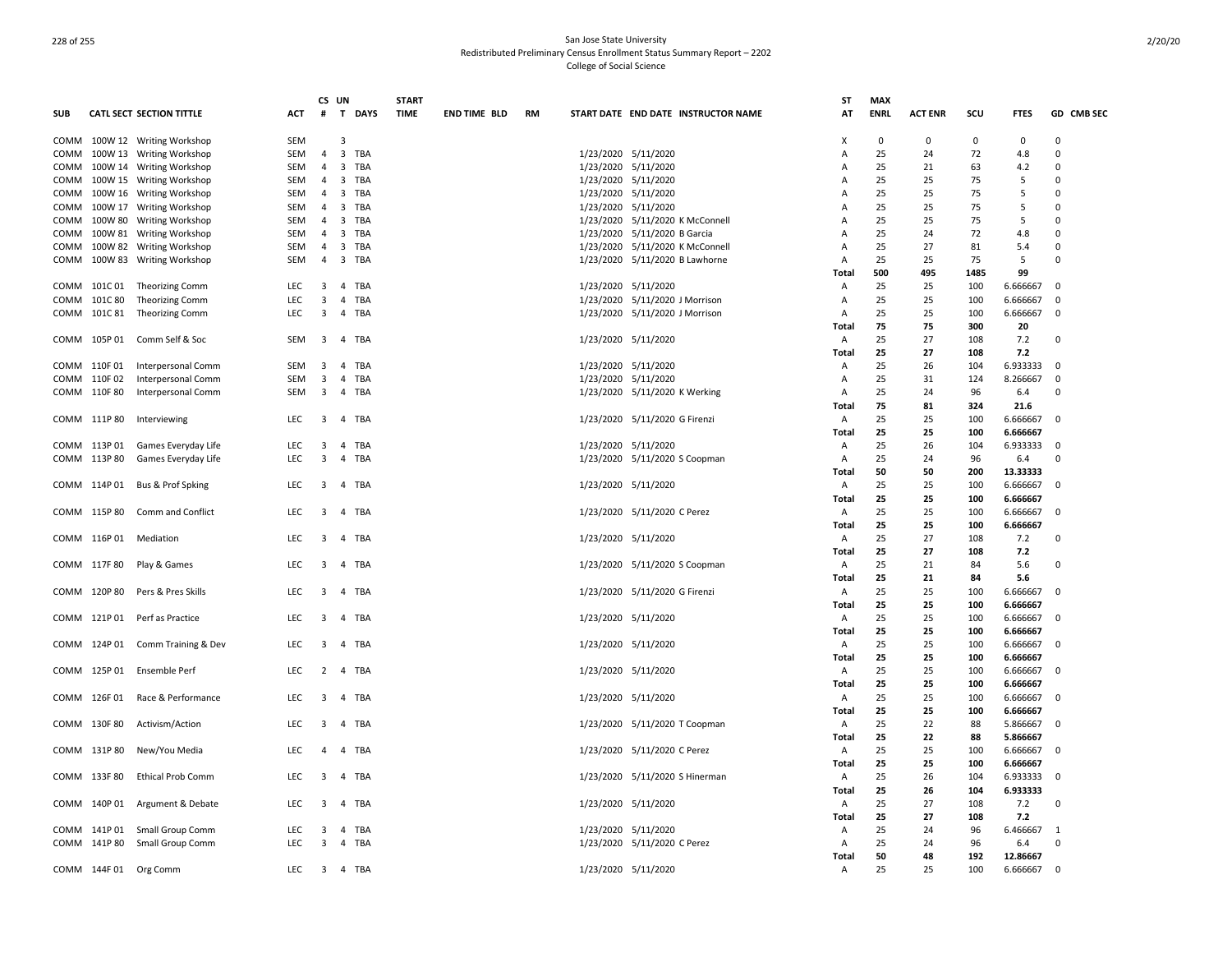|            |              |                                  |            | CS UN                   |                                | <b>START</b> |                     |           |                                |                                     | ST           | <b>MAX</b>  |                |             |             |            |
|------------|--------------|----------------------------------|------------|-------------------------|--------------------------------|--------------|---------------------|-----------|--------------------------------|-------------------------------------|--------------|-------------|----------------|-------------|-------------|------------|
| <b>SUB</b> |              | <b>CATL SECT SECTION TITTLE</b>  | <b>ACT</b> | #                       | T DAYS                         | <b>TIME</b>  | <b>END TIME BLD</b> | <b>RM</b> |                                | START DATE END DATE INSTRUCTOR NAME | AT           | <b>ENRL</b> | <b>ACT ENR</b> | scu         | <b>FTES</b> | GD CMB SEC |
|            |              | COMM 100W 12 Writing Workshop    | SEM        |                         | $\overline{3}$                 |              |                     |           |                                |                                     | х            | $\mathbf 0$ | 0              | $\mathbf 0$ | $\mathbf 0$ | $\Omega$   |
|            |              | COMM 100W 13 Writing Workshop    | SEM        | $\overline{4}$          | $\overline{\mathbf{3}}$<br>TBA |              |                     |           | 1/23/2020 5/11/2020            |                                     | Α            | 25          | 24             | 72          | 4.8         | $\Omega$   |
|            |              | COMM 100W 14 Writing Workshop    | SEM        | $\overline{a}$          | 3<br>TBA                       |              |                     |           | 1/23/2020 5/11/2020            |                                     | А            | 25          | 21             | 63          | 4.2         | $\Omega$   |
| COMM       |              | 100W 15 Writing Workshop         | SEM        | $\overline{4}$          | $\overline{\mathbf{3}}$<br>TBA |              |                     |           | 1/23/2020 5/11/2020            |                                     | A            | 25          | 25             | 75          | 5           | $\Omega$   |
| COMM       |              | 100W 16 Writing Workshop         | SEM        | $\overline{4}$          | $\overline{3}$<br>TBA          |              |                     |           | 1/23/2020 5/11/2020            |                                     | A            | 25          | 25             | 75          | 5           | $\Omega$   |
| COMM       |              | 100W 17 Writing Workshop         | SEM        | $\overline{4}$          | $\overline{\mathbf{3}}$<br>TBA |              |                     |           | 1/23/2020 5/11/2020            |                                     | Α            | 25          | 25             | 75          | 5           | $\Omega$   |
|            |              | COMM 100W 80 Writing Workshop    | SEM        | 4                       | $\overline{\mathbf{3}}$<br>TBA |              |                     |           |                                | 1/23/2020 5/11/2020 K McConnell     | A            | 25          | 25             | 75          | 5           | $\Omega$   |
|            |              | COMM 100W 81 Writing Workshop    | SEM        | $\overline{4}$          | $\overline{3}$<br>TBA          |              |                     |           | 1/23/2020 5/11/2020 B Garcia   |                                     | Α            | 25          | 24             | 72          | 4.8         | $\Omega$   |
|            |              | COMM 100W 82 Writing Workshop    | SEM        | $\overline{4}$          | $\overline{\mathbf{3}}$<br>TBA |              |                     |           |                                | 1/23/2020 5/11/2020 K McConnell     | Α            | 25          | 27             | 81          | 5.4         | $\Omega$   |
| COMM       |              | 100W 83 Writing Workshop         | SEM        | $\overline{4}$          | $\overline{\mathbf{3}}$<br>TBA |              |                     |           |                                | 1/23/2020 5/11/2020 B Lawhorne      | Α            | 25          | 25             | 75          | 5           | $\Omega$   |
|            |              |                                  |            |                         |                                |              |                     |           |                                |                                     |              | 500         | 495            | 1485        | 99          |            |
|            |              |                                  |            |                         |                                |              |                     |           |                                |                                     | Total        |             |                |             |             | $\Omega$   |
|            |              | COMM 101C 01 Theorizing Comm     | <b>LEC</b> | $\overline{\mathbf{3}}$ | 4 TBA                          |              |                     |           | 1/23/2020 5/11/2020            |                                     | Α            | 25          | 25             | 100         | 6.666667    |            |
|            |              | COMM 101C 80 Theorizing Comm     | LEC        | 3                       | $\overline{4}$<br>TBA          |              |                     |           | 1/23/2020 5/11/2020 J Morrison |                                     | A            | 25          | 25             | 100         | 6.666667    | $\Omega$   |
|            |              | COMM 101C 81 Theorizing Comm     | <b>LEC</b> | $\overline{3}$          | $\overline{4}$<br>TBA          |              |                     |           | 1/23/2020 5/11/2020 J Morrison |                                     | A            | 25          | 25             | 100         | 6.666667    | $\Omega$   |
|            |              |                                  |            |                         |                                |              |                     |           |                                |                                     | Total        | 75          | 75             | 300         | 20          |            |
|            |              | COMM 105P 01 Comm Self & Soc     | SEM        | $\overline{3}$          | 4 TBA                          |              |                     |           | 1/23/2020 5/11/2020            |                                     | Α            | 25          | 27             | 108         | 7.2         | $\Omega$   |
|            |              |                                  |            |                         |                                |              |                     |           |                                |                                     | Total        | 25          | 27             | 108         | 7.2         |            |
|            |              | COMM 110F 01 Interpersonal Comm  | SEM        | 3                       | TBA<br>$\overline{4}$          |              |                     |           | 1/23/2020 5/11/2020            |                                     | Α            | 25          | 26             | 104         | 6.933333    | $\Omega$   |
|            | COMM 110F 02 | Interpersonal Comm               | SEM        | 3                       | $\overline{4}$<br>TBA          |              |                     |           | 1/23/2020 5/11/2020            |                                     | Α            | 25          | 31             | 124         | 8.266667    | $\Omega$   |
|            | COMM 110F 80 | Interpersonal Comm               | SEM        | $\overline{\mathbf{3}}$ | $\overline{4}$<br>TBA          |              |                     |           | 1/23/2020 5/11/2020 K Werking  |                                     | Α            | 25          | 24             | 96          | 6.4         | $\Omega$   |
|            |              |                                  |            |                         |                                |              |                     |           |                                |                                     | Total        | 75          | 81             | 324         | 21.6        |            |
|            |              | COMM 111P 80 Interviewing        | LEC        | 3                       | $\overline{4}$<br>TBA          |              |                     |           | 1/23/2020 5/11/2020 G Firenzi  |                                     | Α            | 25          | 25             | 100         | 6.666667    | $\Omega$   |
|            |              |                                  |            |                         |                                |              |                     |           |                                |                                     | Total        | 25          | 25             | 100         | 6.666667    |            |
|            |              | COMM 113P 01 Games Everyday Life | <b>LEC</b> | 3                       | TBA<br>$\overline{4}$          |              |                     |           | 1/23/2020 5/11/2020            |                                     | Α            | 25          | 26             | 104         | 6.933333    | $\Omega$   |
|            | COMM 113P 80 | Games Everyday Life              | LEC        | 3                       | $\overline{4}$<br>TBA          |              |                     |           | 1/23/2020 5/11/2020 S Coopman  |                                     | Α            | 25          | 24             | 96          | 6.4         | $\Omega$   |
|            |              |                                  |            |                         |                                |              |                     |           |                                |                                     | <b>Total</b> | 50          | 50             | 200         | 13.33333    |            |
|            |              | COMM 114P 01 Bus & Prof Spking   | LEC        | $\overline{\mathbf{3}}$ | 4 TBA                          |              |                     |           | 1/23/2020 5/11/2020            |                                     | Α            | 25          | 25             | 100         | 6.666667    | $\Omega$   |
|            |              |                                  |            |                         |                                |              |                     |           |                                |                                     | Total        | 25          | 25             | 100         | 6.666667    |            |
|            |              | COMM 115P 80 Comm and Conflict   | <b>LEC</b> | $\overline{3}$          | $\overline{4}$<br>TBA          |              |                     |           | 1/23/2020 5/11/2020 C Perez    |                                     | Α            | 25          | 25             | 100         | 6.666667    | $\Omega$   |
|            |              |                                  |            |                         |                                |              |                     |           |                                |                                     | Total        | 25          | 25             | 100         | 6.666667    |            |
|            |              | COMM 116P 01 Mediation           | LEC        | 3                       | 4 TBA                          |              |                     |           | 1/23/2020 5/11/2020            |                                     | Α            | 25          | 27             | 108         | 7.2         | $\Omega$   |
|            |              |                                  |            |                         |                                |              |                     |           |                                |                                     | Total        | 25          | 27             | 108         | 7.2         |            |
|            | COMM 117F 80 | Play & Games                     | <b>LEC</b> | 3                       | $\overline{4}$<br>TBA          |              |                     |           | 1/23/2020 5/11/2020 S Coopman  |                                     | Α            | 25          | 21             | 84          | 5.6         | $\Omega$   |
|            |              |                                  |            |                         |                                |              |                     |           |                                |                                     | Total        | 25          | 21             | 84          | 5.6         |            |
|            |              | COMM 120P 80 Pers & Pres Skills  | <b>LEC</b> | 3                       | TBA<br>$\overline{4}$          |              |                     |           | 1/23/2020 5/11/2020 G Firenzi  |                                     | Α            | 25          | 25             | 100         | 6.666667    | $\Omega$   |
|            |              |                                  |            |                         |                                |              |                     |           |                                |                                     |              | 25          | 25             |             |             |            |
|            |              |                                  |            |                         |                                |              |                     |           |                                |                                     | Total        |             |                | 100         | 6.666667    | $\Omega$   |
|            |              | COMM 121P 01 Perf as Practice    | <b>LEC</b> | 3                       | $\overline{4}$<br>TBA          |              |                     |           | 1/23/2020 5/11/2020            |                                     | Α            | 25          | 25             | 100         | 6.666667    |            |
|            |              |                                  |            |                         |                                |              |                     |           |                                |                                     | <b>Total</b> | 25          | 25             | 100         | 6.666667    |            |
|            |              | COMM 124P 01 Comm Training & Dev | <b>LEC</b> | $\overline{\mathbf{3}}$ | $\overline{4}$<br>TBA          |              |                     |           | 1/23/2020 5/11/2020            |                                     | Α            | 25          | 25             | 100         | 6.666667    | $\Omega$   |
|            |              |                                  |            |                         |                                |              |                     |           |                                |                                     | Total        | 25          | 25             | 100         | 6.666667    |            |
|            |              | COMM 125P 01 Ensemble Perf       | <b>LEC</b> | 2                       | 4 TBA                          |              |                     |           | 1/23/2020 5/11/2020            |                                     | A            | 25          | 25             | 100         | 6.666667    | $\Omega$   |
|            |              |                                  |            |                         |                                |              |                     |           |                                |                                     | Total        | 25          | 25             | 100         | 6.666667    |            |
|            | COMM 126F 01 | Race & Performance               | <b>LEC</b> | 3                       | $\overline{4}$<br>TBA          |              |                     |           | 1/23/2020 5/11/2020            |                                     | Α            | 25          | 25             | 100         | 6.666667    | $\Omega$   |
|            |              |                                  |            |                         |                                |              |                     |           |                                |                                     | Total        | 25          | 25             | 100         | 6.666667    |            |
|            | COMM 130F 80 | Activism/Action                  | LEC        | 3                       | 4 TBA                          |              |                     |           | 1/23/2020 5/11/2020 T Coopman  |                                     | Α            | 25          | 22             | 88          | 5.866667    | $\Omega$   |
|            |              |                                  |            |                         |                                |              |                     |           |                                |                                     | Total        | 25          | 22             | 88          | 5.866667    |            |
|            |              | COMM 131P 80 New/You Media       | LEC        | $\overline{4}$          | $\overline{4}$<br>TBA          |              |                     |           | 1/23/2020 5/11/2020 C Perez    |                                     | Α            | 25          | 25             | 100         | 6.666667    | $\Omega$   |
|            |              |                                  |            |                         |                                |              |                     |           |                                |                                     | Total        | 25          | 25             | 100         | 6.666667    |            |
|            | COMM 133F 80 | <b>Ethical Prob Comm</b>         | LEC        | 3                       | 4 TBA                          |              |                     |           | 1/23/2020 5/11/2020 S Hinerman |                                     | Α            | 25          | 26             | 104         | 6.933333    | $\Omega$   |
|            |              |                                  |            |                         |                                |              |                     |           |                                |                                     | Total        | 25          | 26             | 104         | 6.933333    |            |
| COMM       |              | 140P 01 Argument & Debate        | <b>LEC</b> | 3                       | $\overline{4}$<br>TBA          |              |                     |           | 1/23/2020 5/11/2020            |                                     | Α            | 25          | 27             | 108         | 7.2         | $\Omega$   |
|            |              |                                  |            |                         |                                |              |                     |           |                                |                                     | Total        | 25          | 27             | 108         | 7.2         |            |
|            |              | COMM 141P 01 Small Group Comm    | LEC        | 3                       | $\overline{4}$<br>TBA          |              |                     |           | 1/23/2020 5/11/2020            |                                     | Α            | 25          | 24             | 96          | 6.466667    | -1         |
|            |              | COMM 141P 80 Small Group Comm    | <b>LEC</b> | 3                       | $\overline{4}$<br>TBA          |              |                     |           | 1/23/2020 5/11/2020 C Perez    |                                     | Α            | 25          | 24             | 96          | 6.4         | $\Omega$   |
|            |              |                                  |            |                         |                                |              |                     |           |                                |                                     | Total        | 50          | 48             | 192         | 12.86667    |            |
|            |              | COMM 144F 01 Org Comm            | <b>LEC</b> |                         | 3 4 TBA                        |              |                     |           | 1/23/2020 5/11/2020            |                                     | A            | 25          | 25             | 100         | 6.666667    | $\Omega$   |
|            |              |                                  |            |                         |                                |              |                     |           |                                |                                     |              |             |                |             |             |            |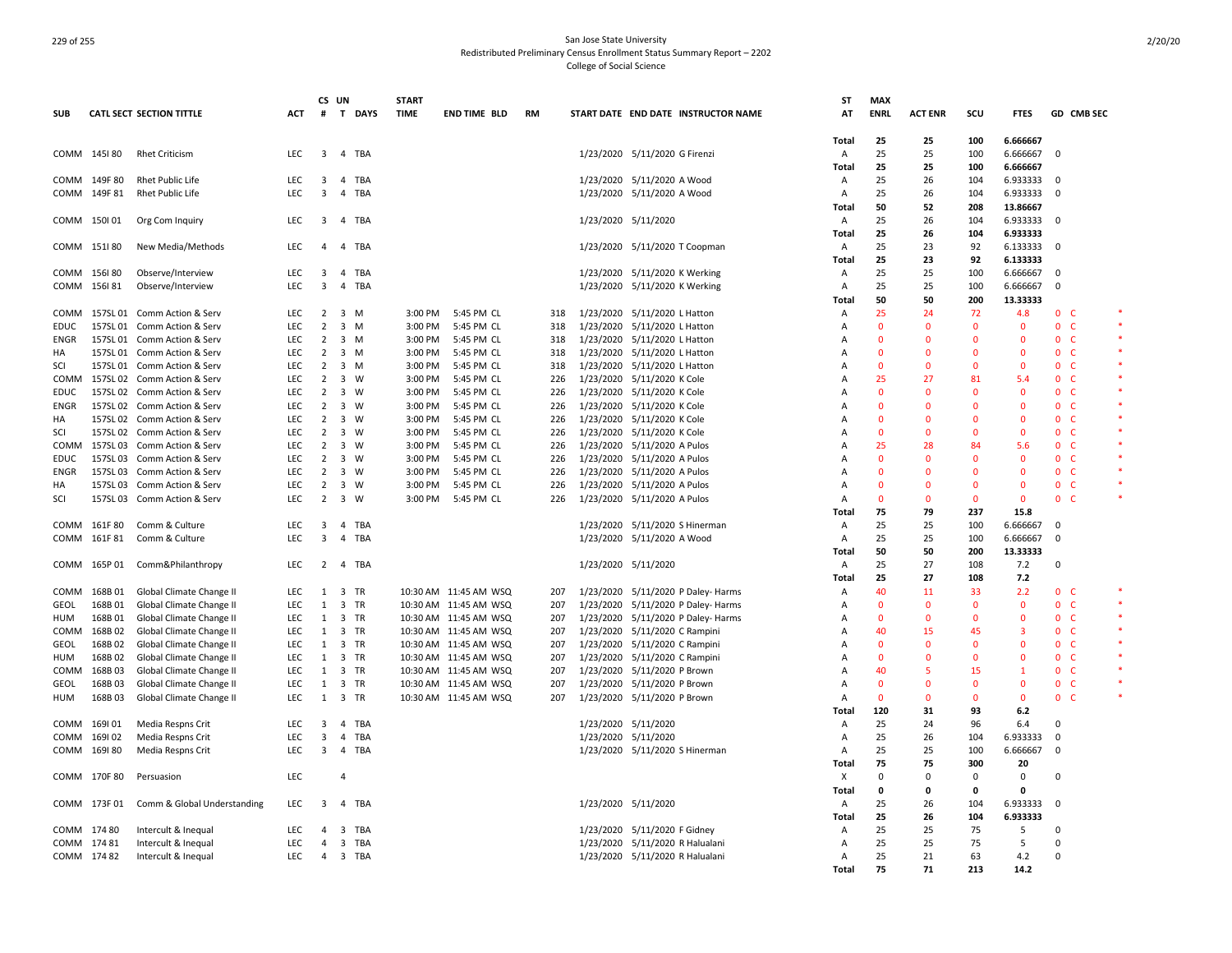|             |              |                                        |            | CS UN                   |                |             | <b>START</b> |                         |           |                     |                                     | ST                | <b>MAX</b>     |                |              |                |              |                |  |
|-------------|--------------|----------------------------------------|------------|-------------------------|----------------|-------------|--------------|-------------------------|-----------|---------------------|-------------------------------------|-------------------|----------------|----------------|--------------|----------------|--------------|----------------|--|
| <b>SUB</b>  |              | <b>CATL SECT SECTION TITTLE</b>        | <b>ACT</b> | #                       | T              | <b>DAYS</b> | <b>TIME</b>  | <b>END TIME BLD</b>     | <b>RM</b> |                     | START DATE END DATE INSTRUCTOR NAME | AT                | <b>ENRL</b>    | <b>ACT ENR</b> | scu          | <b>FTES</b>    |              | GD CMB SEC     |  |
|             |              |                                        |            |                         |                |             |              |                         |           |                     |                                     | Total             | 25             | 25             | 100          | 6.666667       |              |                |  |
|             | COMM 145180  | <b>Rhet Criticism</b>                  | <b>LEC</b> | $\overline{3}$          | $\overline{a}$ | TBA         |              |                         |           |                     | 1/23/2020 5/11/2020 G Firenzi       | A                 | 25             | 25             | 100          | 6.666667       | $\Omega$     |                |  |
|             |              |                                        |            |                         |                |             |              |                         |           |                     |                                     | <b>Total</b>      | 25             | 25             | 100          | 6.666667       |              |                |  |
|             | COMM 149F 80 | <b>Rhet Public Life</b>                | <b>LEC</b> | $\overline{\mathbf{3}}$ |                | 4 TBA       |              |                         |           |                     | 1/23/2020 5/11/2020 A Wood          | Α                 | 25             | 26             | 104          | 6.933333       | - 0          |                |  |
|             | COMM 149F 81 | Rhet Public Life                       | <b>LEC</b> | $\overline{\mathbf{3}}$ | $\overline{a}$ | TBA         |              |                         |           |                     | 1/23/2020 5/11/2020 A Wood          | Α                 | 25             | 26             | 104          | 6.933333       | $\Omega$     |                |  |
|             |              |                                        |            |                         |                |             |              |                         |           |                     |                                     | Total             | 50             | 52             | 208          | 13.86667       |              |                |  |
|             | COMM 150101  | Org Com Inquiry                        | LEC        | $\overline{\mathbf{3}}$ |                | 4 TBA       |              |                         |           |                     | 1/23/2020 5/11/2020                 | A                 | 25             | 26             | 104          | 6.933333       | $\Omega$     |                |  |
|             |              |                                        |            |                         |                |             |              |                         |           |                     |                                     | Total             | 25             | 26             | 104          | 6.933333       |              |                |  |
|             | COMM 151180  | New Media/Methods                      | <b>LEC</b> | 4                       | $\overline{4}$ | TBA         |              |                         |           |                     | 1/23/2020 5/11/2020 T Coopman       | A                 | 25             | 23             | 92           | 6.133333       | $\Omega$     |                |  |
|             |              |                                        |            |                         |                |             |              |                         |           |                     |                                     | Total             | 25             | 23             | 92           | 6.133333       |              |                |  |
|             | COMM 156180  | Observe/Interview                      | <b>LEC</b> | 3                       | 4              | TBA         |              |                         |           |                     | 1/23/2020 5/11/2020 K Werking       | Α                 | 25             | 25             | 100          | 6.666667       | $\Omega$     |                |  |
|             | COMM 156181  | Observe/Interview                      | LEC        | $\overline{3}$          | 4              | TBA         |              |                         |           |                     | 1/23/2020 5/11/2020 K Werking       | Α                 | 25             | 25             | 100          | 6.666667       | $\mathbf 0$  |                |  |
|             |              |                                        |            |                         |                |             |              |                         |           |                     |                                     | <b>Total</b>      | 50             | 50             | 200          | 13.33333       |              |                |  |
| COMM        |              | 157SL 01 Comm Action & Serv            | <b>LEC</b> | $\overline{2}$          | 3              | M           | 3:00 PM      | 5:45 PM CL              | 318       |                     | 1/23/2020 5/11/2020 L Hatton        | Α                 | 25             | 24             | 72           | 4.8            |              | 0 <sub>c</sub> |  |
| <b>EDUC</b> |              | 157SL 01 Comm Action & Serv            | <b>LEC</b> | 2                       | 3              | M           | 3:00 PM      | 5:45 PM CL              | 318       |                     | 1/23/2020 5/11/2020 L Hatton        | $\overline{A}$    | $\overline{0}$ | $\Omega$       | $\mathbf{0}$ | $\mathbf{0}$   |              | 0 <sup>o</sup> |  |
| <b>FNGR</b> |              | 157SL 01 Comm Action & Serv            | <b>LEC</b> | $\overline{2}$          |                | $3 \, M$    | 3:00 PM      | 5:45 PM CL              | 318       |                     | 1/23/2020 5/11/2020 L Hatton        | Α                 | $\mathbf 0$    | $\Omega$       | $\Omega$     | $\Omega$       | $\Omega$     | $\mathsf{C}$   |  |
| HA          |              | 157SL 01 Comm Action & Serv            | <b>LEC</b> | 2                       |                | 3 M         | 3:00 PM      | 5:45 PM CL              | 318       |                     | 1/23/2020 5/11/2020 L Hatton        | A                 | $\mathbf{0}$   | $\Omega$       | $\Omega$     | $\Omega$       | $\mathbf{0}$ | - C            |  |
| SCI         |              | 157SL 01 Comm Action & Serv            | <b>LEC</b> | $\overline{2}$          |                | $3 \, M$    | 3:00 PM      | 5:45 PM CL              | 318       |                     | 1/23/2020 5/11/2020 L Hatton        | $\overline{A}$    | $\overline{0}$ | $\Omega$       | $\Omega$     | $\Omega$       |              | 0 <sub>c</sub> |  |
| COMM        |              | 157SL 02 Comm Action & Serv            | <b>LEC</b> | $\overline{2}$          | $\overline{3}$ | W           | 3:00 PM      | 5:45 PM CL              | 226       |                     | 1/23/2020 5/11/2020 K Cole          | Α                 | 25             | 27             | 81           | 5.4            |              | 0 <sub>c</sub> |  |
| EDUC        | 157SL 02     | Comm Action & Serv                     | LEC        | $\overline{2}$          | 3              | W           | 3:00 PM      | 5:45 PM CL              | 226       |                     | 1/23/2020 5/11/2020 K Cole          | Α                 | $\overline{0}$ | $\Omega$       | $\Omega$     | $\Omega$       | $\mathbf{0}$ | <b>C</b>       |  |
| ENGR        |              | 157SL 02 Comm Action & Serv            | LEC        | $\overline{2}$          | 3              | W           | 3:00 PM      | 5:45 PM CL              | 226       |                     | 1/23/2020 5/11/2020 K Cole          | Α                 | $\overline{0}$ | $\Omega$       | $\Omega$     | $\Omega$       |              | 0 <sub>c</sub> |  |
| HA          |              | 157SL 02 Comm Action & Serv            | <b>LEC</b> | $\overline{2}$          | 3              | W           | 3:00 PM      | 5:45 PM CL              | 226       |                     | 1/23/2020 5/11/2020 K Cole          | A                 | $\overline{0}$ | $\Omega$       | $\Omega$     | $\Omega$       | $\mathbf{0}$ | C              |  |
| SCI         |              | 157SL 02 Comm Action & Serv            | LEC        | $\overline{2}$          |                | 3 W         | 3:00 PM      | 5:45 PM CL              | 226       |                     | 1/23/2020 5/11/2020 K Cole          | A                 | $\overline{0}$ | $\Omega$       | $\Omega$     | $\mathbf{0}$   | $\mathbf{0}$ | <b>C</b>       |  |
| COMM        | 157SL 03     | Comm Action & Serv                     | <b>LEC</b> | 2                       | 3              | W           | 3:00 PM      | 5:45 PM CL              | 226       |                     | 1/23/2020 5/11/2020 A Pulos         | Α                 | 25             | 28             | 84           | 5.6            | $\mathbf{0}$ | C.             |  |
| <b>EDUC</b> | 157SL 03     | Comm Action & Serv                     | LEC        | $\overline{2}$          | $\overline{3}$ | W           | 3:00 PM      | 5:45 PM CL              | 226       |                     | 1/23/2020 5/11/2020 A Pulos         | $\overline{A}$    | $\mathbf 0$    | $\mathbf 0$    | $\mathbf 0$  | $\mathbf 0$    |              | 0 <sub>c</sub> |  |
| ENGR        |              | 157SL 03 Comm Action & Serv            | LEC        | $\overline{2}$          | 3              | W           | 3:00 PM      | 5:45 PM CL              | 226       |                     | 1/23/2020 5/11/2020 A Pulos         | Α                 | $\mathbf{0}$   | $\Omega$       | $\Omega$     | $\Omega$       | 0            | <b>C</b>       |  |
| HA          |              | 157SL 03 Comm Action & Serv            | LEC        | $\overline{2}$          | $\overline{3}$ | W           | 3:00 PM      | 5:45 PM CL              | 226       |                     | 1/23/2020 5/11/2020 A Pulos         | Α                 | $\overline{0}$ | $\Omega$       | $\Omega$     | $\mathbf{0}$   | 0            | $\epsilon$     |  |
| SCI         |              | 157SL 03 Comm Action & Serv            | LEC        | $\overline{2}$          | 3              | W           | 3:00 PM      | 5:45 PM CL              | 226       |                     | 1/23/2020 5/11/2020 A Pulos         | Α                 | $\mathbf 0$    | $\Omega$       | $\Omega$     | $\Omega$       | 0            | C.             |  |
|             |              |                                        |            |                         |                |             |              |                         |           |                     |                                     | Total             | 75             | 79             | 237          | 15.8           |              |                |  |
|             | COMM 161F80  | Comm & Culture                         | <b>LEC</b> | $\overline{\mathbf{3}}$ |                | 4 TBA       |              |                         |           |                     | 1/23/2020 5/11/2020 S Hinerman      | A                 | 25             | 25             | 100          | 6.666667       | $\Omega$     |                |  |
|             | COMM 161F 81 | Comm & Culture                         | LEC.       | $\overline{3}$          | $\overline{4}$ | <b>TBA</b>  |              |                         |           |                     | 1/23/2020 5/11/2020 A Wood          | Α                 | 25             | 25             | 100          | 6.666667       | $\Omega$     |                |  |
|             |              |                                        |            |                         |                |             |              |                         |           |                     |                                     | Total             | 50             | 50             | 200          | 13.33333       |              |                |  |
|             | COMM 165P 01 | Comm&Philanthropy                      | <b>LEC</b> | $\overline{2}$          |                | 4 TBA       |              |                         |           |                     | 1/23/2020 5/11/2020                 | Α                 | 25             | 27             | 108          | 7.2            | 0            |                |  |
|             |              |                                        |            |                         |                |             |              |                         |           |                     |                                     | Total             | 25             | 27             | 108          | 7.2            |              |                |  |
| COMM        | 168B01       | Global Climate Change II               | <b>LEC</b> | 1                       |                | 3 TR        |              | 10:30 AM 11:45 AM WSQ   | 207       |                     | 1/23/2020 5/11/2020 P Daley- Harms  | Α                 | 40             | 11             | 33           | 2.2            |              | 0 <sub>c</sub> |  |
| GEOL        | 168B01       | Global Climate Change II               | LEC        | 1                       | $\overline{3}$ | TR          |              | 10:30 AM 11:45 AM WSQ   | 207       |                     | 1/23/2020 5/11/2020 P Daley- Harms  | Α                 | $\overline{0}$ | $\Omega$       | $\mathbf{0}$ | $\mathbf 0$    |              | 0 <sub>c</sub> |  |
| HUM         | 168B01       | Global Climate Change II               | <b>LEC</b> | 1                       | 3              | TR          |              | 10:30 AM 11:45 AM WSQ   | 207       |                     | 1/23/2020 5/11/2020 P Daley- Harms  | Α                 | $\overline{0}$ | $\Omega$       | $\mathbf{0}$ | $\mathbf{0}$   | $\mathbf{0}$ | C              |  |
| COMM        | 168B02       | Global Climate Change II               | LEC        | 1                       |                | 3 TR        |              | 10:30 AM  11:45 AM  WSQ | 207       |                     | 1/23/2020 5/11/2020 C Rampini       | A                 | 40             | 15             | 45           | $\overline{3}$ |              | 0 <sub>c</sub> |  |
| GEOL        | 168B02       | Global Climate Change II               | <b>LEC</b> | 1                       | 3              | TR          |              | 10:30 AM 11:45 AM WSQ   | 207       | 1/23/2020           | 5/11/2020 C Rampini                 | A                 | $\mathbf 0$    | $\Omega$       | $\Omega$     | $\Omega$       | 0            | C              |  |
| <b>HUM</b>  | 168B02       | Global Climate Change II               | LEC        | $\mathbf{1}$            |                | 3 TR        |              | 10:30 AM 11:45 AM WSQ   | 207       |                     | 1/23/2020 5/11/2020 C Rampini       | $\overline{A}$    | $\mathbf 0$    | $\mathbf 0$    | $\mathbf 0$  | $\mathbf 0$    | $\mathbf 0$  | C              |  |
| COMM        | 168B03       | Global Climate Change II               | LEC        | 1                       | 3              | TR          |              | 10:30 AM 11:45 AM WSQ   | 207       |                     | 1/23/2020 5/11/2020 P Brown         | Α                 | 40             | 5              | 15           | $\mathbf{1}$   | $\mathbf{0}$ | <b>C</b>       |  |
| GEOL        | 168B03       | Global Climate Change II               | LEC        | 1                       |                | 3 TR        |              | 10:30 AM 11:45 AM WSQ   | 207       |                     | 1/23/2020 5/11/2020 P Brown         | $\overline{A}$    | $\mathbf 0$    | $\Omega$       | $\Omega$     | $\Omega$       | 0            | C              |  |
| HUM         | 168B03       | Global Climate Change II               | LEC        | $\mathbf{1}$            | 3              | TR          |              | 10:30 AM 11:45 AM WSQ   | 207       |                     | 1/23/2020 5/11/2020 P Brown         | Α                 | $\mathbf{0}$   | $\Omega$       | $\Omega$     | $\Omega$       | 0            | C.             |  |
|             |              |                                        |            |                         |                |             |              |                         |           |                     |                                     | Total             | 120            | 31             | 93           | 6.2            |              |                |  |
|             | COMM 169101  |                                        | <b>LEC</b> | 3                       | $\overline{a}$ | TBA         |              |                         |           |                     |                                     | A                 | 25             | 24             | 96           | 6.4            | $\Omega$     |                |  |
| COMM        | 169102       | Media Respns Crit<br>Media Respns Crit | <b>LEC</b> | $\overline{3}$          | $\overline{4}$ | TBA         |              |                         |           | 1/23/2020 5/11/2020 | 1/23/2020 5/11/2020                 | Α                 | 25             | 26             | 104          | 6.933333       | $\Omega$     |                |  |
|             | COMM 169180  |                                        | <b>LEC</b> | $\overline{\mathbf{3}}$ | $\overline{4}$ | TBA         |              |                         |           |                     |                                     | $\overline{A}$    | 25             | 25             | 100          |                | $\Omega$     |                |  |
|             |              | Media Respns Crit                      |            |                         |                |             |              |                         |           |                     | 1/23/2020 5/11/2020 S Hinerman      |                   | 75             | 75             | 300          | 6.666667       |              |                |  |
|             |              |                                        |            |                         |                |             |              |                         |           |                     |                                     | <b>Total</b>      | $\mathbf 0$    | $\Omega$       |              | 20             | 0            |                |  |
|             | COMM 170F 80 | Persuasion                             | LEC        |                         | 4              |             |              |                         |           |                     |                                     | х<br><b>Total</b> | 0              | 0              | 0<br>0       | 0<br>$\Omega$  |              |                |  |
|             | COMM 173F 01 | Comm & Global Understanding            | LEC        | 3                       |                | <b>TBA</b>  |              |                         |           | 1/23/2020 5/11/2020 |                                     |                   | 25             |                | 104          | 6.933333       | $\mathbf 0$  |                |  |
|             |              |                                        |            |                         | -4             |             |              |                         |           |                     |                                     | Α                 | 25             | 26             |              | 6.933333       |              |                |  |
|             | COMM 174 80  | Intercult & Inequal                    | LEC        | $\overline{a}$          | 3              | TBA         |              |                         |           |                     | 1/23/2020 5/11/2020 F Gidney        | Total<br>A        | 25             | 26<br>25       | 104<br>75    | 5              | 0            |                |  |
|             | COMM 174 81  | Intercult & Inequal                    | <b>LEC</b> | 4                       | 3              | TBA         |              |                         |           | 1/23/2020           | 5/11/2020 R Halualani               | Α                 | 25             | 25             | 75           | 5              | 0            |                |  |
|             |              |                                        |            |                         |                | 3 TBA       |              |                         |           |                     |                                     |                   | 25             | 21             | 63           | 4.2            | 0            |                |  |
|             | COMM 174 82  | Intercult & Inequal                    | <b>LEC</b> | $\overline{4}$          |                |             |              |                         |           |                     | 1/23/2020 5/11/2020 R Halualani     | Α                 | 75             |                | 213          |                |              |                |  |
|             |              |                                        |            |                         |                |             |              |                         |           |                     |                                     | <b>Total</b>      |                | 71             |              | 14.2           |              |                |  |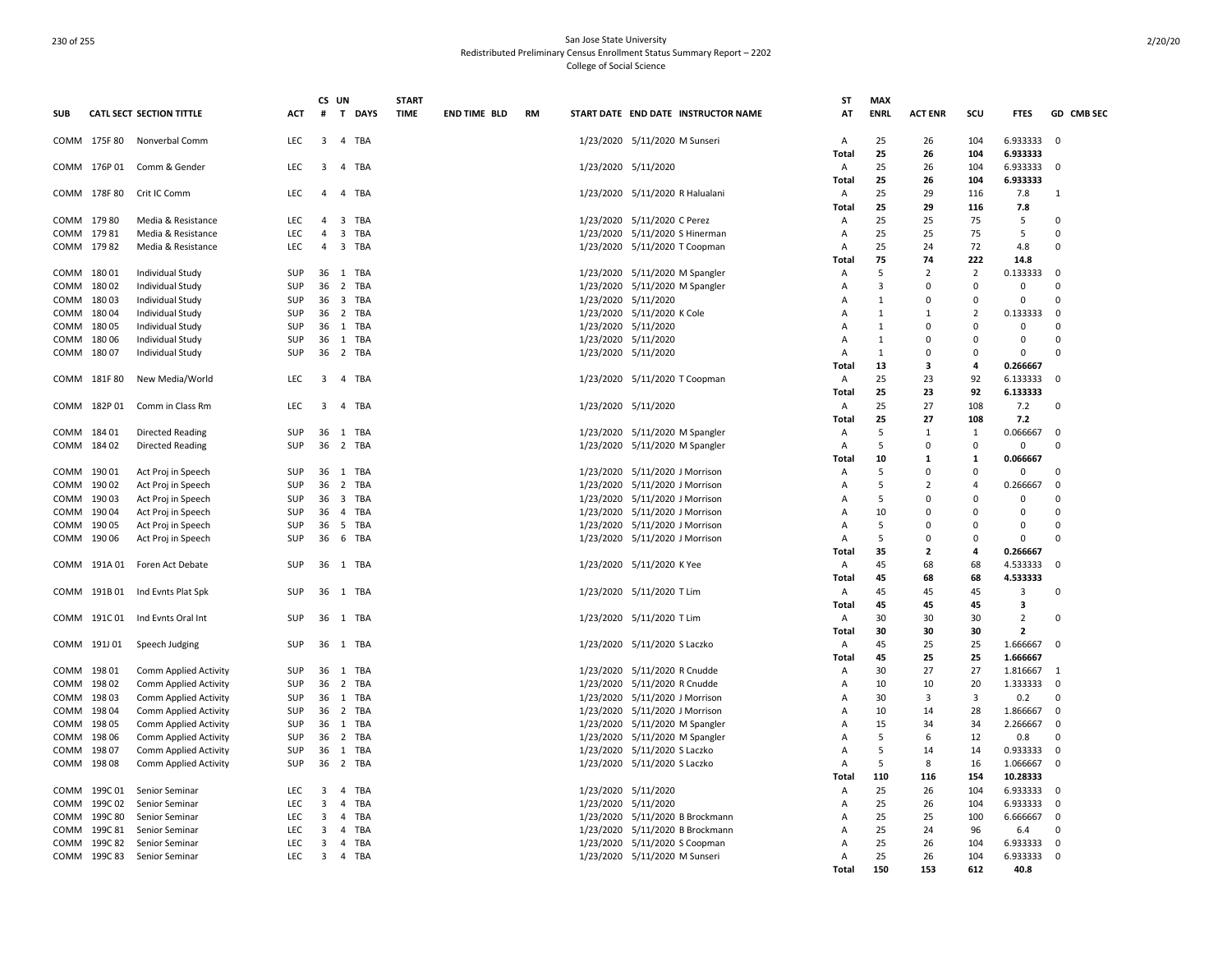|              |                 |                                          |                   | CS UN                   |                                | <b>START</b> |                     |           |                     |                                                                 | SΤ     | <b>MAX</b>     |                |                |                         |              |
|--------------|-----------------|------------------------------------------|-------------------|-------------------------|--------------------------------|--------------|---------------------|-----------|---------------------|-----------------------------------------------------------------|--------|----------------|----------------|----------------|-------------------------|--------------|
| <b>SUB</b>   |                 | <b>CATL SECT SECTION TITTLE</b>          | ACT               | #                       | T DAYS                         | <b>TIME</b>  | <b>END TIME BLD</b> | <b>RM</b> |                     | START DATE END DATE INSTRUCTOR NAME                             | AT     | <b>ENRL</b>    | <b>ACT ENR</b> | scu            | <b>FTES</b>             | GD CMB SEC   |
|              | COMM 175F 80    | Nonverbal Comm                           | LEC               | $\overline{3}$          | $\overline{4}$<br>TBA          |              |                     |           |                     | 1/23/2020 5/11/2020 M Sunseri                                   | A      | 25             | 26             | 104            | 6.933333                | $\Omega$     |
|              |                 |                                          |                   |                         |                                |              |                     |           |                     |                                                                 | Total  | 25             | 26             | 104            | 6.933333                |              |
|              | COMM 176P 01    | Comm & Gender                            | <b>LEC</b>        | $\overline{3}$          | 4 TBA                          |              |                     |           | 1/23/2020 5/11/2020 |                                                                 | Α      | 25             | 26             | 104            | 6.933333                | $\Omega$     |
|              |                 |                                          |                   |                         |                                |              |                     |           |                     |                                                                 | Total  | 25             | 26             | 104            | 6.933333                |              |
| COMM         | 178F 80         | Crit IC Comm                             | LEC               | $\overline{a}$          | TBA<br>$\overline{a}$          |              |                     |           |                     | 1/23/2020 5/11/2020 R Halualani                                 | Α      | 25             | 29             | 116            | 7.8                     | 1            |
|              |                 |                                          |                   | $\overline{a}$          |                                |              |                     |           |                     |                                                                 | Total  | 25<br>25       | 29             | 116<br>75      | 7.8                     | $\Omega$     |
| COMM<br>COMM | 179 80<br>17981 | Media & Resistance<br>Media & Resistance | <b>LEC</b><br>LEC | $\overline{4}$          | 3 TBA<br>3 TBA                 |              |                     |           |                     | 1/23/2020 5/11/2020 C Perez                                     | Α<br>Α | 25             | 25<br>25       | 75             | 5<br>5                  | $\Omega$     |
|              | COMM 17982      | Media & Resistance                       | <b>LEC</b>        | $\overline{4}$          | 3 TBA                          |              |                     |           |                     | 1/23/2020 5/11/2020 S Hinerman<br>1/23/2020 5/11/2020 T Coopman | A      | 25             | 24             | 72             | 4.8                     | $\Omega$     |
|              |                 |                                          |                   |                         |                                |              |                     |           |                     |                                                                 | Total  | 75             | 74             | 222            | 14.8                    |              |
| COMM         | 18001           | Individual Study                         | SUP               | 36                      | 1 TBA                          |              |                     |           |                     | 1/23/2020 5/11/2020 M Spangler                                  | A      | -5             | 2              | $\overline{2}$ | 0.133333                | $\Omega$     |
| COMM         | 18002           | <b>Individual Study</b>                  | SUP               | 36                      | $\overline{2}$<br>TBA          |              |                     |           |                     | 1/23/2020 5/11/2020 M Spangler                                  | A      | $\overline{3}$ | $\Omega$       | $\Omega$       | $\mathbf 0$             | $\Omega$     |
| COMM         | 18003           | Individual Study                         | SUP               | 36                      | $\overline{\mathbf{3}}$<br>TBA |              |                     |           | 1/23/2020 5/11/2020 |                                                                 | A      | 1              | $\Omega$       | $\Omega$       | $\mathbf 0$             | $\Omega$     |
| COMM         | 18004           | Individual Study                         | <b>SUP</b>        | 36                      | 2 TBA                          |              |                     |           |                     | 1/23/2020 5/11/2020 K Cole                                      | A      | 1              | $\mathbf{1}$   | $\overline{2}$ | 0.133333                | $\Omega$     |
| COMM         | 18005           | <b>Individual Study</b>                  | SUP               | 36                      | 1 TBA                          |              |                     |           | 1/23/2020 5/11/2020 |                                                                 | A      | $\mathbf{1}$   | $\Omega$       | $\Omega$       | $\mathbf 0$             | $\Omega$     |
| COMM         | 18006           | Individual Study                         | SUP               | 36                      | 1 TBA                          |              |                     |           | 1/23/2020 5/11/2020 |                                                                 | A      | $\mathbf{1}$   | $\Omega$       | $\Omega$       | $\mathbf 0$             | $\Omega$     |
| COMM         | 18007           | <b>Individual Study</b>                  | SUP               | 36                      | 2 TBA                          |              |                     |           | 1/23/2020 5/11/2020 |                                                                 | A      | $\mathbf{1}$   | $\Omega$       | $\Omega$       | $\mathbf 0$             | $\Omega$     |
|              |                 |                                          |                   |                         |                                |              |                     |           |                     |                                                                 | Total  | 13             | 3              | 4              | 0.266667                |              |
|              | COMM 181F80     | New Media/World                          | <b>LEC</b>        | $\overline{\mathbf{3}}$ | 4 TBA                          |              |                     |           |                     | 1/23/2020 5/11/2020 T Coopman                                   | Α      | 25             | 23             | 92             | 6.133333                | $\Omega$     |
|              |                 |                                          |                   |                         |                                |              |                     |           |                     |                                                                 | Total  | 25             | 23             | 92             | 6.133333                |              |
|              | COMM 182P 01    | Comm in Class Rm                         | <b>LEC</b>        | 3                       | TBA<br>$\overline{4}$          |              |                     |           | 1/23/2020 5/11/2020 |                                                                 | Α      | 25             | 27             | 108            | 7.2                     | $\Omega$     |
|              |                 |                                          |                   |                         |                                |              |                     |           |                     |                                                                 | Total  | 25             | 27             | 108            | 7.2                     |              |
|              | COMM 184 01     | <b>Directed Reading</b>                  | <b>SUP</b>        |                         | 36 1 TBA                       |              |                     |           |                     | 1/23/2020 5/11/2020 M Spangler                                  | A      | 5              | $\mathbf{1}$   | 1              | 0.066667                | $\Omega$     |
| COMM         | 18402           | <b>Directed Reading</b>                  | <b>SUP</b>        | 36                      | 2<br>TBA                       |              |                     |           | 1/23/2020           | 5/11/2020 M Spangler                                            | A      | 5              | 0              | $\Omega$       | 0                       | $\Omega$     |
|              |                 |                                          |                   |                         |                                |              |                     |           |                     |                                                                 | Total  | 10             | $\mathbf{1}$   | 1              | 0.066667                |              |
| COMM         | 19001           | Act Proj in Speech                       | SUP               | 36                      | 1 TBA                          |              |                     |           |                     | 1/23/2020 5/11/2020 J Morrison                                  | A      | 5              | $\Omega$       | $\Omega$       | $\mathbf 0$             | $\Omega$     |
| COMM         | 19002           | Act Proj in Speech                       | <b>SUP</b>        | 36                      | 2 TBA                          |              |                     |           |                     | 1/23/2020 5/11/2020 J Morrison                                  | A      | 5              | $\overline{2}$ | $\Delta$       | 0.266667                | $\Omega$     |
| COMM         | 19003           | Act Proj in Speech                       | <b>SUP</b>        | 36                      | $\overline{\mathbf{3}}$<br>TBA |              |                     |           |                     | 1/23/2020 5/11/2020 J Morrison                                  | A      | 5              | O              | $\Omega$       | 0                       | $\Omega$     |
| COMM         | 19004           | Act Proj in Speech                       | SUP               | 36                      | 4 TBA                          |              |                     |           |                     | 1/23/2020 5/11/2020 J Morrison                                  | A      | 10             | $\Omega$       | $\Omega$       | $\Omega$                | $\Omega$     |
| COMM         | 190 05          | Act Proj in Speech                       | SUP               | 36                      | $5\overline{5}$<br>TBA         |              |                     |           |                     | 1/23/2020 5/11/2020 J Morrison                                  | Α      | -5             | $\Omega$       | $\Omega$       | $\Omega$                | $\Omega$     |
| COMM         | 190 06          | Act Proj in Speech                       | SUP               | 36                      | 6<br>TBA                       |              |                     |           |                     | 1/23/2020 5/11/2020 J Morrison                                  | A      | -5             | $\Omega$       | $\Omega$       | $\mathbf 0$             | $\Omega$     |
|              |                 |                                          |                   |                         |                                |              |                     |           |                     |                                                                 | Total  | 35             | $\mathbf{2}$   | 4              | 0.266667                |              |
|              | COMM 191A01     | Foren Act Debate                         | <b>SUP</b>        |                         | 36 1 TBA                       |              |                     |           |                     | 1/23/2020 5/11/2020 K Yee                                       | Α      | 45             | 68             | 68             | 4.533333                | $\Omega$     |
|              |                 |                                          |                   |                         |                                |              |                     |           |                     |                                                                 | Total  | 45             | 68             | 68             | 4.533333                |              |
| COMM         | 191B01          | Ind Evnts Plat Spk                       | SUP               | 36                      | 1 TBA                          |              |                     |           |                     | 1/23/2020 5/11/2020 T Lim                                       | Α      | 45             | 45             | 45             | $\overline{\mathbf{3}}$ | $\Omega$     |
|              |                 |                                          |                   |                         |                                |              |                     |           |                     |                                                                 | Total  | 45             | 45             | 45             | 3                       |              |
| COMM         |                 | 191C 01 Ind Evnts Oral Int               | SUP               |                         | 36 1 TBA                       |              |                     |           |                     | 1/23/2020 5/11/2020 T Lim                                       | Α      | 30             | 30             | 30             | $\overline{2}$          | $\Omega$     |
|              |                 |                                          |                   |                         |                                |              |                     |           |                     |                                                                 | Total  | 30             | 30             | 30             | $\overline{2}$          |              |
| COMM         | 191J 01         | Speech Judging                           | SUP               | 36                      | 1 TBA                          |              |                     |           |                     | 1/23/2020 5/11/2020 S Laczko                                    | Α      | 45             | 25             | 25             | 1.666667                | $\Omega$     |
|              |                 |                                          |                   |                         |                                |              |                     |           |                     |                                                                 | Total  | 45             | 25             | 25             | 1.666667                |              |
| COMM         | 19801           | Comm Applied Activity                    | <b>SUP</b>        | 36                      | 1 TBA                          |              |                     |           |                     | 1/23/2020 5/11/2020 R Cnudde                                    | Α      | 30             | 27             | 27             | 1.816667                | $\mathbf{1}$ |
| COMM         | 19802           | Comm Applied Activity                    | <b>SUP</b>        | 36                      | $\overline{2}$<br>TBA          |              |                     |           | 1/23/2020           | 5/11/2020 R Cnudde                                              | A      | 10             | 10             | 20             | 1.333333                | $\Omega$     |
| COMM         | 19803           | Comm Applied Activity                    | <b>SUP</b>        | 36                      | 1<br>TBA                       |              |                     |           |                     | 1/23/2020 5/11/2020 J Morrison                                  | A      | 30             | 3              | 3              | 0.2                     | $\Omega$     |
| COMM         | 19804           | Comm Applied Activity                    | SUP               | 36                      | 2 TBA                          |              |                     |           |                     | 1/23/2020 5/11/2020 J Morrison                                  | A      | 10             | 14             | 28             | 1.866667                | $\Omega$     |
| COMM         | 198 05          | Comm Applied Activity                    | SUP               | 36                      | 1<br>TBA                       |              |                     |           |                     | 1/23/2020 5/11/2020 M Spangler                                  | A      | 15             | 34             | 34             | 2.266667                | $\Omega$     |
| COMM         | 198 06          | Comm Applied Activity                    | SUP               | 36                      | 2 TBA                          |              |                     |           |                     | 1/23/2020 5/11/2020 M Spangler                                  | A      | 5              | 6              | 12             | 0.8                     | $\Omega$     |
| COMM         | 19807           | Comm Applied Activity                    | <b>SUP</b>        | 36                      | TBA<br>1                       |              |                     |           |                     | 1/23/2020 5/11/2020 S Laczko                                    | A      | 5              | 14             | 14             | 0.933333                | $\Omega$     |
| COMM         | 19808           | Comm Applied Activity                    | SUP               | 36                      | 2 TBA                          |              |                     |           |                     | 1/23/2020 5/11/2020 S Laczko                                    | Α      | 5              | 8              | 16             | 1.066667                | $\Omega$     |
|              |                 |                                          |                   |                         |                                |              |                     |           |                     |                                                                 | Total  | 110            | 116            | 154            | 10.28333                |              |
| COMM         | 199C 01         | Senior Seminar                           | LEC               | 3                       | TBA<br>4                       |              |                     |           | 1/23/2020 5/11/2020 |                                                                 | Α      | 25             | 26             | 104            | 6.933333                | $\Omega$     |
| COMM         | 199C 02         | Senior Seminar                           | LEC               | 3                       | TBA<br>4                       |              |                     |           | 1/23/2020 5/11/2020 |                                                                 | A      | 25             | 26             | 104            | 6.933333                | $\Omega$     |
| COMM         | 199C 80         | Senior Seminar                           | LEC               | 3                       | $\overline{4}$<br>TBA          |              |                     |           |                     | 1/23/2020 5/11/2020 B Brockmann                                 | A      | 25             | 25             | 100            | 6.666667                | $\Omega$     |
| COMM         | 199C 81         | Senior Seminar                           | LEC               | 3                       | 4<br>TBA                       |              |                     |           |                     | 1/23/2020 5/11/2020 B Brockmann                                 | A      | 25             | 24             | 96             | 6.4                     | $\Omega$     |
| COMM         | 199C 82         | Senior Seminar                           | LEC               | 3                       | 4<br>TBA                       |              |                     |           |                     | 1/23/2020 5/11/2020 S Coopman                                   | A      | 25             | 26             | 104            | 6.933333                | $\Omega$     |
|              | COMM 199C 83    | Senior Seminar                           | LEC               | $\overline{3}$          | 4 TBA                          |              |                     |           |                     | 1/23/2020 5/11/2020 M Sunseri                                   | A      | 25             | 26             | 104            | 6.933333                | $\Omega$     |
|              |                 |                                          |                   |                         |                                |              |                     |           |                     |                                                                 | Total  | 150            | 153            | 612            | 40.8                    |              |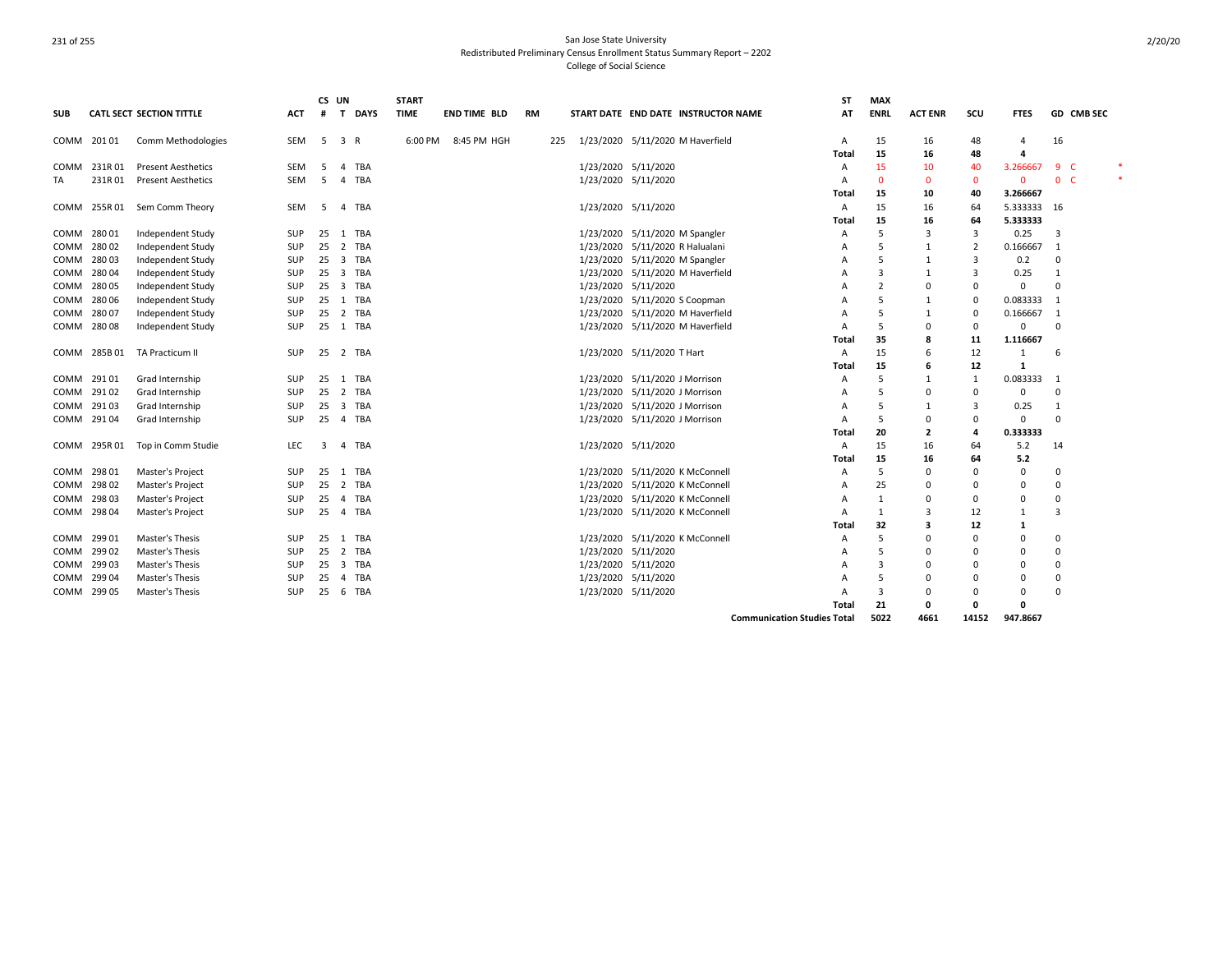|            |             |                                 |            | CS UN |                         |            | <b>START</b> |                     |           |     |                     |                                     |                                    | SΤ    | <b>MAX</b>     |                |                |             |                          |        |
|------------|-------------|---------------------------------|------------|-------|-------------------------|------------|--------------|---------------------|-----------|-----|---------------------|-------------------------------------|------------------------------------|-------|----------------|----------------|----------------|-------------|--------------------------|--------|
| <b>SUB</b> |             | <b>CATL SECT SECTION TITTLE</b> | <b>ACT</b> |       |                         | # T DAYS   | <b>TIME</b>  | <b>END TIME BLD</b> | <b>RM</b> |     |                     | START DATE END DATE INSTRUCTOR NAME |                                    | AT    | <b>ENRL</b>    | <b>ACT ENR</b> | scu            | <b>FTES</b> | GD CMB SEC               |        |
|            | COMM 20101  | Comm Methodologies              | SEM        | 5     | $\overline{\mathbf{3}}$ | R          | 6:00 PM      | 8:45 PM HGH         |           | 225 |                     | 1/23/2020 5/11/2020 M Haverfield    |                                    | Α     | 15             | 16             | 48             | $\Delta$    | 16                       |        |
|            |             |                                 |            |       |                         |            |              |                     |           |     |                     |                                     |                                    | Total | 15             | 16             | 48             | 4           |                          |        |
| COMM       | 231R01      | <b>Present Aesthetics</b>       | <b>SEM</b> | -5    | $\overline{4}$          | TBA        |              |                     |           |     | 1/23/2020 5/11/2020 |                                     |                                    | A     | 15             | 10             | 40             | 3.266667    | $9-$                     |        |
| TA         | 231R01      | <b>Present Aesthetics</b>       | <b>SEM</b> | -5    |                         | 4 TBA      |              |                     |           |     | 1/23/2020 5/11/2020 |                                     |                                    | A     | $\Omega$       | 0              | $\mathbf{0}$   | $\mathbf 0$ | 0 <sub>c</sub>           | $\ast$ |
|            |             |                                 |            |       |                         |            |              |                     |           |     |                     |                                     |                                    | Total | 15             | 10             | 40             | 3.266667    |                          |        |
| COMM       | 255R 01     | Sem Comm Theory                 | SEM        | -5    |                         | 4 TBA      |              |                     |           |     | 1/23/2020 5/11/2020 |                                     |                                    | Α     | 15             | 16             | 64             | 5.333333 16 |                          |        |
|            |             |                                 |            |       |                         |            |              |                     |           |     |                     |                                     |                                    | Total | 15             | 16             | 64             | 5.333333    |                          |        |
| COMM       | 28001       | Independent Study               | SUP        | 25    |                         | 1 TBA      |              |                     |           |     |                     | 1/23/2020 5/11/2020 M Spangler      |                                    | A     | 5              | 3              | 3              | 0.25        | 3                        |        |
| COMM       | 28002       | Independent Study               | SUP        | 25    | $\overline{2}$          | <b>TBA</b> |              |                     |           |     |                     | 1/23/2020 5/11/2020 R Halualani     |                                    | A     | 5              | 1              | $\overline{2}$ | 0.166667    | $\overline{\phantom{0}}$ |        |
| COMM       | 28003       | Independent Study               | <b>SUP</b> | 25    |                         | 3 TBA      |              |                     |           |     |                     | 1/23/2020 5/11/2020 M Spangler      |                                    | A     | .5             | 1              | $\overline{3}$ | 0.2         | $\mathbf 0$              |        |
| COMM       | 28004       | Independent Study               | <b>SUP</b> | 25    |                         | 3 TBA      |              |                     |           |     | 1/23/2020           | 5/11/2020 M Haverfield              |                                    | A     | 3              | 1              | 3              | 0.25        | 1                        |        |
| COMM       | 28005       | Independent Study               | SUP        | 25    |                         | 3 TBA      |              |                     |           |     | 1/23/2020 5/11/2020 |                                     |                                    | A     | $\overline{2}$ | $\Omega$       | 0              | 0           | $\Omega$                 |        |
| COMM       | 28006       | Independent Study               | SUP        | 25    |                         | 1 TBA      |              |                     |           |     |                     | 1/23/2020 5/11/2020 S Coopman       |                                    | A     | .5             | 1              | 0              | 0.083333    | -1                       |        |
| COMM       | 28007       | Independent Study               | SUP        | 25    |                         | 2 TBA      |              |                     |           |     |                     | 1/23/2020 5/11/2020 M Haverfield    |                                    | A     | 5              | 1              | 0              | 0.166667    | $\overline{\phantom{0}}$ |        |
| COMM       | 28008       | Independent Study               | SUP        | 25    |                         | 1 TBA      |              |                     |           |     |                     | 1/23/2020 5/11/2020 M Haverfield    |                                    | A     | .5             | 0              | 0              | 0           | 0                        |        |
|            |             |                                 |            |       |                         |            |              |                     |           |     |                     |                                     |                                    | Total | 35             | 8              | 11             | 1.116667    |                          |        |
| COMM       | 285B01      | TA Practicum II                 | <b>SUP</b> | 25    |                         | 2 TBA      |              |                     |           |     |                     | 1/23/2020 5/11/2020 T Hart          |                                    | A     | 15             | 6              | 12             | 1           | -6                       |        |
|            |             |                                 |            |       |                         |            |              |                     |           |     |                     |                                     |                                    | Total | 15             | 6              | 12             | 1           |                          |        |
| COMM       | 29101       | Grad Internship                 | SUP        | 25    |                         | 1 TBA      |              |                     |           |     |                     | 1/23/2020 5/11/2020 J Morrison      |                                    | A     | .5             | $\mathbf{1}$   | 1              | 0.083333 1  |                          |        |
| COMM       | 29102       | Grad Internship                 | SUP        | 25    |                         | 2 TBA      |              |                     |           |     |                     | 1/23/2020 5/11/2020 J Morrison      |                                    | A     | 5              | $\Omega$       | 0              | 0           | $\Omega$                 |        |
| COMM       | 29103       | Grad Internship                 | SUP        | 25    |                         | 3 TBA      |              |                     |           |     |                     | 1/23/2020 5/11/2020 J Morrison      |                                    | A     | 5              | -1             | 3              | 0.25        | $\mathbf{1}$             |        |
|            | COMM 29104  | Grad Internship                 | SUP        | 25    |                         | 4 TBA      |              |                     |           |     |                     | 1/23/2020 5/11/2020 J Morrison      |                                    | Α     | .5             | 0              | 0              | 0           | $\Omega$                 |        |
|            |             |                                 |            |       |                         |            |              |                     |           |     |                     |                                     |                                    | Total | 20             | 2              | 4              | 0.333333    |                          |        |
| COMM       | 295R 01     | Top in Comm Studie              | LEC.       | 3     | 4                       | TBA        |              |                     |           |     | 1/23/2020 5/11/2020 |                                     |                                    | Α     | 15             | 16             | 64             | 5.2         | 14                       |        |
|            |             |                                 |            |       |                         |            |              |                     |           |     |                     |                                     |                                    | Total | 15             | 16             | 64             | 5.2         |                          |        |
| COMM       | 29801       | Master's Project                | SUP        | 25    |                         | 1 TBA      |              |                     |           |     |                     | 1/23/2020 5/11/2020 K McConnell     |                                    | A     | 5              | $\Omega$       | $\Omega$       | 0           | $\Omega$                 |        |
| COMM       | 29802       | Master's Project                | SUP        | 25    |                         | 2 TBA      |              |                     |           |     |                     | 1/23/2020 5/11/2020 K McConnell     |                                    | A     | 25             | $\Omega$       | 0              | $\Omega$    | $\Omega$                 |        |
| COMM       | 29803       | Master's Project                | SUP        | 25    |                         | 4 TBA      |              |                     |           |     |                     | 1/23/2020 5/11/2020 K McConnell     |                                    | A     | 1              | $\Omega$       | $\Omega$       | $\Omega$    | $\Omega$                 |        |
|            | COMM 298 04 | Master's Project                | <b>SUP</b> | 25    |                         | 4 TBA      |              |                     |           |     |                     | 1/23/2020 5/11/2020 K McConnell     |                                    | Α     | 1              | 3              | 12             | 1           | 3                        |        |
|            |             |                                 |            |       |                         |            |              |                     |           |     |                     |                                     |                                    | Total | 32             | 3              | 12             | 1           |                          |        |
| COMM       | 29901       | Master's Thesis                 | <b>SUP</b> | 25    | 1                       | TBA        |              |                     |           |     |                     | 1/23/2020 5/11/2020 K McConnell     |                                    | A     | 5              | $\Omega$       | 0              | 0           | $\Omega$                 |        |
| COMM       | 29902       | Master's Thesis                 | <b>SUP</b> | 25    | 2                       | TBA        |              |                     |           |     | 1/23/2020 5/11/2020 |                                     |                                    | A     | .5             | $\Omega$       | 0              | 0           | 0                        |        |
| COMM       | 29903       | Master's Thesis                 | <b>SUP</b> | 25    |                         | 3 TBA      |              |                     |           |     | 1/23/2020 5/11/2020 |                                     |                                    | A     | 3              | $\Omega$       | $\Omega$       | 0           | 0                        |        |
| COMM       | 29904       | Master's Thesis                 | SUP        | 25    | 4                       | TBA        |              |                     |           |     | 1/23/2020 5/11/2020 |                                     |                                    | A     | .5             | $\Omega$       | 0              | 0           | 0                        |        |
|            | COMM 299 05 | Master's Thesis                 | <b>SUP</b> | 25    |                         | 6 TBA      |              |                     |           |     | 1/23/2020 5/11/2020 |                                     |                                    | A     | 3              | $\Omega$       | 0              | 0           | $\Omega$                 |        |
|            |             |                                 |            |       |                         |            |              |                     |           |     |                     |                                     |                                    | Total | 21             | 0              | $\mathbf{0}$   | 0           |                          |        |
|            |             |                                 |            |       |                         |            |              |                     |           |     |                     |                                     | <b>Communication Studies Total</b> |       | 5022           | 4661           | 14152          | 947.8667    |                          |        |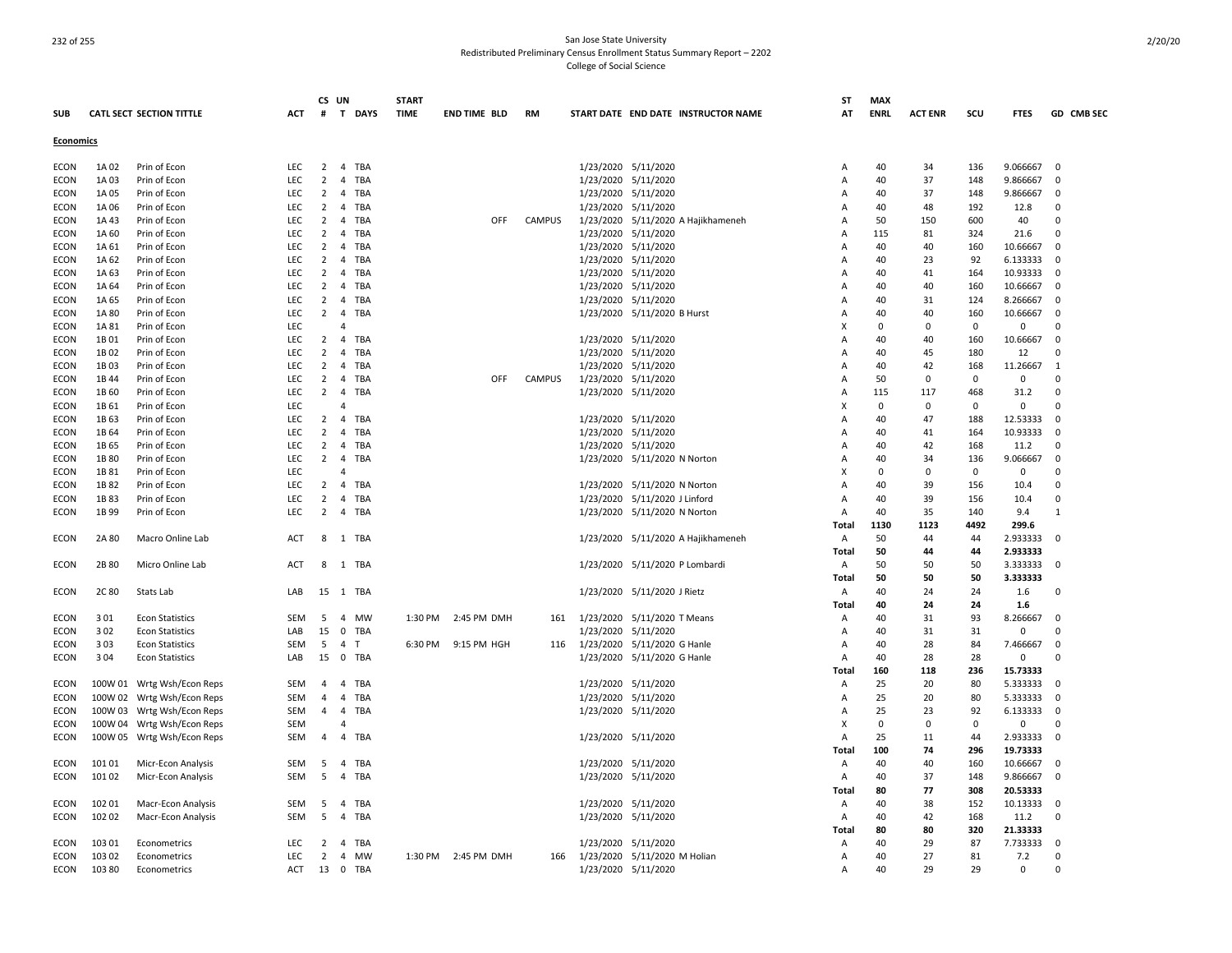|                  |                  |                                 |            | CS UN          |                          | <b>START</b> |                     |               |                                     | ST             | <b>MAX</b>  |                |           |                      |              |
|------------------|------------------|---------------------------------|------------|----------------|--------------------------|--------------|---------------------|---------------|-------------------------------------|----------------|-------------|----------------|-----------|----------------------|--------------|
| <b>SUB</b>       |                  | <b>CATL SECT SECTION TITTLE</b> | <b>ACT</b> | #              | T DAYS                   | <b>TIME</b>  | <b>END TIME BLD</b> | <b>RM</b>     | START DATE END DATE INSTRUCTOR NAME | AT             | <b>ENRL</b> | <b>ACT ENR</b> | scu       | <b>FTES</b>          | GD CMB SEC   |
| <b>Economics</b> |                  |                                 |            |                |                          |              |                     |               |                                     |                |             |                |           |                      |              |
| <b>ECON</b>      | 1A 02            | Prin of Econ                    | LEC        | $\overline{2}$ | $\overline{4}$<br>TBA    |              |                     |               | 1/23/2020 5/11/2020                 | $\overline{A}$ | 40          | 34             | 136       | 9.066667             | 0            |
| ECON             | 1A03             | Prin of Econ                    | LEC        | 2              | $\overline{4}$<br>TBA    |              |                     |               | 1/23/2020 5/11/2020                 | Α              | 40          | 37             | 148       | 9.866667             | $\Omega$     |
| <b>ECON</b>      | 1A 05            | Prin of Econ                    | LEC        | $\overline{2}$ | $\overline{4}$<br>TBA    |              |                     |               | 1/23/2020 5/11/2020                 | Α              | 40          | 37             | 148       | 9.866667             | $\Omega$     |
| <b>ECON</b>      | 1A 06            | Prin of Econ                    | <b>LEC</b> | 2              | $\overline{4}$<br>TBA    |              |                     |               | 1/23/2020 5/11/2020                 | $\overline{A}$ | 40          | 48             | 192       | 12.8                 | $\Omega$     |
| <b>ECON</b>      | 1A43             | Prin of Econ                    | LEC        | $\overline{2}$ | $\overline{4}$<br>TBA    |              | OFF                 | <b>CAMPUS</b> | 1/23/2020 5/11/2020 A Hajikhameneh  | Α              | 50          | 150            | 600       | 40                   | $\Omega$     |
| <b>ECON</b>      | 1A 60            | Prin of Econ                    | <b>LEC</b> | 2              | $\overline{4}$<br>TBA    |              |                     |               | 1/23/2020 5/11/2020                 | $\overline{A}$ | 115         | 81             | 324       | 21.6                 | $\Omega$     |
| <b>FCON</b>      | 1A 61            | Prin of Econ                    | <b>LEC</b> | $\overline{2}$ | $\overline{4}$<br>TBA    |              |                     |               | 1/23/2020 5/11/2020                 | Α              | 40          | 40             | 160       | 10.66667             | $\Omega$     |
| <b>ECON</b>      | 1A 62            | Prin of Econ                    | <b>LEC</b> | 2              | 4<br>TBA                 |              |                     |               | 1/23/2020 5/11/2020                 | $\overline{A}$ | 40          | 23             | 92        | 6.133333             | $\Omega$     |
|                  |                  |                                 | LEC        | $\overline{2}$ | $\overline{4}$<br>TBA    |              |                     |               |                                     |                | 40          | 41             | 164       | 10.93333             | $\Omega$     |
| <b>ECON</b>      | 1A 63            | Prin of Econ                    |            |                |                          |              |                     |               | 1/23/2020 5/11/2020                 | Α              |             |                |           |                      | $\Omega$     |
| <b>ECON</b>      | 1A 64            | Prin of Econ                    | <b>LEC</b> | 2              | TBA<br>$\overline{4}$    |              |                     |               | 1/23/2020 5/11/2020                 | Α              | 40          | 40             | 160       | 10.66667             |              |
| <b>ECON</b>      | 1A 65            | Prin of Econ                    | LEC        | $\overline{2}$ | $\overline{4}$<br>TBA    |              |                     |               | 1/23/2020 5/11/2020                 | Α              | 40          | 31             | 124       | 8.266667             | 0            |
| <b>ECON</b>      | 1A 80            | Prin of Econ                    | LEC        | $\overline{2}$ | $\overline{4}$<br>TBA    |              |                     |               | 1/23/2020 5/11/2020 B Hurst         | Α              | 40          | 40             | 160       | 10.66667             | $\Omega$     |
| <b>ECON</b>      | 1A 81            | Prin of Econ                    | LEC        |                | $\overline{4}$           |              |                     |               |                                     | X              | 0           | $\mathbf 0$    | 0         | 0                    | $\Omega$     |
| ECON             | 1B01             | Prin of Econ                    | LEC        | 2              | $\overline{4}$<br>TBA    |              |                     |               | 1/23/2020 5/11/2020                 | A              | 40          | 40             | 160       | 10.66667             | $\Omega$     |
| <b>ECON</b>      | 1B02             | Prin of Econ                    | LEC        | $\overline{2}$ | $\overline{4}$<br>TBA    |              |                     |               | 1/23/2020 5/11/2020                 | Α              | 40          | 45             | 180       | 12                   | $\Omega$     |
| ECON             | 1B03             | Prin of Econ                    | LEC        | 2              | $\overline{4}$<br>TBA    |              |                     |               | 1/23/2020 5/11/2020                 | A              | 40          | 42             | 168       | 11.26667             | $\mathbf{1}$ |
| <b>ECON</b>      | 1B44             | Prin of Econ                    | LEC        | $\overline{2}$ | $\overline{4}$<br>TBA    |              | OFF                 | CAMPUS        | 1/23/2020 5/11/2020                 | Α              | 50          | 0              | 0         | 0                    | $\Omega$     |
| <b>ECON</b>      | 1B <sub>60</sub> | Prin of Econ                    | <b>LEC</b> | 2              | 4<br>TBA                 |              |                     |               | 1/23/2020 5/11/2020                 | Α              | 115         | 117            | 468       | 31.2                 | $\Omega$     |
| <b>ECON</b>      | 1B 61            | Prin of Econ                    | LEC        |                | $\overline{4}$           |              |                     |               |                                     | х              | 0           | 0              | 0         | 0                    | $\Omega$     |
| ECON             | 1B <sub>63</sub> | Prin of Econ                    | <b>LEC</b> | 2              | $\overline{4}$<br>TBA    |              |                     |               | 1/23/2020 5/11/2020                 | Α              | 40          | 47             | 188       | 12.53333             | $\Omega$     |
| <b>ECON</b>      | 1B 64            | Prin of Econ                    | LEC        | $\overline{2}$ | $\overline{4}$<br>TBA    |              |                     |               | 1/23/2020 5/11/2020                 | Α              | 40          | 41             | 164       | 10.93333             | $\Omega$     |
| <b>ECON</b>      | 1B <sub>65</sub> | Prin of Econ                    | <b>LEC</b> | 2              | $\overline{4}$<br>TBA    |              |                     |               | 1/23/2020 5/11/2020                 | $\overline{A}$ | 40          | 42             | 168       | 11.2                 | $\Omega$     |
| <b>ECON</b>      | 1B 80            | Prin of Econ                    | LEC        | $\overline{2}$ | $\overline{4}$<br>TBA    |              |                     |               | 1/23/2020 5/11/2020 N Norton        | Α              | 40          | 34             | 136       | 9.066667             | $\Omega$     |
| <b>ECON</b>      | 1B 81            | Prin of Econ                    | <b>LEC</b> |                | $\overline{4}$           |              |                     |               |                                     | X              | $\Omega$    | 0              | 0         | $\mathbf 0$          | $\Omega$     |
| ECON             | 1B82             | Prin of Econ                    | <b>LEC</b> | $\overline{2}$ | $\overline{4}$<br>TBA    |              |                     |               | 1/23/2020 5/11/2020 N Norton        | $\overline{A}$ | 40          | 39             | 156       | 10.4                 | $\Omega$     |
| <b>ECON</b>      | 1B83             | Prin of Econ                    | <b>LEC</b> | 2              | $\overline{4}$<br>TBA    |              |                     |               | 1/23/2020 5/11/2020 J Linford       | Α              | 40          | 39             | 156       | 10.4                 | $\Omega$     |
| <b>ECON</b>      | 1B 99            | Prin of Econ                    | <b>LEC</b> | $\overline{2}$ | $\overline{4}$<br>TBA    |              |                     |               | 1/23/2020 5/11/2020 N Norton        | A              | 40          | 35             | 140       | 9.4                  | $\mathbf{1}$ |
|                  |                  |                                 |            |                |                          |              |                     |               |                                     | Total          | 1130        | 1123           | 4492      | 299.6                |              |
| ECON             | 2A 80            | Macro Online Lab                | ACT        |                | 8 1 TBA                  |              |                     |               | 1/23/2020 5/11/2020 A Hajikhameneh  | A              | 50          | 44             | 44        | 2.933333             | $\mathbf 0$  |
|                  |                  |                                 |            |                |                          |              |                     |               |                                     | Total          | 50          | 44             | 44        | 2.933333             |              |
| ECON             | 2B 80            | Micro Online Lab                | <b>ACT</b> | 8              | 1 TBA                    |              |                     |               | 1/23/2020 5/11/2020 P Lombardi      | Α              | 50          | 50             | 50        | 3.333333             | $\mathbf 0$  |
|                  |                  |                                 |            |                |                          |              |                     |               |                                     | Total          | 50          | 50             | 50        | 3.333333             |              |
| <b>ECON</b>      | 2C 80            | Stats Lab                       | LAB        |                | 15 1 TBA                 |              |                     |               | 1/23/2020 5/11/2020 J Rietz         | A              | 40          | 24             | 24        | 1.6                  | 0            |
|                  |                  |                                 |            |                |                          |              |                     |               |                                     | Total          | 40          | 24             | 24        | 1.6                  |              |
| ECON             | 301              | <b>Econ Statistics</b>          | <b>SEM</b> | -5             | 4<br>МW                  | 1:30 PM      | 2:45 PM DMH         | 161           | 1/23/2020 5/11/2020 T Means         | Α              | 40          | 31             | 93        | 8.266667             | $\Omega$     |
| <b>ECON</b>      | 302              | <b>Econ Statistics</b>          | LAB        | 15             | $\mathbf{0}$<br>TBA      |              |                     |               | 1/23/2020 5/11/2020                 | Α              | 40          | 31             | 31        | 0                    | $\Omega$     |
| ECON             | 303              | <b>Econ Statistics</b>          | SEM        | -5             | $\overline{4}$<br>$\top$ | 6:30 PM      | 9:15 PM HGH         | 116           | 1/23/2020 5/11/2020 G Hanle         | Α              | 40          | 28             | 84        | 7.466667             | 0            |
| <b>ECON</b>      | 304              | <b>Econ Statistics</b>          | LAB        | 15             | $\mathsf{O}$<br>TBA      |              |                     |               | 1/23/2020 5/11/2020 G Hanle         | Α              | 40          | 28             | 28        | 0                    | $\Omega$     |
|                  |                  |                                 |            |                |                          |              |                     |               |                                     |                |             |                |           |                      |              |
| <b>ECON</b>      |                  | 100W 01 Wrtg Wsh/Econ Reps      | SEM        | $\overline{4}$ | 4 TBA                    |              |                     |               | 1/23/2020 5/11/2020                 | Total          | 160<br>25   | 118<br>20      | 236<br>80 | 15.73333<br>5.333333 | $\Omega$     |
|                  |                  |                                 |            |                |                          |              |                     |               |                                     | A              |             |                |           |                      | $\Omega$     |
| ECON             |                  | 100W 02 Wrtg Wsh/Econ Reps      | SEM        | $\overline{a}$ | $\overline{4}$<br>TBA    |              |                     |               | 1/23/2020 5/11/2020                 | Α              | 25          | 20             | 80        | 5.333333             |              |
| <b>ECON</b>      |                  | 100W 03 Wrtg Wsh/Econ Reps      | SEM        | $\overline{4}$ | $\overline{4}$<br>TBA    |              |                     |               | 1/23/2020 5/11/2020                 | $\overline{A}$ | 25          | 23             | 92        | 6.133333             | $\Omega$     |
| <b>ECON</b>      |                  | 100W 04 Wrtg Wsh/Econ Reps      | <b>SEM</b> |                | $\overline{4}$           |              |                     |               |                                     | X              | 0           | 0              | 0         | $\mathbf 0$          | $\Omega$     |
| <b>ECON</b>      |                  | 100W 05 Wrtg Wsh/Econ Reps      | <b>SEM</b> | $\overline{4}$ | 4 TBA                    |              |                     |               | 1/23/2020 5/11/2020                 | $\overline{A}$ | 25          | 11             | 44        | 2.933333             | $\Omega$     |
|                  |                  |                                 |            |                |                          |              |                     |               |                                     | Total          | 100         | 74             | 296       | 19.73333             |              |
| <b>ECON</b>      | 101 01           | Micr-Econ Analysis              | SEM        | 5              | $\overline{4}$<br>TBA    |              |                     |               | 1/23/2020 5/11/2020                 | Α              | 40          | 40             | 160       | 10.66667             | $\Omega$     |
| <b>ECON</b>      | 10102            | Micr-Econ Analysis              | SEM        | 5              | 4 TBA                    |              |                     |               | 1/23/2020 5/11/2020                 | Α              | 40          | 37             | 148       | 9.866667             | 0            |
|                  |                  |                                 |            |                |                          |              |                     |               |                                     | Total          | 80          | 77             | 308       | 20.53333             |              |
| ECON             | 102 01           | Macr-Econ Analysis              | SEM        | 5              | $\overline{4}$<br>TBA    |              |                     |               | 1/23/2020 5/11/2020                 | Α              | 40          | 38             | 152       | 10.13333             | 0            |
| <b>ECON</b>      | 102 02           | Macr-Econ Analysis              | SEM        | 5              | $\overline{4}$<br>TBA    |              |                     |               | 1/23/2020 5/11/2020                 | Α              | 40          | 42             | 168       | 11.2                 | $\Omega$     |
|                  |                  |                                 |            |                |                          |              |                     |               |                                     | Total          | 80          | 80             | 320       | 21.33333             |              |
| <b>ECON</b>      | 103 01           | Econometrics                    | LEC        | $\mathcal{L}$  | 4 TBA                    |              |                     |               | 1/23/2020 5/11/2020                 | A              | 40          | 29             | 87        | 7.733333             | 0            |
| ECON             | 103 02           | Econometrics                    | <b>LEC</b> | 2              | 4 MW                     | 1:30 PM      | 2:45 PM DMH         | 166           | 1/23/2020 5/11/2020 M Holian        | Α              | 40          | 27             | 81        | 7.2                  | $\Omega$     |
| <b>ECON</b>      | 103 80           | Econometrics                    | ACT        |                | 13 0 TBA                 |              |                     |               | 1/23/2020 5/11/2020                 | Α              | 40          | 29             | 29        | $\mathbf 0$          | $\Omega$     |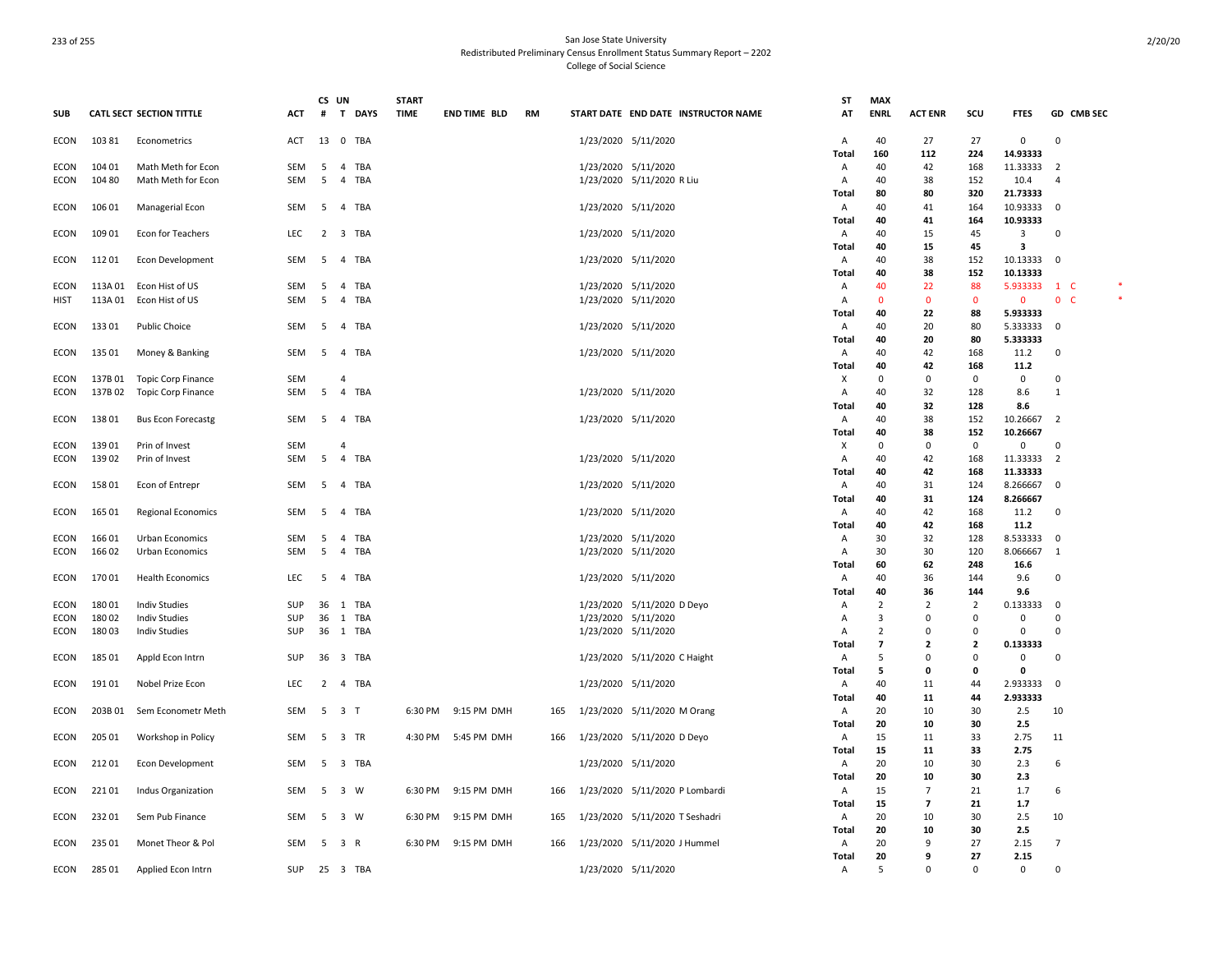|             |         |                                 |            | CS UN          |                                | <b>START</b> |                     |           |                     |                                     | ST             | <b>MAX</b>               |                |                         |              |                          |            |  |
|-------------|---------|---------------------------------|------------|----------------|--------------------------------|--------------|---------------------|-----------|---------------------|-------------------------------------|----------------|--------------------------|----------------|-------------------------|--------------|--------------------------|------------|--|
| <b>SUB</b>  |         | <b>CATL SECT SECTION TITTLE</b> | ACT        | #              | <b>DAYS</b><br>T.              | <b>TIME</b>  | <b>END TIME BLD</b> | <b>RM</b> |                     | START DATE END DATE INSTRUCTOR NAME | AT             | <b>ENRL</b>              | <b>ACT ENR</b> | scu                     | <b>FTES</b>  |                          | GD CMB SEC |  |
| <b>ECON</b> | 10381   | Econometrics                    | ACT        | 13             | 0 TBA                          |              |                     |           | 1/23/2020 5/11/2020 |                                     | Α              | 40                       | 27             | 27                      | 0            | 0                        |            |  |
|             |         |                                 |            |                |                                |              |                     |           |                     |                                     | Total          | 160                      | 112            | 224                     | 14.93333     |                          |            |  |
| <b>ECON</b> | 104 01  | Math Meth for Econ              | SEM        | 5              | $\overline{4}$<br>TBA          |              |                     |           | 1/23/2020 5/11/2020 |                                     | A              | 40                       | 42             | 168                     | 11.33333     | $\overline{2}$           |            |  |
| ECON        | 104 80  | Math Meth for Econ              | SEM        | 5              | $\overline{4}$<br>TBA          |              |                     |           |                     | 1/23/2020 5/11/2020 R Liu           | A              | 40                       | 38             | 152                     | 10.4         | 4                        |            |  |
|             |         |                                 |            |                |                                |              |                     |           |                     |                                     | Total          | 80                       | 80             | 320                     | 21.73333     |                          |            |  |
| <b>ECON</b> | 106 01  | Managerial Econ                 | SEM        | 5              | TBA<br>$\overline{4}$          |              |                     |           | 1/23/2020 5/11/2020 |                                     | A              | 40                       | 41             | 164                     | 10.93333     | $\Omega$                 |            |  |
|             |         |                                 |            |                |                                |              |                     |           |                     |                                     | Total          | 40                       | 41             | 164                     | 10.93333     |                          |            |  |
| ECON        | 109 01  | Econ for Teachers               | <b>LEC</b> | $\overline{2}$ | 3 TBA                          |              |                     |           | 1/23/2020 5/11/2020 |                                     | A              | 40                       | 15             | 45                      | 3            | $\Omega$                 |            |  |
|             |         |                                 |            |                |                                |              |                     |           |                     |                                     | <b>Total</b>   | 40                       | 15             | 45                      | 3            |                          |            |  |
| <b>ECON</b> | 112 01  | Econ Development                | SEM        | 5              | TBA<br>$\overline{4}$          |              |                     |           | 1/23/2020 5/11/2020 |                                     | A              | 40                       | 38             | 152                     | 10.13333     | $\mathbf 0$              |            |  |
|             |         |                                 |            |                |                                |              |                     |           |                     |                                     | <b>Total</b>   | 40                       | 38             | 152                     | 10.13333     |                          |            |  |
| ECON        |         | 113A 01 Econ Hist of US         | SEM        | 5              | 4 TBA                          |              |                     |           | 1/23/2020 5/11/2020 |                                     | Α              | 40                       | 22             | 88                      | 5.933333     | 1 C                      |            |  |
| <b>HIST</b> | 113A 01 | Econ Hist of US                 | <b>SEM</b> | 5              | $\overline{4}$<br>TBA          |              |                     |           | 1/23/2020 5/11/2020 |                                     | A              | $\mathbf{0}$             | $\Omega$       | $\Omega$                | $\mathbf{0}$ | $\mathbf{0}$<br><b>C</b> |            |  |
|             |         |                                 |            |                |                                |              |                     |           |                     |                                     | Total          | 40                       | 22             | 88                      | 5.933333     |                          |            |  |
| ECON        | 13301   | <b>Public Choice</b>            | <b>SEM</b> | -5             | 4 TBA                          |              |                     |           | 1/23/2020 5/11/2020 |                                     | Α              | 40                       | 20             | 80                      | 5.333333     | $\mathbf 0$              |            |  |
|             |         |                                 |            |                |                                |              |                     |           |                     |                                     | Total          | 40                       | 20             | 80                      | 5.333333     |                          |            |  |
| ECON        | 135 01  | Money & Banking                 | SEM        | 5              | $\overline{4}$<br>TBA          |              |                     |           | 1/23/2020 5/11/2020 |                                     | Α              | 40                       | 42             | 168                     | 11.2         | 0                        |            |  |
|             |         |                                 |            |                |                                |              |                     |           |                     |                                     | Total          | 40                       | 42             | 168                     | 11.2         |                          |            |  |
| ECON        | 137B01  | Topic Corp Finance              | <b>SEM</b> |                | $\Delta$                       |              |                     |           |                     |                                     | х              | 0                        | 0              | 0                       | $\mathbf 0$  | 0                        |            |  |
| ECON        | 137B 02 | Topic Corp Finance              | SEM        | 5              | $\overline{4}$<br>TBA          |              |                     |           | 1/23/2020 5/11/2020 |                                     | Α              | 40                       | 32             | 128                     | 8.6          | 1                        |            |  |
|             |         |                                 |            |                |                                |              |                     |           |                     |                                     | Total          | 40                       | 32             | 128                     | 8.6          |                          |            |  |
| ECON        | 13801   | <b>Bus Econ Forecastg</b>       | SEM        | -5             | TBA<br>$\overline{4}$          |              |                     |           | 1/23/2020 5/11/2020 |                                     | A              | 40                       | 38             | 152                     | 10.26667     | $\overline{2}$           |            |  |
|             |         |                                 |            |                |                                |              |                     |           |                     |                                     | Total          | 40                       | 38             | 152                     | 10.26667     |                          |            |  |
| <b>ECON</b> | 13901   | Prin of Invest                  | <b>SEM</b> |                | $\overline{4}$                 |              |                     |           |                     |                                     | х              | 0                        | $\Omega$       | 0                       | 0            | 0                        |            |  |
| ECON        | 13902   | Prin of Invest                  | SEM        | 5              | TBA<br>$\overline{4}$          |              |                     |           | 1/23/2020 5/11/2020 |                                     | A              | 40                       | 42             | 168                     | 11.33333     | 2                        |            |  |
|             |         |                                 |            |                |                                |              |                     |           |                     |                                     | <b>Total</b>   | 40                       | 42             | 168                     | 11.33333     |                          |            |  |
| <b>ECON</b> | 15801   | Econ of Entrepr                 | SEM        | 5              | $\overline{4}$<br>TBA          |              |                     |           | 1/23/2020 5/11/2020 |                                     | A              | 40                       | 31             | 124                     | 8.266667     | $\Omega$                 |            |  |
|             |         |                                 |            |                |                                |              |                     |           |                     |                                     | Total          | 40                       | 31             | 124                     | 8.266667     |                          |            |  |
| ECON        | 165 01  | <b>Regional Economics</b>       | SEM        | 5              | $\overline{4}$<br>TBA          |              |                     |           | 1/23/2020 5/11/2020 |                                     | A              | 40                       | 42             | 168                     | 11.2         | $\mathbf 0$              |            |  |
|             |         |                                 |            |                |                                |              |                     |           |                     |                                     | Total          | 40                       | 42             | 168                     | 11.2         |                          |            |  |
| <b>ECON</b> | 166 01  | Urban Economics                 | SEM        | -5             | $\overline{4}$<br>TBA          |              |                     |           | 1/23/2020 5/11/2020 |                                     | $\overline{A}$ | 30                       | 32             | 128                     | 8.533333     | $\Omega$                 |            |  |
| ECON        | 166 02  | Urban Economics                 | SEM        | 5              | $\overline{4}$<br>TBA          |              |                     |           | 1/23/2020 5/11/2020 |                                     | A              | 30                       | 30             | 120                     | 8.066667     | 1                        |            |  |
|             |         |                                 |            |                |                                |              |                     |           |                     |                                     | <b>Total</b>   | 60                       | 62             | 248                     | 16.6         |                          |            |  |
| ECON        | 17001   | <b>Health Economics</b>         | <b>LEC</b> | 5              | $\overline{4}$<br>TBA          |              |                     |           | 1/23/2020 5/11/2020 |                                     | A              | 40                       | 36             | 144                     | 9.6          | $\Omega$                 |            |  |
|             |         |                                 |            |                |                                |              |                     |           |                     |                                     | Total          | 40                       | 36             | 144                     | 9.6          |                          |            |  |
| <b>ECON</b> | 18001   | <b>Indiv Studies</b>            | <b>SUP</b> | 36             | 1 TBA                          |              |                     |           |                     | 1/23/2020 5/11/2020 D Deyo          | $\overline{A}$ | 2                        | $\overline{2}$ | 2                       | 0.133333     | $\mathbf 0$              |            |  |
| ECON        | 180 02  | <b>Indiv Studies</b>            | SUP        | 36             | 1 TBA                          |              |                     |           | 1/23/2020 5/11/2020 |                                     | $\Delta$       | 3                        | $\Omega$       | $\mathbf 0$             | $\mathbf 0$  | $\Omega$                 |            |  |
| ECON        | 18003   | <b>Indiv Studies</b>            | SUP        | 36             | 1 TBA                          |              |                     |           | 1/23/2020 5/11/2020 |                                     | $\overline{A}$ | $\overline{2}$           | $\Omega$       | $\mathbf 0$             | $\mathbf 0$  | $\Omega$                 |            |  |
|             |         |                                 |            |                |                                |              |                     |           |                     |                                     | Total          | $\overline{\phantom{a}}$ | $\overline{2}$ | $\overline{\mathbf{z}}$ | 0.133333     |                          |            |  |
| ECON        | 185 01  | Appld Econ Intrn                | SUP        | 36             | 3 TBA                          |              |                     |           |                     | 1/23/2020 5/11/2020 C Haight        | A              | 5                        | $\Omega$       | $\mathbf 0$             | $\mathbf 0$  | 0                        |            |  |
|             |         |                                 |            |                |                                |              |                     |           |                     |                                     | Total          | 5                        | 0              | $\mathbf 0$             | $\mathbf 0$  |                          |            |  |
| ECON        | 19101   | Nobel Prize Econ                | LEC.       | $\overline{2}$ | 4 TBA                          |              |                     |           | 1/23/2020 5/11/2020 |                                     | Α              | 40                       | 11             | 44                      | 2.933333     | $\mathbf 0$              |            |  |
|             |         |                                 |            |                |                                |              |                     |           |                     |                                     | Total          | 40                       | 11             | 44                      | 2.933333     |                          |            |  |
| <b>ECON</b> | 203B01  | Sem Econometr Meth              | SEM        | 5              | 3 <sub>1</sub>                 | 6:30 PM      | 9:15 PM DMH         | 165       |                     | 1/23/2020 5/11/2020 M Orang         | Α              | 20                       | 10             | 30                      | 2.5          | 10                       |            |  |
|             |         |                                 |            |                |                                |              |                     |           |                     |                                     | Total          | 20                       | 10             | 30                      | 2.5          |                          |            |  |
| ECON        | 205 01  | Workshop in Policy              | SEM        | 5              | 3 TR                           |              | 4:30 PM 5:45 PM DMH | 166       |                     | 1/23/2020 5/11/2020 D Deyo          | Α              | 15                       | 11             | 33                      | 2.75         | 11                       |            |  |
|             |         |                                 |            |                |                                |              |                     |           |                     |                                     | Total          | 15                       | 11             | 33                      | 2.75         |                          |            |  |
| <b>ECON</b> | 21201   | <b>Econ Development</b>         | <b>SEM</b> | 5              | $\overline{\mathbf{3}}$<br>TBA |              |                     |           | 1/23/2020 5/11/2020 |                                     | A              | 20                       | 10             | 30                      | 2.3          | 6                        |            |  |
|             |         |                                 |            |                |                                |              |                     |           |                     |                                     | <b>Total</b>   | 20                       | 10             | 30                      | 2.3          |                          |            |  |
| ECON        | 22101   | Indus Organization              | SEM        | -5             | 3 W                            | 6:30 PM      | 9:15 PM DMH         | 166       |                     | 1/23/2020 5/11/2020 P Lombardi      | A              | 15                       | 7              | 21                      | 1.7          | 6                        |            |  |
|             |         |                                 |            |                |                                |              |                     |           |                     |                                     | <b>Total</b>   | 15                       | 7              | 21                      | 1.7          |                          |            |  |
| ECON        | 23201   | Sem Pub Finance                 | SEM        | 5              | 3 W                            | 6:30 PM      | 9:15 PM DMH         | 165       |                     | 1/23/2020 5/11/2020 T Seshadri      | A              | 20                       | 10             | 30                      | 2.5          | 10                       |            |  |
|             |         |                                 |            |                |                                |              |                     |           |                     |                                     | <b>Total</b>   | 20                       | 10             | 30                      | 2.5          |                          |            |  |
| ECON        | 235 01  | Monet Theor & Pol               | SEM        | 5              | 3 R                            | 6:30 PM      | 9:15 PM DMH         | 166       |                     | 1/23/2020 5/11/2020 J Hummel        | A              | 20                       | 9              | 27                      | 2.15         | 7                        |            |  |
|             |         |                                 |            |                |                                |              |                     |           |                     |                                     | Total          | 20                       | 9              | 27                      | 2.15         |                          |            |  |
| <b>ECON</b> | 285 01  | Applied Econ Intrn              | SUP        | 25             | 3 TBA                          |              |                     |           | 1/23/2020 5/11/2020 |                                     | $\overline{A}$ | 5                        | $\Omega$       | $\Omega$                | 0            | $\Omega$                 |            |  |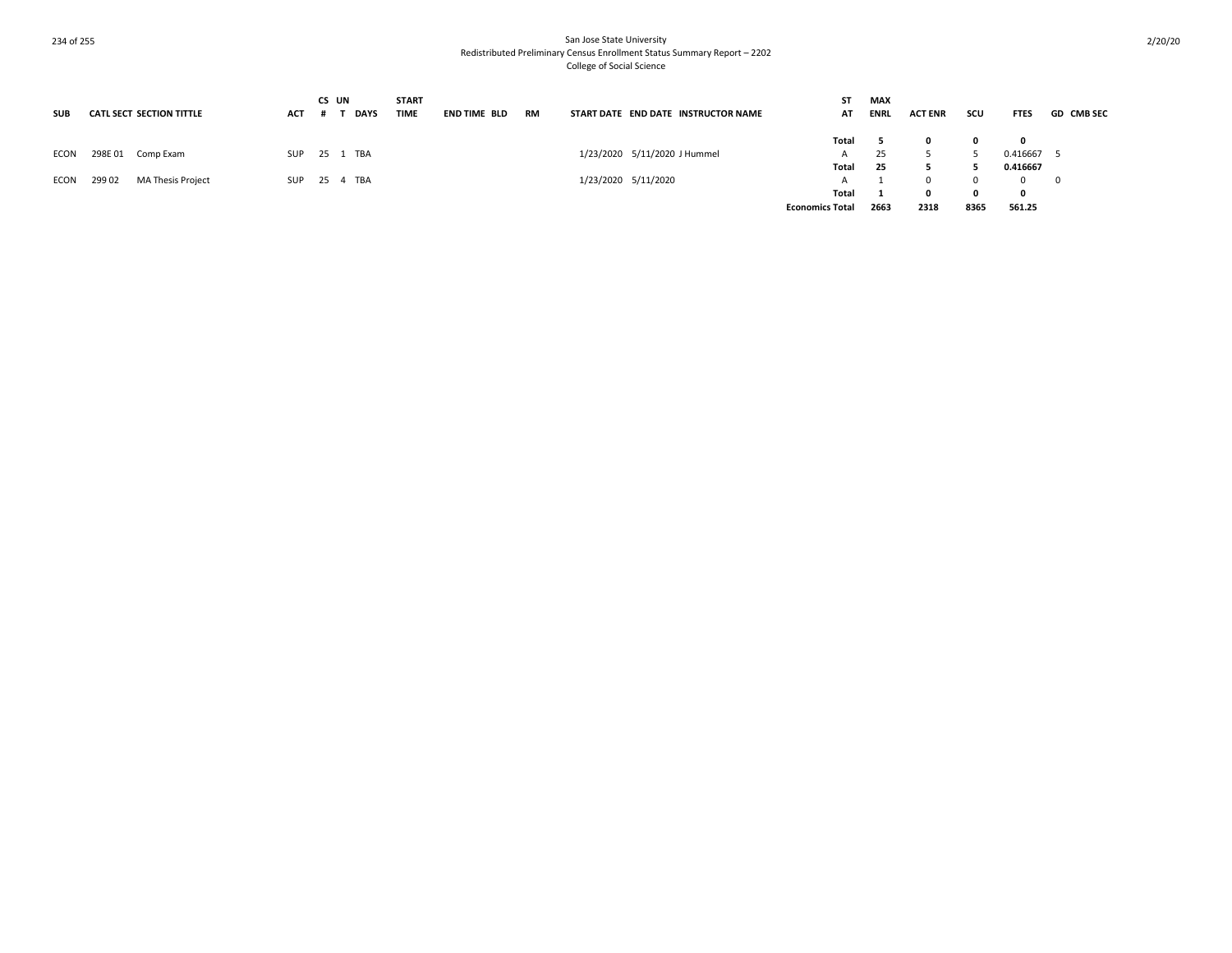| <b>SUB</b> | <b>CATL SECT SECTION TITTLE</b>   | <b>ACT</b> | CS UN<br><b>DAYS</b> | <b>START</b><br><b>TIME</b> | <b>END TIME BLD</b> | <b>RM</b> |                              | START DATE END DATE INSTRUCTOR NAME | ST<br>AT               | <b>MAX</b><br><b>ENRL</b> | <b>ACT ENR</b> | scu  | <b>FTES</b> | <b>GD CMB SEC</b>        |
|------------|-----------------------------------|------------|----------------------|-----------------------------|---------------------|-----------|------------------------------|-------------------------------------|------------------------|---------------------------|----------------|------|-------------|--------------------------|
|            |                                   |            |                      |                             |                     |           |                              |                                     | Total                  |                           |                |      | 0           |                          |
| ECON       | 298E01<br>Comp Exam               | SUP        | 25 1 TBA             |                             |                     |           | 1/23/2020 5/11/2020 J Hummel |                                     | A                      | 25                        |                |      | 0.416667    |                          |
|            |                                   |            |                      |                             |                     |           |                              |                                     | Total                  | 25                        |                |      | 0.416667    |                          |
| ECON       | <b>MA Thesis Project</b><br>29902 | SUP        | 25   4   TBA         |                             |                     |           | 1/23/2020 5/11/2020          |                                     |                        |                           | n.             |      | $\Omega$    | $\overline{\phantom{0}}$ |
|            |                                   |            |                      |                             |                     |           |                              |                                     | Total                  |                           |                |      | 0           |                          |
|            |                                   |            |                      |                             |                     |           |                              |                                     | <b>Economics Total</b> | 2663                      | 2318           | 8365 | 561.25      |                          |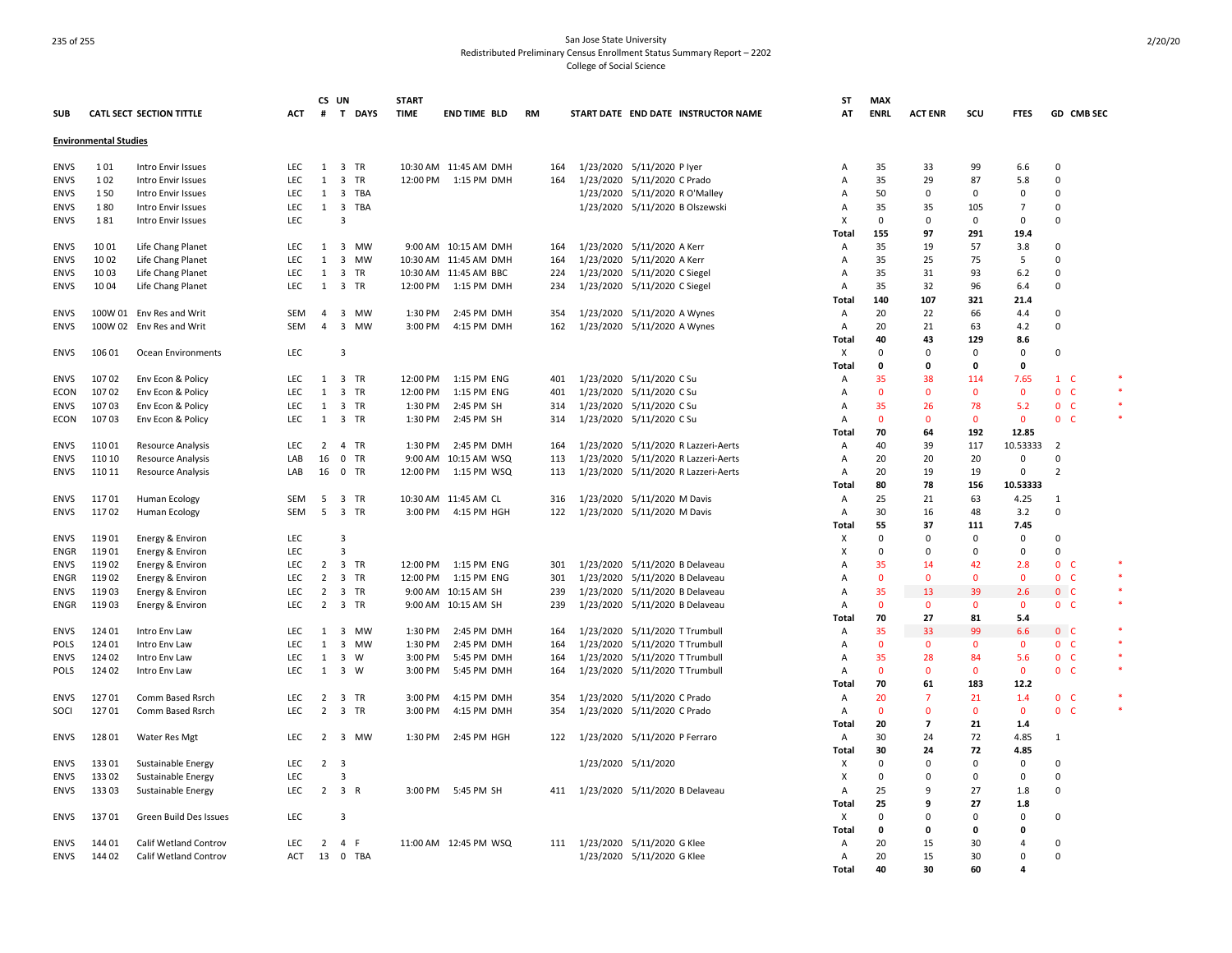|             |                              |                                 |            | CS UN          |                                | <b>START</b> |                          |           |           |                                 |                                     | ST             | <b>MAX</b>   |                          |              |                |                              |        |
|-------------|------------------------------|---------------------------------|------------|----------------|--------------------------------|--------------|--------------------------|-----------|-----------|---------------------------------|-------------------------------------|----------------|--------------|--------------------------|--------------|----------------|------------------------------|--------|
| <b>SUB</b>  |                              | <b>CATL SECT SECTION TITTLE</b> | <b>ACT</b> | #              | T DAYS                         | <b>TIME</b>  | <b>END TIME BLD</b>      | <b>RM</b> |           |                                 | START DATE END DATE INSTRUCTOR NAME | AT             | <b>ENRL</b>  | <b>ACT ENR</b>           | scu          | <b>FTES</b>    | GD CMB SEC                   |        |
|             |                              |                                 |            |                |                                |              |                          |           |           |                                 |                                     |                |              |                          |              |                |                              |        |
|             | <b>Environmental Studies</b> |                                 |            |                |                                |              |                          |           |           |                                 |                                     |                |              |                          |              |                |                              |        |
| <b>ENVS</b> | 101                          | Intro Envir Issues              | LEC        | 1              | 3 TR                           |              | 10:30 AM 11:45 AM DMH    | 164       |           | 1/23/2020 5/11/2020 P lyer      |                                     | A              | 35           | 33                       | 99           | 6.6            | 0                            |        |
| <b>ENVS</b> | 102                          | Intro Envir Issues              | LEC        | 1              | 3 TR                           |              | 12:00 PM 1:15 PM DMH     | 164       |           | 1/23/2020 5/11/2020 C Prado     |                                     | A              | 35           | 29                       | 87           | 5.8            | $\mathsf 0$                  |        |
| <b>ENVS</b> | 150                          | Intro Envir Issues              | <b>LEC</b> | 1              | $\overline{\mathbf{3}}$<br>TBA |              |                          |           |           | 1/23/2020 5/11/2020 R O'Malley  |                                     | A              | 50           | $\Omega$                 | 0            | $\Omega$       | 0                            |        |
| <b>ENVS</b> | 180                          | Intro Envir Issues              | <b>LEC</b> | $\mathbf{1}$   | 3 TBA                          |              |                          |           |           | 1/23/2020 5/11/2020 B Olszewski |                                     | A              | 35           | 35                       | 105          | 7              | $\mathbf 0$                  |        |
| <b>ENVS</b> | 181                          | Intro Envir Issues              | <b>LEC</b> |                | 3                              |              |                          |           |           |                                 |                                     | x              | 0            | 0                        | $\mathbf 0$  | $\Omega$       | $\Omega$                     |        |
|             |                              |                                 |            |                |                                |              |                          |           |           |                                 |                                     | Total          | 155          | 97                       | 291          | 19.4           |                              |        |
| <b>ENVS</b> | 10 01                        | Life Chang Planet               | <b>LEC</b> | 1              | 3 MW                           |              | 9:00 AM 10:15 AM DMH     | 164       |           | 1/23/2020 5/11/2020 A Kerr      |                                     | A              | 35           | 19                       | 57           | 3.8            | $\mathbf 0$                  |        |
| <b>ENVS</b> | 10 02                        | Life Chang Planet               | LEC        | $\mathbf{1}$   | 3 MW                           |              | 10:30 AM 11:45 AM DMH    | 164       |           | 1/23/2020 5/11/2020 A Kerr      |                                     | A              | 35           | 25                       | 75           | 5              | $\mathbf 0$                  |        |
| <b>ENVS</b> | 1003                         | Life Chang Planet               | <b>LEC</b> | 1              | 3 TR                           |              |                          | 224       |           |                                 |                                     | A              | 35           | 31                       | 93           | 6.2            | $\mathbf 0$                  |        |
|             |                              |                                 |            |                |                                |              | 10:30 AM 11:45 AM BBC    |           |           | 1/23/2020 5/11/2020 C Siegel    |                                     |                |              |                          |              |                |                              |        |
| <b>ENVS</b> | 1004                         | Life Chang Planet               | <b>LEC</b> | 1              | 3 TR                           |              | 12:00 PM 1:15 PM DMH     | 234       |           | 1/23/2020 5/11/2020 C Siegel    |                                     | A              | 35           | 32                       | 96           | 6.4            | 0                            |        |
|             |                              |                                 |            |                |                                |              |                          |           |           |                                 |                                     | Total          | 140          | 107                      | 321          | 21.4           |                              |        |
| <b>ENVS</b> |                              | 100W 01 Env Res and Writ        | SEM        | $\overline{4}$ | 3 MW                           |              | 1:30 PM 2:45 PM DMH      | 354       |           | 1/23/2020 5/11/2020 A Wynes     |                                     | Α              | 20           | 22                       | 66           | 4.4            | 0                            |        |
| <b>ENVS</b> |                              | 100W 02 Env Res and Writ        | <b>SEM</b> | $\overline{4}$ | 3 MW                           |              | 3:00 PM 4:15 PM DMH      | 162       |           | 1/23/2020 5/11/2020 A Wynes     |                                     | Α              | 20           | 21                       | 63           | 4.2            | $\mathbf 0$                  |        |
|             |                              |                                 |            |                |                                |              |                          |           |           |                                 |                                     | Total          | 40           | 43                       | 129          | 8.6            |                              |        |
| <b>ENVS</b> | 106 01                       | Ocean Environments              | <b>LEC</b> |                | 3                              |              |                          |           |           |                                 |                                     | X              | $\Omega$     | $\mathbf 0$              | $\mathbf 0$  | $\mathbf 0$    | $\mathbf 0$                  |        |
|             |                              |                                 |            |                |                                |              |                          |           |           |                                 |                                     | Total          | $\mathbf 0$  | $\mathbf 0$              | $\mathbf 0$  | $\Omega$       |                              |        |
| ENVS        | 10702                        | Env Econ & Policy               | <b>LEC</b> | $\mathbf{1}$   | 3 TR                           |              | 12:00 PM  1:15 PM ENG    | 401       |           | 1/23/2020 5/11/2020 C Su        |                                     | Α              | 35           | 38                       | 114          | 7.65           | $1\quad C$                   |        |
| ECON        | 10702                        | Env Econ & Policy               | <b>LEC</b> | $\mathbf{1}$   | 3 TR                           | 12:00 PM     | 1:15 PM ENG              | 401       |           | 1/23/2020 5/11/2020 C Su        |                                     | A              | $\mathbf{0}$ | $\mathbf{0}$             | $\mathbf{0}$ | $\mathbf{0}$   | $\mathbf 0$<br>- C           |        |
| ENVS        | 10703                        | Env Econ & Policy               | <b>LEC</b> | 1              | 3 TR                           | 1:30 PM      | 2:45 PM SH               | 314       |           | 1/23/2020 5/11/2020 C Su        |                                     | A              | 35           | 26                       | 78           | 5.2            | $\mathbf{0}$<br>$\mathsf{C}$ |        |
| ECON        | 10703                        | Env Econ & Policy               | LEC        | $\mathbf{1}$   | 3 TR                           | 1:30 PM      | 2:45 PM SH               | 314       |           | 1/23/2020 5/11/2020 C Su        |                                     | A              | $\mathbf{0}$ | $\mathbf{0}$             | $\mathbf{0}$ | $\mathbf 0$    | $\mathbf{0}$<br>- C          |        |
|             |                              |                                 |            |                |                                |              |                          |           |           |                                 |                                     | Total          | 70           | 64                       | 192          | 12.85          |                              |        |
| <b>ENVS</b> | 11001                        | <b>Resource Analysis</b>        | LEC        | $\overline{2}$ | 4 TR                           | 1:30 PM      | 2:45 PM DMH              | 164       |           |                                 | 1/23/2020 5/11/2020 R Lazzeri-Aerts | A              | 40           | 39                       | 117          | 10.53333       | $\overline{2}$               |        |
| <b>ENVS</b> | 110 10                       | <b>Resource Analysis</b>        | LAB        | 16             | 0 TR                           |              | 9:00 AM 10:15 AM WSQ     | 113       |           |                                 | 1/23/2020 5/11/2020 R Lazzeri-Aerts | A              | 20           | 20                       | 20           | 0              | $\mathbf 0$                  |        |
|             |                              |                                 |            |                |                                |              |                          | 113       |           |                                 | 1/23/2020 5/11/2020 R Lazzeri-Aerts | A              |              |                          |              | 0              | $\overline{2}$               |        |
| <b>ENVS</b> | 110 11                       | Resource Analysis               | LAB        | 16             | 0 TR                           |              | 12:00 PM   1:15 PM   WSQ |           |           |                                 |                                     |                | 20           | 19                       | 19           |                |                              |        |
|             |                              |                                 |            |                |                                |              |                          |           |           |                                 |                                     | Total          | 80           | 78                       | 156          | 10.53333       |                              |        |
| <b>ENVS</b> | 11701                        | <b>Human Ecology</b>            | <b>SEM</b> | 5              | 3 TR                           |              | 10:30 AM 11:45 AM CL     | 316       |           | 1/23/2020 5/11/2020 M Davis     |                                     | A              | 25           | 21                       | 63           | 4.25           | $\mathbf{1}$                 |        |
| <b>ENVS</b> | 11702                        | Human Ecology                   | <b>SEM</b> | 5              | 3 TR                           | 3:00 PM      | 4:15 PM HGH              | 122       |           | 1/23/2020 5/11/2020 M Davis     |                                     | Α              | 30           | 16                       | 48           | 3.2            | 0                            |        |
|             |                              |                                 |            |                |                                |              |                          |           |           |                                 |                                     | Total          | 55           | 37                       | 111          | 7.45           |                              |        |
| <b>ENVS</b> | 11901                        | Energy & Environ                | <b>LEC</b> |                | 3                              |              |                          |           |           |                                 |                                     | X              | $\Omega$     | $\Omega$                 | $\mathbf 0$  | $\Omega$       | $\mathbf 0$                  |        |
| <b>ENGR</b> | 11901                        | Energy & Environ                | LEC        |                | 3                              |              |                          |           |           |                                 |                                     | x              | $\Omega$     | $\Omega$                 | 0            | 0              | $\mathbf 0$                  |        |
| <b>ENVS</b> | 11902                        | Energy & Environ                | <b>LEC</b> | 2              | 3 TR                           |              | 12:00 PM   1:15 PM   ENG | 301       |           | 1/23/2020 5/11/2020 B Delaveau  |                                     | А              | 35           | 14                       | 42           | 2.8            | 0 <sub>c</sub>               |        |
| ENGR        | 11902                        | Energy & Environ                | <b>LEC</b> | $\overline{2}$ | 3 TR                           |              | 12:00 PM  1:15 PM ENG    | 301       |           | 1/23/2020 5/11/2020 B Delaveau  |                                     | А              | $\mathbf{0}$ | $\overline{0}$           | $\mathbf{0}$ | $\overline{0}$ | 0 <sub>c</sub>               |        |
| <b>ENVS</b> | 11903                        | Energy & Environ                | <b>LEC</b> | $\overline{2}$ | 3 TR                           |              | 9:00 AM 10:15 AM SH      | 239       |           | 1/23/2020 5/11/2020 B Delaveau  |                                     | A              | 35           | 13                       | 39           | 2.6            | 0 <sup>o</sup>               | $\ast$ |
| ENGR        | 11903                        | Energy & Environ                | <b>LEC</b> | $\overline{2}$ | 3 TR                           |              | 9:00 AM 10:15 AM SH      | 239       |           | 1/23/2020 5/11/2020 B Delaveau  |                                     | A              | $\Omega$     | $\mathbf{0}$             | $\mathbf{0}$ | $\mathbf{0}$   | 0 <sub>c</sub>               | $\ast$ |
|             |                              |                                 |            |                |                                |              |                          |           |           |                                 |                                     | Total          | 70           | 27                       | 81           | 5.4            |                              |        |
| <b>ENVS</b> | 124 01                       | Intro Env Law                   | <b>LEC</b> | 1              | 3 MW                           |              | 1:30 PM 2:45 PM DMH      | 164       |           | 1/23/2020 5/11/2020 T Trumbull  |                                     | Α              | 35           | 33                       | 99           | 6.6            | 0 <sub>c</sub>               |        |
| <b>POLS</b> | 124 01                       | Intro Env Law                   | LEC.       | $\mathbf{1}$   | $\overline{\mathbf{3}}$<br>MW  | 1:30 PM      | 2:45 PM DMH              | 164       | 1/23/2020 | 5/11/2020 T Trumbull            |                                     | A              | $\mathbf 0$  | $\mathbf 0$              | $\mathbf 0$  | $\Omega$       | 0 <sub>c</sub>               | $\ast$ |
| <b>ENVS</b> | 124 02                       | Intro Env Law                   | <b>LEC</b> | 1              | $\overline{\mathbf{3}}$<br>W   | 3:00 PM      | 5:45 PM DMH              | 164       |           | 1/23/2020 5/11/2020 T Trumbull  |                                     | A              | 35           | 28                       | 84           | 5.6            | 0 <sup>o</sup>               |        |
| <b>POLS</b> | 124 02                       | Intro Env Law                   | LEC        | 1              | 3 W                            | 3:00 PM      | 5:45 PM DMH              | 164       |           | 1/23/2020 5/11/2020 T Trumbull  |                                     | Α              | $\mathbf 0$  | $\mathbf 0$              | $\mathbf 0$  | $\mathbf 0$    | 0 <sub>c</sub>               | $\ast$ |
|             |                              |                                 |            |                |                                |              |                          |           |           |                                 |                                     | Total          | 70           | 61                       | 183          | 12.2           |                              |        |
| ENVS        | 12701                        | Comm Based Rsrch                | <b>LEC</b> | $\overline{2}$ | 3 TR                           | 3:00 PM      | 4:15 PM DMH              | 354       |           | 1/23/2020 5/11/2020 C Prado     |                                     | Α              | 20           | $\overline{7}$           | 21           | 1.4            | 0 <sub>c</sub>               |        |
|             | 12701                        | Comm Based Rsrch                | <b>LEC</b> | $\overline{2}$ | 3 TR                           | 3:00 PM      | 4:15 PM DMH              | 354       |           |                                 |                                     |                | $\mathbf{0}$ | $\mathbf{0}$             | $\mathbf{0}$ | $\mathbf{0}$   | 0 <sub>c</sub>               |        |
| SOCI        |                              |                                 |            |                |                                |              |                          |           |           | 1/23/2020 5/11/2020 C Prado     |                                     | Α              |              |                          |              |                |                              |        |
|             |                              |                                 |            |                |                                |              |                          |           |           |                                 |                                     | Total          | 20           | $\overline{\phantom{a}}$ | 21           | 1.4            |                              |        |
| <b>ENVS</b> | 12801                        | Water Res Mgt                   | <b>LEC</b> |                | 2 3 MW                         |              | 1:30 PM 2:45 PM HGH      | 122       |           | 1/23/2020 5/11/2020 P Ferraro   |                                     | Α              | 30           | 24                       | 72           | 4.85           | 1                            |        |
|             |                              |                                 |            |                |                                |              |                          |           |           |                                 |                                     | Total          | 30           | 24                       | 72           | 4.85           |                              |        |
| <b>ENVS</b> | 13301                        | Sustainable Energy              | <b>LEC</b> | $\overline{2}$ | $\overline{\mathbf{3}}$        |              |                          |           |           | 1/23/2020 5/11/2020             |                                     | X              | $\Omega$     | $\Omega$                 | $\mathbf 0$  | 0              | 0                            |        |
| <b>ENVS</b> | 13302                        | Sustainable Energy              | LEC        |                | 3                              |              |                          |           |           |                                 |                                     | x              | 0            | $\Omega$                 | 0            | 0              | 0                            |        |
| <b>ENVS</b> | 13303                        | Sustainable Energy              | <b>LEC</b> | $\overline{2}$ | 3 R                            |              | 3:00 PM 5:45 PM SH       | 411       |           | 1/23/2020 5/11/2020 B Delaveau  |                                     | A              | 25           | q                        | 27           | 1.8            | 0                            |        |
|             |                              |                                 |            |                |                                |              |                          |           |           |                                 |                                     | Total          | 25           | 9                        | 27           | 1.8            |                              |        |
| <b>ENVS</b> | 13701                        | Green Build Des Issues          | LEC        |                | 3                              |              |                          |           |           |                                 |                                     | X              | 0            | $\Omega$                 | $\Omega$     | $\mathbf 0$    | $\mathbf 0$                  |        |
|             |                              |                                 |            |                |                                |              |                          |           |           |                                 |                                     | Total          | 0            | 0                        | $\mathbf{0}$ | 0              |                              |        |
| <b>ENVS</b> | 144 01                       | Calif Wetland Controv           | LEC        | $\overline{2}$ | $\overline{4}$<br>- F          |              | 11:00 AM 12:45 PM WSQ    | 111       |           | 1/23/2020 5/11/2020 G Klee      |                                     | Α              | 20           | 15                       | 30           | $\overline{a}$ | 0                            |        |
| <b>ENVS</b> | 144 02                       | Calif Wetland Controv           | <b>ACT</b> | 13             | 0 TBA                          |              |                          |           |           | 1/23/2020 5/11/2020 G Klee      |                                     | $\overline{A}$ | 20           | 15                       | 30           | $\Omega$       | $\mathbf 0$                  |        |
|             |                              |                                 |            |                |                                |              |                          |           |           |                                 |                                     | <b>Total</b>   | 40           | 30                       | 60           | $\overline{a}$ |                              |        |
|             |                              |                                 |            |                |                                |              |                          |           |           |                                 |                                     |                |              |                          |              |                |                              |        |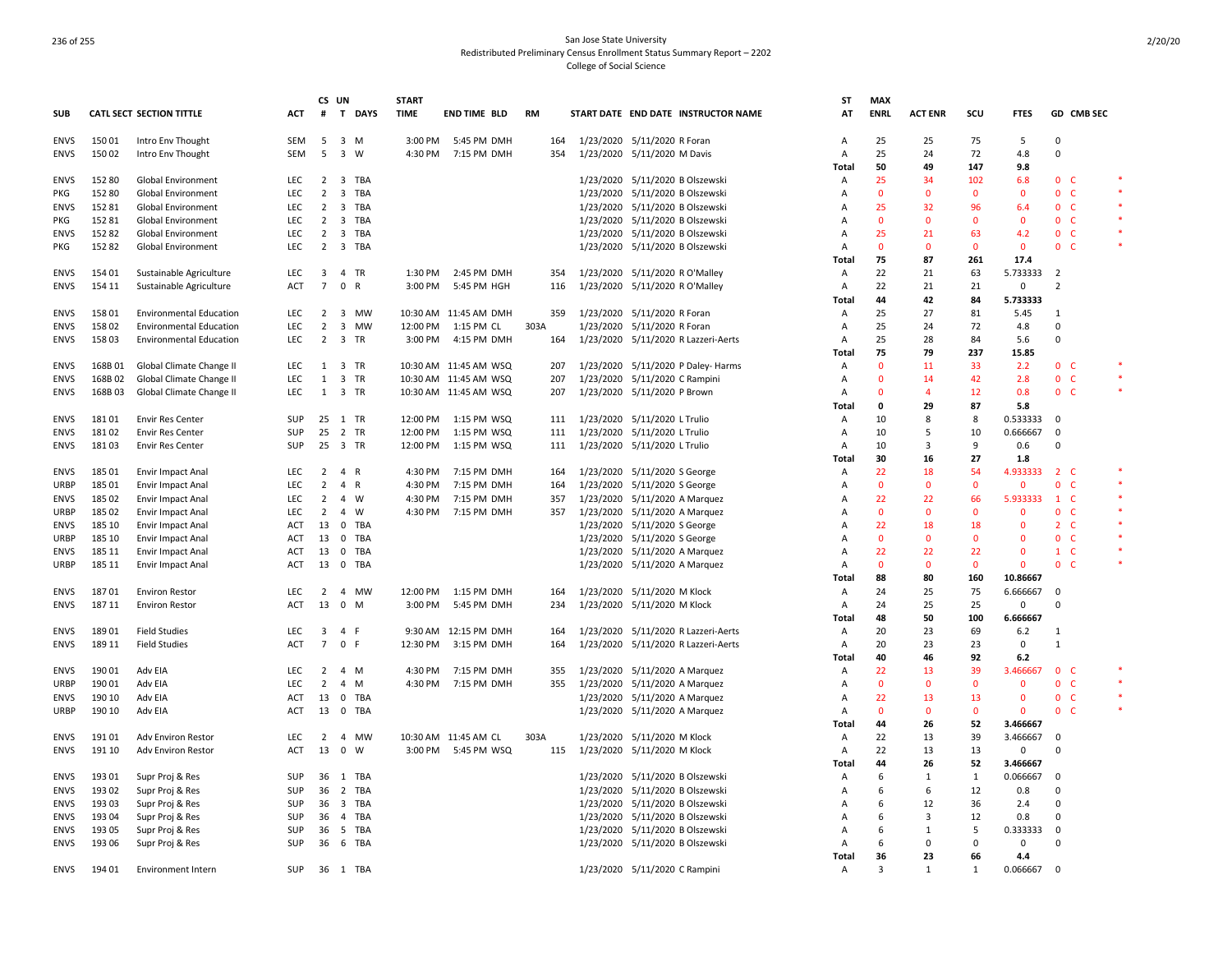|             |        |                                 |            | CS UN                   |                                | <b>START</b> |                        |           |           |                                     | ST             | <b>MAX</b>     |                |              |              |                |            |        |
|-------------|--------|---------------------------------|------------|-------------------------|--------------------------------|--------------|------------------------|-----------|-----------|-------------------------------------|----------------|----------------|----------------|--------------|--------------|----------------|------------|--------|
| <b>SUB</b>  |        | <b>CATL SECT SECTION TITTLE</b> | <b>ACT</b> | #                       | T<br><b>DAYS</b>               | <b>TIME</b>  | <b>END TIME BLD</b>    | <b>RM</b> |           | START DATE END DATE INSTRUCTOR NAME | AT             | <b>ENRL</b>    | <b>ACT ENR</b> | scu          | <b>FTES</b>  |                | GD CMB SEC |        |
| ENVS        | 15001  | Intro Env Thought               | SEM        | 5                       | 3 M                            | 3:00 PM      | 5:45 PM DMH            | 164       |           | 1/23/2020 5/11/2020 R Foran         | Α              | 25             | 25             | 75           | 5            | $\Omega$       |            |        |
| <b>ENVS</b> | 15002  | Intro Env Thought               | SEM        | 5                       | $\overline{\mathbf{3}}$<br>W   | 4:30 PM      | 7:15 PM DMH            | 354       |           | 1/23/2020 5/11/2020 M Davis         | A              | 25             | 24             | 72           | 4.8          | $\mathbf 0$    |            |        |
|             |        |                                 |            |                         |                                |              |                        |           |           |                                     | Total          | 50             | 49             | 147          | 9.8          |                |            |        |
| ENVS        | 152 80 | Global Environment              | LEC        |                         | 2 3 TBA                        |              |                        |           |           | 1/23/2020 5/11/2020 B Olszewski     | A              | 25             | 34             | 102          | 6.8          | 0 <sub>c</sub> |            |        |
| PKG         | 152 80 | Global Environment              | LEC        | $\overline{2}$          | TBA<br>3                       |              |                        |           | 1/23/2020 | 5/11/2020 B Olszewski               | A              | $\mathbf 0$    | $\mathbf{0}$   | $\mathbf 0$  | 0            | $\mathbf{0}$   | C          | $\ast$ |
| <b>ENVS</b> | 15281  | Global Environment              | LEC        | $\overline{2}$          | 3<br>TBA                       |              |                        |           |           | 1/23/2020 5/11/2020 B Olszewski     | A              | 25             | 32             | 96           | 6.4          | 0 <sub>c</sub> |            |        |
| PKG         | 15281  | Global Environment              | LEC        | 2                       | TBA<br>3                       |              |                        |           | 1/23/2020 | 5/11/2020 B Olszewski               | A              | $\mathbf{0}$   | $\mathbf{0}$   | $\mathbf{0}$ | 0            | $\mathbf{0}$   | <b>C</b>   |        |
| <b>ENVS</b> | 15282  | Global Environment              | LEC        | $\overline{2}$          | $\overline{\mathbf{3}}$<br>TBA |              |                        |           |           | 1/23/2020 5/11/2020 B Olszewski     | A              | 25             | 21             | 63           | 4.2          | 0 <sub>c</sub> |            |        |
|             |        |                                 | LEC        | $\overline{2}$          | TBA                            |              |                        |           |           |                                     | Α              | $\mathbf 0$    | $\mathbf 0$    | $\mathbf 0$  | 0            | 0              | C          |        |
| PKG         | 15282  | Global Environment              |            |                         | 3                              |              |                        |           |           | 1/23/2020 5/11/2020 B Olszewski     |                | 75             |                |              |              |                |            |        |
|             |        |                                 |            |                         |                                |              |                        |           |           |                                     | Total          |                | 87             | 261          | 17.4         |                |            |        |
| <b>ENVS</b> | 154 01 | Sustainable Agriculture         | LEC        | 3                       | 4 TR                           | 1:30 PM      | 2:45 PM DMH            | 354       |           | 1/23/2020 5/11/2020 R O'Malley      | Α              | 22             | 21             | 63           | 5.733333     | -2             |            |        |
| <b>ENVS</b> | 154 11 | Sustainable Agriculture         | ACT        | $\overline{7}$          | 0<br>R                         | 3:00 PM      | 5:45 PM HGH            | 116       |           | 1/23/2020 5/11/2020 R O'Malley      | A              | 22             | 21             | 21           | 0            | $\mathcal{P}$  |            |        |
|             |        |                                 |            |                         |                                |              |                        |           |           |                                     | Total          | 44             | 42             | 84           | 5.733333     |                |            |        |
| <b>ENVS</b> | 15801  | <b>Environmental Education</b>  | LEC        | $\overline{2}$          | 3 MW                           |              | 10:30 AM 11:45 AM DMH  | 359       |           | 1/23/2020 5/11/2020 R Foran         | A              | 25             | 27             | 81           | 5.45         | 1              |            |        |
| <b>ENVS</b> | 15802  | <b>Environmental Education</b>  | LEC        | $\overline{2}$          | 3<br>MW                        | 12:00 PM     | 1:15 PM CL             | 303A      |           | 1/23/2020 5/11/2020 R Foran         | A              | 25             | 24             | 72           | 4.8          | $\Omega$       |            |        |
| <b>ENVS</b> | 15803  | <b>Environmental Education</b>  | LEC        | $\overline{2}$          | 3 TR                           | 3:00 PM      | 4:15 PM DMH            | 164       |           | 1/23/2020 5/11/2020 R Lazzeri-Aerts | A              | 25             | 28             | 84           | 5.6          | $\Omega$       |            |        |
|             |        |                                 |            |                         |                                |              |                        |           |           |                                     | Total          | 75             | 79             | 237          | 15.85        |                |            |        |
| <b>ENVS</b> | 168B01 | Global Climate Change II        | <b>LEC</b> | 1                       | 3 TR                           |              | 10:30 AM 11:45 AM WSQ  | 207       |           | 1/23/2020 5/11/2020 P Daley- Harms  | Α              | $\Omega$       | 11             | 33           | 2.2          | 0 <sup>o</sup> |            |        |
| <b>ENVS</b> | 168B02 | Global Climate Change II        | LEC        | 1                       | 3 TR                           |              | 10:30 AM 11:45 AM WSQ  | 207       |           | 1/23/2020 5/11/2020 C Rampini       | Α              | $\Omega$       | 14             | 42           | 2.8          | $\mathbf{0}$   | - C        |        |
| <b>ENVS</b> | 168B03 | Global Climate Change II        | LEC        | 1                       | 3 TR                           |              | 10:30 AM 11:45 AM WSQ  | 207       |           | 1/23/2020 5/11/2020 P Brown         | A              | $\mathbf 0$    | $\overline{4}$ | 12           | 0.8          | $\mathbf 0$    | C          | $\ast$ |
|             |        |                                 |            |                         |                                |              |                        |           |           |                                     | Total          | $\mathbf{0}$   | 29             | 87           | 5.8          |                |            |        |
| <b>ENVS</b> | 18101  | <b>Envir Res Center</b>         | SUP        | 25                      | 1 TR                           | 12:00 PM     | 1:15 PM WSQ            | 111       |           | 1/23/2020 5/11/2020 L Trulio        | A              | 10             | 8              | 8            | 0.533333     | 0              |            |        |
| <b>ENVS</b> | 18102  | <b>Envir Res Center</b>         | <b>SUP</b> | 25                      | $\overline{2}$<br>TR           | 12:00 PM     | 1:15 PM WSQ            | 111       |           | 1/23/2020 5/11/2020 L Trulio        | Α              | 10             | -5             | 10           | 0.666667     | 0              |            |        |
| <b>ENVS</b> | 18103  | <b>Envir Res Center</b>         | <b>SUP</b> | 25                      | 3 TR                           | 12:00 PM     | 1:15 PM WSQ            | 111       |           | 1/23/2020 5/11/2020 L Trulio        | A              | 10             | 3              | -9           | 0.6          | $\Omega$       |            |        |
|             |        |                                 |            |                         |                                |              |                        |           |           |                                     |                | 30             |                | 27           |              |                |            |        |
|             |        |                                 |            |                         |                                |              |                        |           |           |                                     | Total          |                | 16             |              | 1.8          |                | $\epsilon$ |        |
| <b>ENVS</b> | 185 01 | <b>Envir Impact Anal</b>        | LEC        | $\overline{2}$          | $\overline{4}$<br>R            | 4:30 PM      | 7:15 PM DMH            | 164       |           | 1/23/2020 5/11/2020 S George        | A              | 22             | 18             | 54           | 4.933333     | $\overline{2}$ |            |        |
| URBP        | 185 01 | <b>Envir Impact Anal</b>        | <b>LEC</b> | 2                       | $\overline{4}$<br>R            | 4:30 PM      | 7:15 PM DMH            | 164       |           | 1/23/2020 5/11/2020 S George        | A              | $\mathbf{0}$   | $\mathbf{0}$   | $\mathbf{0}$ | $\mathbf{0}$ | 0              | <b>C</b>   | $\ast$ |
| <b>ENVS</b> | 185 02 | <b>Envir Impact Anal</b>        | LEC        | $\overline{2}$          | $\overline{a}$<br>W            | 4:30 PM      | 7:15 PM DMH            | 357       |           | 1/23/2020 5/11/2020 A Marquez       | A              | 22             | 22             | 66           | 5.933333     | $\mathbf{1}$   | - C        |        |
| URBP        | 185 02 | <b>Envir Impact Anal</b>        | LEC        | $\overline{2}$          | 4<br>W                         | 4:30 PM      | 7:15 PM DMH            | 357       |           | 1/23/2020 5/11/2020 A Marquez       | $\overline{A}$ | $\mathbf 0$    | $\Omega$       | $\mathbf 0$  | $\Omega$     | 0              | C          |        |
| <b>ENVS</b> | 185 10 | <b>Envir Impact Anal</b>        | ACT        | 13                      | 0 TBA                          |              |                        |           |           | 1/23/2020 5/11/2020 S George        | $\overline{A}$ | 22             | 18             | 18           | $\mathbf{0}$ | $\overline{2}$ | - C        |        |
| <b>URBP</b> | 185 10 | <b>Envir Impact Anal</b>        | ACT        | 13                      | $\mathbf 0$<br><b>TBA</b>      |              |                        |           |           | 1/23/2020 5/11/2020 S George        | A              | $\mathbf{0}$   | $\mathbf{0}$   | $\mathbf{0}$ | $\mathbf{0}$ | $\mathbf{0}$   | <b>C</b>   |        |
| <b>ENVS</b> | 185 11 | <b>Envir Impact Anal</b>        | ACT        | 13                      | $^{\circ}$<br>TBA              |              |                        |           | 1/23/2020 | 5/11/2020 A Marquez                 | Α              | 22             | 22             | 22           | $\mathbf{0}$ | $1 \quad C$    |            |        |
| URBP        | 185 11 | <b>Envir Impact Anal</b>        | <b>ACT</b> | 13                      | $^{\circ}$<br>TBA              |              |                        |           |           | 1/23/2020 5/11/2020 A Marquez       | A              | $\mathbf{0}$   | $\mathbf{0}$   | $\mathbf{0}$ | $\mathbf{0}$ | 0 <sup>o</sup> |            |        |
|             |        |                                 |            |                         |                                |              |                        |           |           |                                     | Total          | 88             | 80             | 160          | 10.86667     |                |            |        |
| <b>ENVS</b> | 18701  | <b>Environ Restor</b>           | <b>LEC</b> | 2                       | $\overline{4}$<br><b>MW</b>    |              | 12:00 PM   1:15 PM DMH | 164       |           | 1/23/2020 5/11/2020 M Klock         | Α              | 24             | 25             | 75           | 6.666667     | $\Omega$       |            |        |
| <b>ENVS</b> | 187 11 | <b>Environ Restor</b>           | ACT        | 13                      | $\mathbf 0$<br>M               | 3:00 PM      | 5:45 PM DMH            | 234       |           | 1/23/2020 5/11/2020 M Klock         | Α              | 24             | 25             | 25           | 0            | Ō              |            |        |
|             |        |                                 |            |                         |                                |              |                        |           |           |                                     | Total          | 48             | 50             | 100          | 6.666667     |                |            |        |
| ENVS        | 18901  | <b>Field Studies</b>            | <b>LEC</b> | $\overline{\mathbf{3}}$ | 4 F                            |              | 9:30 AM 12:15 PM DMH   | 164       |           | 1/23/2020 5/11/2020 R Lazzeri-Aerts | Α              | 20             | 23             | 69           | $6.2$        | -1             |            |        |
| <b>ENVS</b> | 189 11 | <b>Field Studies</b>            | <b>ACT</b> | $\overline{7}$          | 0 F                            | 12:30 PM     | 3:15 PM DMH            | 164       |           | 1/23/2020 5/11/2020 R Lazzeri-Aerts | А              | 20             | 23             | 23           | $\mathbf 0$  | $\mathbf{1}$   |            |        |
|             |        |                                 |            |                         |                                |              |                        |           |           |                                     | Total          | 40             | 46             | 92           | 6.2          |                |            |        |
|             | 190 01 |                                 | LEC.       |                         | $\overline{4}$<br>M            | 4:30 PM      |                        |           |           |                                     |                | 22             | 13             | 39           |              | $\mathbf{0}$   | - C        |        |
| <b>ENVS</b> |        | Adv EIA                         |            | 2                       |                                |              | 7:15 PM DMH            | 355       |           | 1/23/2020 5/11/2020 A Marquez       | Α              |                |                |              | 3.466667     |                |            |        |
| <b>URBP</b> | 190 01 | Adv EIA                         | <b>LEC</b> | $\overline{2}$          | $\overline{4}$<br>M            | 4:30 PM      | 7:15 PM DMH            | 355       |           | 1/23/2020 5/11/2020 A Marquez       | А              | $\mathbf{0}$   | $\mathbf{0}$   | $\mathbf 0$  | $\mathbf{0}$ | $\mathbf{0}$   | <b>C</b>   |        |
| <b>ENVS</b> | 190 10 | Adv EIA                         | <b>ACT</b> | 13                      | 0 TBA                          |              |                        |           |           | 1/23/2020 5/11/2020 A Marquez       | Α              | 22             | 13             | 13           | $\mathbf 0$  | $\mathbf{0}$   | <b>C</b>   |        |
| <b>URBP</b> | 190 10 | Adv EIA                         | <b>ACT</b> | 13                      | $\mathbf 0$<br>TBA             |              |                        |           |           | 1/23/2020 5/11/2020 A Marquez       | Α              | $\Omega$       | $\mathbf{0}$   | $\mathbf{0}$ | $\Omega$     | $\mathbf{0}$   | - C        | $\ast$ |
|             |        |                                 |            |                         |                                |              |                        |           |           |                                     | Total          | 44             | 26             | 52           | 3.466667     |                |            |        |
| ENVS        | 19101  | Adv Environ Restor              | LEC        | $\overline{2}$          | 4 MW                           |              | 10:30 AM 11:45 AM CL   | 303A      |           | 1/23/2020 5/11/2020 M Klock         | Α              | 22             | 13             | 39           | 3.466667     | $\Omega$       |            |        |
| <b>ENVS</b> | 191 10 | Adv Environ Restor              | <b>ACT</b> | 13                      | $\mathbf{0}$<br>W              |              | 3:00 PM 5:45 PM WSQ    | 115       |           | 1/23/2020 5/11/2020 M Klock         | A              | 22             | 13             | 13           | 0            | O              |            |        |
|             |        |                                 |            |                         |                                |              |                        |           |           |                                     | Total          | 44             | 26             | 52           | 3.466667     |                |            |        |
| ENVS        | 19301  | Supr Proj & Res                 | SUP        | 36                      | 1 TBA                          |              |                        |           |           | 1/23/2020 5/11/2020 B Olszewski     | A              | 6              | 1              | 1            | 0.066667     | $\Omega$       |            |        |
| <b>ENVS</b> | 193 02 | Supr Proj & Res                 | SUP        | 36                      | TBA<br>2                       |              |                        |           | 1/23/2020 | 5/11/2020 B Olszewski               | A              | 6              | -6             | 12           | 0.8          | $\mathbf 0$    |            |        |
| <b>ENVS</b> | 19303  | Supr Proj & Res                 | <b>SUP</b> | 36                      | 3 TBA                          |              |                        |           |           | 1/23/2020 5/11/2020 B Olszewski     | A              | 6              | 12             | 36           | 2.4          | $\Omega$       |            |        |
| <b>ENVS</b> | 193 04 | Supr Proj & Res                 | SUP        | 36                      | TBA<br>4                       |              |                        |           | 1/23/2020 | 5/11/2020 B Olszewski               | A              | 6              | 3              | 12           | 0.8          | $\Omega$       |            |        |
| ENVS        | 193 05 | Supr Proj & Res                 | SUP        | 36                      | TBA<br>5                       |              |                        |           | 1/23/2020 | 5/11/2020 B Olszewski               | A              | 6              | 1              | 5            | 0.333333     | $\mathbf 0$    |            |        |
| <b>ENVS</b> | 193 06 | Supr Proj & Res                 | <b>SUP</b> | 36                      | 6 TBA                          |              |                        |           |           | 1/23/2020 5/11/2020 B Olszewski     | A              | 6              | 0              | 0            | 0            | 0              |            |        |
|             |        |                                 |            |                         |                                |              |                        |           |           |                                     |                |                | 23             |              |              |                |            |        |
|             |        |                                 |            |                         |                                |              |                        |           |           |                                     | Total          | 36             |                | 66           | 4.4          |                |            |        |
| <b>ENVS</b> | 194 01 | <b>Environment Intern</b>       | SUP        | 36                      | 1 TBA                          |              |                        |           |           | 1/23/2020 5/11/2020 C Rampini       | Α              | $\overline{3}$ | 1              | 1            | 0.066667     | - 0            |            |        |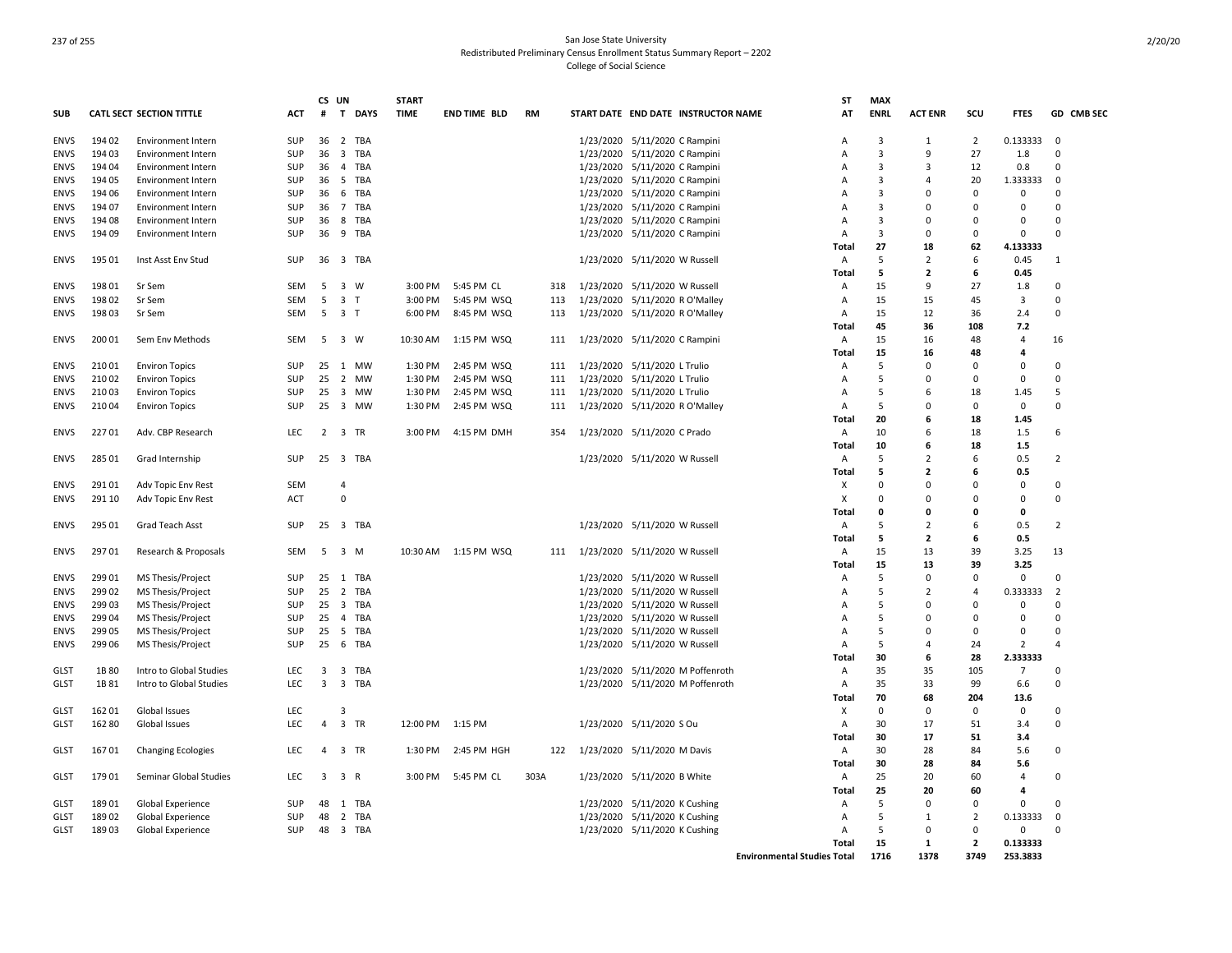|             |        |                                 |            | CS UN                   |                                | <b>START</b> |                       |      |                                     | ST                                 | <b>MAX</b>  |                         |                |                |                |
|-------------|--------|---------------------------------|------------|-------------------------|--------------------------------|--------------|-----------------------|------|-------------------------------------|------------------------------------|-------------|-------------------------|----------------|----------------|----------------|
| SUB         |        | <b>CATL SECT SECTION TITTLE</b> | ACT        | #                       | $\mathbf{T}$<br><b>DAYS</b>    | <b>TIME</b>  | <b>END TIME BLD</b>   | RM   | START DATE END DATE INSTRUCTOR NAME | AT                                 | <b>ENRL</b> | <b>ACT ENR</b>          | scu            | <b>FTES</b>    | GD CMB SEC     |
| <b>ENVS</b> | 194 02 | <b>Environment Intern</b>       | <b>SUP</b> | 36                      | 2 TBA                          |              |                       |      | 1/23/2020 5/11/2020 C Rampini       | A                                  | 3           | 1                       | 2              | 0.133333       | 0              |
| <b>ENVS</b> | 194 03 | <b>Environment Intern</b>       | SUP        | 36                      | $\overline{\mathbf{3}}$<br>TBA |              |                       |      | 1/23/2020 5/11/2020 C Rampini       | А                                  | 3           | 9                       | 27             | 1.8            | $\Omega$       |
| <b>ENVS</b> | 194 04 | Environment Intern              | SUP        | 36                      | 4 TBA                          |              |                       |      | 1/23/2020 5/11/2020 C Rampini       | A                                  | 3           | 3                       | 12             | 0.8            | $\mathbf 0$    |
| <b>ENVS</b> | 194 05 | <b>Environment Intern</b>       | SUP        | 36                      | 5 TBA                          |              |                       |      | 1/23/2020 5/11/2020 C Rampini       | А                                  | 3           | $\overline{4}$          | 20             | 1.333333       | $\mathbf 0$    |
| <b>ENVS</b> | 194 06 | <b>Environment Intern</b>       | <b>SUP</b> | 36                      | 6<br>TBA                       |              |                       |      | 1/23/2020 5/11/2020 C Rampini       | А                                  | 3           | $\Omega$                | $\Omega$       | $\Omega$       | $\Omega$       |
| <b>ENVS</b> | 194 07 | <b>Environment Intern</b>       | <b>SUP</b> | 36                      | $\overline{7}$<br>TBA          |              |                       |      | 1/23/2020 5/11/2020 C Rampini       | A                                  | 3           | $\Omega$                | $\Omega$       | $\Omega$       | $\Omega$       |
| <b>ENVS</b> | 19408  | <b>Environment Intern</b>       | <b>SUP</b> | 36                      | 8 TBA                          |              |                       |      | 1/23/2020 5/11/2020 C Rampini       | A                                  | 3           | $\Omega$                | $\Omega$       | $\Omega$       | $\Omega$       |
| <b>ENVS</b> | 194 09 | <b>Environment Intern</b>       | SUP        | 36                      | 9<br>TBA                       |              |                       |      | 1/23/2020 5/11/2020 C Rampini       | A                                  | 3           | $\Omega$                | $\Omega$       | $\Omega$       | $\Omega$       |
|             |        |                                 |            |                         |                                |              |                       |      |                                     | Total                              | 27          | 18                      | 62             | 4.133333       |                |
| <b>ENVS</b> | 195 01 | Inst Asst Env Stud              | SUP        |                         | 36 3 TBA                       |              |                       |      | 1/23/2020 5/11/2020 W Russell       | Α                                  | 5           | $\overline{2}$          | 6              | 0.45           | $\mathbf{1}$   |
|             |        |                                 |            |                         |                                |              |                       |      |                                     | Total                              | 5           | $\mathbf{2}$            | 6              | 0.45           |                |
| ENVS        | 19801  | Sr Sem                          | <b>SEM</b> | 5                       | 3 W                            | 3:00 PM      | 5:45 PM CL            | 318  | 1/23/2020 5/11/2020 W Russell       | A                                  | 15          | 9                       | 27             | 1.8            | 0              |
| <b>ENVS</b> | 19802  | Sr Sem                          | <b>SEM</b> | 5                       | 3 <sub>T</sub>                 | 3:00 PM      | 5:45 PM WSQ           | 113  | 1/23/2020 5/11/2020 R O'Malley      | Α                                  | 15          | 15                      | 45             | 3              | 0              |
| <b>ENVS</b> | 19803  | Sr Sem                          | <b>SEM</b> | 5                       | 3 <sub>T</sub>                 | 6:00 PM      | 8:45 PM WSQ           | 113  | 1/23/2020 5/11/2020 R O'Malley      | $\overline{A}$                     | 15          | 12                      | 36             | 2.4            | $\Omega$       |
|             |        |                                 |            |                         |                                |              |                       |      |                                     | Total                              | 45          | 36                      | 108            | 7.2            |                |
| <b>ENVS</b> | 200 01 | Sem Env Methods                 | <b>SEM</b> | 5                       | 3 W                            | 10:30 AM     | 1:15 PM WSQ           | 111  | 1/23/2020 5/11/2020 C Rampini       | A                                  | 15          | 16                      | 48             | $\overline{4}$ | 16             |
|             |        |                                 |            |                         |                                |              |                       |      |                                     | Total                              | 15          | 16                      | 48             | 4              |                |
| <b>ENVS</b> | 210 01 | <b>Environ Topics</b>           | <b>SUP</b> | 25                      | 1 MW                           | 1:30 PM      | 2:45 PM WSQ           | 111  | 1/23/2020 5/11/2020 L Trulio        | Α                                  | 5           | $\Omega$                | $\Omega$       | $\Omega$       | $\Omega$       |
| <b>ENVS</b> | 21002  | <b>Environ Topics</b>           | <b>SUP</b> | 25                      | 2 MW                           | 1:30 PM      | 2:45 PM WSQ           | 111  | 1/23/2020 5/11/2020 L Trulio        | $\overline{A}$                     | 5           | $\Omega$                | $\Omega$       | $\Omega$       | $\Omega$       |
| <b>ENVS</b> | 21003  |                                 | SUP        | 25                      | 3 MW                           | 1:30 PM      | 2:45 PM WSQ           | 111  | 1/23/2020 5/11/2020 L Trulio        | A                                  | 5           | 6                       | 18             | 1.45           | 5              |
|             | 21004  | <b>Environ Topics</b>           | <b>SUP</b> | 25                      | 3 MW                           | 1:30 PM      | 2:45 PM WSQ           | 111  |                                     | A                                  | 5           | $\Omega$                | $\Omega$       | $\mathbf 0$    | $\Omega$       |
| <b>ENVS</b> |        | <b>Environ Topics</b>           |            |                         |                                |              |                       |      | 1/23/2020 5/11/2020 R O'Malley      |                                    |             | 6                       |                |                |                |
|             |        |                                 |            |                         |                                |              |                       |      |                                     | Total                              | 20          |                         | 18             | 1.45           |                |
| ENVS        | 22701  | Adv. CBP Research               | <b>LEC</b> | $\overline{2}$          | 3 TR                           | 3:00 PM      | 4:15 PM DMH           | 354  | 1/23/2020 5/11/2020 C Prado         | A                                  | 10          | 6                       | 18             | 1.5            | 6              |
|             |        |                                 |            |                         |                                |              |                       |      |                                     | Total                              | 10          | 6                       | 18             | 1.5            |                |
| ENVS        | 285 01 | Grad Internship                 | SUP        | 25                      | 3 TBA                          |              |                       |      | 1/23/2020 5/11/2020 W Russell       | A                                  | 5           | $\overline{2}$          | 6              | 0.5            | 2              |
|             |        |                                 |            |                         |                                |              |                       |      |                                     | Total                              | 5           | $\overline{\mathbf{2}}$ | 6              | 0.5            |                |
| <b>ENVS</b> | 29101  | Adv Topic Env Rest              | <b>SEM</b> |                         | 4                              |              |                       |      |                                     | X                                  | $\Omega$    | $\Omega$                | $\Omega$       | $\Omega$       | $\mathbf 0$    |
| <b>ENVS</b> | 291 10 | Adv Topic Env Rest              | <b>ACT</b> |                         | $\mathbf 0$                    |              |                       |      |                                     | X                                  | $\Omega$    | $\Omega$                | $\Omega$       | $\mathbf 0$    | $\Omega$       |
|             |        |                                 |            |                         |                                |              |                       |      |                                     | Total                              | 0           | 0                       | 0              | 0              |                |
| <b>ENVS</b> | 295 01 | Grad Teach Asst                 | <b>SUP</b> | 25                      | 3 TBA                          |              |                       |      | 1/23/2020 5/11/2020 W Russell       | A                                  | 5           | 2                       | 6              | 0.5            | 2              |
|             |        |                                 |            |                         |                                |              |                       |      |                                     | Total                              | 5           | $\mathbf{2}$            | 6              | 0.5            |                |
| <b>ENVS</b> | 29701  | Research & Proposals            | <b>SEM</b> | - 5                     | 3 M                            |              | 10:30 AM  1:15 PM WSQ | 111  | 1/23/2020 5/11/2020 W Russell       | $\overline{A}$                     | 15          | 13                      | 39             | 3.25           | 13             |
|             |        |                                 |            |                         |                                |              |                       |      |                                     | Total                              | 15          | 13                      | 39             | 3.25           |                |
| <b>ENVS</b> | 29901  | MS Thesis/Project               | SUP        | 25                      | 1 TBA                          |              |                       |      | 1/23/2020 5/11/2020 W Russell       | Α                                  | 5           | $\mathbf 0$             | $\Omega$       | $\mathbf 0$    | $\Omega$       |
| <b>ENVS</b> | 29902  | MS Thesis/Project               | <b>SUP</b> | 25                      | 2 TBA                          |              |                       |      | 1/23/2020 5/11/2020 W Russell       | А                                  | 5           | $\overline{2}$          | $\Delta$       | 0.333333       | $\overline{2}$ |
| ENVS        | 299 03 | MS Thesis/Project               | SUP        | 25                      | $\overline{3}$<br>TBA          |              |                       |      | 1/23/2020 5/11/2020 W Russell       | А                                  | 5           | $\mathbf 0$             | $\Omega$       | 0              | $\mathbf 0$    |
| <b>ENVS</b> | 299 04 | MS Thesis/Project               | SUP        | 25                      | 4 TBA                          |              |                       |      | 1/23/2020 5/11/2020 W Russell       | Α                                  | 5           | $\Omega$                | 0              | 0              | 0              |
| <b>ENVS</b> | 29905  | MS Thesis/Project               | <b>SUP</b> | 25                      | - 5<br>TBA                     |              |                       |      | 1/23/2020 5/11/2020 W Russell       | A                                  | 5           | $\Omega$                | $\Omega$       | $\Omega$       | $\Omega$       |
| <b>ENVS</b> | 299 06 | MS Thesis/Project               | <b>SUP</b> | 25                      | 6<br>TBA                       |              |                       |      | 1/23/2020 5/11/2020 W Russell       | A                                  | 5           | $\overline{4}$          | 24             | 2              | 4              |
|             |        |                                 |            |                         |                                |              |                       |      |                                     | Total                              | 30          | 6                       | 28             | 2.333333       |                |
| <b>GLST</b> | 1B 80  | Intro to Global Studies         | <b>LEC</b> | 3                       | 3 TBA                          |              |                       |      | 1/23/2020 5/11/2020 M Poffenroth    | A                                  | 35          | 35                      | 105            | $\overline{7}$ | $\mathbf 0$    |
| GLST        | 1B 81  | Intro to Global Studies         | <b>LEC</b> | $\overline{\mathbf{3}}$ | 3 TBA                          |              |                       |      | 1/23/2020 5/11/2020 M Poffenroth    | Α                                  | 35          | 33                      | 99             | 6.6            | $\mathbf 0$    |
|             |        |                                 |            |                         |                                |              |                       |      |                                     | Total                              | 70          | 68                      | 204            | 13.6           |                |
| GLST        | 16201  | Global Issues                   | <b>LEC</b> |                         | 3                              |              |                       |      |                                     | $\boldsymbol{\mathsf{x}}$          | $\Omega$    | 0                       | 0              | 0              | $\Omega$       |
| <b>GLST</b> | 162 80 | Global Issues                   | LEC.       | $\overline{4}$          | 3 TR                           |              | 12:00 PM 1:15 PM      |      | 1/23/2020 5/11/2020 S Ou            | $\overline{A}$                     | 30          | 17                      | 51             | 3.4            | $\Omega$       |
|             |        |                                 |            |                         |                                |              |                       |      |                                     | Total                              | 30          | 17                      | 51             | 3.4            |                |
| GLST        | 16701  | <b>Changing Ecologies</b>       | <b>LEC</b> | 4                       | 3 TR                           | 1:30 PM      | 2:45 PM HGH           | 122  | 1/23/2020 5/11/2020 M Davis         | Α                                  | 30          | 28                      | 84             | 5.6            | $\Omega$       |
|             |        |                                 |            |                         |                                |              |                       |      |                                     | Total                              | 30          | 28                      | 84             | 5.6            |                |
| GLST        | 17901  | Seminar Global Studies          | <b>LEC</b> | 3                       | 3 R                            | 3:00 PM      | 5:45 PM CL            | 303A | 1/23/2020 5/11/2020 B White         | A                                  | 25          | 20                      | 60             | $\overline{4}$ | 0              |
|             |        |                                 |            |                         |                                |              |                       |      |                                     | Total                              | 25          | 20                      | 60             | 4              |                |
| <b>GLST</b> | 18901  | Global Experience               | <b>SUP</b> | 48                      | 1 TBA                          |              |                       |      | 1/23/2020 5/11/2020 K Cushing       | $\mathsf{A}$                       | 5           | 0                       | $\Omega$       | $\Omega$       | $\Omega$       |
| GLST        | 18902  | Global Experience               | <b>SUP</b> | 48                      | 2 TBA                          |              |                       |      | 1/23/2020 5/11/2020 K Cushing       | А                                  | 5           | 1                       | 2              | 0.133333       | $\mathbf 0$    |
| <b>GLST</b> | 18903  | Global Experience               | <b>SUP</b> | 48                      | 3 TBA                          |              |                       |      | 1/23/2020 5/11/2020 K Cushing       | А                                  | 5           | 0                       | $\mathbf 0$    | $\mathbf 0$    | $\Omega$       |
|             |        |                                 |            |                         |                                |              |                       |      |                                     | Total                              | 15          | 1                       | $\overline{2}$ | 0.133333       |                |
|             |        |                                 |            |                         |                                |              |                       |      |                                     | <b>Environmental Studies Total</b> | 1716        | 1378                    | 3749           | 253.3833       |                |
|             |        |                                 |            |                         |                                |              |                       |      |                                     |                                    |             |                         |                |                |                |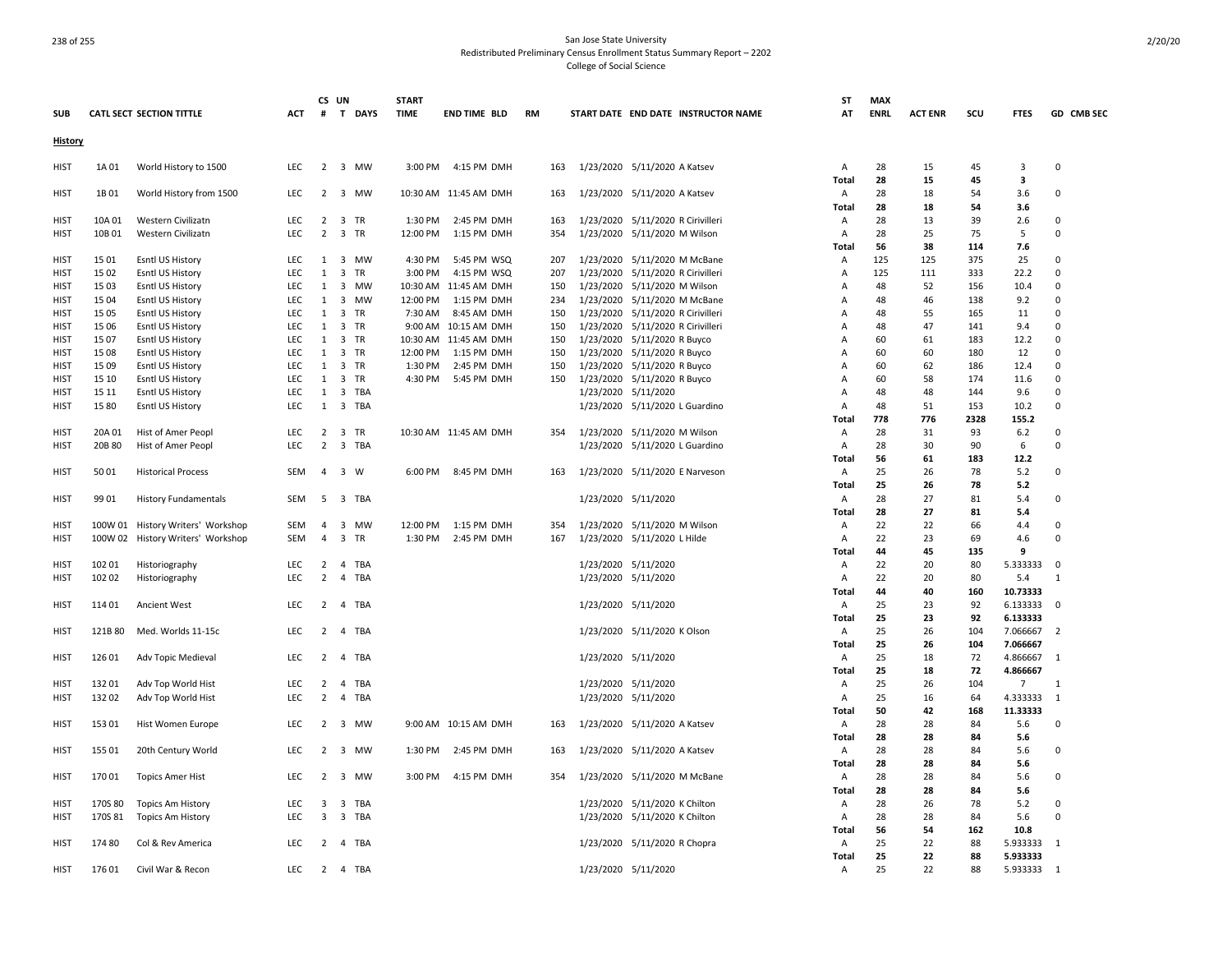|                |         |                                   |            | CS UN          |                                | <b>START</b> |                       |     |                                     | ST             | <b>MAX</b>  |                |      |                |                          |
|----------------|---------|-----------------------------------|------------|----------------|--------------------------------|--------------|-----------------------|-----|-------------------------------------|----------------|-------------|----------------|------|----------------|--------------------------|
| <b>SUB</b>     |         | <b>CATL SECT SECTION TITTLE</b>   | ACT        | #              | T DAYS                         | <b>TIME</b>  | <b>END TIME BLD</b>   | RM  | START DATE END DATE INSTRUCTOR NAME | AT             | <b>ENRL</b> | <b>ACT ENR</b> | scu  | <b>FTES</b>    | GD CMB SEC               |
| <b>History</b> |         |                                   |            |                |                                |              |                       |     |                                     |                |             |                |      |                |                          |
| <b>HIST</b>    | 1A 01   | World History to 1500             | <b>LEC</b> | $\overline{2}$ | 3 MW                           | 3:00 PM      | 4:15 PM DMH           | 163 | 1/23/2020 5/11/2020 A Katsev        | А              | 28          | 15             | 45   | 3              | $\Omega$                 |
|                |         |                                   |            |                |                                |              |                       |     |                                     | Total          | 28          | 15             | 45   | 3              |                          |
| HIST           | 1B01    | World History from 1500           | <b>LEC</b> | 2              | 3 MW                           |              | 10:30 AM 11:45 AM DMH | 163 | 1/23/2020 5/11/2020 A Katsev        | Α              | 28          | 18             | 54   | 3.6            | 0                        |
|                |         |                                   |            |                |                                |              |                       |     |                                     | Total          | 28          | 18             | 54   | 3.6            |                          |
| HIST           | 10A 01  | Western Civilizatn                | <b>LEC</b> | 2              | 3 TR                           | 1:30 PM      | 2:45 PM DMH           | 163 | 1/23/2020 5/11/2020 R Cirivilleri   | Α              | 28          | 13             | 39   | 2.6            | $\Omega$                 |
| <b>HIST</b>    | 10B01   | Western Civilizatn                | LEC        | $\overline{2}$ | 3 TR                           | 12:00 PM     | 1:15 PM DMH           | 354 | 1/23/2020 5/11/2020 M Wilson        | Α              | 28          | 25             | 75   | 5              | 0                        |
|                |         |                                   |            |                |                                |              |                       |     |                                     | Total          | 56          | 38             | 114  | 7.6            |                          |
| HIST           | 15 01   | Esntl US History                  | LEC        | 1              | 3 MW                           | 4:30 PM      | 5:45 PM WSQ           | 207 | 1/23/2020 5/11/2020 M McBane        | Α              | 125         | 125            | 375  | 25             | 0                        |
| <b>HIST</b>    | 15 02   | Esntl US History                  | <b>LEC</b> | $\mathbf{1}$   | $\overline{\mathbf{3}}$<br>TR  | 3:00 PM      | 4:15 PM WSQ           | 207 | 1/23/2020 5/11/2020 R Cirivilleri   | Α              | 125         | 111            | 333  | 22.2           | 0                        |
| <b>HIST</b>    | 15 03   | Esntl US History                  | LEC        | $\mathbf{1}$   | 3 MW                           |              | 10:30 AM 11:45 AM DMH | 150 | 1/23/2020 5/11/2020 M Wilson        | $\overline{A}$ | 48          | 52             | 156  | 10.4           | 0                        |
| HIST           | 15 04   | Esntl US History                  | <b>LEC</b> | 1              | 3 MW                           | 12:00 PM     | 1:15 PM DMH           | 234 | 1/23/2020 5/11/2020 M McBane        | Α              | 48          | 46             | 138  | 9.2            | $\Omega$                 |
| <b>HIST</b>    | 15 05   | Esntl US History                  | LEC        | 1              | 3 TR                           | 7:30 AM      | 8:45 AM DMH           | 150 | 1/23/2020 5/11/2020 R Cirivilleri   | $\overline{A}$ | 48          | 55             | 165  | 11             | 0                        |
| <b>HIST</b>    | 15 06   | Esntl US History                  | <b>LEC</b> | 1              | 3 TR                           |              | 9:00 AM 10:15 AM DMH  | 150 | 1/23/2020 5/11/2020 R Cirivilleri   | Α              | 48          | 47             | 141  | 9.4            | $\Omega$                 |
| HIST           | 1507    | Esntl US History                  | <b>LEC</b> | 1              | 3 TR                           |              | 10:30 AM 11:45 AM DMH | 150 | 1/23/2020 5/11/2020 R Buyco         | Α              | 60          | 61             | 183  | 12.2           | $\Omega$                 |
| <b>HIST</b>    | 15 08   | Esntl US History                  | <b>LEC</b> | $\mathbf{1}$   | 3 TR                           | 12:00 PM     | 1:15 PM DMH           | 150 | 1/23/2020 5/11/2020 R Buyco         | Α              | 60          | 60             | 180  | 12             | $\Omega$                 |
| HIST           | 15 09   | Esntl US History                  | <b>LEC</b> | 1              | 3 TR                           | 1:30 PM      | 2:45 PM DMH           | 150 | 1/23/2020 5/11/2020 R Buyco         | Α              | 60          | 62             | 186  | 12.4           | $\Omega$                 |
| <b>HIST</b>    | 15 10   | Esntl US History                  | LEC        | $\mathbf{1}$   | $\overline{\mathbf{3}}$<br>TR  | 4:30 PM      | 5:45 PM DMH           | 150 | 1/23/2020 5/11/2020 R Buyco         | Α              | 60          | 58             | 174  | 11.6           | $\Omega$                 |
| <b>HIST</b>    | 15 11   | Esntl US History                  | <b>LEC</b> | 1              | $\overline{\mathbf{3}}$<br>TBA |              |                       |     | 1/23/2020 5/11/2020                 | Α              | 48          | 48             | 144  | 9.6            | $\Omega$                 |
| <b>HIST</b>    | 1580    | Esntl US History                  | LEC        | $\mathbf{1}$   | $\overline{\mathbf{3}}$<br>TBA |              |                       |     | 1/23/2020 5/11/2020 L Guardino      | Α              | 48          | 51             | 153  | 10.2           | 0                        |
|                |         |                                   |            |                |                                |              |                       |     |                                     | <b>Total</b>   | 778         | 776            | 2328 | 155.2          |                          |
| <b>HIST</b>    | 20A 01  | Hist of Amer Peopl                | <b>LEC</b> |                | 2 3 TR                         |              | 10:30 AM 11:45 AM DMH | 354 | 1/23/2020 5/11/2020 M Wilson        | Α              | 28          | 31             | 93   | $6.2$          | $\Omega$                 |
| <b>HIST</b>    | 20B 80  | Hist of Amer Peopl                | <b>LEC</b> | $\overline{2}$ | 3 TBA                          |              |                       |     | 1/23/2020 5/11/2020 L Guardino      | Α              | 28          | 30             | 90   | 6              | 0                        |
|                |         |                                   |            |                |                                |              |                       |     |                                     | Total          | 56          | 61             | 183  | 12.2           |                          |
| <b>HIST</b>    | 5001    | <b>Historical Process</b>         | <b>SEM</b> | $\overline{4}$ | 3 W                            | 6:00 PM      | 8:45 PM DMH           | 163 | 1/23/2020 5/11/2020 E Narveson      | Α              | 25          | 26             | 78   | 5.2            | 0                        |
|                |         |                                   |            |                |                                |              |                       |     |                                     | Total          | 25          | 26             | 78   | 5.2            |                          |
| <b>HIST</b>    | 99 01   | <b>History Fundamentals</b>       | SEM        | -5             | 3 TBA                          |              |                       |     | 1/23/2020 5/11/2020                 | Α              | 28          | 27             | 81   | 5.4            | 0                        |
|                |         |                                   |            |                |                                |              |                       |     |                                     | Total          | 28          | 27             | 81   | 5.4            |                          |
| <b>HIST</b>    |         | 100W 01 History Writers' Workshop | SEM        | $\overline{a}$ | 3 MW                           | 12:00 PM     | 1:15 PM DMH           | 354 | 1/23/2020 5/11/2020 M Wilson        | Α              | 22          | 22             | 66   | 4.4            | $\Omega$                 |
| HIST           |         | 100W 02 History Writers' Workshop | SEM        | $\overline{a}$ | $\overline{3}$<br>TR           | 1:30 PM      | 2:45 PM DMH           | 167 | 1/23/2020 5/11/2020 L Hilde         | Α              | 22          | 23             | 69   | 4.6            | 0                        |
|                |         |                                   |            |                |                                |              |                       |     |                                     | Total          | 44          | 45             | 135  | 9              |                          |
| HIST           | 102 01  | Historiography                    | <b>LEC</b> | 2              | TBA<br>4                       |              |                       |     | 1/23/2020 5/11/2020                 | Α              | 22          | 20             | 80   | 5.333333       | $\overline{0}$           |
| <b>HIST</b>    | 102 02  | Historiography                    | LEC        | $\overline{2}$ | 4 TBA                          |              |                       |     | 1/23/2020 5/11/2020                 | Α              | 22          | 20             | 80   | 5.4            | $\mathbf{1}$             |
|                |         |                                   |            |                |                                |              |                       |     |                                     | Total          | 44          | 40             | 160  | 10.73333       |                          |
| <b>HIST</b>    | 114 01  | Ancient West                      | <b>LEC</b> | $\overline{2}$ | $\overline{4}$<br>TBA          |              |                       |     | 1/23/2020 5/11/2020                 | Α              | 25          | 23             | 92   | 6.133333       | 0                        |
|                |         |                                   |            |                |                                |              |                       |     |                                     | Total          | 25          | 23             | 92   | 6.133333       |                          |
| HIST           | 121B 80 | Med. Worlds 11-15c                | LEC        | $2^{\circ}$    | 4 TBA                          |              |                       |     | 1/23/2020 5/11/2020 K Olson         | Α              | 25          | 26             | 104  | 7.066667       | $\overline{2}$           |
|                |         |                                   |            |                |                                |              |                       |     |                                     | Total          | 25          | 26             | 104  | 7.066667       |                          |
| HIST           | 126 01  | Adv Topic Medieval                | LEC        | $\overline{2}$ | $\overline{4}$<br>TBA          |              |                       |     | 1/23/2020 5/11/2020                 | Α              | 25          | 18             | 72   | 4.866667       | $\mathbf{1}$             |
|                |         |                                   |            |                |                                |              |                       |     |                                     | Total          | 25          | 18             | 72   | 4.866667       |                          |
| HIST           | 13201   | Adv Top World Hist                | LEC        | $\overline{2}$ | 4 TBA                          |              |                       |     | 1/23/2020 5/11/2020                 | Α              | 25          | 26             | 104  | $\overline{7}$ | 1                        |
| <b>HIST</b>    | 132 02  | Adv Top World Hist                | LEC        | $\overline{2}$ | $\overline{4}$<br>TBA          |              |                       |     | 1/23/2020 5/11/2020                 | Α              | 25          | 16             | 64   | 4.333333       | 1                        |
|                |         |                                   |            |                |                                |              |                       |     |                                     | Total          | 50          | 42             | 168  | 11.33333       |                          |
| <b>HIST</b>    | 153 01  | Hist Women Europe                 | <b>LEC</b> | $\overline{2}$ | 3 MW                           |              | 9:00 AM 10:15 AM DMH  | 163 | 1/23/2020 5/11/2020 A Katsev        | Α              | 28          | 28             | 84   | 5.6            | $\mathbf 0$              |
|                |         |                                   |            |                |                                |              |                       |     |                                     | Total          | 28          | 28             | 84   | 5.6            |                          |
| <b>HIST</b>    | 155 01  | 20th Century World                | <b>LEC</b> | $\overline{2}$ | 3 MW                           | 1:30 PM      | 2:45 PM DMH           | 163 | 1/23/2020 5/11/2020 A Katsev        | Α              | 28          | 28             | 84   | 5.6            | 0                        |
|                |         |                                   |            |                |                                |              |                       |     |                                     | Total          | 28          | 28             | 84   | 5.6            |                          |
| <b>HIST</b>    | 17001   | <b>Topics Amer Hist</b>           | <b>LEC</b> | $\overline{2}$ | 3 MW                           | 3:00 PM      | 4:15 PM DMH           | 354 | 1/23/2020 5/11/2020 M McBane        | Α              | 28          | 28             | 84   | 5.6            | 0                        |
|                |         |                                   |            |                |                                |              |                       |     |                                     | Total          | 28          | 28             | 84   | 5.6            |                          |
| HIST           | 170S 80 | <b>Topics Am History</b>          | <b>LEC</b> | 3              | 3<br>TBA                       |              |                       |     | 1/23/2020 5/11/2020 K Chilton       | Α              | 28          | 26             | 78   | 5.2            | 0                        |
| HIST           | 170S 81 | Topics Am History                 | <b>LEC</b> | 3              | 3 TBA                          |              |                       |     | 1/23/2020 5/11/2020 K Chilton       | Α              | 28          | 28             | 84   | 5.6<br>10.8    | $\Omega$                 |
|                |         |                                   |            |                |                                |              |                       |     |                                     | Total          | 56          | 54<br>22       | 162  |                | $\overline{\phantom{0}}$ |
| HIST           | 17480   | Col & Rev America                 | <b>LEC</b> | 2              | 4 TBA                          |              |                       |     | 1/23/2020 5/11/2020 R Chopra        | Α              | 25          |                | 88   | 5.933333       |                          |
|                |         |                                   |            |                |                                |              |                       |     |                                     | Total          | 25          | 22             | 88   | 5.933333       | $\overline{\phantom{0}}$ |
| <b>HIST</b>    | 17601   | Civil War & Recon                 | LEC        |                | 2 4 TBA                        |              |                       |     | 1/23/2020 5/11/2020                 | Α              | 25          | 22             | 88   | 5.933333       |                          |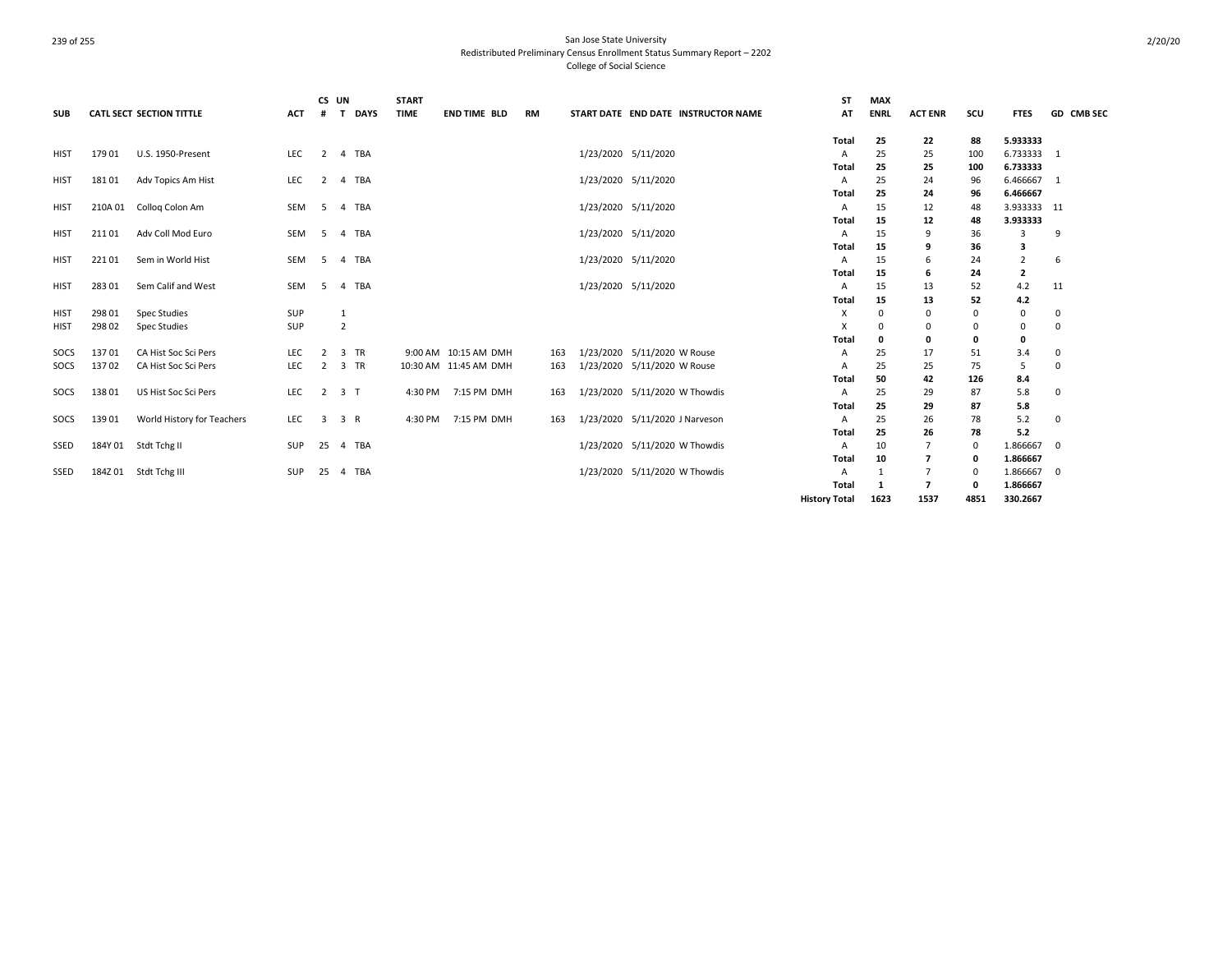| <b>SUB</b>  |         | <b>CATL SECT SECTION TITTLE</b> | <b>ACT</b> | CS UN<br>#     | T DAYS         | <b>START</b><br><b>TIME</b> | <b>END TIME BLD</b>   | RM  |                     | START DATE END DATE INSTRUCTOR NAME | ST<br>AT             | <b>MAX</b><br><b>ENRL</b> | <b>ACT ENR</b> | scu      | <b>FTES</b>    | <b>GD CMB SEC</b> |
|-------------|---------|---------------------------------|------------|----------------|----------------|-----------------------------|-----------------------|-----|---------------------|-------------------------------------|----------------------|---------------------------|----------------|----------|----------------|-------------------|
|             |         |                                 |            |                |                |                             |                       |     |                     |                                     | Total                | 25                        | 22             | 88       | 5.933333       |                   |
| <b>HIST</b> | 17901   | U.S. 1950-Present               | LEC        | $\overline{2}$ | 4 TBA          |                             |                       |     | 1/23/2020 5/11/2020 |                                     | А                    | 25                        | 25             | 100      | 6.733333 1     |                   |
|             |         |                                 |            |                |                |                             |                       |     |                     |                                     | Total                | 25                        | 25             | 100      | 6.733333       |                   |
| <b>HIST</b> | 18101   | Adv Topics Am Hist              | LEC        | $\overline{2}$ | 4 TBA          |                             |                       |     | 1/23/2020 5/11/2020 |                                     | A                    | 25                        | 24             | 96       | 6.466667 1     |                   |
|             |         |                                 |            |                |                |                             |                       |     |                     |                                     | Total                | 25                        | 24             | 96       | 6.466667       |                   |
| HIST        | 210A 01 | Collog Colon Am                 | SEM        | - 5            | 4 TBA          |                             |                       |     | 1/23/2020 5/11/2020 |                                     | A                    | 15                        | 12             | 48       | 3.933333 11    |                   |
|             | 21101   |                                 | SEM        |                |                |                             |                       |     |                     |                                     | Total                | 15                        | 12             | 48       | 3.933333       |                   |
| <b>HIST</b> |         | Adv Coll Mod Euro               |            | 5              | 4 TBA          |                             |                       |     | 1/23/2020 5/11/2020 |                                     | A<br><b>Total</b>    | 15<br>15                  | 9<br>9         | 36<br>36 | 3<br>з         | 9                 |
| <b>HIST</b> | 22101   | Sem in World Hist               | SEM        | -5             | 4 TBA          |                             |                       |     | 1/23/2020 5/11/2020 |                                     | A                    | 15                        | 6              | 24       | $\overline{2}$ | 6                 |
|             |         |                                 |            |                |                |                             |                       |     |                     |                                     | Total                | 15                        | 6              | 24       | 2              |                   |
| <b>HIST</b> | 283 01  | Sem Calif and West              | SEM        | -5             | 4 TBA          |                             |                       |     | 1/23/2020 5/11/2020 |                                     | A                    | 15                        | 13             | 52       | 4.2            | 11                |
|             |         |                                 |            |                |                |                             |                       |     |                     |                                     | Total                | 15                        | 13             | 52       | 4.2            |                   |
| HIST        | 298 01  | <b>Spec Studies</b>             | SUP        |                | 1              |                             |                       |     |                     |                                     | Х                    | 0                         | 0              | $\Omega$ | 0              | 0                 |
| <b>HIST</b> | 298 02  | <b>Spec Studies</b>             | SUP        |                | $\overline{2}$ |                             |                       |     |                     |                                     | X                    | 0                         | 0              | $\Omega$ | 0              | 0                 |
|             |         |                                 |            |                |                |                             |                       |     |                     |                                     | Total                | 0                         | 0              |          | $\mathbf 0$    |                   |
| SOCS        | 13701   | CA Hist Soc Sci Pers            | <b>LEC</b> | $\overline{2}$ | 3 TR           |                             | 9:00 AM 10:15 AM DMH  | 163 |                     | 1/23/2020 5/11/2020 W Rouse         | A                    | 25                        | 17             | 51       | 3.4            | 0                 |
| SOCS        | 13702   | CA Hist Soc Sci Pers            | LEC        | $\overline{2}$ | 3 TR           |                             | 10:30 AM 11:45 AM DMH | 163 |                     | 1/23/2020 5/11/2020 W Rouse         | A                    | 25                        | 25             | 75       | -5             | $\Omega$          |
|             |         |                                 |            |                |                |                             |                       |     |                     |                                     | Total                | 50                        | 42             | 126      | 8.4            |                   |
| SOCS        | 13801   | US Hist Soc Sci Pers            | <b>LEC</b> | 2              | 3 <sub>1</sub> | 4:30 PM                     | 7:15 PM DMH           | 163 |                     | 1/23/2020 5/11/2020 W Thowdis       | A                    | 25                        | 29             | 87       | 5.8            | 0                 |
|             |         |                                 |            |                |                |                             |                       |     |                     |                                     | Total                | 25                        | 29             | 87       | 5.8            |                   |
| SOCS        | 13901   | World History for Teachers      | LEC        | $\overline{3}$ | 3 R            |                             | 4:30 PM 7:15 PM DMH   | 163 |                     | 1/23/2020 5/11/2020 J Narveson      | A                    | 25                        | 26             | 78       | 5.2            | 0                 |
|             |         |                                 |            |                |                |                             |                       |     |                     |                                     | Total                | 25                        | 26             | 78       | 5.2            |                   |
| SSED        |         | 184Y 01 Stdt Tchg II            | SUP        |                | 25  4  TBA     |                             |                       |     |                     | 1/23/2020 5/11/2020 W Thowdis       | A                    | 10                        | 7              | $\Omega$ | 1.866667       | $\mathbf 0$       |
|             |         |                                 |            |                |                |                             |                       |     |                     |                                     | Total                | 10                        | 7              | $\Omega$ | 1.866667       |                   |
| SSED        |         | 184Z 01 Stdt Tchg III           | SUP        | 25             | 4 TBA          |                             |                       |     |                     | 1/23/2020 5/11/2020 W Thowdis       | А                    | 1                         |                |          | 1.866667       | 0                 |
|             |         |                                 |            |                |                |                             |                       |     |                     |                                     | Total                | 1                         | 7              | $\Omega$ | 1.866667       |                   |
|             |         |                                 |            |                |                |                             |                       |     |                     |                                     | <b>History Total</b> | 1623                      | 1537           | 4851     | 330.2667       |                   |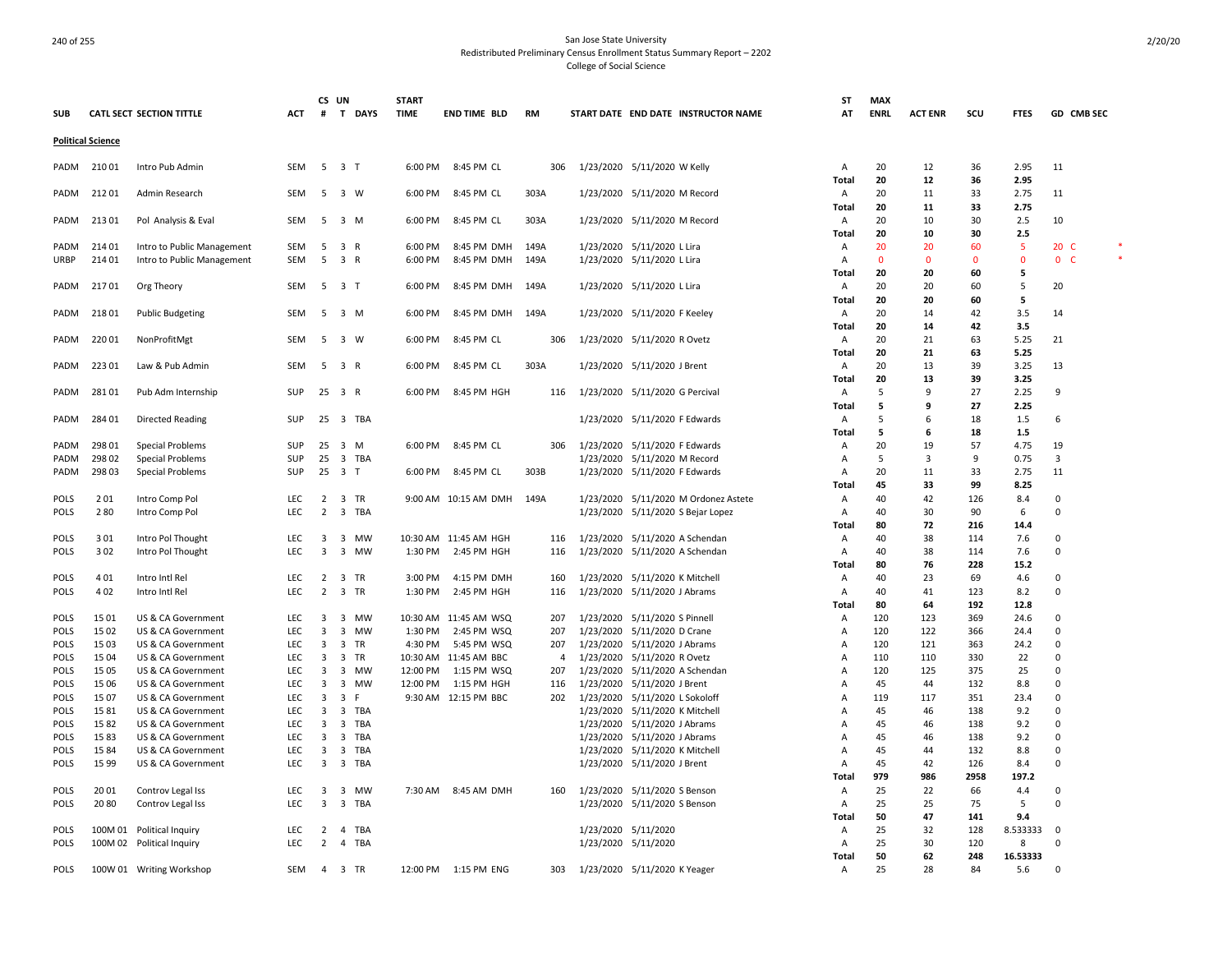| <b>SUB</b>                 |                          | <b>CATL SECT SECTION TITTLE</b>             | ACT                      | CS UN<br>#          | T DAYS                                             |            | <b>START</b><br><b>TIME</b> | <b>END TIME BLD</b>                  | <b>RM</b>             |                        | START DATE END DATE INSTRUCTOR NAME                           | ST<br>AT                | <b>MAX</b><br><b>ENRL</b> | <b>ACT ENR</b> | scu            | <b>FTES</b>     | GD CMB SEC                    |  |
|----------------------------|--------------------------|---------------------------------------------|--------------------------|---------------------|----------------------------------------------------|------------|-----------------------------|--------------------------------------|-----------------------|------------------------|---------------------------------------------------------------|-------------------------|---------------------------|----------------|----------------|-----------------|-------------------------------|--|
|                            | <b>Political Science</b> |                                             |                          |                     |                                                    |            |                             |                                      |                       |                        |                                                               |                         |                           |                |                |                 |                               |  |
| PADM                       | 21001                    | Intro Pub Admin                             | SEM                      |                     | 5 3 T                                              |            | 6:00 PM                     | 8:45 PM CL                           | 306                   |                        | 1/23/2020 5/11/2020 W Kelly                                   | Α                       | 20                        | 12             | 36             | 2.95            | 11                            |  |
| PADM                       | 21201                    | Admin Research                              | <b>SEM</b>               | 5                   | 3 W                                                |            | 6:00 PM                     | 8:45 PM CL                           | 303A                  |                        | 1/23/2020 5/11/2020 M Record                                  | Total<br>Α              | 20<br>20                  | 12<br>11       | 36<br>33       | 2.95<br>2.75    | 11                            |  |
| PADM                       | 21301                    | Pol Analysis & Eval                         | SEM                      | 5                   | 3 M                                                |            | 6:00 PM                     | 8:45 PM CL                           | 303A                  |                        | 1/23/2020 5/11/2020 M Record                                  | <b>Total</b><br>Α       | 20<br>20                  | 11<br>10       | 33<br>30       | 2.75<br>2.5     | 10                            |  |
| PADM                       | 214 01                   | Intro to Public Management                  | SEM                      | -5                  | 3 R                                                |            | 6:00 PM                     | 8:45 PM DMH                          | 149A                  |                        | 1/23/2020 5/11/2020 L Lira                                    | Total<br>$\overline{A}$ | 20<br>20                  | 10<br>20       | 30<br>60       | 2.5<br>-5       | 20 <sub>c</sub>               |  |
| <b>URBP</b>                | 214 01                   | Intro to Public Management                  | <b>SEM</b>               | 5                   | 3 R                                                |            | 6:00 PM                     | 8:45 PM DMH                          | 149A                  |                        | 1/23/2020 5/11/2020 L Lira                                    | Α<br>Total              | 0<br>20                   | $\Omega$<br>20 | $\Omega$<br>60 | $\Omega$<br>5   | $\mathbf{0}$<br>$\mathcal{C}$ |  |
| PADM                       | 21701                    | Org Theory                                  | <b>SEM</b>               |                     | 5 3 T                                              |            | 6:00 PM                     | 8:45 PM DMH                          | 149A                  |                        | 1/23/2020 5/11/2020 L Lira                                    | Α                       | 20<br>20                  | 20             | 60<br>60       | 5<br>5          | 20                            |  |
| PADM                       | 21801                    | <b>Public Budgeting</b>                     | <b>SEM</b>               | 5                   | 3 M                                                |            | 6:00 PM                     | 8:45 PM DMH                          | 149A                  |                        | 1/23/2020 5/11/2020 F Keeley                                  | <b>Total</b><br>А       | 20                        | 20<br>14       | 42             | 3.5             | 14                            |  |
| PADM                       | 22001                    | NonProfitMgt                                | <b>SEM</b>               | -5                  | 3 W                                                |            | 6:00 PM                     | 8:45 PM CL                           | 306                   |                        | 1/23/2020 5/11/2020 R Ovetz                                   | Total<br>Α              | 20<br>20                  | 14<br>21       | 42<br>63       | 3.5<br>5.25     | 21                            |  |
| PADM                       | 223 01                   | Law & Pub Admin                             | <b>SEM</b>               |                     | 5 3 R                                              |            | 6:00 PM                     | 8:45 PM CL                           | 303A                  |                        | 1/23/2020 5/11/2020 J Brent                                   | Total<br>Α              | 20<br>20                  | 21<br>13       | 63<br>39       | 5.25<br>3.25    | 13                            |  |
| PADM                       | 28101                    | Pub Adm Internship                          | SUP                      | 25                  | 3 R                                                |            | 6:00 PM                     | 8:45 PM HGH                          | 116                   |                        | 1/23/2020 5/11/2020 G Percival                                | Total<br>Α              | 20<br>5                   | 13<br>9        | 39<br>27       | 3.25<br>2.25    | 9                             |  |
| PADM                       | 284 01                   | <b>Directed Reading</b>                     | SUP                      | 25                  | 3 TBA                                              |            |                             |                                      |                       |                        | 1/23/2020 5/11/2020 F Edwards                                 | Total<br>Α              | 5<br>5                    | 9<br>6         | 27<br>18       | 2.25<br>1.5     | 6                             |  |
| PADM                       | 298 01                   | Special Problems                            | SUP                      | 25                  | 3<br>M                                             |            | 6:00 PM                     | 8:45 PM CL                           | 306                   | 1/23/2020              | 5/11/2020 F Edwards                                           | Total<br>A              | 5<br>20                   | 6<br>19        | 18<br>57       | 1.5<br>4.75     | 19                            |  |
| PADM<br>PADM               | 298 02<br>298 03         | <b>Special Problems</b><br>Special Problems | <b>SUP</b><br>SUP        | 25<br>25            | 3 TBA<br>3 T                                       |            | 6:00 PM                     | 8:45 PM CL                           | 303B                  |                        | 1/23/2020 5/11/2020 M Record<br>1/23/2020 5/11/2020 F Edwards | A<br>A                  | 5<br>20                   | 3<br>11        | 9<br>33        | 0.75<br>2.75    | 3<br>11                       |  |
| <b>POLS</b>                | 201                      | Intro Comp Pol                              | LEC                      | 2                   | 3 TR                                               |            |                             | 9:00 AM 10:15 AM DMH                 | 149A                  |                        | 1/23/2020 5/11/2020 M Ordonez Astete                          | Total<br>Α              | 45<br>40                  | 33<br>42       | 99<br>126      | 8.25<br>8.4     | 0                             |  |
| <b>POLS</b>                | 280                      | Intro Comp Pol                              | LEC                      | $\overline{2}$      | 3 TBA                                              |            |                             |                                      |                       |                        | 1/23/2020 5/11/2020 S Bejar Lopez                             | Α<br>Total              | 40<br>80                  | 30<br>72       | 90<br>216      | 6<br>14.4       | $\Omega$                      |  |
| <b>POLS</b><br><b>POLS</b> | 301<br>302               | Intro Pol Thought<br>Intro Pol Thought      | LEC<br><b>LEC</b>        | 3<br>$\overline{3}$ | 3 MW<br>$\overline{\mathbf{3}}$                    | <b>MW</b>  | 1:30 PM                     | 10:30 AM 11:45 AM HGH<br>2:45 PM HGH | 116<br>116            | 1/23/2020              | 1/23/2020 5/11/2020 A Schendan<br>5/11/2020 A Schendan        | Α<br>$\overline{A}$     | 40<br>40                  | 38<br>38       | 114<br>114     | 7.6<br>7.6      | $\Omega$<br>$\Omega$          |  |
| <b>POLS</b>                | 401                      | Intro Intl Rel                              | <b>LEC</b>               | $\overline{2}$      | 3 TR                                               |            | 3:00 PM                     | 4:15 PM DMH                          | 160                   |                        | 1/23/2020 5/11/2020 K Mitchell                                | Total<br>Α              | 80<br>40                  | 76<br>23       | 228<br>69      | 15.2<br>4.6     | $\Omega$                      |  |
| <b>POLS</b>                | 402                      | Intro Intl Rel                              | <b>LEC</b>               | $\overline{2}$      | 3 TR                                               |            | 1:30 PM                     | 2:45 PM HGH                          | 116                   |                        | 1/23/2020 5/11/2020 J Abrams                                  | Α<br><b>Total</b>       | 40<br>80                  | 41<br>64       | 123<br>192     | 8.2<br>12.8     | $\Omega$                      |  |
| <b>POLS</b><br><b>POLS</b> | 1501<br>1502             | US & CA Government<br>US & CA Government    | <b>LEC</b><br><b>LEC</b> | 3<br>3              | 3 MW<br>$\overline{3}$                             | <b>MW</b>  | 1:30 PM                     | 10:30 AM 11:45 AM WSQ<br>2:45 PM WSQ | 207<br>207            |                        | 1/23/2020 5/11/2020 S Pinnell<br>1/23/2020 5/11/2020 D Crane  | A<br>A                  | 120<br>120                | 123<br>122     | 369<br>366     | 24.6<br>24.4    | $\Omega$<br>$\Omega$          |  |
| <b>POLS</b>                | 1503                     | US & CA Government                          | LEC                      | 3                   | 3 TR                                               |            | 4:30 PM                     | 5:45 PM WSQ                          | 207                   |                        | 1/23/2020 5/11/2020 J Abrams                                  | A                       | 120                       | 121            | 363            | 24.2            | $\Omega$<br>$\Omega$          |  |
| <b>POLS</b><br>POLS        | 15 04<br>15 05           | US & CA Government<br>US & CA Government    | <b>LEC</b><br>LEC.       | 3<br>3              | $\overline{3}$<br>TR<br>$\overline{3}$             | MW         | 12:00 PM                    | 10:30 AM 11:45 AM BBC<br>1:15 PM WSQ | $\overline{4}$<br>207 | 1/23/2020<br>1/23/2020 | 5/11/2020 R Ovetz<br>5/11/2020 A Schendan                     | A<br>$\overline{A}$     | 110<br>120                | 110<br>125     | 330<br>375     | 22<br>25        | $\Omega$                      |  |
| POLS<br>POLS               | 15 06<br>15 07           | US & CA Government<br>US & CA Government    | <b>LEC</b><br><b>LEC</b> | 3<br>3              | $\overline{3}$<br>$\overline{\mathbf{3}}$<br>F     | MW         | 12:00 PM                    | 1:15 PM HGH<br>9:30 AM 12:15 PM BBC  | 116<br>202            | 1/23/2020              | 1/23/2020 5/11/2020 J Brent<br>5/11/2020 L Sokoloff           | A<br>A                  | 45<br>119                 | 44<br>117      | 132<br>351     | 8.8<br>23.4     | $\Omega$<br>$\Omega$          |  |
| POLS<br>POLS               | 1581<br>1582             | US & CA Government<br>US & CA Government    | LEC<br><b>LEC</b>        | 3<br>3              | 3<br>3                                             | TBA<br>TBA |                             |                                      |                       | 1/23/2020<br>1/23/2020 | 5/11/2020 K Mitchell<br>5/11/2020 J Abrams                    | $\Delta$<br>А           | 45<br>45                  | 46<br>46       | 138<br>138     | 9.2<br>9.2      | $\Omega$<br>$\Omega$          |  |
| <b>POLS</b><br><b>POLS</b> | 1583<br>1584             | US & CA Government<br>US & CA Government    | LEC<br>LEC               | $\overline{3}$<br>3 | $\overline{\mathbf{3}}$<br>$\overline{\mathbf{3}}$ | TBA<br>TBA |                             |                                      |                       | 1/23/2020<br>1/23/2020 | 5/11/2020 J Abrams<br>5/11/2020 K Mitchell                    | $\Delta$<br>A           | 45<br>45                  | 46<br>44       | 138<br>132     | 9.2<br>8.8      | $\Omega$<br>$\Omega$          |  |
| POLS                       | 15 99                    | US & CA Government                          | LEC                      | $\overline{3}$      | $\overline{\mathbf{3}}$                            | TBA        |                             |                                      |                       | 1/23/2020              | 5/11/2020 J Brent                                             | A<br>Total              | 45<br>979                 | 42<br>986      | 126<br>2958    | 8.4<br>197.2    | $\Omega$                      |  |
| <b>POLS</b><br>POLS        | 2001<br>2080             | Controv Legal Iss<br>Controv Legal Iss      | <b>LEC</b><br>LEC        | 3<br>$\overline{3}$ | 3 MW<br>$\overline{\mathbf{3}}$                    | TBA        |                             | 7:30 AM 8:45 AM DMH                  | 160                   |                        | 1/23/2020 5/11/2020 S Benson<br>1/23/2020 5/11/2020 S Benson  | A<br>A                  | 25<br>25                  | 22<br>25       | 66<br>75       | 4.4<br>5        | $\Omega$<br>$\mathbf 0$       |  |
| <b>POLS</b>                |                          | 100M 01 Political Inquiry                   | <b>LEC</b>               | $\overline{2}$      | 4 TBA                                              |            |                             |                                      |                       | 1/23/2020 5/11/2020    |                                                               | Total<br>Α              | 50<br>25                  | 47<br>32       | 141<br>128     | 9.4<br>8.533333 | 0                             |  |
| <b>POLS</b>                |                          | 100M 02 Political Inquiry                   | <b>LEC</b>               | $\overline{2}$      | 4 TBA                                              |            |                             |                                      |                       | 1/23/2020 5/11/2020    |                                                               | A<br>Total              | 25<br>50                  | 30<br>62       | 120<br>248     | 8<br>16.53333   | $\Omega$                      |  |
| <b>POLS</b>                |                          | 100W 01 Writing Workshop                    | SEM                      | $\overline{4}$      | 3 TR                                               |            |                             | 12:00 PM   1:15 PM   ENG             | 303                   |                        | 1/23/2020 5/11/2020 K Yeager                                  | Α                       | 25                        | 28             | 84             | 5.6             | $\Omega$                      |  |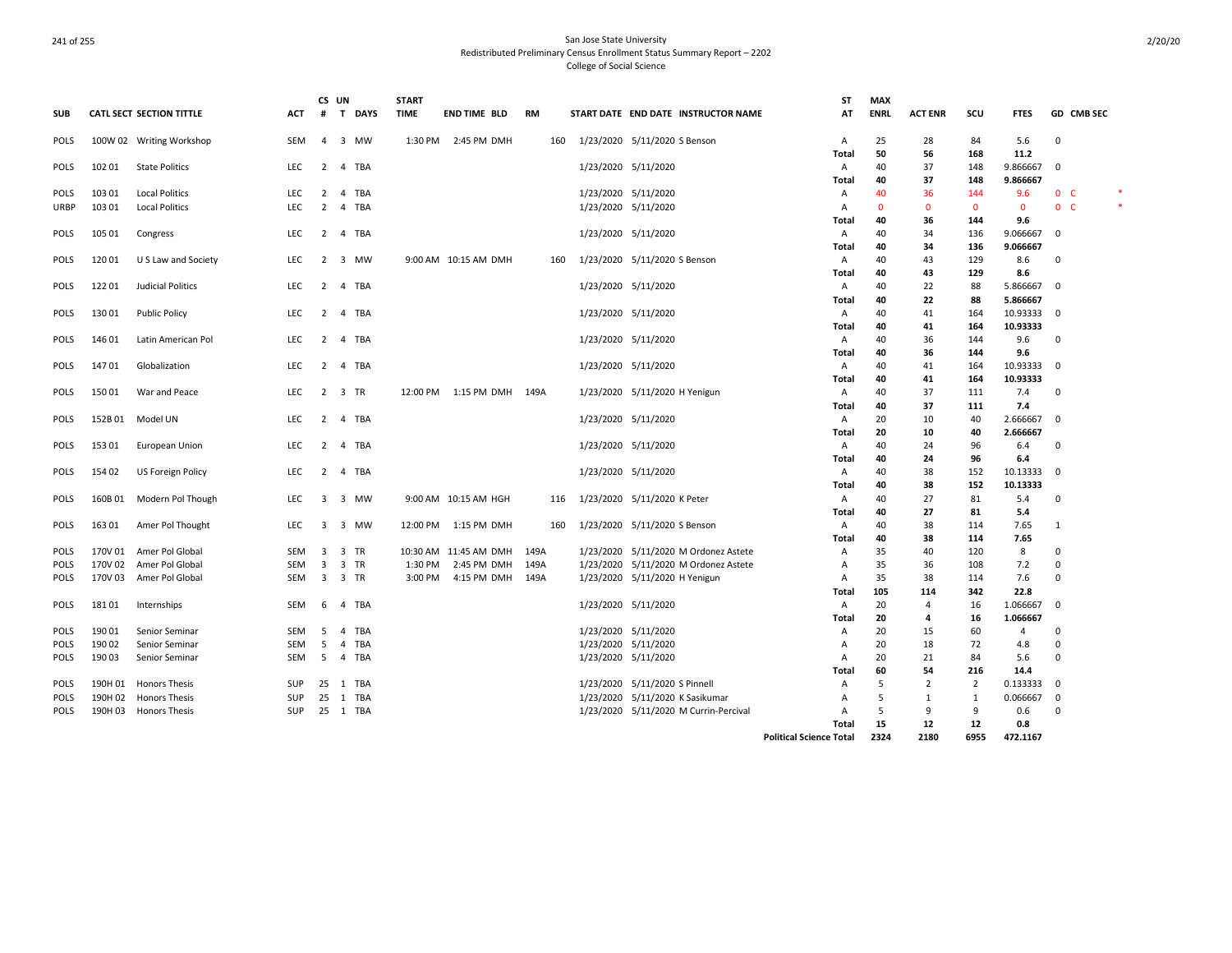|             |         |                                 |            | CS UN                   |                                      | <b>START</b> |                             |           |                                       | ST                             | <b>MAX</b>   |                |                |                |                |            |   |
|-------------|---------|---------------------------------|------------|-------------------------|--------------------------------------|--------------|-----------------------------|-----------|---------------------------------------|--------------------------------|--------------|----------------|----------------|----------------|----------------|------------|---|
| <b>SUB</b>  |         | <b>CATL SECT SECTION TITTLE</b> | ACT        | #                       | $\mathbf{T}$<br><b>DAYS</b>          | <b>TIME</b>  | <b>END TIME BLD</b>         | <b>RM</b> | START DATE END DATE INSTRUCTOR NAME   | AT                             | <b>ENRL</b>  | <b>ACT ENR</b> | scu            | <b>FTES</b>    |                | GD CMB SEC |   |
| <b>POLS</b> |         | 100W 02 Writing Workshop        | SEM        | $\overline{4}$          | 3 MW                                 |              | 1:30 PM 2:45 PM DMH         | 160       | 1/23/2020 5/11/2020 S Benson          | A                              | 25           | 28             | 84             | 5.6            | 0              |            |   |
|             |         |                                 |            |                         |                                      |              |                             |           |                                       | Total                          | 50           | 56             | 168            | 11.2           |                |            |   |
| <b>POLS</b> | 102 01  | <b>State Politics</b>           | <b>LEC</b> | $\overline{2}$          | 4 TBA                                |              |                             |           | 1/23/2020 5/11/2020                   | A                              | 40           | 37             | 148            | 9.866667       | 0              |            |   |
|             |         |                                 |            |                         |                                      |              |                             |           |                                       | Total                          | 40           | 37             | 148            | 9.866667       |                |            |   |
| <b>POLS</b> | 103 01  | <b>Local Politics</b>           | <b>LEC</b> | $\overline{2}$          | 4 TBA                                |              |                             |           | 1/23/2020 5/11/2020                   | A                              | 40           | 36             | 144            | 9.6            | 0 <sub>c</sub> |            | * |
| URBP        | 103 01  | <b>Local Politics</b>           | <b>LEC</b> | 2                       | 4 TBA                                |              |                             |           | 1/23/2020 5/11/2020                   | A                              | $\mathbf{0}$ | $\mathbf{0}$   | $\mathbf{0}$   | $\overline{0}$ | $0-$           |            |   |
|             |         |                                 |            |                         |                                      |              |                             |           |                                       | Total                          | 40           | 36             | 144            | 9.6            |                |            |   |
| <b>POLS</b> | 105 01  | Congress                        | <b>LEC</b> | 2                       | 4 TBA                                |              |                             |           | 1/23/2020 5/11/2020                   | Α                              | 40           | 34             | 136            | 9.066667       | 0              |            |   |
|             |         |                                 |            |                         |                                      |              |                             |           |                                       | Total                          | 40           | 34             | 136            | 9.066667       |                |            |   |
| <b>POLS</b> | 120 01  | U S Law and Society             | LEC        |                         | 2 3 MW                               |              | 9:00 AM 10:15 AM DMH        | 160       | 1/23/2020 5/11/2020 S Benson          | A                              | 40           | 43             | 129            | 8.6            | 0              |            |   |
|             |         |                                 |            |                         |                                      |              |                             |           |                                       | Total                          | 40           | 43             | 129            | 8.6            |                |            |   |
| POLS        | 122 01  | Judicial Politics               | LEC        | $\overline{2}$          | 4 TBA                                |              |                             |           | 1/23/2020 5/11/2020                   | Α                              | 40           | 22             | 88             | 5.866667       | - 0            |            |   |
|             |         |                                 |            |                         |                                      |              |                             |           |                                       | Total                          | 40           | 22             | 88             | 5.866667       |                |            |   |
| <b>POLS</b> | 13001   | <b>Public Policy</b>            | <b>LEC</b> | $\overline{2}$          | 4 TBA                                |              |                             |           | 1/23/2020 5/11/2020                   | A                              | 40           | 41             | 164            | 10.93333       | $\mathbf 0$    |            |   |
|             |         |                                 |            |                         |                                      |              |                             |           |                                       | Total                          | 40           | 41             | 164            | 10.93333       |                |            |   |
| POLS        | 146 01  | Latin American Pol              | LEC        | $\overline{2}$          | 4 TBA                                |              |                             |           | 1/23/2020 5/11/2020                   | A                              | 40           | 36             | 144            | 9.6            | 0              |            |   |
|             |         |                                 |            |                         |                                      |              |                             |           |                                       | Total                          | 40           | 36             | 144            | 9.6            |                |            |   |
| POLS        | 14701   | Globalization                   | <b>LEC</b> | $\overline{2}$          | 4 TBA                                |              |                             |           | 1/23/2020 5/11/2020                   | A                              | 40           | 41             | 164            | 10.93333       | $\mathbf 0$    |            |   |
|             |         |                                 |            |                         |                                      |              |                             |           |                                       | Total                          | 40           | 41             | 164            | 10.93333       |                |            |   |
| POLS        | 15001   | War and Peace                   | LEC        | $\overline{2}$          | 3 TR                                 |              | 12:00 PM  1:15 PM DMH  149A |           | 1/23/2020 5/11/2020 H Yenigun         | A                              | 40           | 37             | 111            | 7.4            | 0              |            |   |
|             |         |                                 |            |                         |                                      |              |                             |           |                                       | Total                          | 40           | 37             | 111            | 7.4            |                |            |   |
| <b>POLS</b> | 152B01  | Model UN                        | LEC.       | 2                       | 4 TBA                                |              |                             |           | 1/23/2020 5/11/2020                   | A                              | 20           | 10             | 40             | 2.666667       | 0              |            |   |
|             |         |                                 |            |                         |                                      |              |                             |           |                                       | Total                          | 20           | 10             | 40             | 2.666667       |                |            |   |
| <b>POLS</b> | 15301   | European Union                  | LEC        | $\overline{2}$          | 4 TBA                                |              |                             |           | 1/23/2020 5/11/2020                   | Α                              | 40           | 24             | 96             | 6.4            | 0              |            |   |
|             |         |                                 |            |                         |                                      |              |                             |           |                                       | Total                          | 40           | 24             | 96             | 6.4            |                |            |   |
| <b>POLS</b> | 154 02  | US Foreign Policy               | <b>LEC</b> | 2                       | 4 TBA                                |              |                             |           | 1/23/2020 5/11/2020                   | A                              | 40           | 38             | 152            | 10.13333       | 0              |            |   |
|             |         |                                 |            |                         |                                      |              |                             |           |                                       | Total                          | 40           | 38             | 152            | 10.13333       |                |            |   |
| POLS        | 160B 01 | Modern Pol Though               | LEC        | $\overline{\mathbf{3}}$ | 3 MW                                 |              | 9:00 AM 10:15 AM HGH        | 116       | 1/23/2020 5/11/2020 K Peter           | A                              | 40           | 27             | 81             | 5.4            | 0              |            |   |
|             |         |                                 |            |                         |                                      |              |                             |           |                                       |                                | 40           | 27             | 81             | 5.4            |                |            |   |
|             |         |                                 | <b>LEC</b> | 3                       | $\overline{\mathbf{3}}$<br><b>MW</b> |              |                             |           | 1/23/2020 5/11/2020 S Benson          | Total                          | 40           |                | 114            |                | 1              |            |   |
| <b>POLS</b> | 163 01  | Amer Pol Thought                |            |                         |                                      |              | 12:00 PM 1:15 PM DMH        | 160       |                                       | A                              |              | 38             |                | 7.65           |                |            |   |
|             |         |                                 |            |                         |                                      |              |                             |           |                                       | Total                          | 40<br>35     | 38             | 114            | 7.65           |                |            |   |
| <b>POLS</b> | 170V 01 | Amer Pol Global                 | SEM        | 3                       | 3 TR<br>3 TR                         |              | 10:30 AM 11:45 AM DMH       | 149A      | 1/23/2020 5/11/2020 M Ordonez Astete  | A                              | 35           | 40             | 120            | 8              | 0              |            |   |
| <b>POLS</b> | 170V 02 | Amer Pol Global                 | <b>SEM</b> | 3                       |                                      | 1:30 PM      | 2:45 PM DMH                 | 149A      | 1/23/2020 5/11/2020 M Ordonez Astete  | A                              |              | 36             | 108            | 7.2            | $\mathbf 0$    |            |   |
| <b>POLS</b> | 170V 03 | Amer Pol Global                 | SEM        | 3                       | 3 TR                                 | 3:00 PM      | 4:15 PM DMH                 | 149A      | 1/23/2020 5/11/2020 H Yenigun         | A                              | 35           | 38             | 114            | 7.6            | 0              |            |   |
|             |         |                                 |            |                         |                                      |              |                             |           |                                       | Total                          | 105          | 114            | 342            | 22.8           |                |            |   |
| <b>POLS</b> | 18101   | Internships                     | <b>SEM</b> | -6                      | TBA<br>$\overline{4}$                |              |                             |           | 1/23/2020 5/11/2020                   | A                              | 20           | $\overline{4}$ | 16             | 1.066667       | 0              |            |   |
|             |         |                                 |            |                         |                                      |              |                             |           |                                       | Total                          | 20           | $\overline{a}$ | 16             | 1.066667       |                |            |   |
| <b>POLS</b> | 190 01  | Senior Seminar                  | SEM        | 5                       | TBA<br>4                             |              |                             |           | 1/23/2020 5/11/2020                   | Α                              | 20           | 15             | 60             | $\overline{4}$ | 0              |            |   |
| <b>POLS</b> | 190 02  | Senior Seminar                  | <b>SEM</b> | 5                       | TBA<br>$\overline{4}$                |              |                             |           | 1/23/2020 5/11/2020                   | A                              | 20           | 18             | 72             | 4.8            | 0              |            |   |
| <b>POLS</b> | 190 03  | Senior Seminar                  | <b>SEM</b> | 5                       | 4 TBA                                |              |                             |           | 1/23/2020 5/11/2020                   | A                              | 20           | 21             | 84             | 5.6            | 0              |            |   |
|             |         |                                 |            |                         |                                      |              |                             |           |                                       | Total                          | 60           | 54             | 216            | 14.4           |                |            |   |
| POLS        | 190H 01 | <b>Honors Thesis</b>            | SUP        | 25                      | 1 TBA                                |              |                             |           | 1/23/2020 5/11/2020 S Pinnell         | A                              | .5           | $\overline{2}$ | $\overline{2}$ | 0.133333       | 0              |            |   |
| <b>POLS</b> | 190H 02 | <b>Honors Thesis</b>            | SUP        | 25                      | 1 TBA                                |              |                             |           | 1/23/2020 5/11/2020 K Sasikumar       | А                              | .5           | 1              | 1              | 0.066667       | 0              |            |   |
| <b>POLS</b> |         | 190H 03 Honors Thesis           | <b>SUP</b> | 25                      | 1 TBA                                |              |                             |           | 1/23/2020 5/11/2020 M Currin-Percival | А                              | 5            | 9              | 9              | 0.6            | $\Omega$       |            |   |
|             |         |                                 |            |                         |                                      |              |                             |           |                                       | Total                          | 15           | 12             | 12             | 0.8            |                |            |   |
|             |         |                                 |            |                         |                                      |              |                             |           |                                       | <b>Political Science Total</b> | 2324         | 2180           | 6955           | 472.1167       |                |            |   |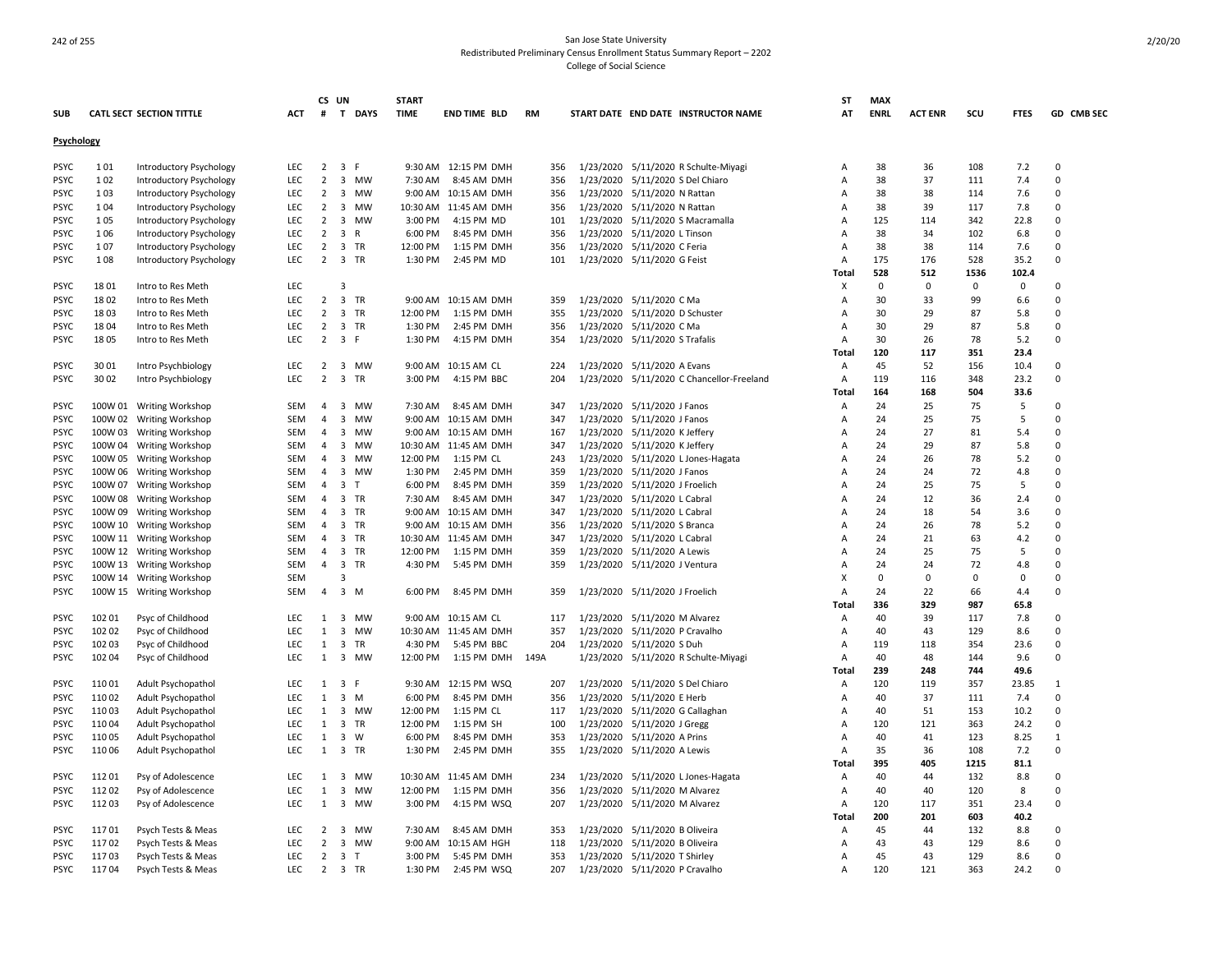|             |         |                                 |            |                | CS UN                                | <b>START</b> |                       |           |     |                                |                                           | SΤ           | <b>MAX</b>  |                |             |             |                          |
|-------------|---------|---------------------------------|------------|----------------|--------------------------------------|--------------|-----------------------|-----------|-----|--------------------------------|-------------------------------------------|--------------|-------------|----------------|-------------|-------------|--------------------------|
| <b>SUB</b>  |         | <b>CATL SECT SECTION TITTLE</b> | <b>ACT</b> | #              | T DAYS                               | <b>TIME</b>  | END TIME BLD          | <b>RM</b> |     |                                | START DATE END DATE INSTRUCTOR NAME       | AT           | <b>ENRL</b> | <b>ACT ENR</b> | scu         | <b>FTES</b> | GD CMB SEC               |
| Psychology  |         |                                 |            |                |                                      |              |                       |           |     |                                |                                           |              |             |                |             |             |                          |
| <b>PSYC</b> | 101     | Introductory Psychology         | <b>LEC</b> | $2^{\circ}$    | 3 F                                  |              | 9:30 AM 12:15 PM DMH  |           | 356 |                                | 1/23/2020 5/11/2020 R Schulte-Miyagi      | A            | 38          | 36             | 108         | 7.2         | $\Omega$                 |
| <b>PSYC</b> | 102     | Introductory Psychology         | <b>LEC</b> | 2              | 3 MW                                 | 7:30 AM      | 8:45 AM DMH           | 356       |     |                                | 1/23/2020 5/11/2020 S Del Chiaro          | A            | 38          | 37             | 111         | 7.4         | $\Omega$                 |
| PSYC        | 103     | Introductory Psychology         | <b>LEC</b> | $\overline{2}$ | $\overline{\mathbf{3}}$<br><b>MW</b> |              | 9:00 AM 10:15 AM DMH  | 356       |     | 1/23/2020 5/11/2020 N Rattan   |                                           | A            | 38          | 38             | 114         | 7.6         | $\Omega$                 |
| <b>PSYC</b> | 104     | Introductory Psychology         | <b>LEC</b> | $\overline{2}$ | 3 MW                                 |              | 10:30 AM 11:45 AM DMH | 356       |     | 1/23/2020 5/11/2020 N Rattan   |                                           | A            | 38          | 39             | 117         | 7.8         | $\Omega$                 |
| <b>PSYC</b> | 105     | Introductory Psychology         | <b>LEC</b> | 2              | 3 MW                                 | 3:00 PM      | 4:15 PM MD            | 101       |     |                                | 1/23/2020 5/11/2020 S Macramalla          | A            | 125         | 114            | 342         | 22.8        | $\Omega$                 |
| <b>PSYC</b> | 106     | Introductory Psychology         | <b>LEC</b> | $\overline{2}$ | 3 R                                  | 6:00 PM      | 8:45 PM DMH           | 356       |     | 1/23/2020 5/11/2020 L Tinson   |                                           | Α            | 38          | 34             | 102         | 6.8         | $\Omega$                 |
| <b>PSYC</b> | 107     | Introductory Psychology         | <b>LEC</b> | 2              | 3 TR                                 | 12:00 PM     | 1:15 PM DMH           | 356       |     | 1/23/2020 5/11/2020 C Feria    |                                           | Α            | 38          | 38             | 114         | 7.6         | $\Omega$                 |
| <b>PSYC</b> | 108     | Introductory Psychology         | LEC        | $\overline{2}$ | 3 TR                                 | 1:30 PM      | 2:45 PM MD            | 101       |     | 1/23/2020 5/11/2020 G Feist    |                                           | Α            | 175         | 176            | 528         | 35.2        | $\Omega$                 |
|             |         |                                 |            |                |                                      |              |                       |           |     |                                |                                           | <b>Total</b> | 528         | 512            | 1536        | 102.4       |                          |
| <b>PSYC</b> | 1801    | Intro to Res Meth               | LEC        |                | $\overline{\mathbf{3}}$              |              |                       |           |     |                                |                                           | X            | $\mathbf 0$ | 0              | $\mathbf 0$ | $\mathbf 0$ | $\Omega$                 |
| <b>PSYC</b> | 1802    | Intro to Res Meth               | LEC        | $\overline{2}$ | 3 TR                                 |              | 9:00 AM 10:15 AM DMH  | 359       |     | 1/23/2020 5/11/2020 C Ma       |                                           | Α            | 30          | 33             | 99          | 6.6         | $\Omega$                 |
| <b>PSYC</b> | 1803    | Intro to Res Meth               | LEC        | 2              | $\overline{3}$<br>TR                 | 12:00 PM     | 1:15 PM DMH           | 355       |     | 1/23/2020 5/11/2020 D Schuster |                                           | А            | 30          | 29             | 87          | 5.8         | $\Omega$                 |
| <b>PSYC</b> | 1804    | Intro to Res Meth               | LEC        | $\overline{2}$ | 3 TR                                 | 1:30 PM      | 2:45 PM DMH           | 356       |     | 1/23/2020 5/11/2020 C Ma       |                                           | Α            | 30          | 29             | 87          | 5.8         | $\Omega$                 |
| PSYC        | 1805    | Intro to Res Meth               | <b>LEC</b> | $\overline{2}$ | 3 F                                  | 1:30 PM      | 4:15 PM DMH           | 354       |     | 1/23/2020 5/11/2020 S Trafalis |                                           | A            | 30          | 26             | 78          | 5.2         | $\Omega$                 |
|             |         |                                 |            |                |                                      |              |                       |           |     |                                |                                           | Total        | 120         | 117            | 351         | 23.4        |                          |
| <b>PSYC</b> | 30 01   | Intro Psychbiology              | LEC        | $\overline{2}$ | 3 MW                                 | 9:00 AM      | 10:15 AM CL           | 224       |     | 1/23/2020 5/11/2020 A Evans    |                                           | Α            | 45          | 52             | 156         | 10.4        | $\Omega$                 |
| <b>PSYC</b> | 30 02   | Intro Psychbiology              | <b>LEC</b> | $\overline{2}$ | $\overline{\mathbf{3}}$<br>TR        | 3:00 PM      | 4:15 PM BBC           | 204       |     |                                | 1/23/2020 5/11/2020 C Chancellor-Freeland | A            | 119         | 116            | 348         | 23.2        | $\Omega$                 |
|             |         |                                 |            |                |                                      |              |                       |           |     |                                |                                           | Total        | 164         | 168            | 504         | 33.6        |                          |
| <b>PSYC</b> |         | 100W 01 Writing Workshop        | SEM        | $\overline{a}$ | $\overline{3}$<br>MW                 | 7:30 AM      | 8:45 AM DMH           | 347       |     | 1/23/2020 5/11/2020 J Fanos    |                                           | A            | 24          | 25             | 75          | 5           | $\Omega$                 |
| <b>PSYC</b> |         | 100W 02 Writing Workshop        | SEM        | 4              | $\overline{\mathbf{3}}$<br>MW        |              | 9:00 AM 10:15 AM DMH  | 347       |     | 1/23/2020 5/11/2020 J Fanos    |                                           | A            | 24          | 25             | 75          | 5           | $\Omega$                 |
| <b>PSYC</b> |         | 100W 03 Writing Workshop        | <b>SEM</b> | $\overline{4}$ | 3 MW                                 |              | 9:00 AM 10:15 AM DMH  | 167       |     | 1/23/2020 5/11/2020 K Jeffery  |                                           | A            | 24          | 27             | 81          | 5.4         | $\Omega$                 |
| PSYC        | 100W 04 | <b>Writing Workshop</b>         | SEM        | 4              | $\overline{\mathbf{3}}$<br><b>MW</b> | 10:30 AM     | 11:45 AM DMH          | 347       |     | 1/23/2020 5/11/2020 K Jeffery  |                                           | A            | 24          | 29             | 87          | 5.8         | $\Omega$                 |
| <b>PSYC</b> |         | 100W 05 Writing Workshop        | SEM        | $\overline{4}$ | $\overline{3}$<br>MW                 | 12:00 PM     | 1:15 PM CL            | 243       |     |                                | 1/23/2020 5/11/2020 L Jones-Hagata        | А            | 24          | 26             | 78          | 5.2         | $\Omega$                 |
| <b>PSYC</b> |         | 100W 06 Writing Workshop        | SEM        | $\overline{4}$ | 3 MW                                 | 1:30 PM      | 2:45 PM DMH           | 359       |     | 1/23/2020 5/11/2020 J Fanos    |                                           | A            | 24          | 24             | 72          | 4.8         | $\Omega$                 |
| <b>PSYC</b> |         | 100W 07 Writing Workshop        | SEM        | $\overline{4}$ | $\overline{3}$<br>$\mathsf{T}$       | 6:00 PM      | 8:45 PM DMH           | 359       |     | 1/23/2020 5/11/2020 J Froelich |                                           | A            | 24          | 25             | 75          | 5           | $\Omega$                 |
| PSYC        |         | 100W 08 Writing Workshop        | SEM        | $\overline{4}$ | $\overline{3}$<br>TR                 | 7:30 AM      | 8:45 AM DMH           | 347       |     | 1/23/2020 5/11/2020 L Cabral   |                                           | A            | 24          | 12             | 36          | 2.4         | $\Omega$                 |
| <b>PSYC</b> |         | 100W 09 Writing Workshop        | SEM        | 4              | $\overline{\mathbf{3}}$<br>TR        |              | 9:00 AM 10:15 AM DMH  | 347       |     | 1/23/2020 5/11/2020 L Cabral   |                                           | A            | 24          | 18             | 54          | 3.6         | $\Omega$                 |
| <b>PSYC</b> |         | 100W 10 Writing Workshop        | <b>SEM</b> | $\overline{4}$ | $\overline{3}$<br>TR                 |              | 9:00 AM 10:15 AM DMH  | 356       |     | 1/23/2020 5/11/2020 S Branca   |                                           | A            | 24          | 26             | 78          | 5.2         | $\Omega$                 |
| <b>PSYC</b> |         | 100W 11 Writing Workshop        | <b>SEM</b> | $\overline{4}$ | $\overline{3}$<br>TR                 |              | 10:30 AM 11:45 AM DMH | 347       |     | 1/23/2020 5/11/2020 L Cabral   |                                           | A            | 24          | 21             | 63          | 4.2         | $\Omega$                 |
| <b>PSYC</b> |         | 100W 12 Writing Workshop        | SEM        | 4              | $\overline{\mathbf{3}}$<br>TR        | 12:00 PM     | 1:15 PM DMH           | 359       |     | 1/23/2020 5/11/2020 A Lewis    |                                           | A            | 24          | 25             | 75          | 5           | $\Omega$                 |
| <b>PSYC</b> |         | 100W 13 Writing Workshop        | <b>SEM</b> | $\overline{4}$ | $\overline{3}$<br>TR                 | 4:30 PM      | 5:45 PM DMH           | 359       |     | 1/23/2020 5/11/2020 J Ventura  |                                           | A            | 24          | 24             | 72          | 4.8         | $\Omega$                 |
| <b>PSYC</b> |         | 100W 14 Writing Workshop        | SEM        |                | $\overline{3}$                       |              |                       |           |     |                                |                                           | X            | $\mathbf 0$ | $\mathbf 0$    | $\Omega$    | $\mathbf 0$ | $\Omega$                 |
| <b>PSYC</b> |         | 100W 15 Writing Workshop        | <b>SEM</b> | $\overline{4}$ | $\overline{3}$<br>M                  | 6:00 PM      | 8:45 PM DMH           | 359       |     | 1/23/2020 5/11/2020 J Froelich |                                           | A            | 24          | 22             | 66          | 4.4         | $\Omega$                 |
|             |         |                                 |            |                |                                      |              |                       |           |     |                                |                                           | Total        | 336         | 329            | 987         | 65.8        |                          |
| <b>PSYC</b> | 102 01  | Psyc of Childhood               | LEC        | $\mathbf{1}$   | 3 MW                                 |              | 9:00 AM 10:15 AM CL   | 117       |     | 1/23/2020 5/11/2020 M Alvarez  |                                           | А            | 40          | 39             | 117         | 7.8         | $\Omega$                 |
| <b>PSYC</b> | 102 02  | Psyc of Childhood               | LEC        | 1              | $\overline{\mathbf{3}}$<br><b>MW</b> |              | 10:30 AM 11:45 AM DMH | 357       |     | 1/23/2020 5/11/2020 P Cravalho |                                           | А            | 40          | 43             | 129         | 8.6         | $\Omega$                 |
| <b>PSYC</b> | 102 03  | Psyc of Childhood               | <b>LEC</b> | $\mathbf{1}$   | $\overline{\mathbf{3}}$<br>TR        | 4:30 PM      | 5:45 PM BBC           | 204       |     | 1/23/2020 5/11/2020 S Duh      |                                           | Α            | 119         | 118            | 354         | 23.6        | $\Omega$                 |
| <b>PSYC</b> | 102 04  | Psyc of Childhood               | <b>LEC</b> | $\mathbf{1}$   | $\overline{3}$<br><b>MW</b>          | 12:00 PM     | 1:15 PM DMH           | 149A      |     |                                | 1/23/2020 5/11/2020 R Schulte-Miyagi      | A            | 40          | 48             | 144         | 9.6         | $\Omega$                 |
|             |         |                                 |            |                |                                      |              |                       |           |     |                                |                                           | Total        | 239         | 248            | 744         | 49.6        |                          |
| <b>PSYC</b> | 110 01  | Adult Psychopathol              | <b>LEC</b> | 1              | 3 F                                  |              | 9:30 AM 12:15 PM WSQ  | 207       |     |                                | 1/23/2020 5/11/2020 S Del Chiaro          | Α            | 120         | 119            | 357         | 23.85       | 1                        |
| <b>PSYC</b> | 110 02  | Adult Psychopathol              | <b>LEC</b> | 1              | $3 \, M$                             | 6:00 PM      | 8:45 PM DMH           | 356       |     | 1/23/2020 5/11/2020 E Herb     |                                           | А            | 40          | 37             | 111         | 7.4         | $\Omega$                 |
|             | 110 03  |                                 | LEC        | $\mathbf{1}$   | 3 MW                                 | 12:00 PM     | 1:15 PM CL            | 117       |     |                                | 1/23/2020 5/11/2020 G Callaghan           |              | 40          | 51             | 153         | 10.2        | $\Omega$                 |
| <b>PSYC</b> |         | Adult Psychopathol              |            |                |                                      |              |                       |           |     |                                |                                           | А            |             |                |             |             | $\Omega$                 |
| <b>PSYC</b> | 11004   | Adult Psychopathol              | LEC        | 1              | 3 TR                                 | 12:00 PM     | 1:15 PM SH            | 100       |     | 1/23/2020 5/11/2020 J Gregg    |                                           | A            | 120         | 121            | 363         | 24.2        |                          |
| <b>PSYC</b> | 11005   | Adult Psychopathol              | LEC        | $\mathbf{1}$   | $\overline{\mathbf{3}}$<br>W         | 6:00 PM      | 8:45 PM DMH           | 353       |     | 1/23/2020 5/11/2020 A Prins    |                                           | Α            | 40          | 41             | 123         | 8.25        | $\mathbf{1}$<br>$\Omega$ |
| <b>PSYC</b> | 11006   | Adult Psychopathol              | <b>LEC</b> | 1              | 3 TR                                 | 1:30 PM      | 2:45 PM DMH           | 355       |     | 1/23/2020 5/11/2020 A Lewis    |                                           | Α            | 35          | 36             | 108         | 7.2         |                          |
|             |         |                                 |            |                |                                      |              |                       |           |     |                                |                                           | Total        | 395         | 405            | 1215        | 81.1        |                          |
| <b>PSYC</b> | 11201   | Psy of Adolescence              | LEC        | $\mathbf{1}$   | 3 MW                                 |              | 10:30 AM 11:45 AM DMH | 234       |     |                                | 1/23/2020 5/11/2020 L Jones-Hagata        | Α            | 40          | 44             | 132         | 8.8         | $\Omega$                 |
| PSYC        | 112 02  | Psy of Adolescence              | LEC        | 1              | $\overline{\mathbf{3}}$<br>MW        | 12:00 PM     | 1:15 PM DMH           | 356       |     | 1/23/2020 5/11/2020 M Alvarez  |                                           | A            | 40          | 40             | 120         | 8           | $\Omega$                 |
| <b>PSYC</b> | 112 03  | Psy of Adolescence              | LEC        | 1              | $\overline{\mathbf{3}}$<br>MW        | 3:00 PM      | 4:15 PM WSQ           | 207       |     | 1/23/2020 5/11/2020 M Alvarez  |                                           | Α            | 120         | 117            | 351         | 23.4        | $\mathbf 0$              |
|             |         |                                 |            |                |                                      |              |                       |           |     |                                |                                           | Total        | 200         | 201            | 603         | 40.2        |                          |
| <b>PSYC</b> | 11701   | Psych Tests & Meas              | LEC        | 2              | 3 MW                                 | 7:30 AM      | 8:45 AM DMH           | 353       |     | 1/23/2020 5/11/2020 B Oliveira |                                           | A            | 45          | 44             | 132         | 8.8         | $\Omega$                 |
| <b>PSYC</b> | 11702   | Psych Tests & Meas              | LEC        | 2              | 3 MW                                 | 9:00 AM      | 10:15 AM HGH          | 118       |     | 1/23/2020 5/11/2020 B Oliveira |                                           | A            | 43          | 43             | 129         | 8.6         | $\Omega$                 |
| PSYC        | 11703   | Psych Tests & Meas              | <b>LEC</b> | 2              | 3 <sub>T</sub>                       | 3:00 PM      | 5:45 PM DMH           | 353       |     | 1/23/2020 5/11/2020 T Shirley  |                                           | Α            | 45          | 43             | 129         | 8.6         | $\Omega$                 |
| <b>PSYC</b> | 11704   | Psych Tests & Meas              | LEC        | $2^{\circ}$    | 3 TR                                 | 1:30 PM      | 2:45 PM WSQ           | 207       |     | 1/23/2020 5/11/2020 P Cravalho |                                           | Α            | 120         | 121            | 363         | 24.2        | $\Omega$                 |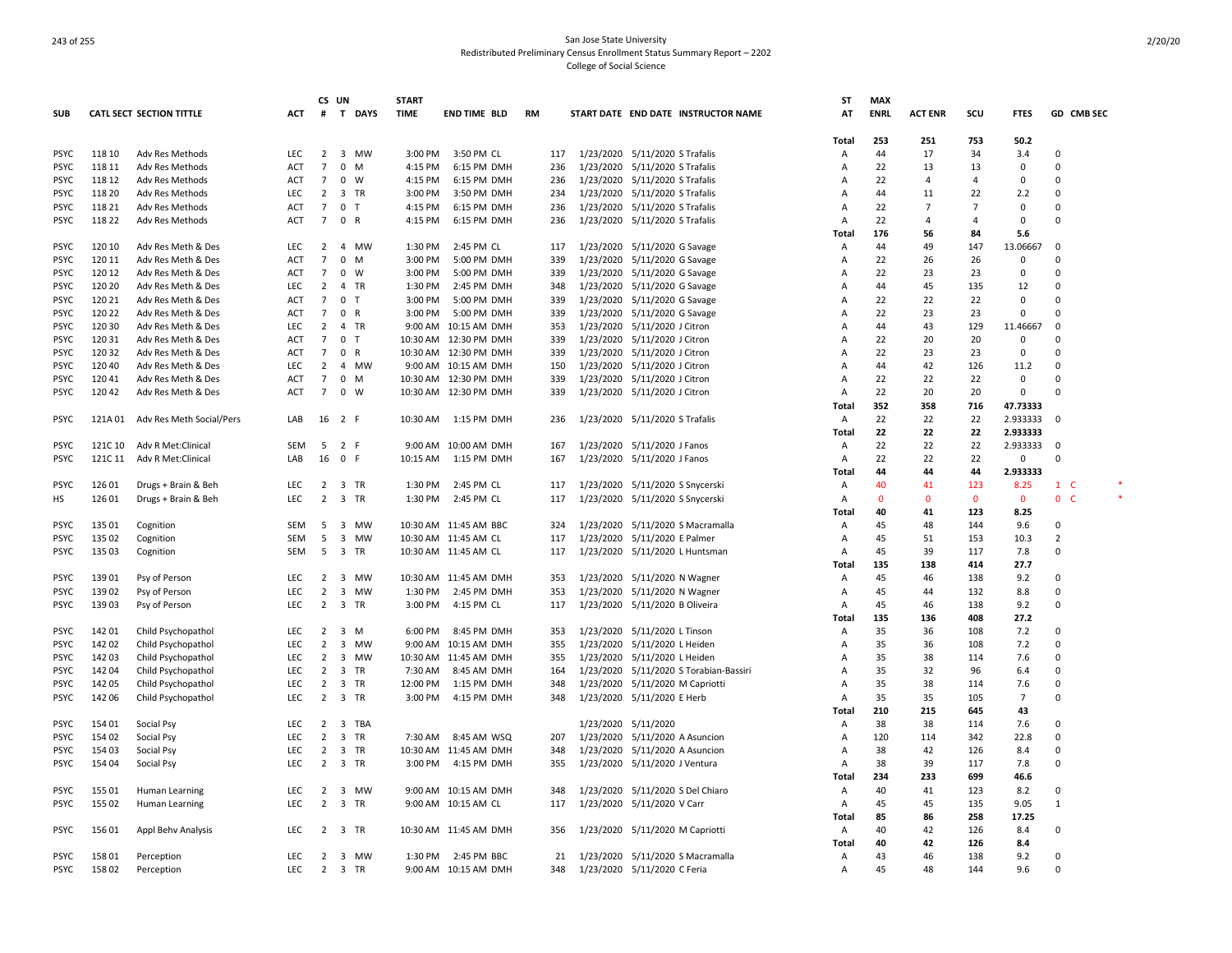|             |         |                                  |            | CS             | UN                            | <b>START</b> |                        |           |           |                                 |                                     | <b>ST</b>      | <b>MAX</b>  |                |                |                |                    |  |
|-------------|---------|----------------------------------|------------|----------------|-------------------------------|--------------|------------------------|-----------|-----------|---------------------------------|-------------------------------------|----------------|-------------|----------------|----------------|----------------|--------------------|--|
| <b>SUB</b>  |         | <b>CATL SECT SECTION TITTLE</b>  | ACT        | #              | T DAYS                        | <b>TIME</b>  | <b>END TIME BLD</b>    | <b>RM</b> |           |                                 | START DATE END DATE INSTRUCTOR NAME | AT             | <b>ENRL</b> | <b>ACT ENR</b> | scu            | <b>FTES</b>    | GD CMB SEC         |  |
|             |         |                                  |            |                |                               |              |                        |           |           |                                 |                                     | Total          | 253         | 251            | 753            | 50.2           |                    |  |
| <b>PSYC</b> | 118 10  | Adv Res Methods                  | <b>LEC</b> | $\overline{2}$ | 3 MW                          | 3:00 PM      | 3:50 PM CL             | 117       |           | 1/23/2020 5/11/2020 S Trafalis  |                                     | Α              | 44          | 17             | 34             | 3.4            | $\Omega$           |  |
| <b>PSYC</b> | 118 11  | Adv Res Methods                  | ACT        | $\overline{7}$ | 0<br>M                        | 4:15 PM      | 6:15 PM DMH            | 236       | 1/23/2020 | 5/11/2020 S Trafalis            |                                     | Α              | 22          | 13             | 13             | 0              | $\Omega$           |  |
| <b>PSYC</b> | 118 12  | Adv Res Methods                  | <b>ACT</b> | $\overline{7}$ | $0 \quad W$                   | 4:15 PM      | 6:15 PM DMH            | 236       |           | 1/23/2020 5/11/2020 S Trafalis  |                                     | A              | 22          | $\overline{a}$ | 4              | $\overline{0}$ | $\Omega$           |  |
| PSYC        | 118 20  | Adv Res Methods                  | LEC        | 2              | 3 TR                          | 3:00 PM      | 3:50 PM DMH            | 234       | 1/23/2020 | 5/11/2020 S Trafalis            |                                     | Α              | 44          | 11             | 22             | 2.2            | $\Omega$           |  |
| PSYC        | 118 21  | Adv Res Methods                  | ACT        | $\overline{7}$ | 0 <sub>T</sub>                | 4:15 PM      | 6:15 PM DMH            | 236       |           | 1/23/2020 5/11/2020 S Trafalis  |                                     | A              | 22          | 7              | $\overline{7}$ | $\Omega$       | $\Omega$           |  |
| <b>PSYC</b> | 118 22  | Adv Res Methods                  | ACT        | $\overline{7}$ | 0 R                           | 4:15 PM      | 6:15 PM DMH            | 236       |           | 1/23/2020 5/11/2020 S Trafalis  |                                     | Α              | 22          | $\overline{4}$ | 4              | 0              | $\Omega$           |  |
|             |         |                                  |            |                |                               |              |                        |           |           |                                 |                                     | Total          | 176         | 56             | 84             | 5.6            |                    |  |
| <b>PSYC</b> | 120 10  | Adv Res Meth & Des               | <b>LEC</b> | $\overline{2}$ | 4 MW                          | 1:30 PM      | 2:45 PM CL             | 117       |           | 1/23/2020 5/11/2020 G Savage    |                                     | $\overline{A}$ | 44          | 49             | 147            | 13.06667       | 0                  |  |
| <b>PSYC</b> | 120 11  | Adv Res Meth & Des               | ACT        | $\overline{7}$ | $0$ M                         | 3:00 PM      | 5:00 PM DMH            | 339       |           | 1/23/2020 5/11/2020 G Savage    |                                     | Α              | 22          | 26             | 26             | 0              | $\Omega$           |  |
| <b>PSYC</b> | 120 12  | Adv Res Meth & Des               | <b>ACT</b> | 7              | 0<br>W                        | 3:00 PM      | 5:00 PM DMH            | 339       |           | 1/23/2020 5/11/2020 G Savage    |                                     | A              | 22          | 23             | 23             | 0              | $\Omega$           |  |
| PSYC        | 120 20  | Adv Res Meth & Des               | LEC.       | $\overline{2}$ | 4 TR                          | 1:30 PM      | 2:45 PM DMH            | 348       |           | 1/23/2020 5/11/2020 G Savage    |                                     | Α              | 44          | 45             | 135            | 12             | $\Omega$           |  |
| <b>PSYC</b> | 120 21  | Adv Res Meth & Des               | ACT        | $\overline{7}$ | 0<br>$\top$                   | 3:00 PM      | 5:00 PM DMH            | 339       | 1/23/2020 | 5/11/2020 G Savage              |                                     | Α              | 22          | 22             | 22             | $\Omega$       | $\Omega$           |  |
| PSYC        | 120 22  | Adv Res Meth & Des               | ACT        | 7              | 0 R                           | 3:00 PM      | 5:00 PM DMH            | 339       | 1/23/2020 | 5/11/2020 G Savage              |                                     | Α              | 22          | 23             | 23             | $\Omega$       | $\Omega$           |  |
| <b>PSYC</b> | 120 30  | Adv Res Meth & Des               | <b>LEC</b> | $\overline{2}$ | 4 TR                          |              | 9:00 AM 10:15 AM DMH   | 353       |           | 1/23/2020 5/11/2020 J Citron    |                                     | Α              | 44          | 43             | 129            | 11.46667       | $\Omega$           |  |
| <b>PSYC</b> | 12031   |                                  | <b>ACT</b> | $\overline{7}$ | 0 <sub>T</sub>                |              | 10:30 AM 12:30 PM DMH  | 339       |           |                                 |                                     | A              | 22          | 20             | 20             | 0              | $\Omega$           |  |
|             | 120 32  | Adv Res Meth & Des               |            | $\overline{7}$ | 0 R                           |              |                        |           | 1/23/2020 | 5/11/2020 J Citron              |                                     |                | 22          |                | 23             |                | $\Omega$           |  |
| PSYC        |         | Adv Res Meth & Des               | ACT        | $\overline{2}$ |                               |              | 10:30 AM 12:30 PM DMH  | 339       | 1/23/2020 | 5/11/2020 J Citron              |                                     | Α              |             | 23             |                | 0              | $\Omega$           |  |
| <b>PSYC</b> | 120 40  | Adv Res Meth & Des               | <b>LEC</b> |                | 4 MW                          |              | 9:00 AM 10:15 AM DMH   | 150       | 1/23/2020 | 5/11/2020 J Citron              |                                     | A              | 44          | 42             | 126            | 11.2           |                    |  |
| <b>PSYC</b> | 12041   | Adv Res Meth & Des               | ACT        | $\overline{7}$ | $0$ M                         |              | 10:30 AM 12:30 PM DMH  | 339       |           | 1/23/2020 5/11/2020 J Citron    |                                     | A              | 22          | 22             | 22             | $\Omega$       | $\Omega$           |  |
| <b>PSYC</b> | 120 42  | Adv Res Meth & Des               | <b>ACT</b> | $\overline{7}$ | $0 \quad W$                   |              | 10:30 AM 12:30 PM DMH  | 339       | 1/23/2020 | 5/11/2020 J Citron              |                                     | Α              | 22          | 20             | 20             | $\mathbf 0$    | $\Omega$           |  |
|             |         |                                  |            |                |                               |              |                        |           |           |                                 |                                     | Total          | 352         | 358            | 716            | 47.73333       |                    |  |
| <b>PSYC</b> |         | 121A 01 Adv Res Meth Social/Pers | LAB        | 16             | 2 F                           |              | 10:30 AM   1:15 PM DMH | 236       |           | 1/23/2020 5/11/2020 S Trafalis  |                                     | Α              | 22          | 22             | 22             | 2.933333       | $\Omega$           |  |
|             |         |                                  |            |                |                               |              |                        |           |           |                                 |                                     | Total          | 22          | 22             | 22             | 2.933333       |                    |  |
| <b>PSYC</b> | 121C 10 | Adv R Met:Clinical               | <b>SEM</b> | 5              | 2 F                           |              | 9:00 AM 10:00 AM DMH   | 167       | 1/23/2020 | 5/11/2020 J Fanos               |                                     | Α              | 22          | 22             | 22             | 2.933333       | $\Omega$           |  |
| <b>PSYC</b> | 121C 11 | Adv R Met:Clinical               | LAB        | 16             | 0 F                           | 10:15 AM     | 1:15 PM DMH            | 167       | 1/23/2020 | 5/11/2020 J Fanos               |                                     | A              | 22          | 22             | 22             | $\mathbf 0$    | $\Omega$           |  |
|             |         |                                  |            |                |                               |              |                        |           |           |                                 |                                     | Total          | 44          | 44             | 44             | 2.933333       |                    |  |
| <b>PSYC</b> | 126 01  | Drugs + Brain & Beh              | <b>LEC</b> | $\overline{2}$ | 3 TR                          | 1:30 PM      | 2:45 PM CL             | 117       |           | 1/23/2020 5/11/2020 S Snycerski |                                     | Α              | 40          | 41             | 123            | 8.25           | $1 \quad C$        |  |
| НS          | 126 01  | Drugs + Brain & Beh              | <b>LEC</b> | $\overline{2}$ | 3 TR                          | 1:30 PM      | 2:45 PM CL             | 117       | 1/23/2020 | 5/11/2020 S Snycerski           |                                     | Α              | 0           | $\Omega$       | $\mathbf{0}$   | 0              | $\mathbf{0}$<br>-C |  |
|             |         |                                  |            |                |                               |              |                        |           |           |                                 |                                     | Total          | 40          | 41             | 123            | 8.25           |                    |  |
| <b>PSYC</b> | 135 01  | Cognition                        | <b>SEM</b> | 5              | 3 MW                          |              | 10:30 AM 11:45 AM BBC  | 324       | 1/23/2020 |                                 | 5/11/2020 S Macramalla              | Α              | 45          | 48             | 144            | 9.6            | 0                  |  |
| <b>PSYC</b> | 135 02  | Cognition                        | <b>SEM</b> | 5              | 3 MW                          |              | 10:30 AM 11:45 AM CL   | 117       | 1/23/2020 | 5/11/2020 E Palmer              |                                     | A              | 45          | 51             | 153            | 10.3           | 2                  |  |
| <b>PSYC</b> | 135 03  | Cognition                        | <b>SEM</b> | -5             | 3 TR                          |              | 10:30 AM 11:45 AM CL   | 117       | 1/23/2020 |                                 | 5/11/2020 L Huntsman                | Α              | 45          | 39             | 117            | 7.8            | 0                  |  |
|             |         |                                  |            |                |                               |              |                        |           |           |                                 |                                     | Total          | 135         | 138            | 414            | 27.7           |                    |  |
| PSYC        | 139 01  | Psy of Person                    | <b>LEC</b> | $\overline{2}$ | 3 MW                          |              | 10:30 AM 11:45 AM DMH  | 353       |           | 1/23/2020 5/11/2020 N Wagner    |                                     | Α              | 45          | 46             | 138            | 9.2            | $\Omega$           |  |
| PSYC        | 139 02  | Psy of Person                    | LEC        | $\overline{2}$ | 3 MW                          | 1:30 PM      | 2:45 PM DMH            | 353       | 1/23/2020 | 5/11/2020 N Wagner              |                                     | Α              | 45          | 44             | 132            | 8.8            | 0                  |  |
| PSYC        | 139 03  | Psy of Person                    | <b>LEC</b> | 2              | 3 TR                          | 3:00 PM      | 4:15 PM CL             | 117       | 1/23/2020 | 5/11/2020 B Oliveira            |                                     | Α              | 45          | 46             | 138            | 9.2            | $\Omega$           |  |
|             |         |                                  |            |                |                               |              |                        |           |           |                                 |                                     | Total          | 135         | 136            | 408            | 27.2           |                    |  |
| <b>PSYC</b> | 142 01  | Child Psychopathol               | LEC        | $\overline{2}$ | 3 M                           | 6:00 PM      | 8:45 PM DMH            | 353       |           | 1/23/2020 5/11/2020 L Tinson    |                                     | Α              | 35          | 36             | 108            | 7.2            | 0                  |  |
| <b>PSYC</b> | 142 02  | Child Psychopathol               | LEC        | $\overline{2}$ | 3 MW                          |              | 9:00 AM 10:15 AM DMH   | 355       | 1/23/2020 | 5/11/2020 L Heiden              |                                     | A              | 35          | 36             | 108            | 7.2            | $\Omega$           |  |
| <b>PSYC</b> | 142 03  | Child Psychopathol               | <b>LEC</b> | $\overline{2}$ | $\overline{\mathbf{3}}$<br>MW |              | 10:30 AM 11:45 AM DMH  | 355       |           | 1/23/2020 5/11/2020 L Heiden    |                                     | Α              | 35          | 38             | 114            | 7.6            | $\Omega$           |  |
| <b>PSYC</b> | 142 04  | Child Psychopathol               | <b>LEC</b> | $\overline{2}$ | 3 TR                          | 7:30 AM      | 8:45 AM DMH            | 164       | 1/23/2020 |                                 | 5/11/2020 S Torabian-Bassiri        | A              | 35          | 32             | 96             | 6.4            | $\Omega$           |  |
| <b>PSYC</b> | 142 05  | Child Psychopathol               | <b>LEC</b> | $\overline{2}$ | 3 TR                          | 12:00 PM     | 1:15 PM DMH            | 348       |           | 1/23/2020 5/11/2020 M Capriotti |                                     | Α              | 35          | 38             | 114            | 7.6            | $\Omega$           |  |
| <b>PSYC</b> | 142 06  | Child Psychopathol               | LEC.       | $\overline{2}$ | 3 TR                          | 3:00 PM      | 4:15 PM DMH            | 348       |           | 1/23/2020 5/11/2020 E Herb      |                                     | A              | 35          | 35             | 105            | $\overline{7}$ | $\Omega$           |  |
|             |         |                                  |            |                |                               |              |                        |           |           |                                 |                                     | Total          | 210         | 215            | 645            | 43             |                    |  |
| <b>PSYC</b> | 154 01  | Social Psy                       | LEC.       | $\overline{2}$ | 3 TBA                         |              |                        |           |           | 1/23/2020 5/11/2020             |                                     | Α              | 38          | 38             | 114            | 7.6            | $\Omega$           |  |
| <b>PSYC</b> | 154 02  | Social Psy                       | LEC.       | 2              | 3 TR                          |              | 7:30 AM 8:45 AM WSQ    | 207       |           | 1/23/2020 5/11/2020 A Asuncion  |                                     | $\overline{A}$ | 120         | 114            | 342            | 22.8           | $\Omega$           |  |
| <b>PSYC</b> | 154 03  | Social Psy                       | <b>LEC</b> | $\overline{2}$ | 3 TR                          |              | 10:30 AM 11:45 AM DMH  | 348       |           | 1/23/2020 5/11/2020 A Asuncion  |                                     | Α              | 38          | 42             | 126            | 8.4            | $\Omega$           |  |
| <b>PSYC</b> | 154 04  | Social Psy                       | <b>LEC</b> | 2              | 3 TR                          | 3:00 PM      | 4:15 PM DMH            | 355       | 1/23/2020 | 5/11/2020 J Ventura             |                                     | A              | 38          | 39             | 117            | 7.8            | $\Omega$           |  |
|             |         |                                  |            |                |                               |              |                        |           |           |                                 |                                     | Total          | 234         | 233            | 699            | 46.6           |                    |  |
| <b>PSYC</b> | 15501   | Human Learning                   | <b>LEC</b> | $\overline{2}$ | 3 MW                          |              | 9:00 AM 10:15 AM DMH   | 348       |           |                                 | 1/23/2020 5/11/2020 S Del Chiaro    | A              | 40          | 41             | 123            | 8.2            | $\Omega$           |  |
| <b>PSYC</b> | 155 02  | Human Learning                   | LEC        | $\overline{2}$ | 3 TR                          |              | 9:00 AM 10:15 AM CL    | 117       |           | 1/23/2020 5/11/2020 V Carr      |                                     | Α              | 45          | 45             | 135            | 9.05           | 1                  |  |
|             |         |                                  |            |                |                               |              |                        |           |           |                                 |                                     | Total          | 85          | 86             | 258            | 17.25          |                    |  |
| <b>PSYC</b> | 156 01  | Appl Behv Analysis               | <b>LEC</b> | $\overline{2}$ | 3 TR                          |              | 10:30 AM 11:45 AM DMH  | 356       |           | 1/23/2020 5/11/2020 M Capriotti |                                     | A              | 40          | 42             | 126            | 8.4            | 0                  |  |
|             |         |                                  |            |                |                               |              |                        |           |           |                                 |                                     | Total          | 40          | 42             | 126            | 8.4            |                    |  |
| PSYC        | 15801   | Perception                       | LEC        | 2              | 3 MW                          | 1:30 PM      | 2:45 PM BBC            | 21        |           |                                 | 1/23/2020 5/11/2020 S Macramalla    | A              | 43          | 46             | 138            | 9.2            | 0                  |  |
| <b>PSYC</b> | 15802   | Perception                       | <b>LEC</b> | $\overline{2}$ | 3 TR                          |              | 9:00 AM 10:15 AM DMH   | 348       |           | 1/23/2020 5/11/2020 C Feria     |                                     | Α              | 45          | 48             | 144            | 9.6            | $\Omega$           |  |
|             |         |                                  |            |                |                               |              |                        |           |           |                                 |                                     |                |             |                |                |                |                    |  |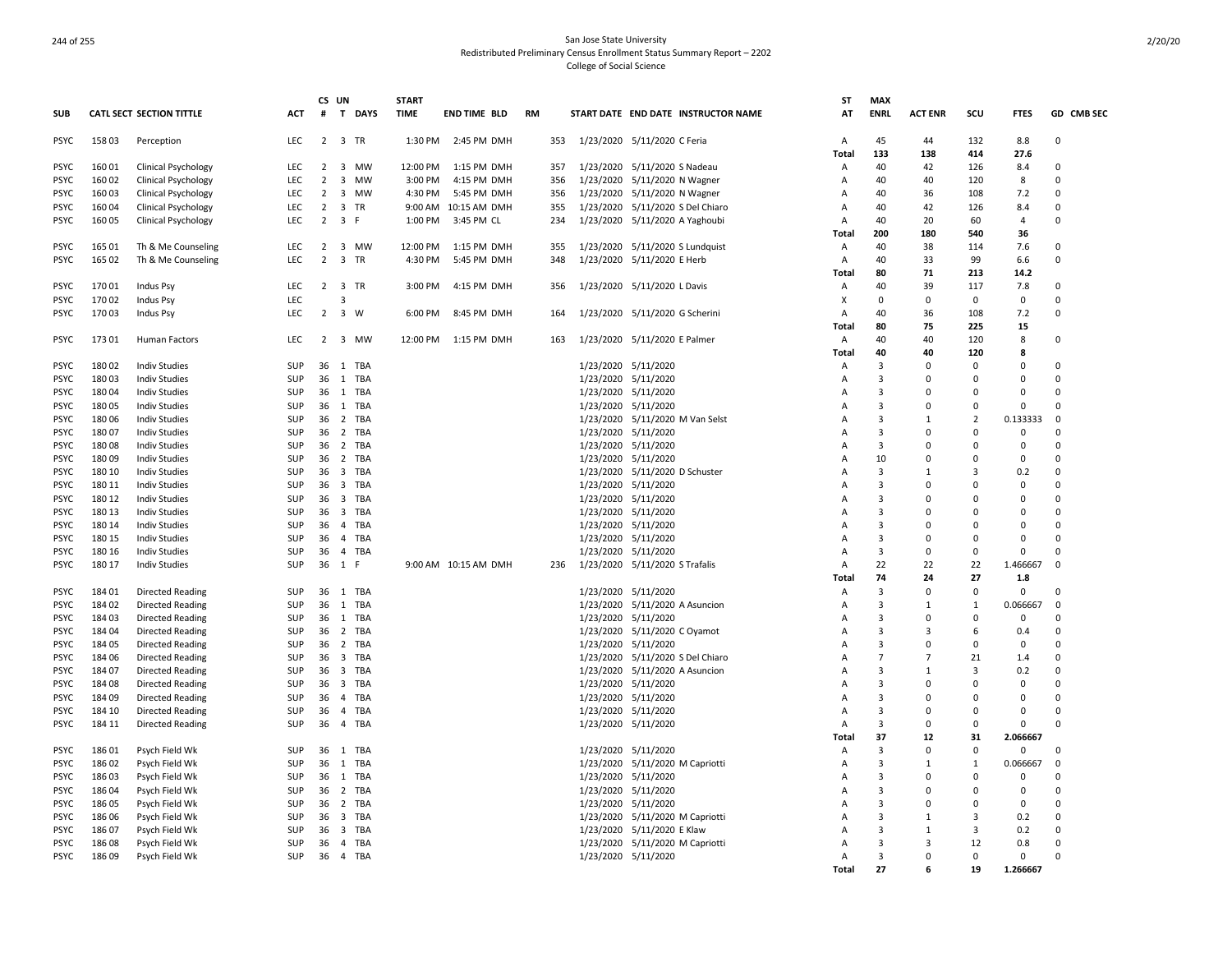|                            |                  |                                              |                          |                               | CS UN                            |              | <b>START</b> |                                    |    |            |                                            |                                     | <b>ST</b>           | <b>MAX</b>              |                              |                      |                            |                         |
|----------------------------|------------------|----------------------------------------------|--------------------------|-------------------------------|----------------------------------|--------------|--------------|------------------------------------|----|------------|--------------------------------------------|-------------------------------------|---------------------|-------------------------|------------------------------|----------------------|----------------------------|-------------------------|
| <b>SUB</b>                 |                  | CATL SECT SECTION TITTLE                     | <b>ACT</b>               | #                             |                                  | T DAYS       | <b>TIME</b>  | <b>END TIME BLD</b>                | RM |            |                                            | START DATE END DATE INSTRUCTOR NAME | AT                  | <b>ENRL</b>             | <b>ACT ENR</b>               | scu                  | <b>FTES</b>                | GD CMB SEC              |
| <b>PSYC</b>                | 15803            | Perception                                   | LEC                      |                               | 2 3 TR                           |              | 1:30 PM      | 2:45 PM DMH                        |    | 353        | 1/23/2020 5/11/2020 C Feria                |                                     | A                   | 45                      | 44                           | 132                  | 8.8                        | 0                       |
|                            |                  |                                              |                          |                               |                                  |              |              |                                    |    |            |                                            |                                     | Total               | 133                     | 138                          | 414                  | 27.6                       |                         |
| <b>PSYC</b>                | 16001            | <b>Clinical Psychology</b>                   | <b>LEC</b>               | 2                             | $\overline{\mathbf{3}}$          | MW           | 12:00 PM     | 1:15 PM DMH                        |    | 357        | 1/23/2020 5/11/2020 S Nadeau               |                                     | A                   | 40                      | 42                           | 126                  | 8.4                        | $\Omega$                |
| <b>PSYC</b>                | 16002            | <b>Clinical Psychology</b>                   | LEC                      | $\overline{2}$                | $\overline{\mathbf{3}}$          | MW           | 3:00 PM      | 4:15 PM DMH                        |    | 356        | 1/23/2020 5/11/2020 N Wagner               |                                     | A                   | 40                      | 40                           | 120                  | 8                          | $\Omega$                |
| <b>PSYC</b>                | 16003            | Clinical Psychology                          | <b>LEC</b>               | 2                             |                                  | 3 MW         | 4:30 PM      | 5:45 PM DMH                        |    | 356        | 1/23/2020 5/11/2020 N Wagner               |                                     | A                   | 40                      | 36                           | 108                  | 7.2                        | $\Omega$                |
| <b>PSYC</b><br><b>PSYC</b> | 16004<br>160 05  | <b>Clinical Psychology</b>                   | <b>LEC</b><br><b>LEC</b> | $\overline{2}$<br>$2^{\circ}$ | 3 F                              | 3 TR         | 1:00 PM      | 9:00 AM 10:15 AM DMH<br>3:45 PM CL |    | 355<br>234 |                                            | 1/23/2020 5/11/2020 S Del Chiaro    | A<br>A              | 40<br>40                | 42<br>20                     | 126<br>60            | 8.4<br>$\overline{4}$      | $\mathbf 0$<br>$\Omega$ |
|                            |                  | <b>Clinical Psychology</b>                   |                          |                               |                                  |              |              |                                    |    |            | 1/23/2020 5/11/2020 A Yaghoubi             |                                     | Total               | 200                     | 180                          | 540                  | 36                         |                         |
| <b>PSYC</b>                | 165 01           | Th & Me Counseling                           | <b>LEC</b>               | 2                             |                                  | 3 MW         | 12:00 PM     | 1:15 PM DMH                        |    | 355        |                                            | 1/23/2020 5/11/2020 S Lundquist     | Α                   | 40                      | 38                           | 114                  | 7.6                        | $\Omega$                |
| <b>PSYC</b>                | 165 02           | Th & Me Counseling                           | <b>LEC</b>               | $\overline{2}$                | $\overline{\mathbf{3}}$          | <b>TR</b>    | 4:30 PM      | 5:45 PM DMH                        |    | 348        | 1/23/2020 5/11/2020 E Herb                 |                                     | $\overline{A}$      | 40                      | 33                           | 99                   | 6.6                        | $\mathbf 0$             |
|                            |                  |                                              |                          |                               |                                  |              |              |                                    |    |            |                                            |                                     | Total               | 80                      | 71                           | 213                  | 14.2                       |                         |
| <b>PSYC</b>                | 17001            | <b>Indus Psy</b>                             | LEC                      |                               | 2 3 TR                           |              | 3:00 PM      | 4:15 PM DMH                        |    | 356        | 1/23/2020 5/11/2020 L Davis                |                                     | Α                   | 40                      | 39                           | 117                  | 7.8                        | $\mathbf 0$             |
| <b>PSYC</b>                | 17002            | Indus Psy                                    | LEC                      |                               | $\overline{3}$                   |              |              |                                    |    |            |                                            |                                     | X                   | $\mathbf 0$             | 0                            | $\Omega$             | $\mathbf 0$                | $\mathbf 0$             |
| <b>PSYC</b>                | 17003            | <b>Indus Psy</b>                             | LEC                      | $\overline{2}$                | 3 W                              |              | 6:00 PM      | 8:45 PM DMH                        |    | 164        | 1/23/2020 5/11/2020 G Scherini             |                                     | A                   | 40                      | 36                           | 108                  | 7.2                        | $\mathbf 0$             |
|                            |                  |                                              |                          |                               |                                  |              |              |                                    |    |            |                                            |                                     | Total               | 80                      | 75                           | 225                  | 15                         |                         |
| <b>PSYC</b>                | 173 01           | Human Factors                                | LEC                      | $\overline{2}$                |                                  | 3 MW         | 12:00 PM     | 1:15 PM DMH                        |    | 163        | 1/23/2020 5/11/2020 E Palmer               |                                     | $\overline{A}$      | 40                      | 40                           | 120                  | 8                          | $\mathbf 0$             |
|                            |                  |                                              |                          |                               |                                  |              |              |                                    |    |            |                                            |                                     | Total               | 40                      | 40                           | 120                  | 8                          |                         |
| <b>PSYC</b>                | 180 02           | <b>Indiv Studies</b>                         | <b>SUP</b>               | 36                            |                                  | 1 TBA        |              |                                    |    |            | 1/23/2020 5/11/2020                        |                                     | Α                   | 3                       | $\Omega$                     | $\Omega$             | $\Omega$                   | $\Omega$                |
| <b>PSYC</b>                | 18003            | <b>Indiv Studies</b>                         | <b>SUP</b>               | 36                            |                                  | 1 TBA        |              |                                    |    |            | 1/23/2020 5/11/2020                        |                                     | A                   | 3                       | $\Omega$                     | $\Omega$             | $\Omega$                   | $\Omega$                |
| <b>PSYC</b>                | 18004            | <b>Indiv Studies</b>                         | <b>SUP</b>               | 36                            |                                  | 1 TBA        |              |                                    |    |            | 1/23/2020 5/11/2020                        |                                     | A                   | $\overline{3}$          | $\Omega$                     |                      | $\Omega$                   | $\Omega$                |
| PSYC                       | 18005            | <b>Indiv Studies</b>                         | SUP                      | 36                            |                                  | 1 TBA        |              |                                    |    |            | 1/23/2020 5/11/2020                        |                                     | A                   | 3                       | $\Omega$                     | $\Omega$             | $\overline{0}$             | $\Omega$                |
| <b>PSYC</b>                | 18006            | <b>Indiv Studies</b>                         | <b>SUP</b>               | 36                            |                                  | 2 TBA        |              |                                    |    |            |                                            | 1/23/2020 5/11/2020 M Van Selst     | $\overline{A}$      | $\overline{3}$          | $\mathbf{1}$                 | $\overline{2}$       | 0.133333                   | $\Omega$                |
| <b>PSYC</b>                | 18007            | <b>Indiv Studies</b>                         | <b>SUP</b>               | 36                            |                                  | 2 TBA        |              |                                    |    |            | 1/23/2020 5/11/2020                        |                                     | A                   | 3                       | $\Omega$                     | $\Omega$             | 0                          | $\Omega$                |
| <b>PSYC</b>                | 18008            | <b>Indiv Studies</b>                         | SUP                      | 36                            |                                  | 2 TBA        |              |                                    |    |            | 1/23/2020 5/11/2020                        |                                     | A                   | 3                       | $\Omega$                     | $\Omega$             | $\mathbf 0$                | $\Omega$                |
| <b>PSYC</b>                | 18009            | <b>Indiv Studies</b>                         | SUP                      | 36                            |                                  | 2 TBA        |              |                                    |    |            | 1/23/2020 5/11/2020                        |                                     | A                   | 10                      | $\Omega$                     | $\Omega$             | $\mathbf 0$                | $\Omega$                |
| <b>PSYC</b>                | 180 10           | <b>Indiv Studies</b>                         | <b>SUP</b>               | -36                           |                                  | 3 TBA        |              |                                    |    |            | 1/23/2020 5/11/2020 D Schuster             |                                     | $\overline{A}$      | $\overline{3}$          | $\mathbf{1}$                 | 3                    | 0.2                        | $\Omega$                |
| <b>PSYC</b>                | 180 11           | <b>Indiv Studies</b>                         | <b>SUP</b>               | 36                            | $\overline{\mathbf{3}}$          | TBA          |              |                                    |    |            | 1/23/2020 5/11/2020                        |                                     | A                   | $\overline{3}$          | $\Omega$                     | $\Omega$             | $\mathbf 0$                | $\Omega$                |
| <b>PSYC</b>                | 180 12           | <b>Indiv Studies</b>                         | SUP                      | 36                            | $\overline{\mathbf{3}}$          | TBA          |              |                                    |    |            | 1/23/2020 5/11/2020                        |                                     | A                   | $\overline{3}$          | $\Omega$                     | $\Omega$             | 0                          | $\Omega$<br>$\Omega$    |
| <b>PSYC</b>                | 180 13           | <b>Indiv Studies</b>                         | SUP                      | 36                            | $\overline{\mathbf{3}}$          | TBA          |              |                                    |    |            | 1/23/2020 5/11/2020                        |                                     | Α                   | $\overline{3}$          | $\Omega$                     | $\Omega$<br>$\Omega$ | $\Omega$                   | $\Omega$                |
| <b>PSYC</b>                | 180 14           | <b>Indiv Studies</b>                         | <b>SUP</b><br>SUP        | 36                            |                                  | 4 TBA        |              |                                    |    |            | 1/23/2020 5/11/2020                        |                                     | A                   | 3<br>3                  | 0<br>0                       | $\Omega$             | $\Omega$<br>$\overline{0}$ | $\Omega$                |
| <b>PSYC</b><br>PSYC        | 180 15<br>180 16 | <b>Indiv Studies</b><br><b>Indiv Studies</b> | SUP                      | 36<br>36                      | $\overline{4}$<br>$\overline{4}$ | TBA<br>TBA   |              |                                    |    |            | 1/23/2020 5/11/2020<br>1/23/2020 5/11/2020 |                                     | A<br>A              | 3                       | 0                            | $\Omega$             | $\Omega$                   | $\Omega$                |
| <b>PSYC</b>                | 180 17           | <b>Indiv Studies</b>                         | SUP                      |                               | 36 1 F                           |              |              | 9:00 AM 10:15 AM DMH               |    | 236        | 1/23/2020 5/11/2020 S Trafalis             |                                     | $\overline{A}$      | 22                      | 22                           | 22                   | 1.466667                   | $\mathbf 0$             |
|                            |                  |                                              |                          |                               |                                  |              |              |                                    |    |            |                                            |                                     | Total               | 74                      | 24                           | 27                   | 1.8                        |                         |
| <b>PSYC</b>                | 18401            | <b>Directed Reading</b>                      | <b>SUP</b>               |                               |                                  | 36 1 TBA     |              |                                    |    |            | 1/23/2020 5/11/2020                        |                                     | A                   | 3                       | 0                            | 0                    | $\mathbf 0$                | $\mathbf 0$             |
| PSYC                       | 18402            | <b>Directed Reading</b>                      | <b>SUP</b>               | 36                            | 1                                | TBA          |              |                                    |    |            | 1/23/2020 5/11/2020 A Asuncion             |                                     | A                   | $\overline{3}$          | $\mathbf{1}$                 | 1                    | 0.066667                   | $\Omega$                |
| <b>PSYC</b>                | 18403            | <b>Directed Reading</b>                      | <b>SUP</b>               | 36                            |                                  | 1 TBA        |              |                                    |    |            | 1/23/2020 5/11/2020                        |                                     | $\overline{A}$      | 3                       | $\Omega$                     | $\Omega$             | $\mathbf 0$                | $\Omega$                |
| <b>PSYC</b>                | 18404            | <b>Directed Reading</b>                      | <b>SUP</b>               | 36                            |                                  | 2 TBA        |              |                                    |    |            | 1/23/2020 5/11/2020 C Oyamot               |                                     | A                   | $\overline{3}$          | 3                            | 6                    | 0.4                        | $\Omega$                |
| <b>PSYC</b>                | 18405            | <b>Directed Reading</b>                      | <b>SUP</b>               | 36                            |                                  | 2 TBA        |              |                                    |    |            | 1/23/2020 5/11/2020                        |                                     | $\overline{A}$      | 3                       | 0                            | $\Omega$             | $\overline{0}$             | 0                       |
| <b>PSYC</b>                | 18406            | <b>Directed Reading</b>                      | <b>SUP</b>               | 36                            | $\overline{\mathbf{3}}$          | TBA          |              |                                    |    |            |                                            | 1/23/2020 5/11/2020 S Del Chiaro    | $\overline{A}$      | $\overline{7}$          | $\overline{7}$               | 21                   | 1.4                        | $\Omega$                |
| <b>PSYC</b>                | 18407            | <b>Directed Reading</b>                      | SUP                      | 36                            | $\overline{\mathbf{3}}$          | TBA          |              |                                    |    |            | 1/23/2020 5/11/2020 A Asuncion             |                                     | $\overline{A}$      | $\overline{3}$          | $\mathbf{1}$                 | $\mathbf{R}$         | 0.2                        | $\Omega$                |
| <b>PSYC</b>                | 18408            | <b>Directed Reading</b>                      | <b>SUP</b>               | 36                            | $\overline{\mathbf{3}}$          | TBA          |              |                                    |    |            | 1/23/2020 5/11/2020                        |                                     | A                   | 3                       | $\Omega$                     | $\Omega$             | 0                          | $\Omega$                |
| <b>PSYC</b>                | 18409            | <b>Directed Reading</b>                      | <b>SUP</b>               | 36                            | $\overline{4}$                   | TBA          |              |                                    |    |            | 1/23/2020 5/11/2020                        |                                     | A                   | 3                       | $\Omega$                     | $\Omega$             | $\mathbf 0$                | $\Omega$                |
| <b>PSYC</b>                | 184 10           | <b>Directed Reading</b>                      | <b>SUP</b>               | 36                            | $\overline{4}$                   | TBA          |              |                                    |    |            | 1/23/2020 5/11/2020                        |                                     | Α                   | $\overline{3}$          | $\Omega$                     | $\Omega$             | $\Omega$                   | $\Omega$                |
| <b>PSYC</b>                | 184 11           | <b>Directed Reading</b>                      | SUP                      | 36                            |                                  | 4 TBA        |              |                                    |    |            | 1/23/2020 5/11/2020                        |                                     | A                   | 3                       | 0                            | $\Omega$             | $\Omega$                   | $\Omega$                |
|                            |                  |                                              |                          |                               |                                  |              |              |                                    |    |            |                                            |                                     | Total               | 37                      | 12                           | 31                   | 2.066667                   |                         |
| <b>PSYC</b>                | 18601            | Psych Field Wk                               | <b>SUP</b>               | 36                            | 1                                | TBA          |              |                                    |    |            | 1/23/2020 5/11/2020                        |                                     | A                   | $\overline{\mathbf{3}}$ | 0                            | $\Omega$             | $\mathbf 0$                | $\Omega$                |
| <b>PSYC</b>                | 18602            | Psych Field Wk                               | <b>SUP</b>               | 36                            | 1                                | TBA          |              |                                    |    |            | 1/23/2020 5/11/2020 M Capriotti            |                                     | A                   | $\overline{3}$          | 1                            | 1                    | 0.066667                   | $\mathbf 0$             |
| <b>PSYC</b>                | 18603            | Psych Field Wk                               | <b>SUP</b>               | 36                            | 1                                | TBA          |              |                                    |    |            | 1/23/2020 5/11/2020                        |                                     | A                   | $\overline{3}$          | $\Omega$                     | $\Omega$             | $\Omega$                   | $\Omega$                |
| <b>PSYC</b>                | 18604            | Psych Field Wk                               | SUP                      | 36                            |                                  | 2 TBA        |              |                                    |    |            | 1/23/2020 5/11/2020                        |                                     | A                   | 3                       | $\Omega$                     | $\Omega$             | 0                          | $\mathbf 0$             |
| PSYC                       | 18605            | Psych Field Wk                               | <b>SUP</b>               | 36                            | $\overline{2}$                   | TBA          |              |                                    |    |            | 1/23/2020 5/11/2020                        |                                     | A                   | $\overline{3}$          | $\Omega$                     | $\Omega$             | 0                          | $\Omega$                |
| PSYC                       | 186 06           | Psych Field Wk                               | SUP                      | 36                            | $\overline{\mathbf{3}}$          | TBA          |              |                                    |    |            |                                            | 1/23/2020 5/11/2020 M Capriotti     | A                   | $\overline{3}$          | $\mathbf{1}$<br>$\mathbf{1}$ | 3                    | 0.2                        | $\Omega$<br>$\Omega$    |
| PSYC                       | 18607            | Psych Field Wk                               | <b>SUP</b>               | 36                            | $\overline{\mathbf{3}}$          | TBA          |              |                                    |    |            | 1/23/2020 5/11/2020 E Klaw                 |                                     | A                   | 3<br>$\overline{3}$     | 3                            | 3                    | 0.2                        | 0                       |
| PSYC<br><b>PSYC</b>        | 18608<br>18609   | Psych Field Wk<br>Psych Field Wk             | SUP<br>SUP               | 36<br>36                      | 4                                | TBA<br>4 TBA |              |                                    |    |            |                                            | 1/23/2020 5/11/2020 M Capriotti     | A<br>$\overline{A}$ | $\overline{3}$          | $\Omega$                     | 12<br>$\Omega$       | 0.8<br>$\mathbf 0$         | $\Omega$                |
|                            |                  |                                              |                          |                               |                                  |              |              |                                    |    |            | 1/23/2020 5/11/2020                        |                                     | Total               | 27                      | 6                            | 19                   | 1.266667                   |                         |
|                            |                  |                                              |                          |                               |                                  |              |              |                                    |    |            |                                            |                                     |                     |                         |                              |                      |                            |                         |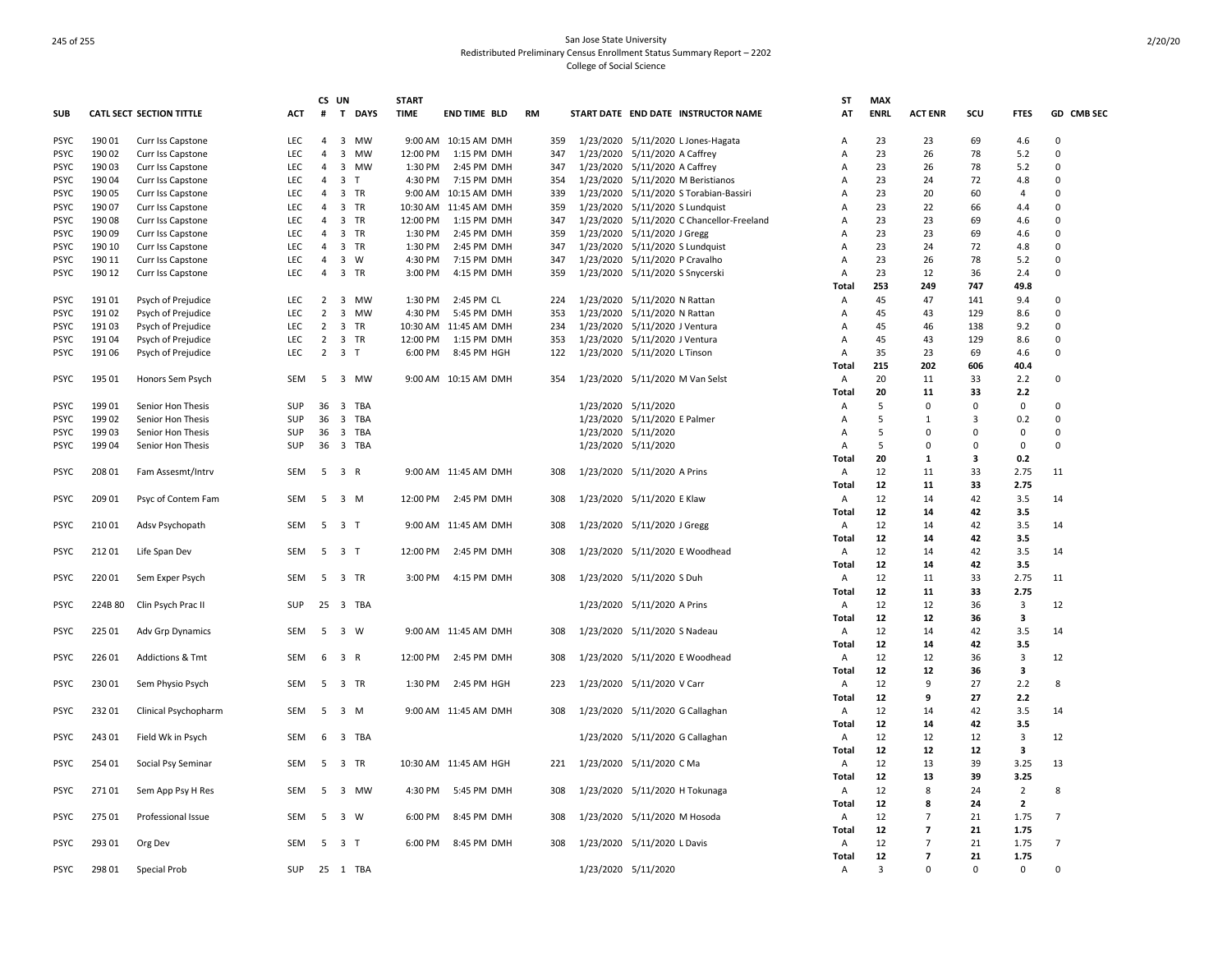|             |         |                                 |            | CS UN          |                             | <b>START</b> |                       |           |                                 |                                           | ST             | <b>MAX</b>  |                |                |                |                |
|-------------|---------|---------------------------------|------------|----------------|-----------------------------|--------------|-----------------------|-----------|---------------------------------|-------------------------------------------|----------------|-------------|----------------|----------------|----------------|----------------|
| <b>SUB</b>  |         | <b>CATL SECT SECTION TITTLE</b> | <b>ACT</b> | #              | T<br><b>DAYS</b>            | <b>TIME</b>  | <b>END TIME BLD</b>   | <b>RM</b> |                                 | START DATE END DATE INSTRUCTOR NAME       | AT             | <b>ENRL</b> | <b>ACT ENR</b> | scu            | <b>FTES</b>    | GD CMB SEC     |
| <b>PSYC</b> | 190 01  | Curr Iss Capstone               | LEC        | 4              | 3 MW                        |              | 9:00 AM 10:15 AM DMH  | 359       |                                 | 1/23/2020 5/11/2020 L Jones-Hagata        | A              | 23          | 23             | 69             | 4.6            | $\Omega$       |
| <b>PSYC</b> | 190 02  | Curr Iss Capstone               | <b>LEC</b> | 4              | $\overline{3}$<br><b>MW</b> | 12:00 PM     | 1:15 PM DMH           | 347       | 1/23/2020 5/11/2020 A Caffrey   |                                           | A              | 23          | 26             | 78             | 5.2            | $\Omega$       |
| <b>PSYC</b> | 190 03  | Curr Iss Capstone               | LEC        | 4              | 3 MW                        | 1:30 PM      | 2:45 PM DMH           | 347       | 1/23/2020 5/11/2020 A Caffrey   |                                           | $\overline{A}$ | 23          | 26             | 78             | 5.2            | 0              |
| <b>PSYC</b> | 19004   | Curr Iss Capstone               | <b>LEC</b> | $\overline{4}$ | 3 <sub>1</sub>              | 4:30 PM      | 7:15 PM DMH           | 354       |                                 | 1/23/2020 5/11/2020 M Beristianos         | A              | 23          | 24             | 72             | 4.8            | $\Omega$       |
| <b>PSYC</b> | 190 05  | Curr Iss Capstone               | <b>LEC</b> | $\overline{4}$ | 3 TR                        |              | 9:00 AM 10:15 AM DMH  | 339       |                                 | 1/23/2020 5/11/2020 S Torabian-Bassiri    | A              | 23          | 20             | 60             | $\overline{4}$ | $\Omega$       |
| <b>PSYC</b> | 190 07  | Curr Iss Capstone               | <b>LEC</b> | 4              | 3 TR                        |              | 10:30 AM 11:45 AM DMH | 359       | 1/23/2020 5/11/2020 S Lundquist |                                           | A              | 23          | 22             | 66             | 4.4            | $\Omega$       |
| <b>PSYC</b> | 19008   | Curr Iss Capstone               | <b>LEC</b> | $\overline{4}$ | 3 TR                        | 12:00 PM     | 1:15 PM DMH           | 347       |                                 | 1/23/2020 5/11/2020 C Chancellor-Freeland | A              | 23          | 23             | 69             | 4.6            | $\Omega$       |
| <b>PSYC</b> | 19009   | Curr Iss Capstone               | <b>LEC</b> | 4              | 3 TR                        | 1:30 PM      | 2:45 PM DMH           | 359       | 1/23/2020 5/11/2020 J Gregg     |                                           | $\Delta$       | 23          | 23             | 69             | 4.6            | $\Omega$       |
| <b>PSYC</b> | 190 10  | Curr Iss Capstone               | LEC        | 4              | 3 TR                        | 1:30 PM      | 2:45 PM DMH           | 347       | 1/23/2020 5/11/2020 S Lundquist |                                           | A              | 23          | 24             | 72             | 4.8            | 0              |
| <b>PSYC</b> | 190 11  | Curr Iss Capstone               | LEC        | 4              | 3 W                         | 4:30 PM      | 7:15 PM DMH           | 347       | 1/23/2020 5/11/2020 P Cravalho  |                                           | A              | 23          | 26             | 78             | 5.2            | $\Omega$       |
| <b>PSYC</b> | 190 12  | Curr Iss Capstone               | LEC        | 4              | 3 TR                        | 3:00 PM      | 4:15 PM DMH           | 359       | 1/23/2020 5/11/2020 S Snycerski |                                           | A              | 23          | 12             | 36             | 2.4            | $\Omega$       |
|             |         |                                 |            |                |                             |              |                       |           |                                 |                                           | Total          | 253         | 249            | 747            | 49.8           |                |
| <b>PSYC</b> | 191 01  | Psych of Prejudice              | LEC        | 2              | 3<br>MW                     | 1:30 PM      | 2:45 PM CL            | 224       | 1/23/2020 5/11/2020 N Rattan    |                                           | A              | 45          | 47             | 141            | 9.4            | $\Omega$       |
| <b>PSYC</b> | 191 02  | Psych of Prejudice              | <b>LEC</b> | $\overline{2}$ | $\overline{3}$<br>MW        | 4:30 PM      | 5:45 PM DMH           | 353       | 1/23/2020 5/11/2020 N Rattan    |                                           | Α              | 45          | 43             | 129            | 8.6            | $\Omega$       |
| <b>PSYC</b> | 19103   | Psych of Prejudice              | LEC        | $\overline{2}$ | 3 TR                        |              | 10:30 AM 11:45 AM DMH | 234       | 1/23/2020 5/11/2020 J Ventura   |                                           | A              | 45          | 46             | 138            | 9.2            | $\Omega$       |
| <b>PSYC</b> | 19104   | Psych of Prejudice              | <b>LEC</b> | $\overline{2}$ | 3 TR                        | 12:00 PM     | 1:15 PM DMH           | 353       | 1/23/2020 5/11/2020 J Ventura   |                                           | A              | 45          | 43             | 129            | 8.6            | $\Omega$       |
| <b>PSYC</b> | 191 06  | Psych of Prejudice              | <b>LEC</b> | $\overline{2}$ | 3 <sub>T</sub>              | 6:00 PM      | 8:45 PM HGH           | 122       | 1/23/2020 5/11/2020 L Tinson    |                                           | Α              | 35          | 23             | 69             | 4.6            | 0              |
|             |         |                                 |            |                |                             |              |                       |           |                                 |                                           | Total          | 215         | 202            | 606            | 40.4           |                |
| <b>PSYC</b> | 195 01  | Honors Sem Psych                | SEM        | - 5            | 3 MW                        |              | 9:00 AM 10:15 AM DMH  | 354       | 1/23/2020 5/11/2020 M Van Selst |                                           | A              | 20          | 11             | 33             | 2.2            | $\Omega$       |
|             |         |                                 |            |                |                             |              |                       |           |                                 |                                           | Total          | 20          | 11             | 33             | 2.2            |                |
| <b>PSYC</b> | 199 01  | Senior Hon Thesis               | <b>SUP</b> | 36             | 3<br>TBA                    |              |                       |           | 1/23/2020 5/11/2020             |                                           | A              | 5           | $\Omega$       | $\Omega$       | 0              | $\Omega$       |
| <b>PSYC</b> | 199 02  | Senior Hon Thesis               | SUP        | 36             | 3 TBA                       |              |                       |           | 1/23/2020 5/11/2020 E Palmer    |                                           | $\overline{A}$ | 5           | $\mathbf{1}$   | $\overline{3}$ | 0.2            | 0              |
| <b>PSYC</b> | 19903   | Senior Hon Thesis               | SUP        | 36             | 3 TBA                       |              |                       |           | 1/23/2020 5/11/2020             |                                           | $\overline{A}$ | .5          | $\Omega$       | $\Omega$       | $\Omega$       | $\Omega$       |
| <b>PSYC</b> | 19904   | Senior Hon Thesis               | SUP        | 36             | 3 TBA                       |              |                       |           | 1/23/2020 5/11/2020             |                                           | A              | 5           | $\Omega$       | $\Omega$       | $\mathbf 0$    | $\Omega$       |
|             |         |                                 |            |                |                             |              |                       |           |                                 |                                           | Total          | 20          | $\mathbf{1}$   | 3              | 0.2            |                |
| <b>PSYC</b> | 208 01  | Fam Assesmt/Intrv               | SEM        | 5              | 3 R                         |              | 9:00 AM 11:45 AM DMH  | 308       | 1/23/2020 5/11/2020 A Prins     |                                           | Α              | 12          | 11             | 33             | 2.75           | 11             |
|             |         |                                 |            |                |                             |              |                       |           |                                 |                                           | Total          | 12          | 11             | 33             | 2.75           |                |
| <b>PSYC</b> | 209 01  | Psyc of Contem Fam              | SEM        | 5              | 3 M                         | 12:00 PM     | 2:45 PM DMH           | 308       | 1/23/2020 5/11/2020 E Klaw      |                                           | A              | 12          | 14             | 42             | 3.5            | 14             |
|             |         |                                 |            |                |                             |              |                       |           |                                 |                                           | Total          | 12          | 14             | 42             | 3.5            |                |
| <b>PSYC</b> | 21001   | Adsv Psychopath                 | SEM        | - 5            | 3 T                         |              | 9:00 AM 11:45 AM DMH  | 308       | 1/23/2020 5/11/2020 J Gregg     |                                           | Α              | 12          | 14             | 42             | 3.5            | 14             |
|             |         |                                 |            |                |                             |              |                       |           |                                 |                                           | Total          | 12          | 14             | 42             | 3.5            |                |
| <b>PSYC</b> | 21201   | Life Span Dev                   | SEM        | - 5            | 3 T                         | 12:00 PM     | 2:45 PM DMH           | 308       |                                 | 1/23/2020 5/11/2020 E Woodhead            | Α              | 12          | 14             | 42             | 3.5            | 14             |
|             |         |                                 |            |                |                             |              |                       |           |                                 |                                           | Total          | 12          | 14             | 42             | 3.5            |                |
| PSYC        | 22001   | Sem Exper Psych                 | SEM        | - 5            | 3 TR                        | 3:00 PM      | 4:15 PM DMH           | 308       | 1/23/2020 5/11/2020 S Duh       |                                           | A              | 12          | 11             | 33             | 2.75           | 11             |
|             |         |                                 |            |                |                             |              |                       |           |                                 |                                           | Total          | 12          | 11             | 33             | 2.75           |                |
| <b>PSYC</b> | 224B 80 | Clin Psych Prac II              | SUP        | 25             | 3 TBA                       |              |                       |           | 1/23/2020 5/11/2020 A Prins     |                                           | Α              | 12          | 12             | 36             | 3              | 12             |
|             |         |                                 |            |                |                             |              |                       |           |                                 |                                           | Total          | 12          | 12             | 36             | 3              |                |
| <b>PSYC</b> | 225 01  | Adv Grp Dynamics                | SEM        | - 5            | 3 W                         |              | 9:00 AM 11:45 AM DMH  | 308       | 1/23/2020 5/11/2020 S Nadeau    |                                           | A              | 12          | 14             | 42             | 3.5            | 14             |
|             |         |                                 |            |                |                             |              |                       |           |                                 |                                           | Total          | 12          | 14             | 42             | 3.5            |                |
| <b>PSYC</b> | 226 01  | <b>Addictions &amp; Tmt</b>     | SEM        | 6              | 3 R                         | 12:00 PM     | 2:45 PM DMH           | 308       |                                 | 1/23/2020 5/11/2020 E Woodhead            | A              | 12          | 12             | 36             | 3              | 12             |
|             |         |                                 |            |                |                             |              |                       |           |                                 |                                           | Total          | 12          | 12             | 36             | 3              |                |
| <b>PSYC</b> | 23001   | Sem Physio Psych                | SEM        |                | 5 3 TR                      | 1:30 PM      | 2:45 PM HGH           | 223       | 1/23/2020 5/11/2020 V Carr      |                                           | A              | 12          | 9              | 27             | 2.2            | 8              |
|             |         |                                 |            |                |                             |              |                       |           |                                 |                                           | Total          | 12          | 9              | 27             | 2.2            |                |
| <b>PSYC</b> | 23201   | Clinical Psychopharm            | SEM        | - 5            | 3 M                         |              | 9:00 AM 11:45 AM DMH  | 308       | 1/23/2020 5/11/2020 G Callaghan |                                           | $\overline{A}$ | 12          | 14             | 42             | 3.5            | 14             |
|             |         |                                 |            |                |                             |              |                       |           |                                 |                                           | Total          | 12          | 14             | 42             | 3.5            |                |
| <b>PSYC</b> | 24301   | Field Wk in Psych               | SEM        | - 6            | 3 TBA                       |              |                       |           | 1/23/2020 5/11/2020 G Callaghan |                                           | $\overline{A}$ | 12          | 12             | 12             | $\overline{3}$ | 12             |
|             |         |                                 |            |                |                             |              |                       |           |                                 |                                           | Total          | 12          | 12             | 12             | 3              |                |
| <b>PSYC</b> | 254 01  | Social Psy Seminar              | SEM        | 5              | 3 TR                        |              | 10:30 AM 11:45 AM HGH | 221       | 1/23/2020 5/11/2020 C Ma        |                                           | Α              | 12          | 13             | 39             | 3.25           | 13             |
|             |         |                                 |            |                |                             |              |                       |           |                                 |                                           | Total          | 12          | 13             | 39             | 3.25           |                |
| <b>PSYC</b> | 27101   | Sem App Psy H Res               | SEM        | - 5            | 3 MW                        | 4:30 PM      | 5:45 PM DMH           | 308       | 1/23/2020 5/11/2020 H Tokunaga  |                                           | Α              | 12          | 8              | 24             | $\overline{2}$ | 8              |
|             |         |                                 |            |                |                             |              |                       |           |                                 |                                           | Total          | 12          | 8              | 24             | $\overline{2}$ |                |
| <b>PSYC</b> | 275 01  | Professional Issue              | SEM        | - 5            | 3 W                         | 6:00 PM      | 8:45 PM DMH           | 308       | 1/23/2020 5/11/2020 M Hosoda    |                                           | Α              | 12          | $\overline{7}$ | 21             | 1.75           | $\overline{7}$ |
|             |         |                                 |            |                |                             |              |                       |           |                                 |                                           | Total          | 12          | $\overline{7}$ | 21             | 1.75           |                |
| <b>PSYC</b> | 293 01  | Org Dev                         | SEM        | 5              | 3 <sub>1</sub>              | 6:00 PM      | 8:45 PM DMH           | 308       | 1/23/2020 5/11/2020 L Davis     |                                           | Α              | 12          | $\overline{7}$ | 21             | 1.75           | 7              |
|             |         |                                 |            |                |                             |              |                       |           |                                 |                                           | Total          | 12          | $\overline{ }$ | 21             | 1.75           |                |
| <b>PSYC</b> | 298 01  | <b>Special Prob</b>             | SUP        |                | 25 1 TBA                    |              |                       |           | 1/23/2020 5/11/2020             |                                           | Α              | 3           | $\Omega$       | $\Omega$       | 0              | $\Omega$       |
|             |         |                                 |            |                |                             |              |                       |           |                                 |                                           |                |             |                |                |                |                |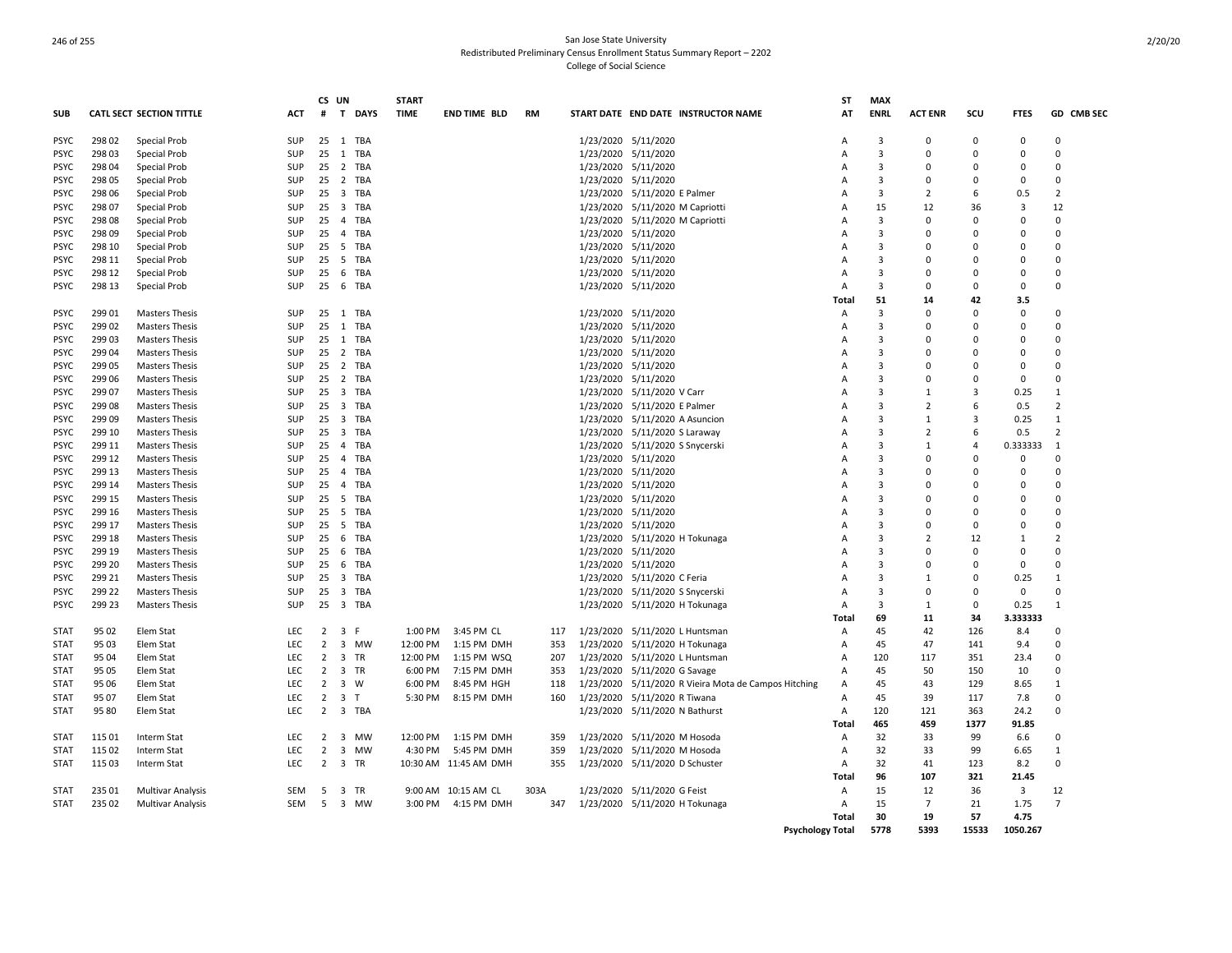|             |        |                                 |            | CS UN          |                             | <b>START</b> |                       |           |                     |                                                      | SΤ                      | <b>MAX</b>     |                |                |                         |                |
|-------------|--------|---------------------------------|------------|----------------|-----------------------------|--------------|-----------------------|-----------|---------------------|------------------------------------------------------|-------------------------|----------------|----------------|----------------|-------------------------|----------------|
| SUB         |        | <b>CATL SECT SECTION TITTLE</b> | ACT        | #              | $\mathbf{T}$<br><b>DAYS</b> | <b>TIME</b>  | END TIME BLD          | <b>RM</b> |                     | START DATE END DATE INSTRUCTOR NAME                  | AT                      | <b>ENRL</b>    | <b>ACT ENR</b> | scu            | <b>FTES</b>             | GD CMB SEC     |
| <b>PSYC</b> | 298 02 | Special Prob                    | <b>SUP</b> |                | 25 1 TBA                    |              |                       |           | 1/23/2020 5/11/2020 |                                                      | A                       | 3              | 0              | $\Omega$       | 0                       | $\Omega$       |
| <b>PSYC</b> | 298 03 | <b>Special Prob</b>             | <b>SUP</b> | 25             | 1 TBA                       |              |                       |           | 1/23/2020 5/11/2020 |                                                      | A                       | 3              | $\Omega$       | $\Omega$       | $\Omega$                | $\Omega$       |
| <b>PSYC</b> | 298 04 | Special Prob                    | SUP        | 25             | 2 TBA                       |              |                       |           | 1/23/2020 5/11/2020 |                                                      | A                       | $\overline{3}$ | $\Omega$       | $\Omega$       | $\Omega$                | $\Omega$       |
| <b>PSYC</b> | 298 05 | Special Prob                    | SUP        | 25             | 2 TBA                       |              |                       |           | 1/23/2020 5/11/2020 |                                                      | A                       | $\overline{3}$ | 0              | n              | $\Omega$                | $\Omega$       |
| <b>PSYC</b> | 298 06 | Special Prob                    | <b>SUP</b> | 25             | 3 TBA                       |              |                       |           |                     | 1/23/2020 5/11/2020 E Palmer                         | A                       | $\overline{3}$ | $\overline{2}$ | 6              | 0.5                     | $\overline{2}$ |
| <b>PSYC</b> | 298 07 | Special Prob                    | SUP        | 25             | 3 TBA                       |              |                       |           |                     | 1/23/2020 5/11/2020 M Capriotti                      | A                       | 15             | 12             | 36             | $\overline{3}$          | 12             |
| <b>PSYC</b> | 298 08 | Special Prob                    | <b>SUP</b> | 25             | 4 TBA                       |              |                       |           |                     | 1/23/2020 5/11/2020 M Capriotti                      | Α                       | 3              | 0              | $\Omega$       | 0                       | $\mathbf 0$    |
| <b>PSYC</b> | 298 09 | Special Prob                    | <b>SUP</b> | 25             | 4 TBA                       |              |                       |           | 1/23/2020 5/11/2020 |                                                      | A                       | $\overline{3}$ | $\Omega$       | $\Omega$       | $\Omega$                | $\Omega$       |
| <b>PSYC</b> | 298 10 | Special Prob                    | <b>SUP</b> | 25             | 5 TBA                       |              |                       |           | 1/23/2020 5/11/2020 |                                                      | A                       | 3              | $\Omega$       | n              | $\Omega$                | $\Omega$       |
| <b>PSYC</b> | 298 11 | Special Prob                    | SUP        | 25             | 5 TBA                       |              |                       |           | 1/23/2020 5/11/2020 |                                                      | A                       | 3              | $\Omega$       | $\Omega$       | 0                       | $\Omega$       |
| <b>PSYC</b> | 298 12 | Special Prob                    | SUP        | 25             | 6 TBA                       |              |                       |           | 1/23/2020 5/11/2020 |                                                      | A                       | 3              | $\Omega$       | n              | 0                       | $\Omega$       |
|             |        |                                 |            |                |                             |              |                       |           |                     |                                                      |                         |                | $\Omega$       | $\Omega$       |                         | $\Omega$       |
| <b>PSYC</b> | 298 13 | Special Prob                    | <b>SUP</b> | 25             | 6 TBA                       |              |                       |           | 1/23/2020 5/11/2020 |                                                      | A                       | 3              |                |                | $\mathbf 0$             |                |
|             |        |                                 |            |                |                             |              |                       |           |                     |                                                      | Total                   | 51             | 14             | 42             | 3.5                     |                |
| <b>PSYC</b> | 29901  | <b>Masters Thesis</b>           | SUP        | 25             | 1 TBA                       |              |                       |           | 1/23/2020 5/11/2020 |                                                      | А                       | 3              | 0              | n              | 0                       | 0              |
| <b>PSYC</b> | 299 02 | <b>Masters Thesis</b>           | <b>SUP</b> | 25             | 1 TBA                       |              |                       |           | 1/23/2020 5/11/2020 |                                                      | A                       | $\overline{3}$ | $\Omega$       | $\Omega$       | $\Omega$                | $\Omega$       |
| <b>PSYC</b> | 29903  | <b>Masters Thesis</b>           | <b>SUP</b> | 25             | 1 TBA                       |              |                       |           |                     | 1/23/2020 5/11/2020                                  | A                       | $\overline{3}$ | $\Omega$       | n              | $\Omega$                | $\Omega$       |
| <b>PSYC</b> | 299 04 | <b>Masters Thesis</b>           | <b>SUP</b> | 25             | 2 TBA                       |              |                       |           | 1/23/2020 5/11/2020 |                                                      | A                       | 3              | $\Omega$       | n              | $\Omega$                | $\Omega$       |
| <b>PSYC</b> | 299 05 | <b>Masters Thesis</b>           | SUP        | 25             | 2 TBA                       |              |                       |           | 1/23/2020 5/11/2020 |                                                      | A                       | $\overline{3}$ | $\Omega$       | $\Omega$       | $\Omega$                | $\Omega$       |
| <b>PSYC</b> | 299 06 | <b>Masters Thesis</b>           | SUP        | 25             | 2 TBA                       |              |                       |           | 1/23/2020 5/11/2020 |                                                      | Α                       | 3              | 0              | $\Omega$       | 0                       | $\Omega$       |
| <b>PSYC</b> | 299 07 | <b>Masters Thesis</b>           | <b>SUP</b> | 25             | 3 TBA                       |              |                       |           |                     | 1/23/2020 5/11/2020 V Carr                           | A                       | $\overline{3}$ | $\mathbf{1}$   | 3              | 0.25                    | $\mathbf{1}$   |
| <b>PSYC</b> | 299 08 | <b>Masters Thesis</b>           | <b>SUP</b> | 25             | 3 TBA                       |              |                       |           |                     | 1/23/2020 5/11/2020 E Palmer                         | A                       | 3              | $\overline{2}$ | 6              | 0.5                     | $\overline{2}$ |
| <b>PSYC</b> | 299 09 | <b>Masters Thesis</b>           | SUP        | 25             | 3 TBA                       |              |                       |           |                     | 1/23/2020 5/11/2020 A Asuncion                       | Α                       | $\overline{3}$ | $\mathbf{1}$   | 3              | 0.25                    | $\mathbf{1}$   |
| <b>PSYC</b> | 299 10 | <b>Masters Thesis</b>           | SUP        | 25             | 3 TBA                       |              |                       |           |                     | 1/23/2020 5/11/2020 S Laraway                        | A                       | $\overline{3}$ | $\overline{2}$ | 6              | 0.5                     | $\overline{2}$ |
| <b>PSYC</b> | 299 11 | <b>Masters Thesis</b>           | <b>SUP</b> | 25             | 4 TBA                       |              |                       |           |                     | 1/23/2020 5/11/2020 S Snycerski                      | A                       | $\overline{3}$ | $\mathbf{1}$   | $\overline{a}$ | 0.333333                | 1              |
| <b>PSYC</b> | 299 12 | <b>Masters Thesis</b>           | SUP        | 25             | 4 TBA                       |              |                       |           | 1/23/2020 5/11/2020 |                                                      | A                       | $\overline{3}$ | $\Omega$       | $\Omega$       | 0                       | $\Omega$       |
| <b>PSYC</b> | 299 13 | <b>Masters Thesis</b>           | <b>SUP</b> | 25             | 4 TBA                       |              |                       |           | 1/23/2020 5/11/2020 |                                                      | A                       | 3              | 0              | n              | 0                       | $\Omega$       |
| <b>PSYC</b> | 299 14 | <b>Masters Thesis</b>           | <b>SUP</b> | 25             | 4 TBA                       |              |                       |           | 1/23/2020 5/11/2020 |                                                      | A                       | $\overline{3}$ | $\Omega$       | $\Omega$       | $\Omega$                | $\Omega$       |
| <b>PSYC</b> | 299 15 | <b>Masters Thesis</b>           | <b>SUP</b> | 25             | 5 TBA                       |              |                       |           | 1/23/2020 5/11/2020 |                                                      | A                       | 3              | $\Omega$       | $\Omega$       | $\Omega$                | $\Omega$       |
| <b>PSYC</b> | 299 16 | <b>Masters Thesis</b>           | <b>SUP</b> | 25             | 5 TBA                       |              |                       |           | 1/23/2020 5/11/2020 |                                                      | A                       | 3              | $\Omega$       | n              | $\Omega$                | $\Omega$       |
| <b>PSYC</b> | 299 17 | <b>Masters Thesis</b>           | SUP        | 25             | 5 TBA                       |              |                       |           | 1/23/2020 5/11/2020 |                                                      | A                       | 3              | $\Omega$       | $\Omega$       | $\Omega$                | $\Omega$       |
| <b>PSYC</b> | 299 18 | <b>Masters Thesis</b>           | SUP        | 25             | 6 TBA                       |              |                       |           |                     | 1/23/2020 5/11/2020 H Tokunaga                       | Α                       | 3              | $\overline{2}$ | 12             | 1                       | $\overline{2}$ |
| <b>PSYC</b> | 299 19 | <b>Masters Thesis</b>           | SUP        | 25             | 6 TBA                       |              |                       |           | 1/23/2020 5/11/2020 |                                                      | A                       | $\overline{3}$ | $\Omega$       | $\Omega$       | $\Omega$                | $\Omega$       |
|             | 299 20 | <b>Masters Thesis</b>           | SUP        | 25             | 6 TBA                       |              |                       |           |                     |                                                      | A                       | 3              | 0              | $\Omega$       | $\mathbf 0$             | $\Omega$       |
| <b>PSYC</b> |        |                                 |            |                |                             |              |                       |           | 1/23/2020 5/11/2020 |                                                      |                         |                |                | $\Omega$       |                         |                |
| <b>PSYC</b> | 299 21 | <b>Masters Thesis</b>           | <b>SUP</b> | 25             | 3 TBA                       |              |                       |           |                     | 1/23/2020 5/11/2020 C Feria                          | A                       | $\overline{3}$ | $\mathbf{1}$   |                | 0.25                    | 1<br>$\Omega$  |
| <b>PSYC</b> | 299 22 | <b>Masters Thesis</b>           | SUP        | 25             | 3 TBA                       |              |                       |           |                     | 1/23/2020 5/11/2020 S Snycerski                      | Α                       | $\overline{3}$ | 0              | n              | $\mathbf 0$             |                |
| <b>PSYC</b> | 299 23 | <b>Masters Thesis</b>           | SUP        | 25             | 3 TBA                       |              |                       |           |                     | 1/23/2020 5/11/2020 H Tokunaga                       | A                       | 3              | $\mathbf{1}$   | 0              | 0.25                    | $\mathbf{1}$   |
|             |        |                                 |            |                |                             |              |                       |           |                     |                                                      | Total                   | 69             | 11             | 34             | 3.333333                |                |
| <b>STAT</b> | 95 02  | Elem Stat                       | <b>LEC</b> | $\overline{2}$ | $\overline{3}$<br>- F       | 1:00 PM      | 3:45 PM CL            | 117       |                     | 1/23/2020 5/11/2020 L Huntsman                       | Α                       | 45             | 42             | 126            | 8.4                     | $\Omega$       |
| <b>STAT</b> | 95 03  | Elem Stat                       | <b>LEC</b> | $\overline{2}$ | 3 MW                        | 12:00 PM     | 1:15 PM DMH           | 353       |                     | 1/23/2020 5/11/2020 H Tokunaga                       | A                       | 45             | 47             | 141            | 9.4                     | $\Omega$       |
| <b>STAT</b> | 95 04  | Elem Stat                       | LEC.       | $\overline{2}$ | 3 TR                        | 12:00 PM     | 1:15 PM WSQ           | 207       |                     | 1/23/2020 5/11/2020 L Huntsman                       | Α                       | 120            | 117            | 351            | 23.4                    | $\Omega$       |
| <b>STAT</b> | 95 05  | Elem Stat                       | LEC        | $\overline{2}$ | 3 TR                        | 6:00 PM      | 7:15 PM DMH           | 353       |                     | 1/23/2020 5/11/2020 G Savage                         | A                       | 45             | 50             | 150            | 10                      | $\Omega$       |
| <b>STAT</b> | 95 06  | Elem Stat                       | LEC        | $\overline{2}$ | 3 W                         | 6:00 PM      | 8:45 PM HGH           | 118       |                     | 1/23/2020 5/11/2020 R Vieira Mota de Campos Hitching | A                       | 45             | 43             | 129            | 8.65                    | 1              |
| STAT        | 95 07  | Elem Stat                       | <b>LEC</b> | $\overline{2}$ | 3 <sub>7</sub>              | 5:30 PM      | 8:15 PM DMH           | 160       |                     | 1/23/2020 5/11/2020 R Tiwana                         | A                       | 45             | 39             | 117            | 7.8                     | $\Omega$       |
| <b>STAT</b> | 95 80  | Elem Stat                       | <b>LEC</b> | $\overline{2}$ | 3 TBA                       |              |                       |           |                     | 1/23/2020 5/11/2020 N Bathurst                       | Α                       | 120            | 121            | 363            | 24.2                    | $\Omega$       |
|             |        |                                 |            |                |                             |              |                       |           |                     |                                                      | <b>Total</b>            | 465            | 459            | 1377           | 91.85                   |                |
| <b>STAT</b> | 115 01 | Interm Stat                     | <b>LEC</b> | $\overline{2}$ | 3 MW                        | 12:00 PM     | 1:15 PM DMH           | 359       |                     | 1/23/2020 5/11/2020 M Hosoda                         | A                       | 32             | 33             | 99             | 6.6                     | $\Omega$       |
| <b>STAT</b> | 115 02 | Interm Stat                     | <b>LEC</b> | $\overline{2}$ | 3<br>MW                     | 4:30 PM      | 5:45 PM DMH           | 359       |                     | 1/23/2020 5/11/2020 M Hosoda                         | Α                       | 32             | 33             | 99             | 6.65                    | 1              |
| <b>STAT</b> | 115 03 | Interm Stat                     | <b>LEC</b> | $\overline{2}$ | 3 TR                        |              | 10:30 AM 11:45 AM DMH | 355       |                     | 1/23/2020 5/11/2020 D Schuster                       | Α                       | 32             | 41             | 123            | 8.2                     | $\Omega$       |
|             |        |                                 |            |                |                             |              |                       |           |                     |                                                      | Total                   | 96             | 107            | 321            | 21.45                   |                |
| <b>STAT</b> | 235 01 | <b>Multivar Analysis</b>        | SEM        | 5              | 3 TR                        |              | 9:00 AM 10:15 AM CL   | 303A      |                     | 1/23/2020 5/11/2020 G Feist                          | Α                       | 15             | 12             | 36             | $\overline{\mathbf{3}}$ | 12             |
| <b>STAT</b> | 235 02 | <b>Multivar Analysis</b>        | SEM        | 5              | 3 MW                        | 3:00 PM      | 4:15 PM DMH           | 347       |                     | 1/23/2020 5/11/2020 H Tokunaga                       | Α                       | 15             | $\overline{7}$ | 21             | 1.75                    | $\overline{7}$ |
|             |        |                                 |            |                |                             |              |                       |           |                     |                                                      | Total                   | 30             | 19             | -57            | 4.75                    |                |
|             |        |                                 |            |                |                             |              |                       |           |                     |                                                      | <b>Psychology Total</b> | 5778           | 5393           | 15533          | 1050.267                |                |
|             |        |                                 |            |                |                             |              |                       |           |                     |                                                      |                         |                |                |                |                         |                |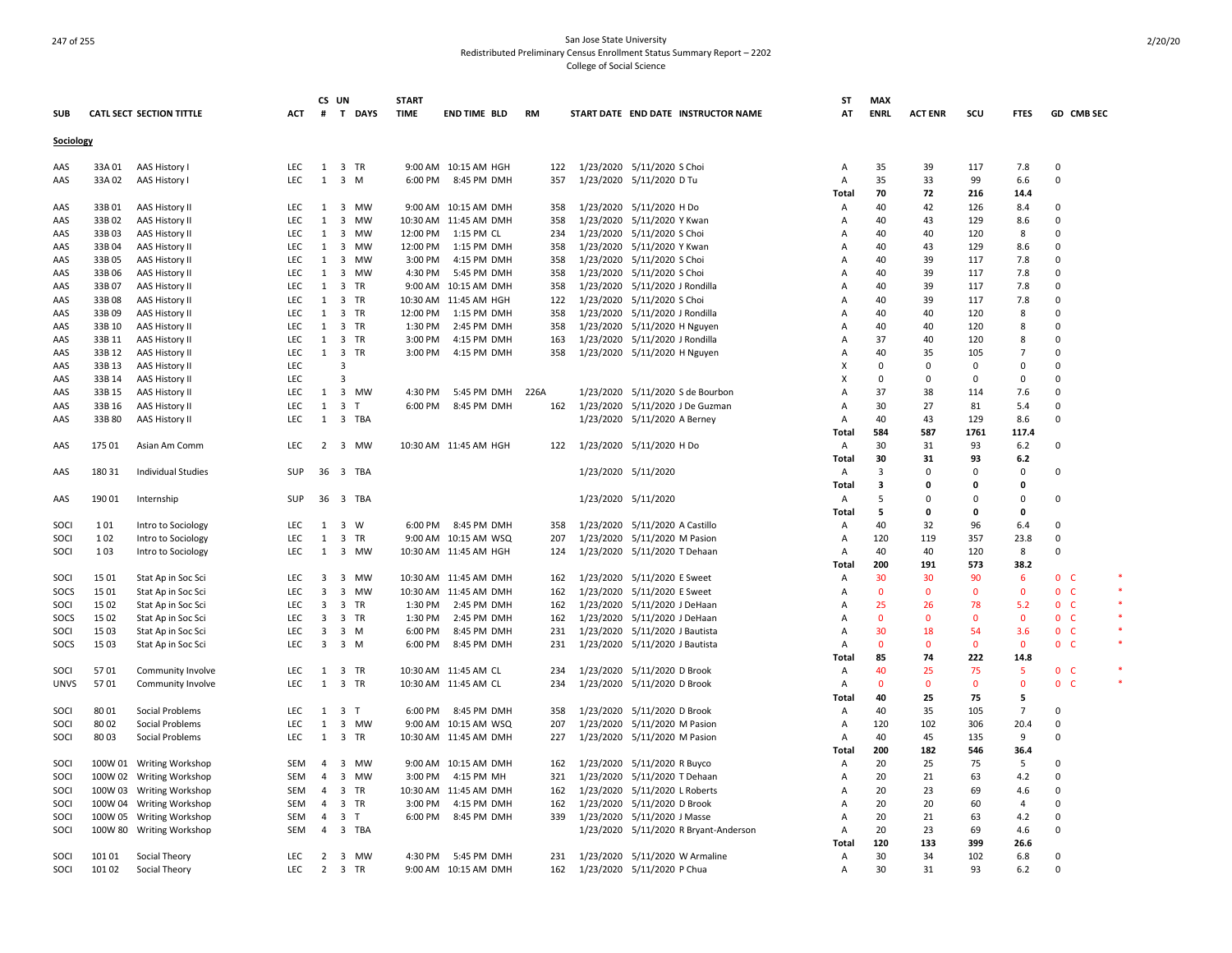|             |                 |                                  |                          |                   | CS UN               |                | <b>START</b> |                                               |            |           |                                                        | <b>ST</b>      | <b>MAX</b>   |                |              |                |                    |  |
|-------------|-----------------|----------------------------------|--------------------------|-------------------|---------------------|----------------|--------------|-----------------------------------------------|------------|-----------|--------------------------------------------------------|----------------|--------------|----------------|--------------|----------------|--------------------|--|
| <b>SUB</b>  |                 | <b>CATL SECT SECTION TITTLE</b>  | <b>ACT</b>               | #                 |                     | T DAYS         | <b>TIME</b>  | <b>END TIME BLD</b>                           | <b>RM</b>  |           | START DATE END DATE INSTRUCTOR NAME                    | AT             | <b>ENRL</b>  | <b>ACT ENR</b> | SCU          | <b>FTES</b>    | GD CMB SEC         |  |
| Sociology   |                 |                                  |                          |                   |                     |                |              |                                               |            |           |                                                        |                |              |                |              |                |                    |  |
|             |                 |                                  |                          |                   |                     |                |              |                                               |            |           |                                                        |                |              |                |              |                |                    |  |
| AAS         | 33A 01          | AAS History I                    | <b>LEC</b>               | 1                 |                     | 3 TR           |              | 9:00 AM 10:15 AM HGH                          | 122        |           | 1/23/2020 5/11/2020 S Choi                             | Α              | 35<br>35     | 39             | 117<br>99    | 7.8            | 0<br>$\Omega$      |  |
| AAS         | 33A 02          | AAS History I                    | <b>LEC</b>               |                   | $1 \quad 3 \quad M$ |                |              | 6:00 PM 8:45 PM DMH                           | 357        |           | 1/23/2020 5/11/2020 D Tu                               | Α              |              | 33             |              | 6.6            |                    |  |
|             |                 |                                  |                          |                   |                     |                |              |                                               |            |           |                                                        | Total          | 70           | 72             | 216          | 14.4           | 0                  |  |
| AAS<br>AAS  | 33B01<br>33B 02 | <b>AAS History II</b>            | <b>LEC</b><br><b>LEC</b> | $\mathbf{1}$<br>1 | $\overline{3}$      | 3 MW<br>MW     |              | 9:00 AM 10:15 AM DMH<br>10:30 AM 11:45 AM DMH | 358<br>358 |           | 1/23/2020 5/11/2020 H Do<br>1/23/2020 5/11/2020 Y Kwan | Α<br>Α         | 40<br>40     | 42<br>43       | 126<br>129   | 8.4<br>8.6     | 0                  |  |
|             | 33B03           | AAS History II<br>AAS History II | LEC                      | 1                 |                     | 3 MW           | 12:00 PM     | 1:15 PM CL                                    | 234        |           | 1/23/2020 5/11/2020 S Choi                             | A              | 40           | 40             | 120          | 8              | 0                  |  |
| AAS<br>AAS  | 33B04           | AAS History II                   | <b>LEC</b>               | 1                 | $\overline{3}$      | MW             | 12:00 PM     | 1:15 PM DMH                                   | 358        |           | 1/23/2020 5/11/2020 Y Kwan                             | A              | 40           | 43             | 129          | 8.6            | $\Omega$           |  |
| AAS         | 33B05           | AAS History II                   | LEC                      | 1                 | $\overline{3}$      | MW             | 3:00 PM      | 4:15 PM DMH                                   | 358        |           | 1/23/2020 5/11/2020 S Choi                             | A              | 40           | 39             | 117          | 7.8            | 0                  |  |
| AAS         | 33B06           | AAS History II                   | LEC                      | 1                 |                     | 3 MW           | 4:30 PM      | 5:45 PM DMH                                   | 358        |           | 1/23/2020 5/11/2020 S Choi                             | A              | 40           | 39             | 117          | 7.8            | $\Omega$           |  |
| AAS         | 33B07           | AAS History II                   | <b>LEC</b>               | 1                 |                     | 3 TR           |              | 9:00 AM 10:15 AM DMH                          | 358        |           | 1/23/2020 5/11/2020 J Rondilla                         | $\overline{A}$ | 40           | 39             | 117          | 7.8            | $\mathbf 0$        |  |
| AAS         | 33B08           | AAS History II                   | <b>LEC</b>               | 1                 |                     | 3 TR           |              | 10:30 AM 11:45 AM HGH                         | 122        |           | 1/23/2020 5/11/2020 S Choi                             | A              | 40           | 39             | 117          | 7.8            | $\Omega$           |  |
| AAS         | 33B09           | AAS History II                   | LEC                      | 1                 |                     | 3 TR           | 12:00 PM     | 1:15 PM DMH                                   | 358        |           | 1/23/2020 5/11/2020 J Rondilla                         | $\overline{A}$ | 40           | 40             | 120          | 8              | $\Omega$           |  |
| AAS         | 33B 10          | AAS History II                   | <b>LEC</b>               | 1                 |                     | 3 TR           | 1:30 PM      | 2:45 PM DMH                                   | 358        |           | 1/23/2020 5/11/2020 H Nguyen                           | A              | 40           | 40             | 120          | 8              | $\Omega$           |  |
| AAS         | 33B 11          | AAS History II                   | LEC                      | 1                 |                     | 3 TR           | 3:00 PM      | 4:15 PM DMH                                   | 163        |           | 1/23/2020 5/11/2020 J Rondilla                         | A              | 37           | 40             | 120          | 8              | $\Omega$           |  |
| AAS         | 33B 12          | AAS History II                   | <b>LEC</b>               | 1                 |                     | 3 TR           | 3:00 PM      | 4:15 PM DMH                                   | 358        |           | 1/23/2020 5/11/2020 H Nguyen                           | A              | 40           | 35             | 105          | $\overline{7}$ | $\Omega$           |  |
| AAS         | 33B 13          | AAS History II                   | LEC                      |                   | $\overline{3}$      |                |              |                                               |            |           |                                                        | x              | $\Omega$     | $\Omega$       | $\Omega$     | $\Omega$       | $\Omega$           |  |
| AAS         | 33B 14          | AAS History II                   | LEC                      |                   | $\overline{3}$      |                |              |                                               |            |           |                                                        | X              | $\mathbf 0$  | $\Omega$       | $\Omega$     | $\mathbf 0$    | $\Omega$           |  |
|             | 33B 15          | AAS History II                   | <b>LEC</b>               | 1                 |                     | 3 MW           | 4:30 PM      | 5:45 PM DMH                                   | 226A       | 1/23/2020 | 5/11/2020 S de Bourbon                                 | A              | 37           | 38             | 114          | 7.6            | $\Omega$           |  |
| AAS<br>AAS  | 33B 16          | AAS History II                   | <b>LEC</b>               | 1                 |                     | 3 <sub>T</sub> | 6:00 PM      | 8:45 PM DMH                                   | 162        |           | 1/23/2020 5/11/2020 J De Guzman                        | A              | 30           | 27             | 81           | 5.4            | $\Omega$           |  |
| AAS         | 33B 80          | AAS History II                   | <b>LEC</b>               |                   |                     | 1 3 TBA        |              |                                               |            |           | 1/23/2020 5/11/2020 A Berney                           | A              | 40           | 43             | 129          | 8.6            | $\Omega$           |  |
|             |                 |                                  |                          |                   |                     |                |              |                                               |            |           |                                                        | Total          | 584          | 587            | 1761         | 117.4          |                    |  |
| AAS         | 175 01          | Asian Am Comm                    | LEC                      |                   |                     | 2 3 MW         |              | 10:30 AM 11:45 AM HGH                         | 122        |           | 1/23/2020 5/11/2020 H Do                               | Α              | 30           | 31             | 93           | 6.2            | 0                  |  |
|             |                 |                                  |                          |                   |                     |                |              |                                               |            |           |                                                        | Total          | 30           | 31             | 93           | 6.2            |                    |  |
| AAS         | 180 31          | Individual Studies               | SUP                      |                   |                     | 36 3 TBA       |              |                                               |            |           | 1/23/2020 5/11/2020                                    | Α              | 3            | $\Omega$       | 0            | $\Omega$       | 0                  |  |
|             |                 |                                  |                          |                   |                     |                |              |                                               |            |           |                                                        | Total          | 3            | O              | 0            | $\Omega$       |                    |  |
| AAS         | 19001           | Internship                       | SUP                      | 36                |                     | 3 TBA          |              |                                               |            |           | 1/23/2020 5/11/2020                                    | Α              | 5            | $\Omega$       | 0            | $\Omega$       | 0                  |  |
|             |                 |                                  |                          |                   |                     |                |              |                                               |            |           |                                                        | <b>Total</b>   | 5            | 0              | 0            | 0              |                    |  |
| SOCI        | 101             | Intro to Sociology               | <b>LEC</b>               | 1                 |                     | 3 W            |              | 6:00 PM 8:45 PM DMH                           | 358        |           | 1/23/2020 5/11/2020 A Castillo                         | Α              | 40           | 32             | 96           | 6.4            | $\Omega$           |  |
| SOC         | 102             | Intro to Sociology               | LEC                      | $\mathbf{1}$      |                     | 3 TR           |              | 9:00 AM 10:15 AM WSQ                          | 207        |           | 1/23/2020 5/11/2020 M Pasion                           | Α              | 120          | 119            | 357          | 23.8           | $\mathbf 0$        |  |
| SOCI        | 103             | Intro to Sociology               | <b>LEC</b>               | 1                 |                     | 3 MW           |              | 10:30 AM 11:45 AM HGH                         | 124        |           | 1/23/2020 5/11/2020 T Dehaan                           | Α              | 40           | 40             | 120          | 8              | $\Omega$           |  |
|             |                 |                                  |                          |                   |                     |                |              |                                               |            |           |                                                        | Total          | 200          | 191            | 573          | 38.2           |                    |  |
| SOCI        | 15 01           | Stat Ap in Soc Sci               | <b>LEC</b>               | $\overline{3}$    |                     | 3 MW           |              | 10:30 AM 11:45 AM DMH                         | 162        |           | 1/23/2020 5/11/2020 E Sweet                            | A              | 30           | 30             | 90           | -6             | 0 <sub>c</sub>     |  |
| SOCS        | 15 01           | Stat Ap in Soc Sci               | LEC                      | 3                 |                     | 3 MW           |              | 10:30 AM 11:45 AM DMH                         | 162        |           | 1/23/2020 5/11/2020 E Sweet                            | Α              | $\mathbf 0$  | $\Omega$       | 0            | $\Omega$       | $\mathbf 0$<br>- C |  |
| SOCI        | 15 02           | Stat Ap in Soc Sci               | <b>LEC</b>               | 3                 |                     | 3 TR           |              | 1:30 PM 2:45 PM DMH                           | 162        |           | 1/23/2020 5/11/2020 J DeHaan                           | A              | 25           | 26             | 78           | 5.2            | 0 <sup>o</sup>     |  |
| SOCS        | 15 02           | Stat Ap in Soc Sci               | LEC                      | $\overline{3}$    |                     | 3 TR           | 1:30 PM      | 2:45 PM DMH                                   | 162        |           | 1/23/2020 5/11/2020 J DeHaan                           | A              | $\mathbf{0}$ | $\Omega$       | $\mathbf{0}$ | $\mathbf{0}$   | 0 <sub>c</sub>     |  |
| SOCI        | 15 03           | Stat Ap in Soc Sci               | <b>LEC</b>               | $\overline{3}$    |                     | $3 \, M$       | 6:00 PM      | 8:45 PM DMH                                   | 231        |           | 1/23/2020 5/11/2020 J Bautista                         | $\overline{A}$ | 30           | 18             | 54           | 3.6            | 0 <sub>c</sub>     |  |
| SOCS        | 1503            | Stat Ap in Soc Sci               | LEC                      | 3                 |                     | 3 M            | 6:00 PM      | 8:45 PM DMH                                   | 231        |           | 1/23/2020 5/11/2020 J Bautista                         | $\overline{A}$ | $\mathbf{0}$ | $\Omega$       | $\mathbf{0}$ | $\mathbf{0}$   | 0 <sub>c</sub>     |  |
|             |                 |                                  |                          |                   |                     |                |              |                                               |            |           |                                                        | Total          | 85           | 74             | 222          | 14.8           |                    |  |
| SOCI        | 5701            | Community Involve                | <b>LEC</b>               | 1                 |                     | 3 TR           |              | 10:30 AM 11:45 AM CL                          | 234        |           | 1/23/2020 5/11/2020 D Brook                            | Α              | 40           | 25             | 75           | -5             | 0 <sub>c</sub>     |  |
| <b>UNVS</b> | 5701            | Community Involve                | LEC.                     | 1                 |                     | 3 TR           |              | 10:30 AM 11:45 AM CL                          | 234        |           | 1/23/2020 5/11/2020 D Brook                            | $\overline{A}$ | $\mathbf{0}$ | $\Omega$       | $\mathbf{0}$ | $\Omega$       | 0 <sub>c</sub>     |  |
|             |                 |                                  |                          |                   |                     |                |              |                                               |            |           |                                                        | Total          | 40           | 25             | 75           | 5              |                    |  |
| SOCI        | 80 01           | Social Problems                  | LEC                      |                   | 1 3 T               |                |              | 6:00 PM 8:45 PM DMH                           | 358        |           | 1/23/2020 5/11/2020 D Brook                            | Α              | 40           | 35             | 105          | $\overline{7}$ | $\Omega$           |  |
| SOCI        | 8002            | Social Problems                  | <b>LEC</b>               | 1                 |                     | 3 MW           |              | 9:00 AM 10:15 AM WSQ                          | 207        |           | 1/23/2020 5/11/2020 M Pasion                           | Α              | 120          | 102            | 306          | 20.4           | 0                  |  |
| SOCI        | 80 03           | Social Problems                  | <b>LEC</b>               |                   |                     | 1 3 TR         |              | 10:30 AM 11:45 AM DMH                         | 227        |           | 1/23/2020 5/11/2020 M Pasion                           | A              | 40           | 45             | 135          | 9              | $\Omega$           |  |
|             |                 |                                  |                          |                   |                     |                |              |                                               |            |           |                                                        | Total          | 200          | 182            | 546          | 36.4           |                    |  |
| SOCI        |                 | 100W 01 Writing Workshop         | SEM                      | $\overline{4}$    |                     | 3 MW           |              | 9:00 AM 10:15 AM DMH                          | 162        |           | 1/23/2020 5/11/2020 R Buyco                            | Α              | 20           | 25             | 75           | 5              | 0                  |  |
| SOCI        |                 | 100W 02 Writing Workshop         | SEM                      | 4                 |                     | 3 MW           | 3:00 PM      | 4:15 PM MH                                    | 321        |           | 1/23/2020 5/11/2020 T Dehaan                           | Α              | 20           | 21             | 63           | 4.2            | $\Omega$           |  |
| SOCI        |                 | 100W 03 Writing Workshop         | SEM                      | 4                 |                     | 3 TR           |              | 10:30 AM 11:45 AM DMH                         | 162        |           | 1/23/2020 5/11/2020 L Roberts                          | A              | 20           | 23             | 69           | 4.6            | 0                  |  |
| SOCI        |                 | 100W 04 Writing Workshop         | SEM                      | $\overline{4}$    |                     | 3 TR           | 3:00 PM      | 4:15 PM DMH                                   | 162        |           | 1/23/2020 5/11/2020 D Brook                            | A              | 20           | 20             | 60           | $\overline{4}$ | $\Omega$           |  |
| SOCI        |                 | 100W 05 Writing Workshop         | SEM                      | 4                 |                     | 3 <sub>T</sub> | 6:00 PM      | 8:45 PM DMH                                   | 339        |           | 1/23/2020 5/11/2020 J Masse                            | Α              | 20           | 21             | 63           | 4.2            | $\mathbf 0$        |  |
| SOCI        |                 | 100W 80 Writing Workshop         | SEM                      | 4                 |                     | 3 TBA          |              |                                               |            |           | 1/23/2020 5/11/2020 R Bryant-Anderson                  | Α              | 20           | 23             | 69           | 4.6            | $\Omega$           |  |
|             |                 |                                  |                          |                   |                     |                |              |                                               |            |           |                                                        | Total          | 120          | 133            | 399          | 26.6           |                    |  |
| SOCI        | 101 01          | Social Theory                    | <b>LEC</b>               | 2                 |                     | 3 MW           |              | 4:30 PM 5:45 PM DMH                           | 231        |           | 1/23/2020 5/11/2020 W Armaline                         | A              | 30           | 34             | 102          | 6.8            | $\Omega$           |  |
| SOCI        | 101 02          | Social Theory                    | <b>LEC</b>               | $\overline{2}$    |                     | 3 TR           |              | 9:00 AM 10:15 AM DMH                          | 162        |           | 1/23/2020 5/11/2020 P Chua                             | $\overline{A}$ | 30           | 31             | 93           | 6.2            | $\Omega$           |  |
|             |                 |                                  |                          |                   |                     |                |              |                                               |            |           |                                                        |                |              |                |              |                |                    |  |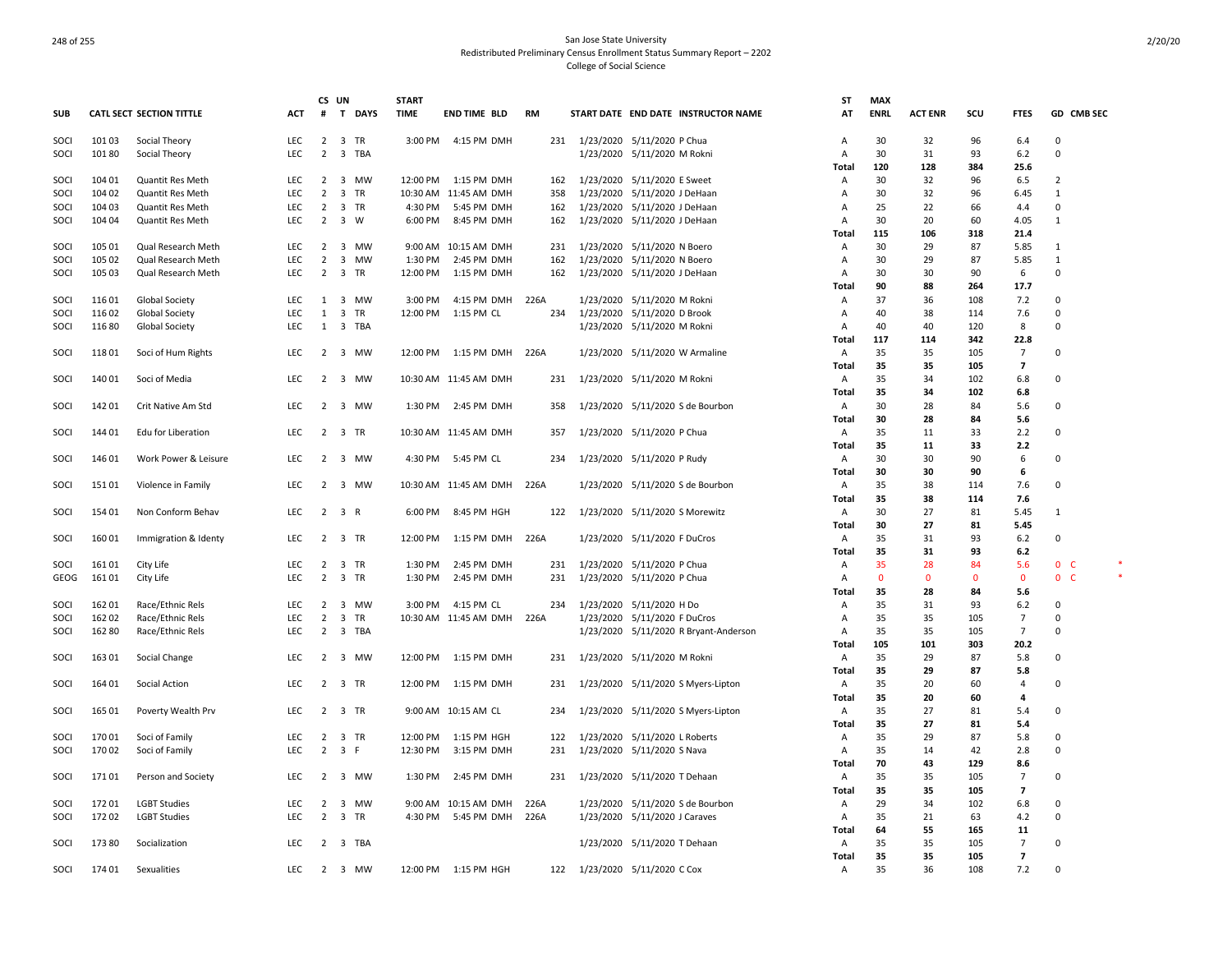|            |        |                                 |            | CS UN          |                             | <b>START</b> |                            |           |                                |                                |                                       | ST             | <b>MAX</b>  |                |             |                |                |
|------------|--------|---------------------------------|------------|----------------|-----------------------------|--------------|----------------------------|-----------|--------------------------------|--------------------------------|---------------------------------------|----------------|-------------|----------------|-------------|----------------|----------------|
| <b>SUB</b> |        | <b>CATL SECT SECTION TITTLE</b> | ACT        | #              | $\mathbf{T}$<br><b>DAYS</b> | <b>TIME</b>  | <b>END TIME BLD</b>        | <b>RM</b> |                                |                                | START DATE END DATE INSTRUCTOR NAME   | AT             | <b>ENRL</b> | <b>ACT ENR</b> | scu         | <b>FTES</b>    | GD CMB SEC     |
| SOCI       | 10103  | Social Theory                   | <b>LEC</b> |                | 2 3 TR                      |              | 3:00 PM 4:15 PM DMH        | 231       |                                | 1/23/2020 5/11/2020 P Chua     |                                       | Α              | 30          | 32             | 96          | 6.4            | $\mathbf 0$    |
| SOCI       | 10180  | Social Theory                   | <b>LEC</b> | $\overline{2}$ | 3 TBA                       |              |                            |           |                                | 1/23/2020 5/11/2020 M Rokni    |                                       | $\overline{A}$ | 30          | 31             | 93          | 6.2            | $\Omega$       |
|            |        |                                 |            |                |                             |              |                            |           |                                |                                |                                       | Total          | 120         | 128            | 384         | 25.6           |                |
| SOCI       | 104 01 | Quantit Res Meth                | LEC.       | $\overline{2}$ | 3 MW                        |              | 12:00 PM 1:15 PM DMH       | 162       |                                | 1/23/2020 5/11/2020 E Sweet    |                                       | $\overline{A}$ | 30          | 32             | 96          | 6.5            | $\overline{2}$ |
| SOCI       | 104 02 | <b>Quantit Res Meth</b>         | <b>LEC</b> | $\overline{2}$ | 3 TR                        |              | 10:30 AM 11:45 AM DMH      | 358       |                                | 1/23/2020 5/11/2020 J DeHaan   |                                       | Α              | 30          | 32             | 96          | 6.45           | 1              |
| SOCI       | 104 03 | Quantit Res Meth                | <b>LEC</b> | $\overline{2}$ | 3 TR                        | 4:30 PM      | 5:45 PM DMH                | 162       |                                | 1/23/2020 5/11/2020 J DeHaan   |                                       | A              | 25          | 22             | 66          | 4.4            | $\Omega$       |
| SOCI       | 104 04 | Quantit Res Meth                | LEC        | $\overline{2}$ | 3 W                         | 6:00 PM      | 8:45 PM DMH                | 162       |                                | 1/23/2020 5/11/2020 J DeHaan   |                                       | Α              | 30          | 20             | 60          | 4.05           | 1              |
|            |        |                                 |            |                |                             |              |                            |           |                                |                                |                                       | Total          | 115         | 106            | 318         | 21.4           |                |
| SOCI       | 105 01 | Qual Research Meth              | LEC        | $\overline{2}$ | 3 MW                        |              | 9:00 AM 10:15 AM DMH       | 231       |                                | 1/23/2020 5/11/2020 N Boero    |                                       | Α              | 30          | 29             | 87          | 5.85           | 1              |
| SOCI       | 105 02 | Qual Research Meth              | <b>LEC</b> | $\overline{2}$ | 3 MW                        | 1:30 PM      | 2:45 PM DMH                | 162       |                                | 1/23/2020 5/11/2020 N Boero    |                                       | $\overline{A}$ | 30          | 29             | 87          | 5.85           | $\mathbf{1}$   |
|            | 105 03 |                                 | <b>LEC</b> | $\overline{2}$ |                             | 12:00 PM     |                            | 162       |                                |                                |                                       |                | 30          | 30             | 90          |                | $\Omega$       |
| SOCI       |        | Qual Research Meth              |            |                | 3 TR                        |              | 1:15 PM DMH                |           |                                | 1/23/2020 5/11/2020 J DeHaan   |                                       | Α              |             |                |             | 6              |                |
|            |        |                                 |            |                |                             |              |                            |           |                                |                                |                                       | Total          | 90          | 88             | 264         | 17.7           |                |
| SOCI       | 11601  | Global Society                  | LEC        | $\mathbf{1}$   | 3 MW                        | 3:00 PM      | 4:15 PM DMH                | 226A      |                                | 1/23/2020 5/11/2020 M Rokni    |                                       | Α              | 37          | 36             | 108         | 7.2            | 0              |
| SOCI       | 116 02 | Global Society                  | LEC        | $\mathbf{1}$   | 3 TR                        | 12:00 PM     | 1:15 PM CL                 | 234       |                                | 1/23/2020 5/11/2020 D Brook    |                                       | Α              | 40          | 38             | 114         | 7.6            | $\Omega$       |
| SOCI       | 116 80 | Global Society                  | <b>LEC</b> | 1              | 3 TBA                       |              |                            |           |                                | 1/23/2020 5/11/2020 M Rokni    |                                       | Α              | 40          | 40             | 120         | 8              | $\Omega$       |
|            |        |                                 |            |                |                             |              |                            |           |                                |                                |                                       | Total          | 117         | 114            | 342         | 22.8           |                |
| SOCI       | 11801  | Soci of Hum Rights              | LEC        |                | 2 3 MW                      | 12:00 PM     | 1:15 PM DMH 226A           |           |                                | 1/23/2020 5/11/2020 W Armaline |                                       | Α              | 35          | 35             | 105         | $\overline{7}$ | 0              |
|            |        |                                 |            |                |                             |              |                            |           |                                |                                |                                       | Total          | 35          | 35             | 105         | $\overline{7}$ |                |
| SOCI       | 14001  | Soci of Media                   | LEC        |                | 2 3 MW                      |              | 10:30 AM 11:45 AM DMH      | 231       |                                | 1/23/2020 5/11/2020 M Rokni    |                                       | A              | 35          | 34             | 102         | 6.8            | $\Omega$       |
|            |        |                                 |            |                |                             |              |                            |           |                                |                                |                                       | Total          | 35          | 34             | 102         | 6.8            |                |
| SOCI       | 14201  | Crit Native Am Std              | LEC        | $\overline{2}$ | 3 MW                        |              | 1:30 PM 2:45 PM DMH        | 358       |                                |                                | 1/23/2020 5/11/2020 S de Bourbon      | A              | 30          | 28             | 84          | 5.6            | $\Omega$       |
|            |        |                                 |            |                |                             |              |                            |           |                                |                                |                                       | Total          | 30          | 28             | 84          | 5.6            |                |
| SOCI       | 144 01 | Edu for Liberation              | LEC.       |                | 2 3 TR                      |              | 10:30 AM 11:45 AM DMH      | 357       |                                | 1/23/2020 5/11/2020 P Chua     |                                       | $\mathsf{A}$   | 35          | 11             | 33          | 2.2            | $\Omega$       |
|            |        |                                 |            |                |                             |              |                            |           |                                |                                |                                       | Total          | 35          | 11             | 33          | 2.2            |                |
| SOCI       | 146 01 | Work Power & Leisure            | <b>LEC</b> |                | 2 3 MW                      |              | 4:30 PM 5:45 PM CL         | 234       |                                | 1/23/2020 5/11/2020 P Rudy     |                                       | $\mathsf{A}$   | 30          | 30             | 90          | 6              | $\Omega$       |
|            |        |                                 |            |                |                             |              |                            |           |                                |                                |                                       | Total          | 30          | 30             | 90          | 6              |                |
|            |        |                                 |            |                | 2 3 MW                      |              | 10:30 AM 11:45 AM DMH 226A |           |                                |                                |                                       |                | 35          |                |             |                | $\Omega$       |
| SOCI       | 151 01 | Violence in Family              | <b>LEC</b> |                |                             |              |                            |           |                                |                                | 1/23/2020 5/11/2020 S de Bourbon      | Α              |             | 38             | 114         | 7.6            |                |
|            |        |                                 |            |                |                             |              |                            |           |                                |                                |                                       | Total          | 35          | 38             | 114         | 7.6            |                |
| SOCI       | 154 01 | Non Conform Behav               | <b>LEC</b> |                | $2 \quad 3 \quad R$         |              | 6:00 PM 8:45 PM HGH        | 122       | 1/23/2020 5/11/2020 S Morewitz |                                |                                       | Α              | 30          | 27             | 81          | 5.45           | 1              |
|            |        |                                 |            |                |                             |              |                            |           |                                |                                |                                       | Total          | 30          | 27             | 81          | 5.45           |                |
| SOCI       | 16001  | Immigration & Identy            | <b>LEC</b> |                | 2 3 TR                      |              | 12:00 PM 1:15 PM DMH 226A  |           |                                | 1/23/2020 5/11/2020 F DuCros   |                                       | Α              | 35          | 31             | 93          | 6.2            | $\Omega$       |
|            |        |                                 |            |                |                             |              |                            |           |                                |                                |                                       | Total          | 35          | 31             | 93          | 6.2            |                |
| SOCI       | 16101  | City Life                       | LEC        | $\overline{2}$ | 3 TR                        | 1:30 PM      | 2:45 PM DMH                | 231       |                                | 1/23/2020 5/11/2020 P Chua     |                                       | Α              | 35          | 28             | 84          | 5.6            | 0 <sub>c</sub> |
| GEOG       | 16101  | City Life                       | <b>LEC</b> | $\overline{2}$ | 3 TR                        | 1:30 PM      | 2:45 PM DMH                | 231       |                                | 1/23/2020 5/11/2020 P Chua     |                                       | Α              | $\mathbf 0$ | 0              | $\mathbf 0$ | $\mathbf 0$    | 0 <sub>c</sub> |
|            |        |                                 |            |                |                             |              |                            |           |                                |                                |                                       | Total          | 35          | 28             | 84          | 5.6            |                |
| SOCI       | 162 01 | Race/Ethnic Rels                | LEC        |                | 2 3 MW                      | 3:00 PM      | 4:15 PM CL                 | 234       |                                | 1/23/2020 5/11/2020 H Do       |                                       | Α              | 35          | 31             | 93          | 6.2            | 0              |
| SOCI       | 162 02 | Race/Ethnic Rels                | LEC        | $\overline{2}$ | 3 TR                        |              | 10:30 AM 11:45 AM DMH 226A |           |                                | 1/23/2020 5/11/2020 F DuCros   |                                       | Α              | 35          | 35             | 105         | $\overline{7}$ | 0              |
| SOCI       | 16280  | Race/Ethnic Rels                | LEC        |                | 2 3 TBA                     |              |                            |           |                                |                                | 1/23/2020 5/11/2020 R Bryant-Anderson | A              | 35          | 35             | 105         | $\overline{7}$ | $\Omega$       |
|            |        |                                 |            |                |                             |              |                            |           |                                |                                |                                       | Total          | 105         | 101            | 303         | 20.2           |                |
| SOCI       | 16301  | Social Change                   | LEC        | $\overline{2}$ | 3 MW                        |              | 12:00 PM 1:15 PM DMH       | 231       |                                | 1/23/2020 5/11/2020 M Rokni    |                                       | A              | 35          | 29             | 87          | 5.8            | $\Omega$       |
|            |        |                                 |            |                |                             |              |                            |           |                                |                                |                                       | Total          | 35          | 29             | 87          | 5.8            |                |
| SOCI       | 164 01 | Social Action                   | <b>LEC</b> |                | 2 3 TR                      |              | 12:00 PM 1:15 PM DMH       | 231       |                                |                                | 1/23/2020 5/11/2020 S Myers-Lipton    | A              | 35          | 20             | 60          | $\overline{4}$ | $\Omega$       |
|            |        |                                 |            |                |                             |              |                            |           |                                |                                |                                       | Total          | 35          | 20             | 60          | 4              |                |
| SOCI       | 165 01 | Poverty Wealth Prv              | <b>LEC</b> |                | 2 3 TR                      |              | 9:00 AM 10:15 AM CL        | 234       |                                |                                |                                       | $\mathsf{A}$   | 35          | 27             | 81          | 5.4            | $\Omega$       |
|            |        |                                 |            |                |                             |              |                            |           |                                |                                | 1/23/2020 5/11/2020 S Myers-Lipton    |                |             |                |             |                |                |
|            |        |                                 |            |                |                             |              |                            |           |                                |                                |                                       | <b>Total</b>   | 35          | 27             | 81          | 5.4            |                |
| SOCI       | 170 01 | Soci of Family                  | <b>LEC</b> | $\overline{2}$ | 3 TR                        |              | 12:00 PM   1:15 PM HGH     | 122       |                                | 1/23/2020 5/11/2020 L Roberts  |                                       | $\overline{A}$ | 35          | 29             | 87          | 5.8            | $\Omega$       |
| SOCI       | 17002  | Soci of Family                  | <b>LEC</b> | $\overline{2}$ | 3 F                         | 12:30 PM     | 3:15 PM DMH                | 231       |                                | 1/23/2020 5/11/2020 S Nava     |                                       | A              | 35          | 14             | 42          | 2.8            | $\mathbf 0$    |
|            |        |                                 |            |                |                             |              |                            |           |                                |                                |                                       | <b>Total</b>   | 70          | 43             | 129         | 8.6            |                |
| SOCI       | 17101  | Person and Society              | <b>LEC</b> |                | 2 3 MW                      | 1:30 PM      | 2:45 PM DMH                | 231       | 1/23/2020 5/11/2020 T Dehaan   |                                |                                       | Α              | 35          | 35             | 105         | $\overline{7}$ | $\Omega$       |
|            |        |                                 |            |                |                             |              |                            |           |                                |                                |                                       | <b>Total</b>   | 35          | 35             | 105         | $\overline{7}$ |                |
| SOCI       | 172 01 | <b>LGBT Studies</b>             | LEC        | 2              | 3 MW                        |              | 9:00 AM 10:15 AM DMH       | 226A      |                                |                                | 1/23/2020 5/11/2020 S de Bourbon      | Α              | 29          | 34             | 102         | 6.8            | $\Omega$       |
| SOCI       | 172 02 | <b>LGBT Studies</b>             | LEC        | $\overline{2}$ | 3 TR                        | 4:30 PM      | 5:45 PM DMH                | 226A      |                                | 1/23/2020 5/11/2020 J Caraves  |                                       | Α              | 35          | 21             | 63          | 4.2            | $\Omega$       |
|            |        |                                 |            |                |                             |              |                            |           |                                |                                |                                       | Total          | 64          | 55             | 165         | 11             |                |
| SOCI       | 173 80 | Socialization                   | LEC.       |                | 2 3 TBA                     |              |                            |           |                                | 1/23/2020 5/11/2020 T Dehaan   |                                       | Α              | 35          | 35             | 105         | $\overline{7}$ | $\Omega$       |
|            |        |                                 |            |                |                             |              |                            |           |                                |                                |                                       | Total          | 35          | 35             | 105         | $\overline{ }$ |                |
| SOCI       | 174 01 | Sexualities                     | <b>LEC</b> |                | 2 3 MW                      |              | 12:00 PM 1:15 PM HGH       | 122       | 1/23/2020 5/11/2020 C Cox      |                                |                                       | A              | 35          | 36             | 108         | 7.2            | $\Omega$       |
|            |        |                                 |            |                |                             |              |                            |           |                                |                                |                                       |                |             |                |             |                |                |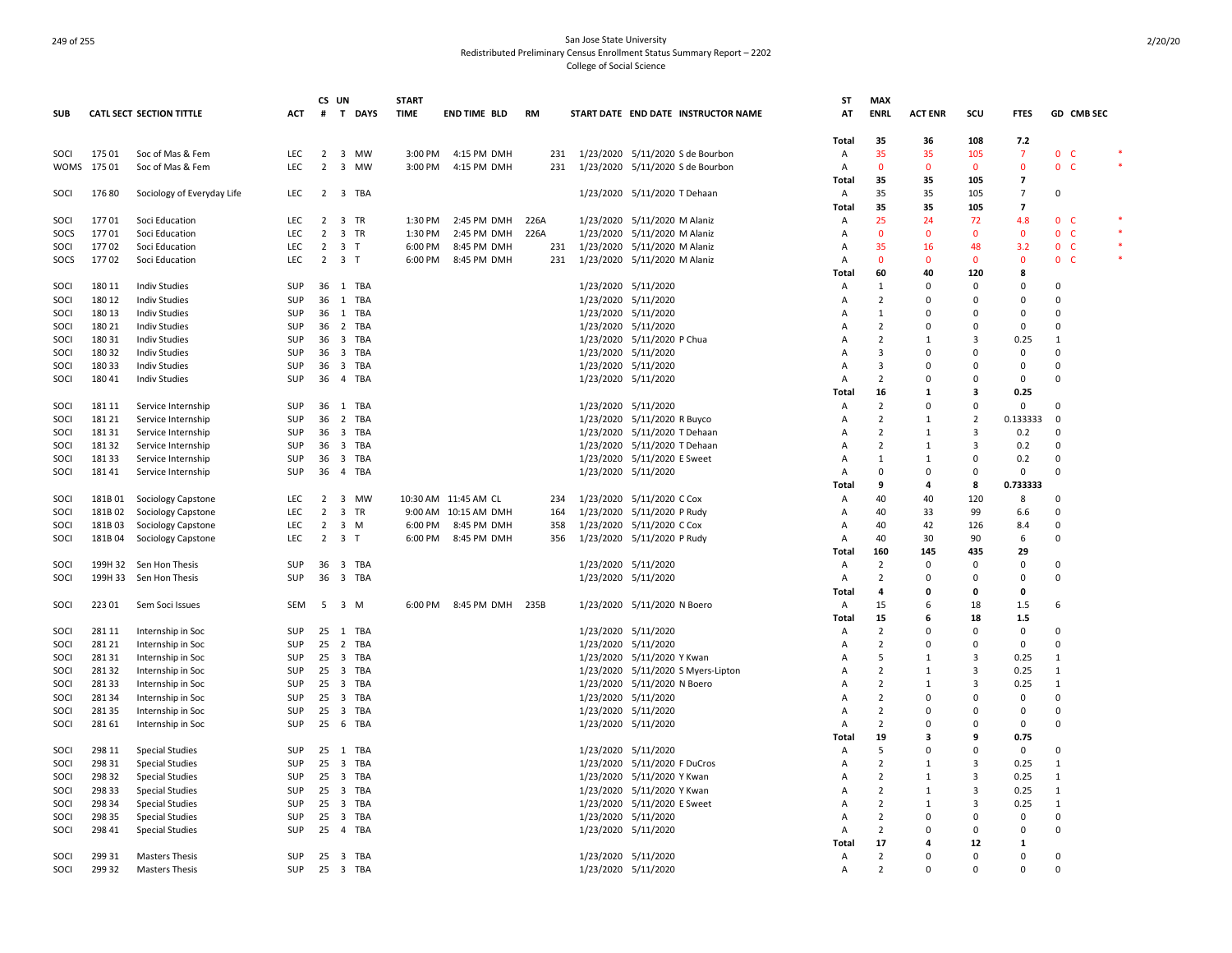|             |         |                                 |            | CS UN          |                                       | <b>START</b> |                      |           |                                     | ST             | <b>MAX</b>     |                |                |                          |                |            |        |
|-------------|---------|---------------------------------|------------|----------------|---------------------------------------|--------------|----------------------|-----------|-------------------------------------|----------------|----------------|----------------|----------------|--------------------------|----------------|------------|--------|
| <b>SUB</b>  |         | <b>CATL SECT SECTION TITTLE</b> | ACT        | #              | T DAYS                                | <b>TIME</b>  | <b>END TIME BLD</b>  | <b>RM</b> | START DATE END DATE INSTRUCTOR NAME | AT             | <b>ENRL</b>    | <b>ACT ENR</b> | scu            | <b>FTES</b>              |                | GD CMB SEC |        |
|             |         |                                 |            |                |                                       |              |                      |           |                                     | Total          | 35             | 36             | 108            | 7.2                      |                |            |        |
| SOCI        | 17501   | Soc of Mas & Fem                | <b>LEC</b> | 2              | 3 MW                                  |              | 3:00 PM 4:15 PM DMH  | 231       | 1/23/2020 5/11/2020 S de Bourbon    | $\overline{A}$ | 35             | 35             | 105            | 7                        | 0 <sup>o</sup> |            |        |
| <b>WOMS</b> | 175 01  | Soc of Mas & Fem                | LEC        | $\overline{2}$ | 3 MW                                  | 3:00 PM      | 4:15 PM DMH          | 231       | 1/23/2020 5/11/2020 S de Bourbon    | Α              | $\mathbf 0$    | $\mathbf 0$    | $\mathbf 0$    | $\mathbf 0$              | $\mathbf{0}$   | - C        |        |
|             |         |                                 |            |                |                                       |              |                      |           |                                     | Total          | 35             | 35             | 105            | $\overline{\phantom{a}}$ |                |            |        |
| SOCI        | 17680   | Sociology of Everyday Life      | <b>LEC</b> | $\overline{2}$ | 3 TBA                                 |              |                      |           | 1/23/2020 5/11/2020 T Dehaan        | $\overline{A}$ | 35             | 35             | 105            | $\overline{7}$           | $\mathbf 0$    |            |        |
|             |         |                                 |            |                |                                       |              |                      |           |                                     | Total          | 35             | 35             | 105            | $\overline{\mathbf{z}}$  |                |            |        |
| SOCI        | 17701   | Soci Education                  | LEC        | $\overline{2}$ | 3 TR                                  | 1:30 PM      | 2:45 PM DMH          | 226A      | 1/23/2020 5/11/2020 M Alaniz        | Α              | 25             | 24             | 72             | 4.8                      | 0 <sub>c</sub> |            |        |
| SOCS        | 17701   | Soci Education                  | LEC        | $\overline{2}$ | 3 TR                                  | 1:30 PM      | 2:45 PM DMH          | 226A      | 1/23/2020 5/11/2020 M Alaniz        | A              | $\mathbf{0}$   | $\overline{0}$ | $\mathbf 0$    | $\mathbf{0}$             | 0 <sub>c</sub> |            |        |
| SOCI        | 17702   | Soci Education                  | LEC        | $\overline{2}$ | 3 <sub>T</sub>                        | 6:00 PM      | 8:45 PM DMH          | 231       | 1/23/2020 5/11/2020 M Alaniz        | Α              | 35             | 16             | 48             | 3.2                      | 0 <sup>o</sup> |            | $\ast$ |
| SOCS        | 17702   | Soci Education                  | LEC        | $\overline{2}$ | 3 <sub>T</sub>                        | 6:00 PM      | 8:45 PM DMH          | 231       | 1/23/2020 5/11/2020 M Alaniz        | A              | $\mathbf{0}$   | $\mathbf{0}$   | $\mathbf 0$    | $\Omega$                 | 0 <sub>c</sub> |            |        |
|             |         |                                 |            |                |                                       |              |                      |           |                                     | Total          | 60             | 40             | 120            | 8                        |                |            |        |
| SOCI        | 180 11  | <b>Indiv Studies</b>            | SUP        |                | 36 1 TBA                              |              |                      |           | 1/23/2020 5/11/2020                 | A              | 1              | $\Omega$       | 0              | $\Omega$                 | 0              |            |        |
| SOCI        | 180 12  | <b>Indiv Studies</b>            | SUP        | 36             | 1<br>TBA                              |              |                      |           | 1/23/2020 5/11/2020                 | A              | $\overline{2}$ | $\Omega$       | 0              | $\Omega$                 | $\Omega$       |            |        |
| SOCI        | 180 13  | <b>Indiv Studies</b>            | SUP        | 36             | 1 TBA                                 |              |                      |           | 1/23/2020 5/11/2020                 |                | 1              | $\Omega$       | 0              | 0                        | $\Omega$       |            |        |
| SOCI        | 180 21  | <b>Indiv Studies</b>            | SUP        | 36             | $\overline{2}$<br>TBA                 |              |                      |           | 1/23/2020 5/11/2020                 |                | $\overline{2}$ | $\Omega$       | $\Omega$       | $\Omega$                 | $\Omega$       |            |        |
| SOCI        | 180 31  | <b>Indiv Studies</b>            | SUP        | 36             | 3 TBA                                 |              |                      |           | 1/23/2020 5/11/2020 P Chua          |                | $\overline{2}$ | $\mathbf{1}$   | 3              | 0.25                     | $\mathbf{1}$   |            |        |
| SOCI        | 180 32  | <b>Indiv Studies</b>            | SUP        | 36             | $\overline{\mathbf{3}}$<br>TBA        |              |                      |           | 1/23/2020 5/11/2020                 | A              | 3              | $\Omega$       | $\Omega$       | $\mathbf 0$              | 0              |            |        |
| SOCI        | 18033   | <b>Indiv Studies</b>            | SUP        | 36             | 3 TBA                                 |              |                      |           | 1/23/2020 5/11/2020                 | A              | 3              | $\Omega$       | $\Omega$       | $\Omega$                 | 0              |            |        |
| SOCI        | 180 41  | <b>Indiv Studies</b>            | SUP        | 36             | 4 TBA                                 |              |                      |           | 1/23/2020 5/11/2020                 | A              | $\overline{2}$ | $\Omega$       | $\Omega$       | 0                        | $\Omega$       |            |        |
|             |         |                                 |            |                |                                       |              |                      |           |                                     | Total          | 16             | 1              | 3              | 0.25                     |                |            |        |
| SOCI        | 18111   | Service Internship              | <b>SUP</b> | 36             | 1 TBA                                 |              |                      |           | 1/23/2020 5/11/2020                 | A              | 2              | $\Omega$       | $\Omega$       | 0                        | $\Omega$       |            |        |
| SOCI        | 181 21  | Service Internship              | SUP        | 36             | 2 TBA                                 |              |                      |           | 1/23/2020 5/11/2020 R Buyco         | A              | 2              | 1              | 2              | 0.133333                 | 0              |            |        |
| SOCI        | 18131   | Service Internship              | SUP        | 36             | 3 TBA                                 |              |                      |           | 1/23/2020 5/11/2020 T Dehaan        | A              | $\overline{2}$ | 1              | $\overline{3}$ | 0.2                      | $\mathbf 0$    |            |        |
| SOCI        | 18132   | Service Internship              | SUP        | 36             | $\overline{\mathbf{3}}$<br>TBA        |              |                      |           | 1/23/2020 5/11/2020 T Dehaan        | A              | $\overline{2}$ | 1              | $\overline{3}$ | 0.2                      | 0              |            |        |
| SOCI        | 18133   | Service Internship              | SUP        | 36             | $\overline{\mathbf{3}}$<br>TBA        |              |                      |           | 1/23/2020 5/11/2020 E Sweet         | A              | 1              | 1              | $\Omega$       | 0.2                      | $\Omega$       |            |        |
| SOCI        | 18141   | Service Internship              | SUP        | 36             | 4 TBA                                 |              |                      |           | 1/23/2020 5/11/2020                 | A              | 0              | 0              | $\mathsf 0$    | 0                        | $\mathbf 0$    |            |        |
|             |         |                                 |            |                |                                       |              |                      |           |                                     | Total          | 9              | 4              | 8              | 0.733333                 |                |            |        |
| SOCI        | 181B01  | Sociology Capstone              | LEC        | $\overline{2}$ | 3 MW                                  |              | 10:30 AM 11:45 AM CL | 234       | 1/23/2020 5/11/2020 C Cox           | Α              | 40             | 40             | 120            | 8                        | $\mathbf 0$    |            |        |
| SOCI        | 181B02  | Sociology Capstone              | LEC        | $\overline{2}$ | 3 TR                                  |              | 9:00 AM 10:15 AM DMH | 164       | 1/23/2020 5/11/2020 P Rudy          | A              | 40             | 33             | 99             | 6.6                      | $\Omega$       |            |        |
| SOCI        | 181B 03 | Sociology Capstone              | <b>LEC</b> | $\overline{2}$ | 3 M                                   | 6:00 PM      | 8:45 PM DMH          | 358       | 1/23/2020 5/11/2020 C Cox           | A              | 40             | 42             | 126            | 8.4                      | 0              |            |        |
| SOCI        | 181B04  | Sociology Capstone              | <b>LEC</b> |                | $2 \quad 3 \quad T$                   | 6:00 PM      | 8:45 PM DMH          | 356       | 1/23/2020 5/11/2020 P Rudy          | A              | 40             | 30             | 90             | 6                        | $\mathbf 0$    |            |        |
|             |         |                                 |            |                |                                       |              |                      |           |                                     | Total          | 160            | 145            | 435            | 29                       |                |            |        |
| SOCI        |         | 199H 32 Sen Hon Thesis          | SUP        | 36             | 3 TBA                                 |              |                      |           | 1/23/2020 5/11/2020                 | Α              | $\overline{2}$ | $\Omega$       | $\Omega$       | $\Omega$                 | 0              |            |        |
| SOCI        |         | 199H 33 Sen Hon Thesis          | SUP        | 36             | 3 TBA                                 |              |                      |           | 1/23/2020 5/11/2020                 | Α              | $\overline{2}$ | $\Omega$       | 0              | 0                        | 0              |            |        |
|             |         |                                 |            |                |                                       |              |                      |           |                                     | Total          | 4              | 0              | 0              | 0                        |                |            |        |
| SOCI        | 22301   | Sem Soci Issues                 | SEM        | 5              | 3 M                                   | 6:00 PM      | 8:45 PM DMH 235B     |           | 1/23/2020 5/11/2020 N Boero         | Α              | 15             | 6              | 18             | 1.5                      | 6              |            |        |
|             |         |                                 |            |                |                                       |              |                      |           |                                     | Total          | 15             | 6              | 18             | 1.5                      |                |            |        |
| SOCI        | 281 11  | Internship in Soc               | SUP        | 25             | 1 TBA                                 |              |                      |           | 1/23/2020 5/11/2020                 | A              | 2              | $\Omega$       | $\Omega$       | $\mathbf 0$              | 0              |            |        |
| SOCI        | 28121   | Internship in Soc               | SUP        | 25             | 2 TBA                                 |              |                      |           | 1/23/2020 5/11/2020                 | A              | 2              | $\Omega$       | $\Omega$       | $\Omega$                 | $\Omega$       |            |        |
| SOCI        | 28131   | Internship in Soc               | SUP        | 25             | $\overline{\mathbf{3}}$<br>TBA        |              |                      |           | 1/23/2020 5/11/2020 Y Kwan          | A              | 5              | -1             | $\overline{3}$ | 0.25                     | $\mathbf{1}$   |            |        |
| SOCI        | 28132   | Internship in Soc               | SUP        | 25             | 3 TBA                                 |              |                      |           | 1/23/2020 5/11/2020 S Myers-Lipton  | A              | $\overline{2}$ | $\overline{1}$ | 3              | 0.25                     | $\overline{1}$ |            |        |
| SOCI        | 28133   | Internship in Soc               | SUP        | 25             | 3 TBA                                 |              |                      |           | 1/23/2020 5/11/2020 N Boero         | A              | $\overline{2}$ | 1              | $\overline{3}$ | 0.25                     | $\mathbf{1}$   |            |        |
| SOCI        | 28134   | Internship in Soc               | SUP        | 25             | 3 TBA                                 |              |                      |           | 1/23/2020 5/11/2020                 | A              | $\overline{2}$ | 0              | $\Omega$       | $\mathbf 0$              | $\mathbf 0$    |            |        |
| SOCI        | 28135   | Internship in Soc               | SUP        | 25             | $\overline{\mathbf{3}}$<br>TBA        |              |                      |           | 1/23/2020 5/11/2020                 | A              | $\overline{2}$ | $\Omega$       | 0              | $\mathbf 0$              | $\mathbf 0$    |            |        |
| SOCI        | 28161   | Internship in Soc               | SUP        | 25             | 6 TBA                                 |              |                      |           | 1/23/2020 5/11/2020                 | A              | 2              | $\Omega$       | $\Omega$       | 0                        | $\Omega$       |            |        |
|             |         |                                 |            |                |                                       |              |                      |           |                                     | Total          | 19             | 3              | 9              | 0.75                     |                |            |        |
| SOCI        | 298 11  | <b>Special Studies</b>          | SUP        | 25             | 1 TBA                                 |              |                      |           | 1/23/2020 5/11/2020                 | A              | .5             | $\Omega$       | 0              | 0                        | 0              |            |        |
| SOCI        | 298 31  | <b>Special Studies</b>          | SUP        | 25             | <b>TBA</b><br>$\overline{\mathbf{3}}$ |              |                      |           | 1/23/2020 5/11/2020 F DuCros        | A              | $\overline{2}$ | 1              | 3              | 0.25                     | $\mathbf{1}$   |            |        |
| SOCI        | 298 32  | <b>Special Studies</b>          | SUP        | 25             | $\overline{\mathbf{3}}$<br>TBA        |              |                      |           | 1/23/2020 5/11/2020 Y Kwan          | A              | 2              | $\mathbf{1}$   | 3              | 0.25                     | $\mathbf{1}$   |            |        |
| SOCI        | 298 33  | <b>Special Studies</b>          | SUP        | 25             | 3 TBA                                 |              |                      |           | 1/23/2020 5/11/2020 Y Kwan          |                | $\overline{2}$ | -1             | 3              | 0.25                     | 1              |            |        |
| SOCI        | 298 34  | <b>Special Studies</b>          | SUP        | 25             | $\overline{\mathbf{3}}$<br>TBA        |              |                      |           | 1/23/2020 5/11/2020 E Sweet         | A              | 2              | $\mathbf{1}$   | 3              | 0.25                     | 1              |            |        |
| SOCI        | 298 35  | <b>Special Studies</b>          | SUP        | 25             | $\overline{\mathbf{3}}$<br>TBA        |              |                      |           | 1/23/2020 5/11/2020                 | A              | $\overline{2}$ | $\Omega$       | $\Omega$       | 0                        | $\overline{0}$ |            |        |
| SOCI        | 298 41  | <b>Special Studies</b>          | SUP        | 25             | 4 TBA                                 |              |                      |           | 1/23/2020 5/11/2020                 | A              | $\overline{2}$ | $\Omega$       | $\Omega$       | $\Omega$                 | $\Omega$       |            |        |
|             |         |                                 |            |                |                                       |              |                      |           |                                     | Total          | 17             |                | 12             | $\mathbf{1}$             |                |            |        |
| SOCI        | 299 31  | <b>Masters Thesis</b>           | <b>SUP</b> | 25             | 3 TBA                                 |              |                      |           | 1/23/2020 5/11/2020                 | $\overline{A}$ | 2              | $\Omega$       | $\Omega$       | $\Omega$                 | $\Omega$       |            |        |
| SOCI        | 299 32  |                                 | SUP        | 25             | 3 TBA                                 |              |                      |           |                                     | A              | $\overline{2}$ | $\Omega$       | $\Omega$       | $\Omega$                 | $\Omega$       |            |        |
|             |         | <b>Masters Thesis</b>           |            |                |                                       |              |                      |           | 1/23/2020 5/11/2020                 |                |                |                |                |                          |                |            |        |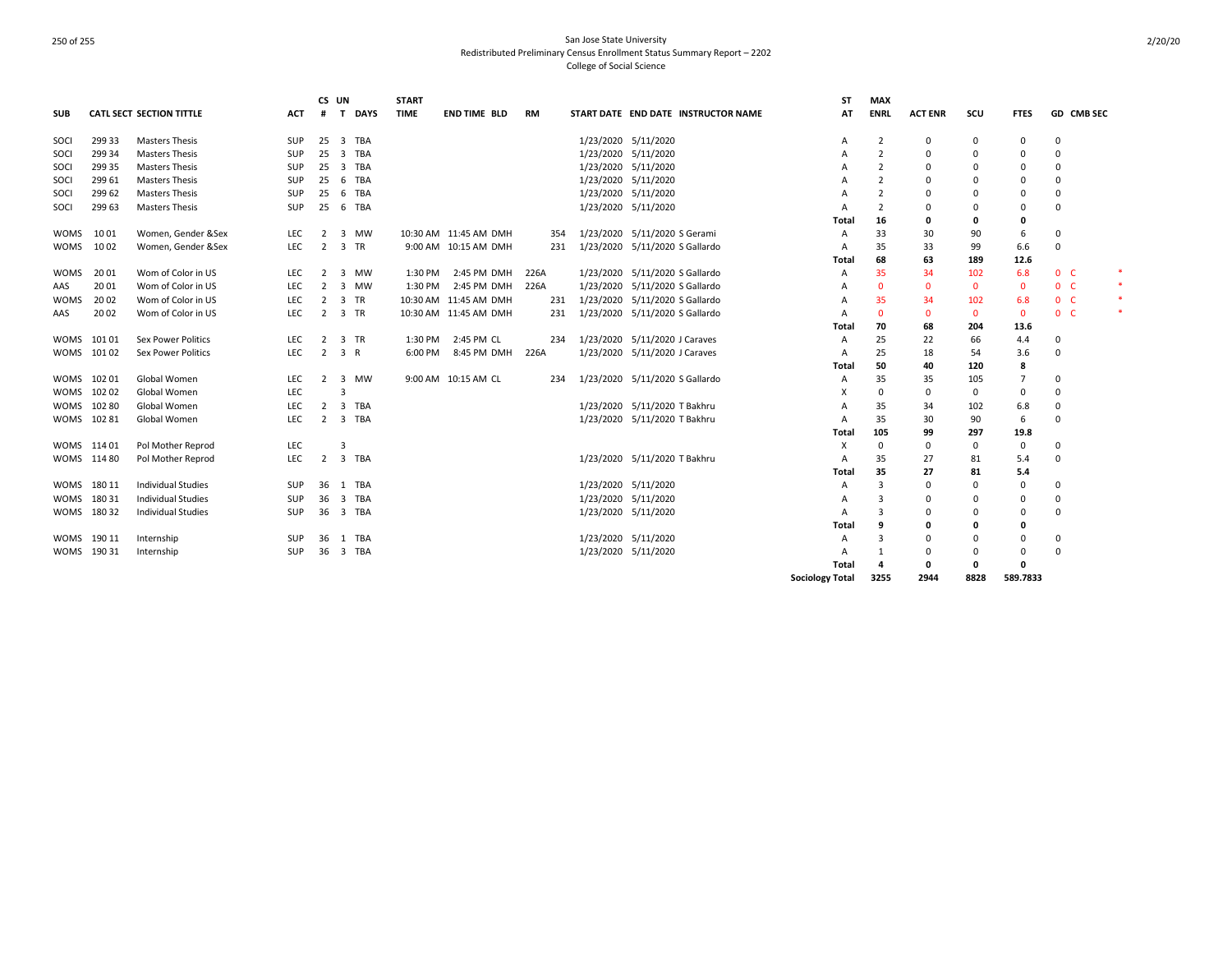| <b>SUB</b>  |             | <b>CATL SECT SECTION TITTLE</b> | ACT        | CS UN<br>#     | <b>DAYS</b><br>T.                    | <b>START</b><br><b>TIME</b> | <b>END TIME BLD</b>   | <b>RM</b> |                               |                                | START DATE END DATE INSTRUCTOR NAME | <b>ST</b><br>AT        | <b>MAX</b><br><b>ENRL</b> | <b>ACT ENR</b> | scu          | <b>FTES</b>  |                | <b>GD CMB SEC</b> |        |
|-------------|-------------|---------------------------------|------------|----------------|--------------------------------------|-----------------------------|-----------------------|-----------|-------------------------------|--------------------------------|-------------------------------------|------------------------|---------------------------|----------------|--------------|--------------|----------------|-------------------|--------|
| SOCI        | 299 33      | <b>Masters Thesis</b>           | SUP        | 25             | 3 TBA                                |                             |                       |           |                               | 1/23/2020 5/11/2020            |                                     | Α                      | 2                         | 0              | 0            | 0            | 0              |                   |        |
| SOCI        | 299 34      | <b>Masters Thesis</b>           | <b>SUP</b> | 25             | $\overline{3}$<br>TBA                |                             |                       |           |                               | 1/23/2020 5/11/2020            |                                     | Α                      | $\overline{2}$            | 0              | 0            | 0            | 0              |                   |        |
| SOCI        | 299 35      | <b>Masters Thesis</b>           | SUP        | 25             | $\overline{\mathbf{3}}$<br>TBA       |                             |                       |           |                               | 1/23/2020 5/11/2020            |                                     | A                      |                           | $\Omega$       | 0            | $\Omega$     | 0              |                   |        |
| SOCI        | 299 61      | <b>Masters Thesis</b>           | SUP        | 25             | 6<br>TBA                             |                             |                       |           |                               | 1/23/2020 5/11/2020            |                                     | A                      | 2                         | $\Omega$       | 0            | 0            | 0              |                   |        |
| SOCI        | 299 62      | <b>Masters Thesis</b>           | SUP        | 25             | 6<br>TBA                             |                             |                       |           |                               | 1/23/2020 5/11/2020            |                                     | A                      | 2                         | $\Omega$       | 0            | 0            | 0              |                   |        |
| SOCI        | 299 63      | <b>Masters Thesis</b>           | SUP        | 25             | 6<br>TBA                             |                             |                       |           |                               | 1/23/2020 5/11/2020            |                                     | A                      | $\overline{2}$            | $\Omega$       | 0            | 0            | 0              |                   |        |
|             |             |                                 |            |                |                                      |                             |                       |           |                               |                                |                                     | Total                  | 16                        | 0              | 0            | 0            |                |                   |        |
| <b>WOMS</b> | 1001        | Women, Gender &Sex              | <b>LEC</b> | $\overline{2}$ | 3<br>MW                              |                             | 10:30 AM 11:45 AM DMH | 354       |                               | 1/23/2020 5/11/2020 S Gerami   |                                     | A                      | 33                        | 30             | 90           | 6            | 0              |                   |        |
| <b>WOMS</b> | 1002        | Women, Gender &Sex              | <b>LEC</b> | $\overline{2}$ | 3 TR                                 |                             | 9:00 AM 10:15 AM DMH  | 231       | 1/23/2020                     | 5/11/2020 S Gallardo           |                                     | A                      | 35                        | 33             | 99           | 6.6          | $\mathbf 0$    |                   |        |
|             |             |                                 |            |                |                                      |                             |                       |           |                               |                                |                                     | Total                  | 68                        | 63             | 189          | 12.6         |                |                   |        |
| <b>WOMS</b> | 20 01       | Wom of Color in US              | LEC.       | 2              | $\overline{3}$<br><b>MW</b>          | 1:30 PM                     | 2:45 PM DMH           | 226A      |                               | 1/23/2020 5/11/2020 S Gallardo |                                     | A                      | 35                        | 34             | 102          | 6.8          | 0 <sup>o</sup> |                   | *      |
| AAS         | 20 01       | Wom of Color in US              | LEC        | $\overline{2}$ | $\overline{\mathbf{3}}$<br><b>MW</b> | 1:30 PM                     | 2:45 PM DMH           | 226A      | 1/23/2020                     | 5/11/2020 S Gallardo           |                                     | A                      | $\Omega$                  | $\mathbf{0}$   | $\mathbf 0$  | $\mathbf{0}$ | 0 <sub>c</sub> |                   | *      |
| <b>WOMS</b> | 20 02       | Wom of Color in US              | LEC        | $\overline{2}$ | 3 TR                                 |                             | 10:30 AM 11:45 AM DMH | 231       | 1/23/2020                     | 5/11/2020 S Gallardo           |                                     |                        | 35                        | 34             | 102          | 6.8          | 0 <sub>c</sub> |                   | *      |
| AAS         | 2002        | Wom of Color in US              | LEC        | $\overline{2}$ | 3 TR                                 |                             | 10:30 AM 11:45 AM DMH | 231       | 1/23/2020                     | 5/11/2020 S Gallardo           |                                     | A                      | $\Omega$                  | $\mathbf{0}$   | $\mathbf{0}$ | $\mathbf{0}$ | 0 <sub>c</sub> |                   | $\ast$ |
|             |             |                                 |            |                |                                      |                             |                       |           |                               |                                |                                     | Total                  | 70                        | 68             | 204          | 13.6         |                |                   |        |
| WOMS        | 101 01      | <b>Sex Power Politics</b>       | LEC        | $\overline{2}$ | 3 TR                                 | 1:30 PM                     | 2:45 PM CL            | 234       | 1/23/2020 5/11/2020 J Caraves |                                |                                     | A                      | 25                        | 22             | 66           | 4.4          | 0              |                   |        |
|             | WOMS 10102  | <b>Sex Power Politics</b>       | <b>LEC</b> | 2              | 3 R                                  | 6:00 PM                     | 8:45 PM DMH           | 226A      |                               | 1/23/2020 5/11/2020 J Caraves  |                                     | A                      | 25                        | 18             | 54           | 3.6          | 0              |                   |        |
|             |             |                                 |            |                |                                      |                             |                       |           |                               |                                |                                     | Total                  | 50                        | 40             | 120          | 8            |                |                   |        |
| WOMS        | 10201       | Global Women                    | <b>LEC</b> | $\overline{2}$ | 3 MW                                 |                             | 9:00 AM 10:15 AM CL   | 234       |                               | 1/23/2020 5/11/2020 S Gallardo |                                     | Α                      | 35                        | 35             | 105          | 7            | 0              |                   |        |
| <b>WOMS</b> | 10202       | Global Women                    | LEC        |                | 3                                    |                             |                       |           |                               |                                |                                     | X                      | $\Omega$                  | 0              | 0            | 0            | 0              |                   |        |
| <b>WOMS</b> | 10280       | Global Women                    | <b>LEC</b> | 2              | $\overline{3}$<br>TBA                |                             |                       |           |                               | 1/23/2020 5/11/2020 T Bakhru   |                                     | A                      | 35                        | 34             | 102          | 6.8          | 0              |                   |        |
|             | WOMS 102 81 | Global Women                    | <b>LEC</b> | 2              | $\overline{3}$<br>TBA                |                             |                       |           |                               | 1/23/2020 5/11/2020 T Bakhru   |                                     | A                      | 35                        | 30             | 90           | 6            | 0              |                   |        |
|             |             |                                 |            |                |                                      |                             |                       |           |                               |                                |                                     | Total                  | 105                       | 99             | 297          | 19.8         |                |                   |        |
|             | WOMS 114 01 | Pol Mother Reprod               | <b>LEC</b> |                | 3                                    |                             |                       |           |                               |                                |                                     | Х                      | 0                         | 0              | 0            | 0            | 0              |                   |        |
|             | WOMS 114 80 | Pol Mother Reprod               | LEC        | $\overline{2}$ | $\overline{3}$<br>TBA                |                             |                       |           |                               | 1/23/2020 5/11/2020 T Bakhru   |                                     | A                      | 35                        | 27             | 81           | 5.4          | 0              |                   |        |
|             |             |                                 |            |                |                                      |                             |                       |           |                               |                                |                                     | Total                  | 35                        | 27             | 81           | 5.4          |                |                   |        |
| WOMS        | 180 11      | <b>Individual Studies</b>       | SUP        | 36             | 1 TBA                                |                             |                       |           |                               | 1/23/2020 5/11/2020            |                                     | A                      | 3                         | 0              | 0            | 0            | 0              |                   |        |
|             | WOMS 180 31 | <b>Individual Studies</b>       | SUP        | 36             | $\overline{\mathbf{3}}$<br>TBA       |                             |                       |           |                               | 1/23/2020 5/11/2020            |                                     |                        | 3                         | $\Omega$       | 0            | 0            | 0              |                   |        |
|             | WOMS 180 32 | <b>Individual Studies</b>       | SUP        | 36             | 3 TBA                                |                             |                       |           |                               | 1/23/2020 5/11/2020            |                                     | A                      |                           | $\Omega$       | 0            | 0            | 0              |                   |        |
|             |             |                                 |            |                |                                      |                             |                       |           |                               |                                |                                     | <b>Total</b>           | 9                         | 0              | 0            | 0            |                |                   |        |
| WOMS        | 190 11      | Internship                      | SUP        | 36             | 1 TBA                                |                             |                       |           |                               | 1/23/2020 5/11/2020            |                                     | Α                      | 3                         | $\Omega$       | 0            | 0            | 0              |                   |        |
|             | WOMS 190 31 | Internship                      | <b>SUP</b> | 36             | 3 TBA                                |                             |                       |           |                               | 1/23/2020 5/11/2020            |                                     | A                      |                           | 0              | 0            | 0            | 0              |                   |        |
|             |             |                                 |            |                |                                      |                             |                       |           |                               |                                |                                     | Total                  | 4                         | 0              | 0            | 0            |                |                   |        |
|             |             |                                 |            |                |                                      |                             |                       |           |                               |                                |                                     | <b>Sociology Total</b> | 3255                      | 2944           | 8828         | 589.7833     |                |                   |        |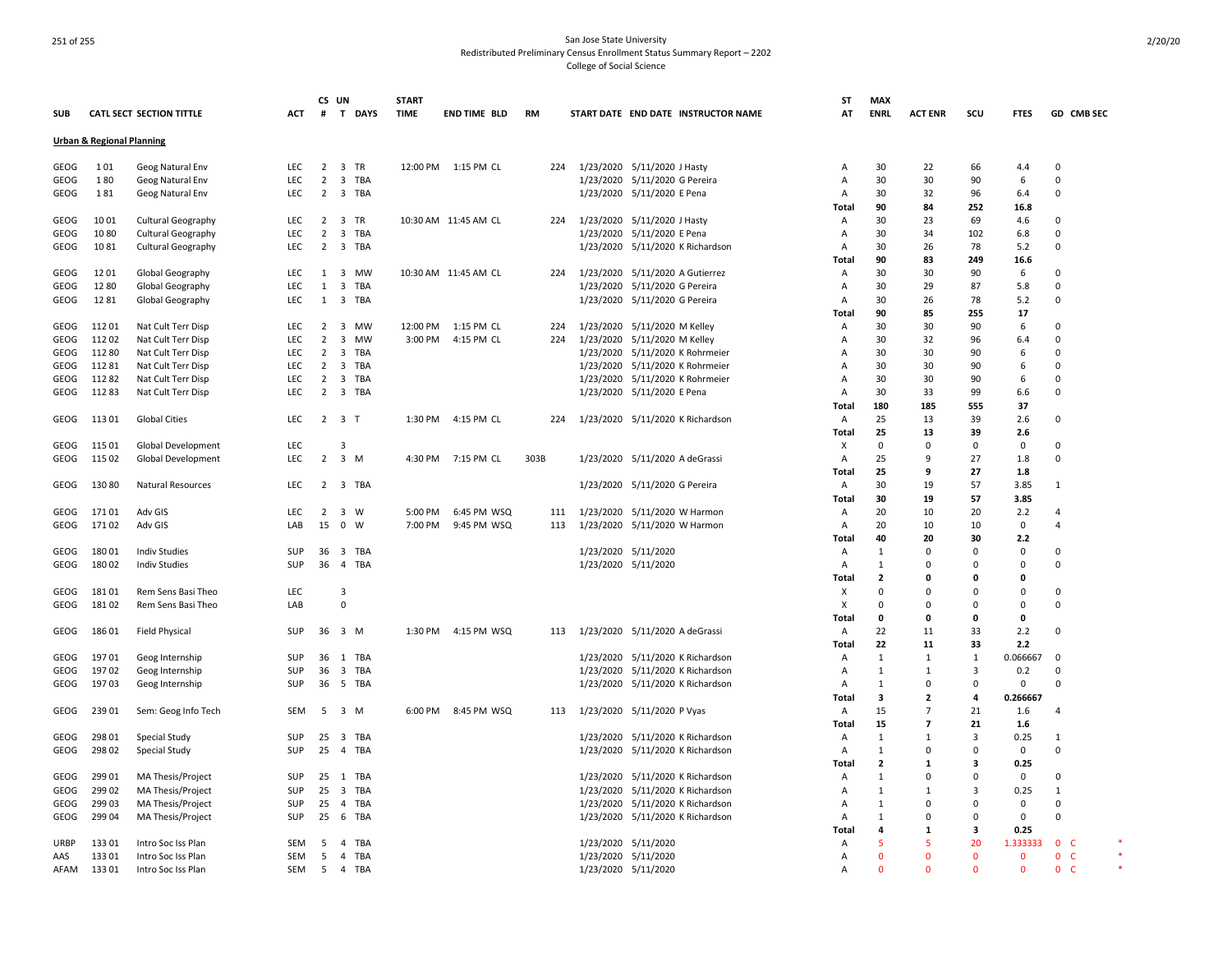|             |                                      |                                 |            | CS UN          |                         |             | <b>START</b> |                      |           |           |                                     | <b>ST</b>      | <b>MAX</b>     |                |              |              |                          |  |
|-------------|--------------------------------------|---------------------------------|------------|----------------|-------------------------|-------------|--------------|----------------------|-----------|-----------|-------------------------------------|----------------|----------------|----------------|--------------|--------------|--------------------------|--|
| <b>SUB</b>  |                                      | <b>CATL SECT SECTION TITTLE</b> | <b>ACT</b> | #              | T                       | <b>DAYS</b> | <b>TIME</b>  | <b>END TIME BLD</b>  | <b>RM</b> |           | START DATE END DATE INSTRUCTOR NAME | AT             | <b>ENRL</b>    | <b>ACT ENR</b> | scu          | <b>FTES</b>  | GD CMB SEC               |  |
|             | <b>Urban &amp; Regional Planning</b> |                                 |            |                |                         |             |              |                      |           |           |                                     |                |                |                |              |              |                          |  |
| GEOG        | 101                                  | Geog Natural Env                | <b>LEC</b> | $\overline{2}$ | 3 TR                    |             |              | 12:00 PM  1:15 PM CL | 224       |           | 1/23/2020 5/11/2020 J Hasty         | A              | 30             | 22             | 66           | 4.4          | $\Omega$                 |  |
| GEOG        | 180                                  | Geog Natural Env                | LEC        | $\overline{2}$ | 3 TBA                   |             |              |                      |           |           | 1/23/2020 5/11/2020 G Pereira       | A              | 30             | 30             | 90           | 6            | $\Omega$                 |  |
| GEOG        | 181                                  | Geog Natural Env                | <b>LEC</b> | $\overline{2}$ | 3 TBA                   |             |              |                      |           |           | 1/23/2020 5/11/2020 E Pena          | A              | 30             | 32             | 96           | 6.4          | 0                        |  |
|             |                                      |                                 |            |                |                         |             |              |                      |           |           |                                     | Total          | 90             | 84             | 252          | 16.8         |                          |  |
| GEOG        | 10 01                                | Cultural Geography              | LEC        | $\overline{2}$ | 3 TR                    |             |              | 10:30 AM 11:45 AM CL | 224       |           | 1/23/2020 5/11/2020 J Hasty         | A              | 30             | 23             | 69           | 4.6          | 0                        |  |
| GEOG        | 1080                                 | Cultural Geography              | LEC        | $\overline{2}$ | 3 TBA                   |             |              |                      |           |           | 1/23/2020 5/11/2020 E Pena          | A              | 30             | 34             | 102          | 6.8          | 0                        |  |
| GEOG        | 1081                                 | <b>Cultural Geography</b>       | LEC        | $\overline{2}$ | 3 TBA                   |             |              |                      |           |           | 1/23/2020 5/11/2020 K Richardson    | Α              | 30             | 26             | 78           | 5.2          | $\Omega$                 |  |
|             |                                      |                                 |            |                |                         |             |              |                      |           |           |                                     | Total          | 90             | 83             | 249          | 16.6         |                          |  |
| GEOG        | 1201                                 | Global Geography                | LEC        | 1              | $\overline{3}$          | MW          |              | 10:30 AM 11:45 AM CL | 224       |           | 1/23/2020 5/11/2020 A Gutierrez     | Α              | 30             | 30             | 90           | 6            | $\Omega$                 |  |
| GEOG        | 1280                                 | Global Geography                | LEC        | $\mathbf{1}$   | $\overline{\mathbf{3}}$ | TBA         |              |                      |           | 1/23/2020 | 5/11/2020 G Pereira                 | Α              | 30             | 29             | 87           | 5.8          | $\Omega$                 |  |
| GEOG        | 1281                                 | Global Geography                | <b>LEC</b> | 1              | $\overline{3}$          | TBA         |              |                      |           |           | 1/23/2020 5/11/2020 G Pereira       | A              | 30             | 26             | 78           | 5.2          | $\Omega$                 |  |
|             |                                      |                                 |            |                |                         |             |              |                      |           |           |                                     | Total          | 90             | 85             | 255          | 17           |                          |  |
| GEOG        | 11201                                | Nat Cult Terr Disp              | LEC.       | 2              | $\overline{3}$          | <b>MW</b>   |              | 12:00 PM 1:15 PM CL  | 224       |           | 1/23/2020 5/11/2020 M Kelley        | A              | 30             | 30             | 90           | 6            | $\Omega$                 |  |
| GEOG        | 112 02                               | Nat Cult Terr Disp              | LEC        | $\overline{2}$ | $\overline{\mathbf{3}}$ | MW          | 3:00 PM      | 4:15 PM CL           | 224       |           | 1/23/2020 5/11/2020 M Kelley        | Α              | 30             | 32             | 96           | 6.4          | $\Omega$                 |  |
| GEOG        | 11280                                | Nat Cult Terr Disp              | <b>LEC</b> | 2              | $\overline{3}$          | TBA         |              |                      |           |           | 1/23/2020 5/11/2020 K Rohrmeier     | A              | 30             | 30             | 90           | 6            | $\Omega$                 |  |
| GEOG        | 11281                                | Nat Cult Terr Disp              | LEC.       | $\overline{2}$ | $\overline{\mathbf{3}}$ | TBA         |              |                      |           |           | 1/23/2020 5/11/2020 K Rohrmeier     | A              | 30             | 30             | 90           | -6           | $\Omega$                 |  |
|             | 11282                                |                                 | <b>LEC</b> | $\overline{2}$ | $\overline{\mathbf{3}}$ | TBA         |              |                      |           |           | 1/23/2020 5/11/2020 K Rohrmeier     | $\Delta$       | 30             | 30             | 90           | 6            | $\Omega$                 |  |
| GEOG        | 11283                                | Nat Cult Terr Disp              | <b>LEC</b> | $\overline{2}$ |                         |             |              |                      |           |           |                                     |                |                |                |              |              | 0                        |  |
| GEOG        |                                      | Nat Cult Terr Disp              |            |                | $\overline{3}$          | TBA         |              |                      |           |           | 1/23/2020 5/11/2020 E Pena          | A              | 30<br>180      | 33<br>185      | 99           | 6.6<br>37    |                          |  |
|             |                                      |                                 |            |                |                         |             |              |                      |           |           |                                     | Total          |                |                | 555          |              |                          |  |
| GEOG        | 113 01                               | <b>Global Cities</b>            | <b>LEC</b> |                | 2 3 T                   |             |              | 1:30 PM 4:15 PM CL   | 224       |           | 1/23/2020 5/11/2020 K Richardson    | Α              | 25             | 13             | 39           | 2.6          | $\Omega$                 |  |
|             |                                      |                                 |            |                |                         |             |              |                      |           |           |                                     | Total          | 25             | 13             | 39           | 2.6          |                          |  |
| GEOG        | 115 01                               | Global Development              | <b>LEC</b> |                | -3                      |             |              |                      |           |           |                                     | х              | 0              | $\Omega$       | 0            | $\Omega$     | 0                        |  |
| GEOG        | 115 02                               | Global Development              | <b>LEC</b> | $\overline{2}$ | 3 M                     |             |              | 4:30 PM 7:15 PM CL   | 303B      |           | 1/23/2020 5/11/2020 A deGrassi      | Α              | 25             | q              | 27           | 1.8          | $\Omega$                 |  |
|             |                                      |                                 |            |                |                         |             |              |                      |           |           |                                     | Total          | 25             | 9              | 27           | 1.8          |                          |  |
| GEOG        | 130 80                               | Natural Resources               | LEC        | $\overline{2}$ | 3 TBA                   |             |              |                      |           |           | 1/23/2020 5/11/2020 G Pereira       | A              | 30             | 19             | 57           | 3.85         | $\mathbf{1}$             |  |
|             |                                      |                                 |            |                |                         |             |              |                      |           |           |                                     | Total          | 30             | 19             | 57           | 3.85         |                          |  |
| GEOG        | 17101                                | Adv GIS                         | LEC        | $\overline{2}$ | $\overline{3}$          | W           | 5:00 PM      | 6:45 PM WSQ          | 111       |           | 1/23/2020 5/11/2020 W Harmon        | A              | 20             | 10             | 20           | 2.2          | 4                        |  |
| GEOG        | 17102                                | Adv GIS                         | LAB        | 15             | $\mathbf 0$             | W           | 7:00 PM      | 9:45 PM WSQ          | 113       |           | 1/23/2020 5/11/2020 W Harmon        | Α              | 20             | 10             | 10           | 0            | 4                        |  |
|             |                                      |                                 |            |                |                         |             |              |                      |           |           |                                     | Total          | 40             | 20             | 30           | 2.2          |                          |  |
| GEOG        | 18001                                | <b>Indiv Studies</b>            | SUP        | 36             | 3                       | TBA         |              |                      |           |           | 1/23/2020 5/11/2020                 | Α              | $\mathbf{1}$   | $\Omega$       | $\Omega$     | $\Omega$     | $\Omega$                 |  |
| GEOG        | 18002                                | <b>Indiv Studies</b>            | SUP        | 36             | 4 TBA                   |             |              |                      |           |           | 1/23/2020 5/11/2020                 | Α              | $\mathbf{1}$   | $\Omega$       | 0            | $\Omega$     | $\Omega$                 |  |
|             |                                      |                                 |            |                |                         |             |              |                      |           |           |                                     | Total          | $\overline{2}$ | O              | 0            | $\Omega$     |                          |  |
| GEOG        | 18101                                | Rem Sens Basi Theo              | LEC        |                | 3                       |             |              |                      |           |           |                                     | Х              | 0              | $\Omega$       | 0            | $\Omega$     | $\Omega$                 |  |
| GEOG        | 18102                                | Rem Sens Basi Theo              | LAB        |                | $\Omega$                |             |              |                      |           |           |                                     | X              | 0              | 0              | $\Omega$     | $\Omega$     | $\Omega$                 |  |
|             |                                      |                                 |            |                |                         |             |              |                      |           |           |                                     | Total          | $\mathbf 0$    | 0              | 0            | $\mathbf 0$  |                          |  |
| GEOG        | 18601                                | Field Physical                  | SUP        | 36             | 3 M                     |             |              | 1:30 PM 4:15 PM WSQ  | 113       |           | 1/23/2020 5/11/2020 A deGrassi      | $\overline{A}$ | 22             | 11             | 33           | 2.2          | $\Omega$                 |  |
|             |                                      |                                 |            |                |                         |             |              |                      |           |           |                                     | Total          | 22             | 11             | 33           | 2.2          |                          |  |
| GEOG        | 19701                                | Geog Internship                 | <b>SUP</b> | 36             | 1 TBA                   |             |              |                      |           |           | 1/23/2020 5/11/2020 K Richardson    | A              | 1              | $\mathbf{1}$   | $\mathbf{1}$ | 0.066667     | $\Omega$                 |  |
| GEOG        | 19702                                | Geog Internship                 | SUP        | 36             | 3 TBA                   |             |              |                      |           | 1/23/2020 | 5/11/2020 K Richardson              | Α              | $\mathbf{1}$   | $\mathbf{1}$   | 3            | 0.2          | $\Omega$                 |  |
| GEOG        | 19703                                | Geog Internship                 | <b>SUP</b> | 36             | 5 TBA                   |             |              |                      |           |           | 1/23/2020 5/11/2020 K Richardson    | A              | 1              | $\Omega$       | $\mathbf 0$  | $\mathbf 0$  | $\Omega$                 |  |
|             |                                      |                                 |            |                |                         |             |              |                      |           |           |                                     | Total          | 3              | $\overline{2}$ | 4            | 0.266667     |                          |  |
| GEOG        | 23901                                | Sem: Geog Info Tech             | SEM        | 5              | 3 M                     |             |              | 6:00 PM 8:45 PM WSQ  | 113       |           | 1/23/2020 5/11/2020 P Vyas          | Α              | 15             | $\overline{7}$ | 21           | 1.6          | 4                        |  |
|             |                                      |                                 |            |                |                         |             |              |                      |           |           |                                     | Total          | 15             | 7              | 21           | 1.6          |                          |  |
| GEOG        | 298 01                               | Special Study                   | SUP        | 25             | 3 TBA                   |             |              |                      |           |           | 1/23/2020 5/11/2020 K Richardson    | Α              | $\mathbf{1}$   | $\mathbf{1}$   | 3            | 0.25         | 1                        |  |
| GEOG        | 298 02                               | Special Study                   | SUP        | 25             | 4 TBA                   |             |              |                      |           | 1/23/2020 | 5/11/2020 K Richardson              | Α              | 1              | $\Omega$       | 0            | $\Omega$     | 0                        |  |
|             |                                      |                                 |            |                |                         |             |              |                      |           |           |                                     | Total          | $\overline{2}$ | 1              | з            | 0.25         |                          |  |
|             |                                      |                                 |            |                |                         |             |              |                      |           |           |                                     |                | $\mathbf{1}$   |                | $\Omega$     |              | $\Omega$                 |  |
| GEOG        | 299 01                               | MA Thesis/Project               | SUP        | 25             | 1 TBA                   |             |              |                      |           | 1/23/2020 | 5/11/2020 K Richardson              | Α              | $\mathbf{1}$   | $\Omega$       | 3            | 0            | $\mathbf{1}$             |  |
| GEOG        | 299 02                               | MA Thesis/Project               | <b>SUP</b> | 25             | 3 TBA                   |             |              |                      |           | 1/23/2020 | 5/11/2020 K Richardson              | A              |                | 1              |              | 0.25         |                          |  |
| GEOG        | 299 03                               | MA Thesis/Project               | SUP        | 25             | $\overline{4}$          | TBA         |              |                      |           | 1/23/2020 | 5/11/2020 K Richardson              | A              | $\mathbf{1}$   | $\Omega$       | 0            | $\Omega$     | $\Omega$                 |  |
| GEOG        | 299 04                               | MA Thesis/Project               | SUP        | 25             | 6 TBA                   |             |              |                      |           |           | 1/23/2020 5/11/2020 K Richardson    | Α              | $\mathbf{1}$   | $\Omega$       | $\mathbf 0$  | $\mathbf 0$  | $\Omega$                 |  |
|             |                                      |                                 |            |                |                         |             |              |                      |           |           |                                     | Total          | 4              | 1              | з            | 0.25         |                          |  |
| <b>URBP</b> | 133 01                               | Intro Soc Iss Plan              | SEM        | 5              | $\overline{4}$          | TBA         |              |                      |           |           | 1/23/2020 5/11/2020                 | Α              | 5              | 5              | 20           | 1.333333     | $\mathbf 0$<br>-C        |  |
| AAS         | 13301                                | Intro Soc Iss Plan              | SEM        | -5             | $\overline{4}$          | TBA         |              |                      |           |           | 1/23/2020 5/11/2020                 | A              | $\Omega$       | $\Omega$       | $\Omega$     | $\mathbf{0}$ | $\mathbf{0}$<br><b>C</b> |  |
| AFAM        | 13301                                | Intro Soc Iss Plan              | <b>SEM</b> | 5              | 4 TBA                   |             |              |                      |           |           | 1/23/2020 5/11/2020                 | $\overline{A}$ | $\Omega$       | $\Omega$       | $\Omega$     | $\mathbf{0}$ | $\mathbf{0}$<br>C        |  |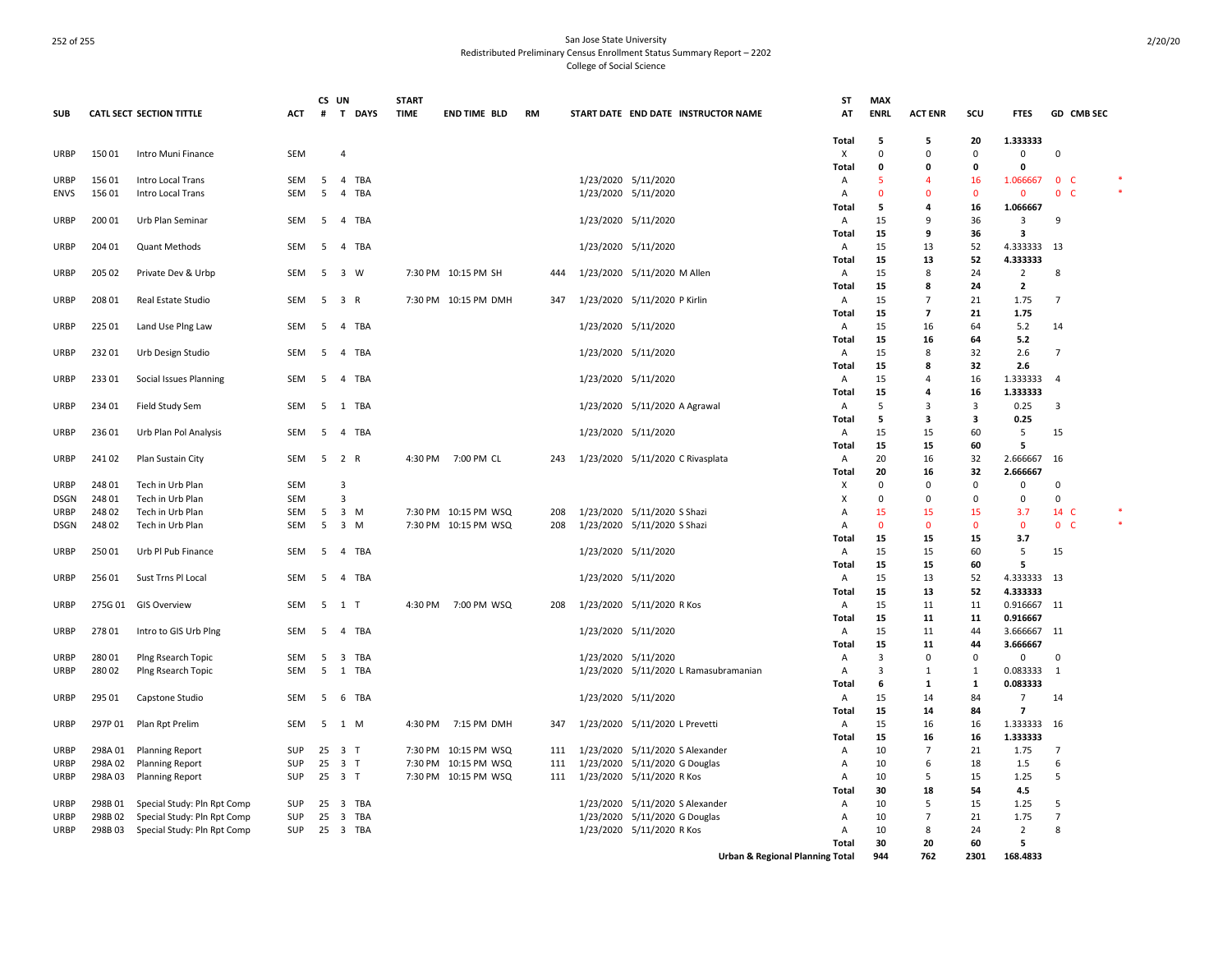| <b>SUB</b>  |         | CATL SECT SECTION TITTLE    | ACT        | CS UN<br># | $\mathbf{T}$<br><b>DAYS</b>    | <b>START</b><br><b>TIME</b> | <b>END TIME BLD</b>  | RM  | START DATE END DATE INSTRUCTOR NAME   | <b>ST</b><br>AT                            | <b>MAX</b><br><b>ENRL</b>  | <b>ACT ENR</b>       | scu      | <b>FTES</b>                 |                | GD CMB SEC     |  |
|-------------|---------|-----------------------------|------------|------------|--------------------------------|-----------------------------|----------------------|-----|---------------------------------------|--------------------------------------------|----------------------------|----------------------|----------|-----------------------------|----------------|----------------|--|
|             |         |                             |            |            |                                |                             |                      |     |                                       | Total                                      | -5                         | 5                    | 20       | 1.333333                    |                |                |  |
| <b>URBP</b> | 15001   | Intro Muni Finance          | <b>SEM</b> |            | $\overline{4}$                 |                             |                      |     |                                       | X                                          | $\mathbf 0$<br>$\mathbf 0$ | $\Omega$<br>0        | $\Omega$ | $\mathbf 0$<br>$\mathbf{0}$ | $\Omega$       |                |  |
| <b>URBP</b> | 15601   | Intro Local Trans           | SEM        | 5          | 4 TBA                          |                             |                      |     | 1/23/2020 5/11/2020                   | <b>Total</b>                               | 5                          | $\overline{a}$       | 0<br>16  | 1.066667                    |                | 0 <sub>c</sub> |  |
| <b>ENVS</b> | 15601   | Intro Local Trans           | SEM        | 5          | 4<br>TBA                       |                             |                      |     | 1/23/2020 5/11/2020                   | Α<br>Α                                     | -0                         | 0                    | 0        | 0                           | $\mathbf{0}$   | C              |  |
|             |         |                             |            |            |                                |                             |                      |     |                                       | Total                                      | -5                         | 4                    | 16       | 1.066667                    |                |                |  |
| URBP        | 200 01  | Urb Plan Seminar            | SEM        | 5          | 4 TBA                          |                             |                      |     | 1/23/2020 5/11/2020                   | A                                          | 15                         | 9                    | 36       | 3                           | 9              |                |  |
|             |         |                             |            |            |                                |                             |                      |     |                                       | Total                                      | 15                         | 9                    | 36       | 3                           |                |                |  |
| <b>URBP</b> | 204 01  | Quant Methods               | <b>SEM</b> | -5         | 4 TBA                          |                             |                      |     | 1/23/2020 5/11/2020                   | A                                          | 15                         | 13                   | 52       | 4.333333                    | 13             |                |  |
|             |         |                             |            |            |                                |                             |                      |     |                                       | <b>Total</b>                               | 15                         | 13                   | 52       | 4.333333                    |                |                |  |
| <b>URBP</b> | 205 02  | Private Dev & Urbp          | SEM        | 5          | 3 W                            |                             | 7:30 PM 10:15 PM SH  | 444 | 1/23/2020 5/11/2020 M Allen           | Α                                          | 15                         | 8                    | 24       | $\overline{2}$              | 8              |                |  |
|             |         |                             |            |            |                                |                             |                      |     |                                       | Total                                      | 15                         | 8                    | 24       | $\overline{2}$              |                |                |  |
| <b>URBP</b> | 208 01  | Real Estate Studio          | SEM        | 5          | 3 R                            |                             | 7:30 PM 10:15 PM DMH | 347 | 1/23/2020 5/11/2020 P Kirlin          | A                                          | 15                         | 7                    | 21       | 1.75                        | 7              |                |  |
|             |         |                             |            |            |                                |                             |                      |     |                                       | Total                                      | 15                         | 7                    | 21       | 1.75                        |                |                |  |
| <b>URBP</b> | 225 01  | Land Use Plng Law           | SEM        | 5          | 4 TBA                          |                             |                      |     | 1/23/2020 5/11/2020                   | Α                                          | 15                         | 16                   | 64       | 5.2                         | 14             |                |  |
|             |         |                             |            |            |                                |                             |                      |     |                                       | Total                                      | 15                         | 16                   | 64       | 5.2                         | $\overline{7}$ |                |  |
| <b>URBP</b> | 232 01  | Urb Design Studio           | SEM        | 5          | 4 TBA                          |                             |                      |     | 1/23/2020 5/11/2020                   | Α                                          | 15<br>15                   | 8<br>8               | 32<br>32 | 2.6<br>2.6                  |                |                |  |
| URBP        | 233 01  | Social Issues Planning      | SEM        | 5          | $\overline{4}$<br>TBA          |                             |                      |     | 1/23/2020 5/11/2020                   | Total<br>A                                 | 15                         | 4                    | 16       | 1.333333                    | 4              |                |  |
|             |         |                             |            |            |                                |                             |                      |     |                                       | Total                                      | 15                         | 4                    | 16       | 1.333333                    |                |                |  |
| <b>URBP</b> | 234 01  | Field Study Sem             | SEM        | 5          | 1 TBA                          |                             |                      |     | 1/23/2020 5/11/2020 A Agrawal         | A                                          | 5                          | 3                    | 3        | 0.25                        | 3              |                |  |
|             |         |                             |            |            |                                |                             |                      |     |                                       | <b>Total</b>                               | -5                         | 3                    | 3        | 0.25                        |                |                |  |
| <b>URBP</b> | 23601   | Urb Plan Pol Analysis       | <b>SEM</b> | -5         | 4 TBA                          |                             |                      |     | 1/23/2020 5/11/2020                   | Α                                          | 15                         | 15                   | 60       | 5                           | 15             |                |  |
|             |         |                             |            |            |                                |                             |                      |     |                                       | <b>Total</b>                               | 15                         | 15                   | 60       | 5                           |                |                |  |
| <b>URBP</b> | 24102   | Plan Sustain City           | SEM        |            | $5$ 2 R                        |                             | 4:30 PM 7:00 PM CL   | 243 | 1/23/2020 5/11/2020 C Rivasplata      | Α                                          | 20                         | 16                   | 32       | 2.666667                    | 16             |                |  |
|             |         |                             |            |            |                                |                             |                      |     |                                       | Total                                      | 20                         | 16                   | 32       | 2.666667                    |                |                |  |
| <b>URBP</b> | 24801   | Tech in Urb Plan            | SEM        |            | 3                              |                             |                      |     |                                       | х                                          | 0                          | 0                    | 0        | 0                           | 0              |                |  |
| <b>DSGN</b> | 24801   | Tech in Urb Plan            | SEM        |            | 3                              |                             |                      |     |                                       | х                                          | 0                          | 0                    | 0        | 0                           | 0              |                |  |
| URBP        | 24802   | Tech in Urb Plan            | <b>SEM</b> | 5          | 3 M                            |                             | 7:30 PM 10:15 PM WSQ | 208 | 1/23/2020 5/11/2020 S Shazi           | Α                                          | 15                         | 15                   | 15       | 3.7                         | 14 C           |                |  |
| <b>DSGN</b> | 24802   | Tech in Urb Plan            | <b>SEM</b> | 5          | 3 M                            |                             | 7:30 PM 10:15 PM WSQ | 208 | 1/23/2020 5/11/2020 S Shazi           | Α                                          | $\overline{0}$             | $\Omega$             | $\Omega$ | $\mathbf{0}$                |                | 0 <sub>c</sub> |  |
|             |         |                             |            |            |                                |                             |                      |     |                                       | Total                                      | 15<br>15                   | 15                   | 15<br>60 | 3.7                         |                |                |  |
| <b>URBP</b> | 25001   | Urb Pl Pub Finance          | SEM        | 5          | 4 TBA                          |                             |                      |     | 1/23/2020 5/11/2020                   | Α                                          | 15                         | 15<br>15             | 60       | 5<br>5                      | 15             |                |  |
| <b>URBP</b> | 25601   | Sust Trns Pl Local          | SEM        | 5          | 4 TBA                          |                             |                      |     | 1/23/2020 5/11/2020                   | Total<br>A                                 | 15                         | 13                   | 52       | 4.333333                    | - 13           |                |  |
|             |         |                             |            |            |                                |                             |                      |     |                                       | Total                                      | 15                         | 13                   | 52       | 4.333333                    |                |                |  |
| URBP        | 275G 01 | <b>GIS Overview</b>         | SEM        | - 5        | 1 T                            | 4:30 PM                     | 7:00 PM WSQ          | 208 | 1/23/2020 5/11/2020 R Kos             | Α                                          | 15                         | 11                   | 11       | 0.916667                    | 11             |                |  |
|             |         |                             |            |            |                                |                             |                      |     |                                       | Total                                      | 15                         | 11                   | 11       | 0.916667                    |                |                |  |
| <b>URBP</b> | 27801   | Intro to GIS Urb Plng       | SEM        | 5          | 4 TBA                          |                             |                      |     | 1/23/2020 5/11/2020                   | Α                                          | 15                         | 11                   | 44       | 3.666667                    | 11             |                |  |
|             |         |                             |            |            |                                |                             |                      |     |                                       | Total                                      | 15                         | 11                   | 44       | 3.666667                    |                |                |  |
| URBP        | 28001   | Ping Rsearch Topic          | SEM        | 5          | 3<br>TBA                       |                             |                      |     | 1/23/2020 5/11/2020                   | Α                                          | $\overline{3}$             | 0                    | 0        | 0                           | 0              |                |  |
| <b>URBP</b> | 28002   | Plng Rsearch Topic          | SEM        | 5          | 1 TBA                          |                             |                      |     | 1/23/2020 5/11/2020 L Ramasubramanian | Α                                          | 3                          | 1                    | 1        | 0.083333                    | 1              |                |  |
|             |         |                             |            |            |                                |                             |                      |     |                                       | Total                                      | 6                          | 1                    | 1        | 0.083333                    |                |                |  |
| <b>URBP</b> | 295 01  | Capstone Studio             | SEM        | 5          | 6 TBA                          |                             |                      |     | 1/23/2020 5/11/2020                   | Α                                          | 15                         | 14                   | 84       | $\overline{7}$              | 14             |                |  |
|             |         |                             |            |            |                                |                             |                      |     |                                       | <b>Total</b>                               | 15                         | 14                   | 84       | $\overline{7}$              |                |                |  |
| <b>URBP</b> | 297P01  | Plan Rpt Prelim             | SEM        |            | 5 1 M                          |                             | 4:30 PM 7:15 PM DMH  | 347 | 1/23/2020 5/11/2020 L Prevetti        | Α                                          | 15<br>15                   | 16                   | 16       | 1.333333 16<br>1.333333     |                |                |  |
| URBP        | 298A 01 | <b>Planning Report</b>      | SUP        | 25         | 3 T                            | 7:30 PM                     | 10:15 PM WSQ         | 111 | 1/23/2020 5/11/2020 S Alexander       | Total<br>Α                                 | 10                         | 16<br>$\overline{7}$ | 16<br>21 | 1.75                        | $\overline{7}$ |                |  |
| <b>URBP</b> | 298A02  | <b>Planning Report</b>      | <b>SUP</b> | 25         | 3 T                            |                             | 7:30 PM 10:15 PM WSQ | 111 | 1/23/2020 5/11/2020 G Douglas         | Α                                          | 10                         | 6                    | 18       | 1.5                         | 6              |                |  |
| <b>URBP</b> | 298A03  | <b>Planning Report</b>      | <b>SUP</b> |            | 25 3 T                         |                             | 7:30 PM 10:15 PM WSQ | 111 | 1/23/2020 5/11/2020 R Kos             | A                                          | 10                         | 5                    | 15       | 1.25                        | 5              |                |  |
|             |         |                             |            |            |                                |                             |                      |     |                                       | <b>Total</b>                               | 30                         | 18                   | 54       | 4.5                         |                |                |  |
| <b>URBP</b> | 298B01  | Special Study: Pln Rpt Comp | <b>SUP</b> | 25         | TBA<br>$\overline{\mathbf{3}}$ |                             |                      |     | 1/23/2020 5/11/2020 S Alexander       | Α                                          | 10                         | 5                    | 15       | 1.25                        | 5              |                |  |
| URBP        | 298B02  | Special Study: Pln Rpt Comp | SUP        | 25         | $\overline{\mathbf{3}}$<br>TBA |                             |                      |     | 1/23/2020 5/11/2020 G Douglas         | Α                                          | 10                         | $\overline{7}$       | 21       | 1.75                        | $\overline{7}$ |                |  |
| <b>URBP</b> | 298B03  | Special Study: Pln Rpt Comp | SUP        | 25         | 3 TBA                          |                             |                      |     | 1/23/2020 5/11/2020 R Kos             | A                                          | 10                         | 8                    | 24       | $\overline{2}$              | 8              |                |  |
|             |         |                             |            |            |                                |                             |                      |     |                                       | Total                                      | 30                         | 20                   | 60       | 5                           |                |                |  |
|             |         |                             |            |            |                                |                             |                      |     |                                       | <b>Urban &amp; Regional Planning Total</b> | 944                        | 762                  | 2301     | 168.4833                    |                |                |  |